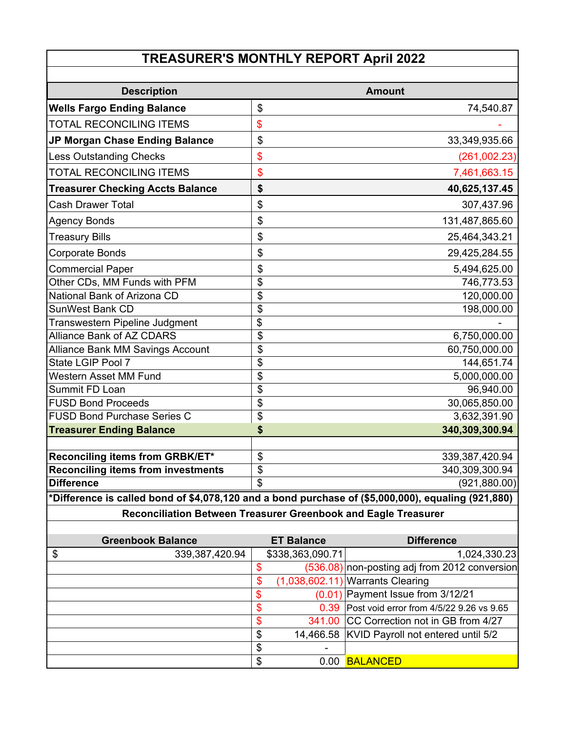#### **TREASURER'S MONTHLY REPORT April 2022**

| <b>Description</b>                        | <b>Amount</b>        |
|-------------------------------------------|----------------------|
| <b>Wells Fargo Ending Balance</b>         | \$<br>74,540.87      |
| <b>TOTAL RECONCILING ITEMS</b>            | \$                   |
| JP Morgan Chase Ending Balance            | \$<br>33,349,935.66  |
| <b>Less Outstanding Checks</b>            | \$<br>(261,002.23)   |
| <b>TOTAL RECONCILING ITEMS</b>            | \$<br>7,461,663.15   |
| <b>Treasurer Checking Accts Balance</b>   | \$<br>40,625,137.45  |
| <b>Cash Drawer Total</b>                  | \$<br>307,437.96     |
| <b>Agency Bonds</b>                       | \$<br>131,487,865.60 |
| <b>Treasury Bills</b>                     | \$<br>25,464,343.21  |
| Corporate Bonds                           | \$<br>29,425,284.55  |
| <b>Commercial Paper</b>                   | \$<br>5,494,625.00   |
| Other CDs, MM Funds with PFM              | \$<br>746,773.53     |
| National Bank of Arizona CD               | \$<br>120,000.00     |
| <b>SunWest Bank CD</b>                    | \$<br>198,000.00     |
| Transwestern Pipeline Judgment            | \$                   |
| <b>Alliance Bank of AZ CDARS</b>          | \$<br>6,750,000.00   |
| <b>Alliance Bank MM Savings Account</b>   | \$<br>60,750,000.00  |
| State LGIP Pool 7                         | \$<br>144,651.74     |
| <b>Western Asset MM Fund</b>              | \$<br>5,000,000.00   |
| Summit FD Loan                            | \$<br>96,940.00      |
| <b>FUSD Bond Proceeds</b>                 | \$<br>30,065,850.00  |
| <b>FUSD Bond Purchase Series C</b>        | \$<br>3,632,391.90   |
| <b>Treasurer Ending Balance</b>           | \$<br>340,309,300.94 |
|                                           |                      |
| Reconciling items from GRBK/ET*           | \$<br>339,387,420.94 |
| <b>Reconciling items from investments</b> | \$<br>340,309,300.94 |
| <b>Difference</b>                         | \$<br>(921, 880.00)  |

# **\*Difference is called bond of \$4,078,120 and a bond purchase of (\$5,000,000), equaling (921,880)**

**Reconciliation Between Treasurer Greenbook and Eagle Treasurer**

|                   | <b>Greenbook Balance</b> | <b>ET Balance</b> | <b>Difference</b>                             |
|-------------------|--------------------------|-------------------|-----------------------------------------------|
| $\boldsymbol{\$}$ | 339,387,420.94           | \$338,363,090.71  | 1,024,330.23                                  |
|                   |                          |                   | (536.08) non-posting adj from 2012 conversion |
|                   |                          | \$                | $(1,038,602.11)$ Warrants Clearing            |
|                   |                          | S                 | $(0.01)$ Payment Issue from 3/12/21           |
|                   |                          | S                 | 0.39 Post void error from 4/5/22 9.26 vs 9.65 |
|                   |                          | S                 | 341.00 CC Correction not in GB from 4/27      |
|                   |                          | \$                | 14,466.58 KVID Payroll not entered until 5/2  |
|                   |                          | \$                |                                               |
|                   |                          | \$<br>0 OO        | <b>BALANCED</b>                               |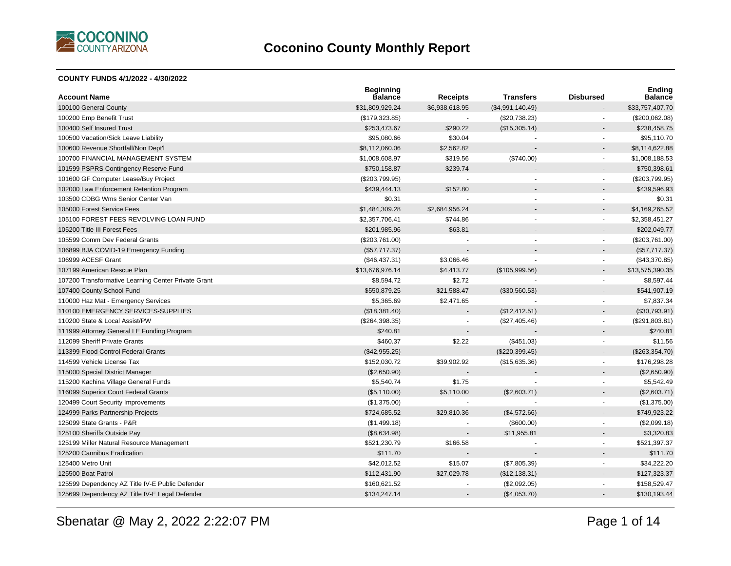

#### **COUNTY FUNDS 4/1/2022 - 4/30/2022**

| <b>Account Name</b>                                 | <b>Beginning</b><br><b>Balance</b> | <b>Receipts</b> | <b>Transfers</b> | <b>Disbursed</b>         | <b>Ending</b><br><b>Balance</b> |
|-----------------------------------------------------|------------------------------------|-----------------|------------------|--------------------------|---------------------------------|
| 100100 General County                               | \$31,809,929.24                    | \$6,938,618.95  | (\$4,991,140.49) |                          | \$33,757,407.70                 |
| 100200 Emp Benefit Trust                            | (\$179,323.85)                     |                 | (\$20,738.23)    |                          | (\$200,062.08)                  |
| 100400 Self Insured Trust                           | \$253,473.67                       | \$290.22        | (\$15,305.14)    |                          | \$238,458.75                    |
| 100500 Vacation/Sick Leave Liability                | \$95,080.66                        | \$30.04         |                  |                          | \$95,110.70                     |
| 100600 Revenue Shortfall/Non Dept'l                 | \$8,112,060.06                     | \$2,562.82      |                  |                          | \$8,114,622.88                  |
| 100700 FINANCIAL MANAGEMENT SYSTEM                  | \$1,008,608.97                     | \$319.56        | (\$740.00)       | ÷                        | \$1,008,188.53                  |
| 101599 PSPRS Contingency Reserve Fund               | \$750,158.87                       | \$239.74        |                  |                          | \$750,398.61                    |
| 101600 GF Computer Lease/Buy Project                | (\$203,799.95)                     |                 |                  | $\blacksquare$           | (\$203,799.95)                  |
| 102000 Law Enforcement Retention Program            | \$439,444.13                       | \$152.80        |                  |                          | \$439,596.93                    |
| 103500 CDBG Wms Senior Center Van                   | \$0.31                             |                 |                  |                          | \$0.31                          |
| 105000 Forest Service Fees                          | \$1,484,309.28                     | \$2,684,956.24  |                  |                          | \$4,169,265.52                  |
| 105100 FOREST FEES REVOLVING LOAN FUND              | \$2,357,706.41                     | \$744.86        |                  | $\blacksquare$           | \$2,358,451.27                  |
| 105200 Title III Forest Fees                        | \$201,985.96                       | \$63.81         |                  | $\blacksquare$           | \$202,049.77                    |
| 105599 Comm Dev Federal Grants                      | (\$203,761.00)                     |                 |                  | $\blacksquare$           | (\$203,761.00)                  |
| 106899 BJA COVID-19 Emergency Funding               | (\$57,717.37)                      |                 |                  |                          | (\$57,717.37)                   |
| 106999 ACESF Grant                                  | (\$46,437.31)                      | \$3,066.46      |                  | $\blacksquare$           | (\$43,370.85)                   |
| 107199 American Rescue Plan                         | \$13,676,976.14                    | \$4,413.77      | (\$105,999.56)   |                          | \$13,575,390.35                 |
| 107200 Transformative Learning Center Private Grant | \$8,594.72                         | \$2.72          |                  | $\blacksquare$           | \$8,597.44                      |
| 107400 County School Fund                           | \$550,879.25                       | \$21,588.47     | (\$30,560.53)    |                          | \$541,907.19                    |
| 110000 Haz Mat - Emergency Services                 | \$5,365.69                         | \$2,471.65      |                  | $\sim$                   | \$7,837.34                      |
| 110100 EMERGENCY SERVICES-SUPPLIES                  | (\$18,381.40)                      |                 | (\$12,412.51)    |                          | (\$30,793.91)                   |
| 110200 State & Local Assist/PW                      | (\$264,398.35)                     |                 | (\$27,405.46)    | $\blacksquare$           | (\$291,803.81)                  |
| 111999 Attorney General LE Funding Program          | \$240.81                           |                 |                  |                          | \$240.81                        |
| 112099 Sheriff Private Grants                       | \$460.37                           | \$2.22          | (\$451.03)       | $\overline{\phantom{a}}$ | \$11.56                         |
| 113399 Flood Control Federal Grants                 | (\$42,955.25)                      |                 | (\$220,399.45)   |                          | (\$263,354.70)                  |
| 114599 Vehicle License Tax                          | \$152,030.72                       | \$39,902.92     | (\$15,635.36)    | $\blacksquare$           | \$176,298.28                    |
| 115000 Special District Manager                     | (\$2,650.90)                       |                 |                  |                          | (\$2,650.90)                    |
| 115200 Kachina Village General Funds                | \$5,540.74                         | \$1.75          |                  |                          | \$5,542.49                      |
| 116099 Superior Court Federal Grants                | (\$5,110.00)                       | \$5,110.00      | (\$2,603.71)     |                          | (\$2,603.71)                    |
| 120499 Court Security Improvements                  | (\$1,375.00)                       |                 |                  | $\blacksquare$           | (\$1,375.00)                    |
| 124999 Parks Partnership Projects                   | \$724,685.52                       | \$29,810.36     | (\$4,572.66)     |                          | \$749,923.22                    |
| 125099 State Grants - P&R                           | (\$1,499.18)                       |                 | (\$600.00)       | $\overline{\phantom{a}}$ | (\$2,099.18)                    |
| 125100 Sheriffs Outside Pay                         | (\$8,634.98)                       | $\blacksquare$  | \$11,955.81      | $\overline{a}$           | \$3,320.83                      |
| 125199 Miller Natural Resource Management           | \$521,230.79                       | \$166.58        |                  | $\blacksquare$           | \$521,397.37                    |
| 125200 Cannibus Eradication                         | \$111.70                           |                 |                  |                          | \$111.70                        |
| 125400 Metro Unit                                   | \$42,012.52                        | \$15.07         | (\$7,805.39)     | $\blacksquare$           | \$34,222.20                     |
| 125500 Boat Patrol                                  | \$112,431.90                       | \$27,029.78     | (\$12,138.31)    | $\overline{a}$           | \$127,323.37                    |
| 125599 Dependency AZ Title IV-E Public Defender     | \$160,621.52                       |                 | (\$2,092.05)     |                          | \$158,529.47                    |
| 125699 Dependency AZ Title IV-E Legal Defender      | \$134,247.14                       |                 | (\$4,053.70)     |                          | \$130,193.44                    |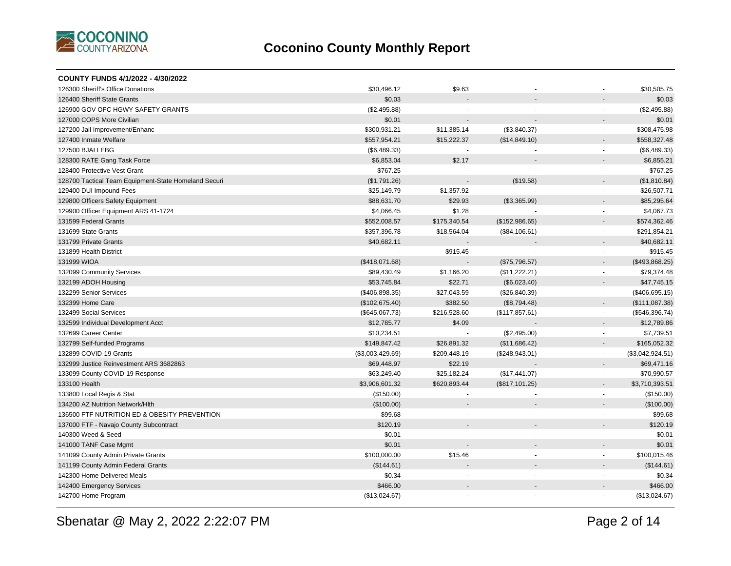

| COUNTY FUNDS 4/1/2022 - 4/30/2022                    |                  |                |                |                          |                  |
|------------------------------------------------------|------------------|----------------|----------------|--------------------------|------------------|
| 126300 Sheriff's Office Donations                    | \$30,496.12      | \$9.63         |                |                          | \$30,505.75      |
| 126400 Sheriff State Grants                          | \$0.03           |                |                |                          | \$0.03           |
| 126900 GOV OFC HGWY SAFETY GRANTS                    | (\$2,495.88)     |                |                |                          | (\$2,495.88)     |
| 127000 COPS More Civilian                            | \$0.01           |                |                |                          | \$0.01           |
| 127200 Jail Improvement/Enhanc                       | \$300,931.21     | \$11,385.14    | (\$3,840.37)   | $\blacksquare$           | \$308,475.98     |
| 127400 Inmate Welfare                                | \$557,954.21     | \$15,222.37    | (\$14,849.10)  | $\overline{\phantom{a}}$ | \$558,327.48     |
| 127500 BJALLEBG                                      | (\$6,489.33)     |                |                | $\sim$                   | (\$6,489.33)     |
| 128300 RATE Gang Task Force                          | \$6,853.04       | \$2.17         |                |                          | \$6,855.21       |
| 128400 Protective Vest Grant                         | \$767.25         |                |                |                          | \$767.25         |
| 128700 Tactical Team Equipment-State Homeland Securi | (\$1,791.26)     |                | (\$19.58)      |                          | (\$1,810.84)     |
| 129400 DUI Impound Fees                              | \$25,149.79      | \$1,357.92     |                | $\blacksquare$           | \$26,507.71      |
| 129800 Officers Safety Equipment                     | \$88,631.70      | \$29.93        | (\$3,365.99)   |                          | \$85,295.64      |
| 129900 Officer Equipment ARS 41-1724                 | \$4,066.45       | \$1.28         |                | $\blacksquare$           | \$4,067.73       |
| 131599 Federal Grants                                | \$552,008.57     | \$175,340.54   | (\$152,986.65) |                          | \$574,362.46     |
| 131699 State Grants                                  | \$357,396.78     | \$18,564.04    | (\$84,106.61)  | $\sim$                   | \$291,854.21     |
| 131799 Private Grants                                | \$40,682.11      |                |                |                          | \$40,682.11      |
| 131899 Health District                               |                  | \$915.45       |                | $\sim$                   | \$915.45         |
| 131999 WIOA                                          | (\$418,071.68)   |                | (\$75,796.57)  |                          | (\$493,868.25)   |
| 132099 Community Services                            | \$89,430.49      | \$1,166.20     | (\$11,222.21)  | $\blacksquare$           | \$79,374.48      |
| 132199 ADOH Housing                                  | \$53,745.84      | \$22.71        | (\$6,023.40)   |                          | \$47,745.15      |
| 132299 Senior Services                               | (\$406,898.35)   | \$27,043.59    | (\$26,840.39)  | $\blacksquare$           | (\$406,695.15)   |
| 132399 Home Care                                     | (\$102,675.40)   | \$382.50       | (\$8,794.48)   | $\blacksquare$           | (\$111,087.38)   |
| 132499 Social Services                               | (\$645,067.73)   | \$216,528.60   | (\$117,857.61) | $\blacksquare$           | (\$546,396.74)   |
| 132599 Individual Development Acct                   | \$12,785.77      | \$4.09         |                |                          | \$12,789.86      |
| 132699 Career Center                                 | \$10,234.51      |                | (\$2,495.00)   | $\sim$                   | \$7,739.51       |
| 132799 Self-funded Programs                          | \$149,847.42     | \$26,891.32    | (\$11,686.42)  | $\blacksquare$           | \$165,052.32     |
| 132899 COVID-19 Grants                               | (\$3,003,429.69) | \$209,448.19   | (\$248,943.01) |                          | (\$3,042,924.51) |
| 132999 Justice Reinvestment ARS 3682863              | \$69,448.97      | \$22.19        |                |                          | \$69,471.16      |
| 133099 County COVID-19 Response                      | \$63,249.40      | \$25,182.24    | (\$17,441.07)  | $\blacksquare$           | \$70,990.57      |
| 133100 Health                                        | \$3,906,601.32   | \$620,893.44   | (\$817,101.25) |                          | \$3,710,393.51   |
| 133800 Local Regis & Stat                            | (\$150.00)       | $\blacksquare$ |                | $\overline{\phantom{a}}$ | (\$150.00)       |
| 134200 AZ Nutrition Network/Hlth                     | (\$100.00)       |                |                | $\sim$                   | (\$100.00)       |
| 136500 FTF NUTRITION ED & OBESITY PREVENTION         | \$99.68          | $\blacksquare$ | ÷              | $\sim$                   | \$99.68          |
| 137000 FTF - Navajo County Subcontract               | \$120.19         |                |                |                          | \$120.19         |
| 140300 Weed & Seed                                   | \$0.01           | $\blacksquare$ | $\blacksquare$ | ÷.                       | \$0.01           |
| 141000 TANF Case Mgmt                                | \$0.01           |                |                |                          | \$0.01           |
| 141099 County Admin Private Grants                   | \$100,000.00     | \$15.46        |                |                          | \$100,015.46     |
| 141199 County Admin Federal Grants                   | (\$144.61)       |                |                |                          | (\$144.61)       |
| 142300 Home Delivered Meals                          | \$0.34           |                |                |                          | \$0.34           |
| 142400 Emergency Services                            | \$466.00         |                |                |                          | \$466.00         |
| 142700 Home Program                                  | (\$13,024.67)    |                |                |                          | (\$13,024.67)    |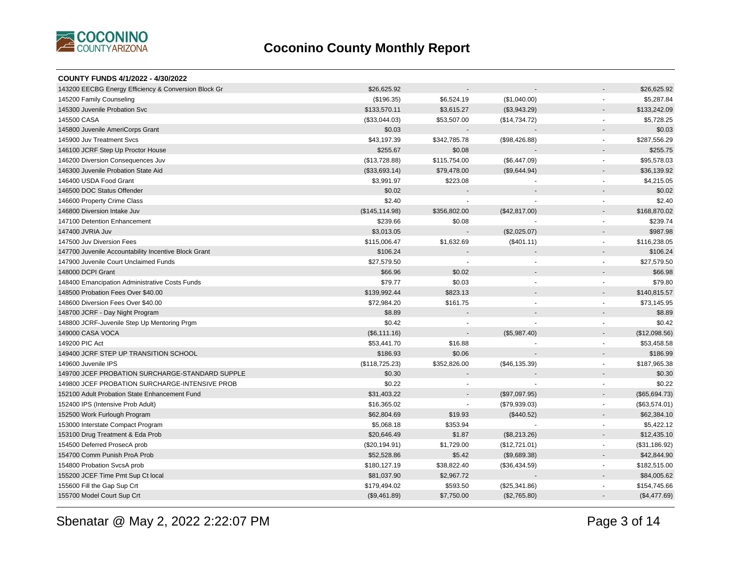

| COUNTY FUNDS 4/1/2022 - 4/30/2022                    |                 |                |               |                          |               |
|------------------------------------------------------|-----------------|----------------|---------------|--------------------------|---------------|
| 143200 EECBG Energy Efficiency & Conversion Block Gr | \$26,625.92     |                |               |                          | \$26,625.92   |
| 145200 Family Counseling                             | (\$196.35)      | \$6,524.19     | (\$1,040.00)  | $\blacksquare$           | \$5,287.84    |
| 145300 Juvenile Probation Svc                        | \$133,570.11    | \$3,615.27     | (\$3,943.29)  | $\blacksquare$           | \$133,242.09  |
| 145500 CASA                                          | (\$33,044.03)   | \$53,507.00    | (\$14,734.72) | $\blacksquare$           | \$5,728.25    |
| 145800 Juvenile AmeriCorps Grant                     | \$0.03          |                |               | $\blacksquare$           | \$0.03        |
| 145900 Juv Treatment Svcs                            | \$43,197.39     | \$342,785.78   | (\$98,426.88) | $\blacksquare$           | \$287,556.29  |
| 146100 JCRF Step Up Proctor House                    | \$255.67        | \$0.08         |               |                          | \$255.75      |
| 146200 Diversion Consequences Juv                    | (\$13,728.88)   | \$115,754.00   | (\$6,447.09)  | $\sim$                   | \$95,578.03   |
| 146300 Juvenile Probation State Aid                  | (\$33,693.14)   | \$79,478.00    | (\$9,644.94)  | $\sim$                   | \$36,139.92   |
| 146400 USDA Food Grant                               | \$3,991.97      | \$223.08       |               | $\overline{\phantom{a}}$ | \$4,215.05    |
| 146500 DOC Status Offender                           | \$0.02          |                |               | $\overline{a}$           | \$0.02        |
| 146600 Property Crime Class                          | \$2.40          |                |               | $\sim$                   | \$2.40        |
| 146800 Diversion Intake Juv                          | (\$145, 114.98) | \$356,802.00   | (\$42,817.00) |                          | \$168,870.02  |
| 147100 Detention Enhancement                         | \$239.66        | \$0.08         |               | $\blacksquare$           | \$239.74      |
| 147400 JVRIA Juv                                     | \$3,013.05      |                | (\$2,025.07)  | $\blacksquare$           | \$987.98      |
| 147500 Juv Diversion Fees                            | \$115,006.47    | \$1,632.69     | (\$401.11)    | $\omega$                 | \$116,238.05  |
| 147700 Juvenile Accountability Incentive Block Grant | \$106.24        |                |               | $\blacksquare$           | \$106.24      |
| 147900 Juvenile Court Unclaimed Funds                | \$27,579.50     |                |               | $\overline{a}$           | \$27,579.50   |
| 148000 DCPI Grant                                    | \$66.96         | \$0.02         |               | $\blacksquare$           | \$66.98       |
| 148400 Emancipation Administrative Costs Funds       | \$79.77         | \$0.03         | ٠             | $\blacksquare$           | \$79.80       |
| 148500 Probation Fees Over \$40.00                   | \$139,992.44    | \$823.13       |               |                          | \$140,815.57  |
| 148600 Diversion Fees Over \$40.00                   | \$72,984.20     | \$161.75       |               | $\blacksquare$           | \$73,145.95   |
| 148700 JCRF - Day Night Program                      | \$8.89          |                |               |                          | \$8.89        |
| 148800 JCRF-Juvenile Step Up Mentoring Prgm          | \$0.42          | $\blacksquare$ |               | $\blacksquare$           | \$0.42        |
| 149000 CASA VOCA                                     | (\$6,111.16)    |                | (\$5,987.40)  | $\blacksquare$           | (\$12,098.56) |
| 149200 PIC Act                                       | \$53,441.70     | \$16.88        |               | $\blacksquare$           | \$53,458.58   |
| 149400 JCRF STEP UP TRANSITION SCHOOL                | \$186.93        | \$0.06         |               | $\blacksquare$           | \$186.99      |
| 149600 Juvenile IPS                                  | (\$118,725.23)  | \$352,826.00   | (\$46,135.39) | $\blacksquare$           | \$187,965.38  |
| 149700 JCEF PROBATION SURCHARGE-STANDARD SUPPLE      | \$0.30          |                |               | $\overline{a}$           | \$0.30        |
| 149800 JCEF PROBATION SURCHARGE-INTENSIVE PROB       | \$0.22          |                |               | $\sim$                   | \$0.22        |
| 152100 Adult Probation State Enhancement Fund        | \$31,403.22     |                | (\$97,097.95) | $\overline{\phantom{a}}$ | (\$65,694.73) |
| 152400 IPS (Intensive Prob Adult)                    | \$16,365.02     |                | (\$79,939.03) | $\blacksquare$           | (\$63,574.01) |
| 152500 Work Furlough Program                         | \$62,804.69     | \$19.93        | (\$440.52)    | $\overline{\phantom{a}}$ | \$62,384.10   |
| 153000 Interstate Compact Program                    | \$5,068.18      | \$353.94       |               | $\blacksquare$           | \$5,422.12    |
| 153100 Drug Treatment & Eda Prob                     | \$20,646.49     | \$1.87         | (\$8,213.26)  | $\overline{\phantom{a}}$ | \$12,435.10   |
| 154500 Deferred ProsecA prob                         | (\$20,194.91)   | \$1,729.00     | (\$12,721.01) | $\blacksquare$           | (\$31,186.92) |
| 154700 Comm Punish ProA Prob                         | \$52,528.86     | \$5.42         | (\$9,689.38)  | $\overline{\phantom{a}}$ | \$42,844.90   |
| 154800 Probation SvcsA prob                          | \$180,127.19    | \$38,822.40    | (\$36,434.59) | $\blacksquare$           | \$182,515.00  |
| 155200 JCEF Time Pmt Sup Ct local                    | \$81,037.90     | \$2,967.72     |               |                          | \$84,005.62   |
| 155600 Fill the Gap Sup Crt                          | \$179,494.02    | \$593.50       | (\$25,341.86) | $\blacksquare$           | \$154,745.66  |
| 155700 Model Court Sup Crt                           | (\$9,461.89)    | \$7,750.00     | (\$2,765.80)  | $\blacksquare$           | (\$4,477.69)  |
|                                                      |                 |                |               |                          |               |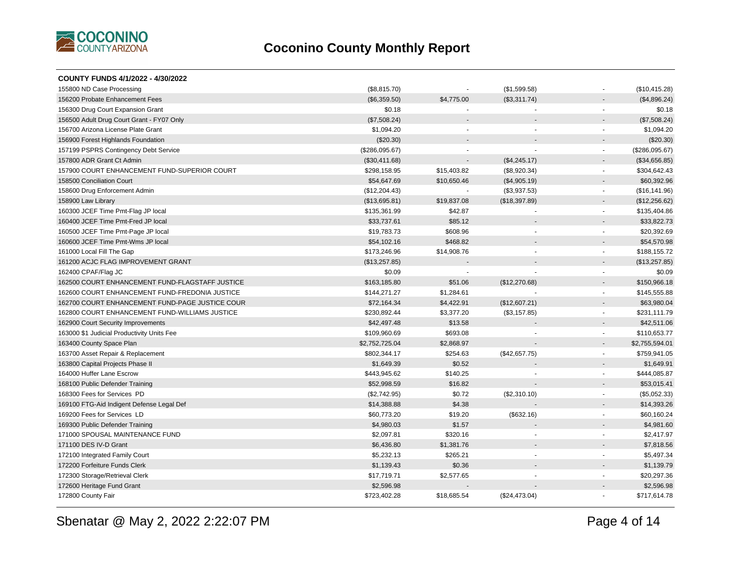

| (\$8,815.70)   | $\overline{a}$           | (\$1,599.58)   |                          | (\$10,415.28)  |
|----------------|--------------------------|----------------|--------------------------|----------------|
| (\$6,359.50)   | \$4,775.00               | (\$3,311.74)   |                          | (\$4,896.24)   |
| \$0.18         |                          |                | $\sim$                   | \$0.18         |
| (\$7,508.24)   |                          |                |                          | (\$7,508.24)   |
| \$1,094.20     | $\overline{a}$           |                | $\sim$                   | \$1,094.20     |
| $(\$20.30)$    |                          |                |                          | $(\$20.30)$    |
| (\$286,095.67) |                          |                | $\blacksquare$           | (\$286,095.67) |
| (\$30,411.68)  |                          | (\$4,245.17)   |                          | (\$34,656.85)  |
| \$298,158.95   | \$15,403.82              | (\$8,920.34)   |                          | \$304,642.43   |
| \$54,647.69    | \$10,650.46              | (\$4,905.19)   | $\overline{\phantom{a}}$ | \$60,392.96    |
| (\$12,204.43)  | $\sim$                   | (\$3,937.53)   | $\sim$                   | (\$16, 141.96) |
| (\$13,695.81)  | \$19,837.08              | (\$18,397.89)  |                          | (\$12,256.62)  |
| \$135,361.99   | \$42.87                  |                |                          | \$135,404.86   |
| \$33,737.61    | \$85.12                  |                |                          | \$33,822.73    |
| \$19,783.73    | \$608.96                 | $\overline{a}$ | $\sim$                   | \$20,392.69    |
| \$54,102.16    | \$468.82                 |                |                          | \$54,570.98    |
| \$173,246.96   | \$14,908.76              | $\sim$         | $\overline{\phantom{a}}$ | \$188,155.72   |
| (\$13,257.85)  |                          |                | $\blacksquare$           | (\$13,257.85)  |
| \$0.09         | $\overline{\phantom{a}}$ |                | $\sim$                   | \$0.09         |
| \$163,185.80   | \$51.06                  | (\$12,270.68)  |                          | \$150,966.18   |
| \$144,271.27   | \$1,284.61               |                | $\sim$                   | \$145,555.88   |
| \$72,164.34    | \$4,422.91               | (\$12,607.21)  |                          | \$63,980.04    |
| \$230,892.44   | \$3,377.20               | (\$3,157.85)   | $\blacksquare$           | \$231,111.79   |
| \$42,497.48    | \$13.58                  |                |                          | \$42,511.06    |
| \$109,960.69   | \$693.08                 |                | $\omega$                 | \$110,653.77   |
| \$2,752,725.04 | \$2,868.97               |                | $\sim$                   | \$2,755,594.01 |
| \$802,344.17   | \$254.63                 | (\$42,657.75)  |                          | \$759,941.05   |
| \$1,649.39     | \$0.52                   |                |                          | \$1,649.91     |
| \$443,945.62   | \$140.25                 |                |                          | \$444,085.87   |
| \$52,998.59    | \$16.82                  |                |                          | \$53,015.41    |
| (\$2,742.95)   | \$0.72                   | (\$2,310.10)   | $\overline{\phantom{a}}$ | (\$5,052.33)   |
| \$14,388.88    | \$4.38                   |                | $\overline{\phantom{a}}$ | \$14,393.26    |
| \$60,773.20    | \$19.20                  | (\$632.16)     | $\sim$                   | \$60,160.24    |
| \$4,980.03     | \$1.57                   |                |                          | \$4,981.60     |
| \$2,097.81     | \$320.16                 | $\sim$         | $\sim$                   | \$2,417.97     |
| \$6,436.80     | \$1,381.76               |                |                          | \$7,818.56     |
| \$5,232.13     | \$265.21                 | ä,             | $\blacksquare$           | \$5,497.34     |
| \$1,139.43     | \$0.36                   |                |                          | \$1,139.79     |
| \$17,719.71    | \$2,577.65               | $\overline{a}$ |                          | \$20,297.36    |
| \$2,596.98     |                          |                |                          | \$2,596.98     |
| \$723,402.28   | \$18,685.54              | (\$24,473.04)  |                          | \$717,614.78   |
|                |                          |                |                          |                |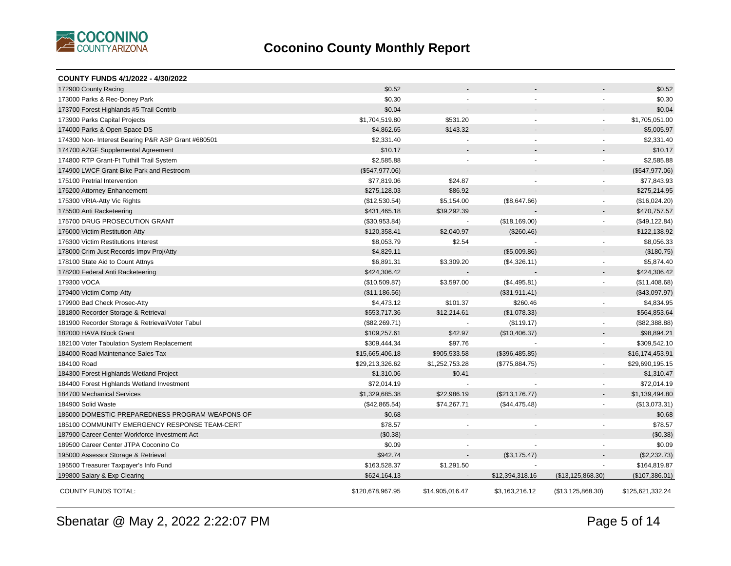

| COUNTY FUNDS 4/1/2022 - 4/30/2022                  |                  |                 |                       |                          |                  |
|----------------------------------------------------|------------------|-----------------|-----------------------|--------------------------|------------------|
| 172900 County Racing                               | \$0.52           |                 |                       |                          | \$0.52           |
| 173000 Parks & Rec-Doney Park                      | \$0.30           |                 |                       |                          | \$0.30           |
| 173700 Forest Highlands #5 Trail Contrib           | \$0.04           |                 |                       |                          | \$0.04           |
| 173900 Parks Capital Projects                      | \$1,704,519.80   | \$531.20        | $\sim$                | $\sim$                   | \$1,705,051.00   |
| 174000 Parks & Open Space DS                       | \$4,862.65       | \$143.32        |                       |                          | \$5,005.97       |
| 174300 Non- Interest Bearing P&R ASP Grant #680501 | \$2,331.40       | $\overline{a}$  | $\overline{a}$        | $\sim$                   | \$2,331.40       |
| 174700 AZGF Supplemental Agreement                 | \$10.17          |                 |                       |                          | \$10.17          |
| 174800 RTP Grant-Ft Tuthill Trail System           | \$2,585.88       | $\blacksquare$  | $\tilde{\phantom{a}}$ | $\blacksquare$           | \$2,585.88       |
| 174900 LWCF Grant-Bike Park and Restroom           | (\$547,977.06)   |                 |                       |                          | (\$547,977.06)   |
| 175100 Pretrial Intervention                       | \$77,819.06      | \$24.87         |                       |                          | \$77,843.93      |
| 175200 Attorney Enhancement                        | \$275,128.03     | \$86.92         |                       |                          | \$275,214.95     |
| 175300 VRIA-Atty Vic Rights                        | (\$12,530.54)    | \$5,154.00      | (\$8,647.66)          | $\sim$                   | (\$16,024.20)    |
| 175500 Anti Racketeering                           | \$431,465.18     | \$39,292.39     |                       |                          | \$470,757.57     |
| 175700 DRUG PROSECUTION GRANT                      | (\$30,953.84)    | $\sim$          | (\$18,169.00)         |                          | (\$49, 122.84)   |
| 176000 Victim Restitution-Atty                     | \$120,358.41     | \$2,040.97      | (\$260.46)            |                          | \$122,138.92     |
| 176300 Victim Restitutions Interest                | \$8,053.79       | \$2.54          |                       | $\sim$                   | \$8,056.33       |
| 178000 Crim Just Records Impv Proj/Atty            | \$4,829.11       |                 | (\$5,009.86)          |                          | (\$180.75)       |
| 178100 State Aid to Count Attnys                   | \$6,891.31       | \$3,309.20      | (\$4,326.11)          | $\sim$                   | \$5,874.40       |
| 178200 Federal Anti Racketeering                   | \$424,306.42     |                 |                       |                          | \$424,306.42     |
| 179300 VOCA                                        | (\$10,509.87)    | \$3,597.00      | (\$4,495.81)          | $\sim$                   | (\$11,408.68)    |
| 179400 Victim Comp-Atty                            | (\$11,186.56)    |                 | (\$31,911.41)         | $\overline{\phantom{a}}$ | (\$43,097.97)    |
| 179900 Bad Check Prosec-Atty                       | \$4,473.12       | \$101.37        | \$260.46              | $\sim$                   | \$4,834.95       |
| 181800 Recorder Storage & Retrieval                | \$553,717.36     | \$12,214.61     | (\$1,078.33)          | $\blacksquare$           | \$564,853.64     |
| 181900 Recorder Storage & Retrieval/Voter Tabul    | (\$82,269.71)    |                 | (\$119.17)            |                          | (\$82,388.88)    |
| 182000 HAVA Block Grant                            | \$109,257.61     | \$42.97         | (\$10,406.37)         |                          | \$98,894.21      |
| 182100 Voter Tabulation System Replacement         | \$309,444.34     | \$97.76         |                       | $\sim$                   | \$309,542.10     |
| 184000 Road Maintenance Sales Tax                  | \$15,665,406.18  | \$905,533.58    | (\$396,485.85)        |                          | \$16,174,453.91  |
| 184100 Road                                        | \$29,213,326.62  | \$1,252,753.28  | (\$775,884.75)        | $\sim$                   | \$29,690,195.15  |
| 184300 Forest Highlands Wetland Project            | \$1,310.06       | \$0.41          |                       |                          | \$1,310.47       |
| 184400 Forest Highlands Wetland Investment         | \$72,014.19      |                 |                       | $\sim$                   | \$72,014.19      |
| 184700 Mechanical Services                         | \$1,329,685.38   | \$22,986.19     | (\$213, 176.77)       | $\blacksquare$           | \$1,139,494.80   |
| 184900 Solid Waste                                 | (\$42,865.54)    | \$74,267.71     | (\$44,475.48)         | $\sim$                   | (\$13,073.31)    |
| 185000 DOMESTIC PREPAREDNESS PROGRAM-WEAPONS OF    | \$0.68           |                 |                       |                          | \$0.68           |
| 185100 COMMUNITY EMERGENCY RESPONSE TEAM-CERT      | \$78.57          |                 |                       |                          | \$78.57          |
| 187900 Career Center Workforce Investment Act      | (\$0.38)         |                 |                       |                          | (\$0.38)         |
| 189500 Career Center JTPA Coconino Co              | \$0.09           |                 |                       |                          | \$0.09           |
| 195000 Assessor Storage & Retrieval                | \$942.74         | $\blacksquare$  | (\$3,175.47)          |                          | (\$2,232.73)     |
| 195500 Treasurer Taxpayer's Info Fund              | \$163,528.37     | \$1,291.50      |                       |                          | \$164,819.87     |
| 199800 Salary & Exp Clearing                       | \$624,164.13     |                 | \$12,394,318.16       | (\$13, 125, 868.30)      | (\$107,386.01)   |
| <b>COUNTY FUNDS TOTAL:</b>                         | \$120,678,967.95 | \$14,905,016.47 | \$3,163,216.12        | (\$13, 125, 868.30)      | \$125,621,332.24 |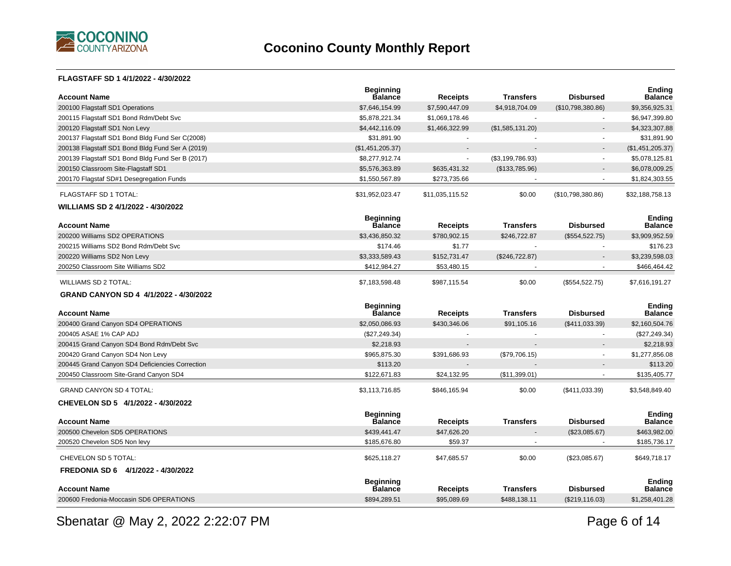

#### **FLAGSTAFF SD 1 4/1/2022 - 4/30/2022**

| <b>Account Name</b>                              | <b>Beginning</b><br>Balance        | <b>Receipts</b> | <b>Transfers</b> | <b>Disbursed</b>  | <b>Ending</b><br><b>Balance</b> |
|--------------------------------------------------|------------------------------------|-----------------|------------------|-------------------|---------------------------------|
| 200100 Flagstaff SD1 Operations                  | \$7,646,154.99                     | \$7,590,447.09  | \$4,918,704.09   | (\$10,798,380.86) | \$9,356,925.31                  |
| 200115 Flagstaff SD1 Bond Rdm/Debt Svc           | \$5,878,221.34                     | \$1,069,178.46  |                  |                   | \$6,947,399.80                  |
| 200120 Flagstaff SD1 Non Levy                    | \$4,442,116.09                     | \$1,466,322.99  | (\$1,585,131.20) |                   | \$4,323,307.88                  |
| 200137 Flagstaff SD1 Bond Bldg Fund Ser C(2008)  | \$31,891.90                        | $\blacksquare$  |                  |                   | \$31,891.90                     |
| 200138 Flagstaff SD1 Bond Bldg Fund Ser A (2019) | (\$1,451,205.37)                   |                 |                  |                   | (\$1,451,205.37)                |
| 200139 Flagstaff SD1 Bond Bldg Fund Ser B (2017) | \$8,277,912.74                     | $\omega$        | (\$3,199,786.93) | $\overline{a}$    | \$5,078,125.81                  |
| 200150 Classroom Site-Flagstaff SD1              | \$5,576,363.89                     | \$635,431.32    | (\$133,785.96)   |                   | \$6,078,009.25                  |
| 200170 Flagstaf SD#1 Desegregation Funds         | \$1,550,567.89                     | \$273,735.66    |                  |                   | \$1,824,303.55                  |
| FLAGSTAFF SD 1 TOTAL:                            | \$31,952,023.47                    | \$11,035,115.52 | \$0.00           | (\$10,798,380.86) | \$32,188,758.13                 |
| WILLIAMS SD 2 4/1/2022 - 4/30/2022               |                                    |                 |                  |                   |                                 |
| <b>Account Name</b>                              | <b>Beginning</b><br><b>Balance</b> | <b>Receipts</b> | <b>Transfers</b> | <b>Disbursed</b>  | <b>Ending</b><br><b>Balance</b> |
| 200200 Williams SD2 OPERATIONS                   | \$3,436,850.32                     | \$780,902.15    | \$246,722.87     | (\$554,522.75)    | \$3,909,952.59                  |
| 200215 Williams SD2 Bond Rdm/Debt Svc            | \$174.46                           | \$1.77          |                  |                   | \$176.23                        |
| 200220 Williams SD2 Non Levy                     | \$3,333,589.43                     | \$152,731.47    | (\$246, 722.87)  |                   | \$3,239,598.03                  |
| 200250 Classroom Site Williams SD2               | \$412,984.27                       | \$53,480.15     |                  |                   | \$466,464.42                    |
| <b>WILLIAMS SD 2 TOTAL:</b>                      | \$7,183,598.48                     | \$987.115.54    | \$0.00           | (\$554,522.75)    | \$7,616,191.27                  |
|                                                  |                                    |                 |                  |                   |                                 |
| GRAND CANYON SD 4 4/1/2022 - 4/30/2022           |                                    |                 |                  |                   |                                 |
| <b>Account Name</b>                              | <b>Beginning</b><br><b>Balance</b> | <b>Receipts</b> | <b>Transfers</b> | <b>Disbursed</b>  | <b>Ending</b><br><b>Balance</b> |
| 200400 Grand Canyon SD4 OPERATIONS               | \$2,050,086.93                     | \$430,346.06    | \$91,105.16      | (\$411,033.39)    | \$2,160,504.76                  |
| 200405 ASAE 1% CAP ADJ                           | (\$27,249.34)                      | $\sim$          |                  |                   | (\$27,249.34)                   |
| 200415 Grand Canyon SD4 Bond Rdm/Debt Svc        | \$2,218.93                         | $\overline{a}$  |                  |                   | \$2,218.93                      |
| 200420 Grand Canyon SD4 Non Levy                 | \$965,875.30                       | \$391,686.93    | (\$79,706.15)    | $\sim$            | \$1,277,856.08                  |
| 200445 Grand Canyon SD4 Deficiencies Correction  | \$113.20                           |                 |                  |                   | \$113.20                        |
| 200450 Classroom Site-Grand Canyon SD4           | \$122,671.83                       | \$24,132.95     | (\$11,399.01)    |                   | \$135,405.77                    |
| <b>GRAND CANYON SD 4 TOTAL:</b>                  | \$3,113,716.85                     | \$846,165.94    | \$0.00           | (\$411,033.39)    | \$3,548,849.40                  |
| CHEVELON SD 5 4/1/2022 - 4/30/2022               |                                    |                 |                  |                   |                                 |
|                                                  | <b>Beginning</b>                   |                 |                  |                   | <b>Ending</b>                   |
| <b>Account Name</b>                              | <b>Balance</b>                     | <b>Receipts</b> | <b>Transfers</b> | <b>Disbursed</b>  | <b>Balance</b>                  |
| 200500 Chevelon SD5 OPERATIONS                   | \$439,441.47                       | \$47,626.20     |                  | (\$23,085.67)     | \$463,982.00                    |
| 200520 Chevelon SD5 Non levy                     | \$185,676.80                       | \$59.37         |                  |                   | \$185,736.17                    |
| CHEVELON SD 5 TOTAL:                             | \$625,118.27                       | \$47,685.57     | \$0.00           | (\$23,085.67)     | \$649,718.17                    |
| FREDONIA SD 6 4/1/2022 - 4/30/2022               |                                    |                 |                  |                   |                                 |
| <b>Account Name</b>                              | <b>Beginning</b><br><b>Balance</b> | <b>Receipts</b> | <b>Transfers</b> | <b>Disbursed</b>  | <b>Ending</b><br><b>Balance</b> |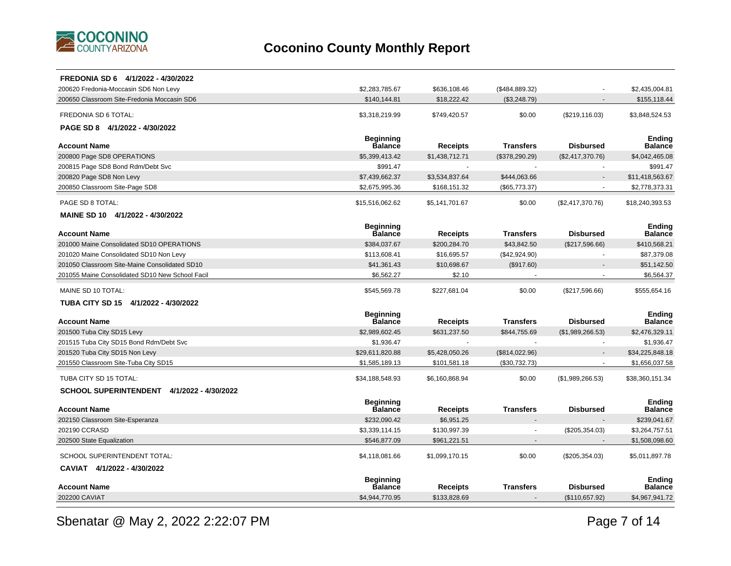

| FREDONIA SD 6 4/1/2022 - 4/30/2022                                                                                   |                                 |
|----------------------------------------------------------------------------------------------------------------------|---------------------------------|
| 200620 Fredonia-Moccasin SD6 Non Levy<br>\$2,283,785.67<br>\$636,108.46<br>(\$484, 889.32)                           | \$2,435,004.81                  |
| 200650 Classroom Site-Fredonia Moccasin SD6<br>\$140,144.81<br>\$18,222.42<br>(\$3,248.79)                           | \$155,118.44                    |
| FREDONIA SD 6 TOTAL:<br>\$0.00<br>(\$219, 116.03)<br>\$3,318,219.99<br>\$749,420.57                                  | \$3,848,524.53                  |
| PAGE SD 8 4/1/2022 - 4/30/2022                                                                                       |                                 |
| <b>Beginning</b>                                                                                                     | <b>Ending</b>                   |
| Balance<br><b>Disbursed</b><br><b>Account Name</b><br><b>Receipts</b><br><b>Transfers</b>                            | <b>Balance</b>                  |
| 200800 Page SD8 OPERATIONS<br>\$5,399,413.42<br>\$1,438,712.71<br>(\$378,290.29)<br>(\$2,417,370.76)                 | \$4,042,465.08                  |
| 200815 Page SD8 Bond Rdm/Debt Svc<br>\$991.47                                                                        | \$991.47                        |
| \$7,439,662.37<br>\$3,534,837.64<br>\$444,063.66<br>200820 Page SD8 Non Levy                                         | \$11,418,563.67                 |
| \$2,675,995.36<br>200850 Classroom Site-Page SD8<br>\$168,151.32<br>(\$65,773.37)                                    | \$2,778,373.31                  |
| \$0.00<br>PAGE SD 8 TOTAL:<br>\$15,516,062.62<br>\$5,141,701.67<br>(\$2,417,370.76)                                  | \$18,240,393.53                 |
| MAINE SD 10 4/1/2022 - 4/30/2022                                                                                     |                                 |
| <b>Beginning</b><br><b>Balance</b><br><b>Receipts</b><br><b>Transfers</b><br><b>Disbursed</b><br><b>Account Name</b> | <b>Ending</b><br><b>Balance</b> |
| \$43,842.50<br>201000 Maine Consolidated SD10 OPERATIONS<br>\$384,037.67<br>\$200,284.70<br>(\$217,596.66)           | \$410,568.21                    |
| \$16,695.57<br>(\$42,924.90)<br>201020 Maine Consolidated SD10 Non Levy<br>\$113,608.41<br>$\sim$                    | \$87,379.08                     |
| \$10,698.67<br>(\$917.60)<br>201050 Classroom Site-Maine Consolidated SD10<br>\$41,361.43                            | \$51,142.50                     |
| \$6,562.27<br>201055 Maine Consolidated SD10 New School Facil<br>\$2.10                                              | \$6,564.37                      |
| \$227,681.04<br>\$0.00<br>MAINE SD 10 TOTAL:<br>\$545,569.78<br>(\$217,596.66)                                       | \$555,654.16                    |
| TUBA CITY SD 15 4/1/2022 - 4/30/2022                                                                                 |                                 |
| <b>Beginning</b><br>Balance<br><b>Transfers</b><br><b>Disbursed</b><br><b>Account Name</b><br><b>Receipts</b>        | Ending<br><b>Balance</b>        |
| 201500 Tuba City SD15 Levy<br>\$2,989,602.45<br>\$631,237.50<br>\$844,755.69<br>(\$1,989,266.53)                     | \$2,476,329.11                  |
| 201515 Tuba City SD15 Bond Rdm/Debt Svc<br>\$1,936.47                                                                | \$1,936.47                      |
| 201520 Tuba City SD15 Non Levy<br>\$29,611,820.88<br>\$5,428,050.26<br>(\$814,022.96)                                | \$34,225,848.18                 |
| 201550 Classroom Site-Tuba City SD15<br>\$1,585,189.13<br>\$101,581.18<br>(\$30,732.73)                              | \$1,656,037.58                  |
| TUBA CITY SD 15 TOTAL:<br>\$34,188,548.93<br>\$0.00<br>(\$1,989,266.53)<br>\$6,160,868.94                            | \$38,360,151.34                 |
| SCHOOL SUPERINTENDENT 4/1/2022 - 4/30/2022                                                                           |                                 |
| <b>Beginning</b><br>Balance                                                                                          | <b>Ending</b>                   |
| <b>Transfers</b><br><b>Disbursed</b><br><b>Account Name</b><br>Receipts                                              | Balance                         |
| \$232,090.42<br>\$6,951.25<br>202150 Classroom Site-Esperanza                                                        | \$239,041.67                    |
| (\$205,354.03)<br>202190 CCRASD<br>\$3,339,114.15<br>\$130,997.39                                                    | \$3,264,757.51                  |
| \$546,877.09<br>\$961,221.51<br>202500 State Equalization                                                            | \$1,508,098.60                  |
| SCHOOL SUPERINTENDENT TOTAL:<br>\$0.00<br>\$4,118,081.66<br>\$1,099,170.15<br>(\$205,354.03)                         | \$5,011,897.78                  |
| CAVIAT 4/1/2022 - 4/30/2022                                                                                          |                                 |
| <b>Beginning</b><br>Balance<br><b>Transfers</b><br>Account Name<br>Receipts<br><b>Disbursed</b>                      | Ending<br><b>Balance</b>        |
| 202200 CAVIAT<br>\$4,944,770.95<br>\$133,828.69<br>(\$110,657.92)                                                    | \$4,967,941.72                  |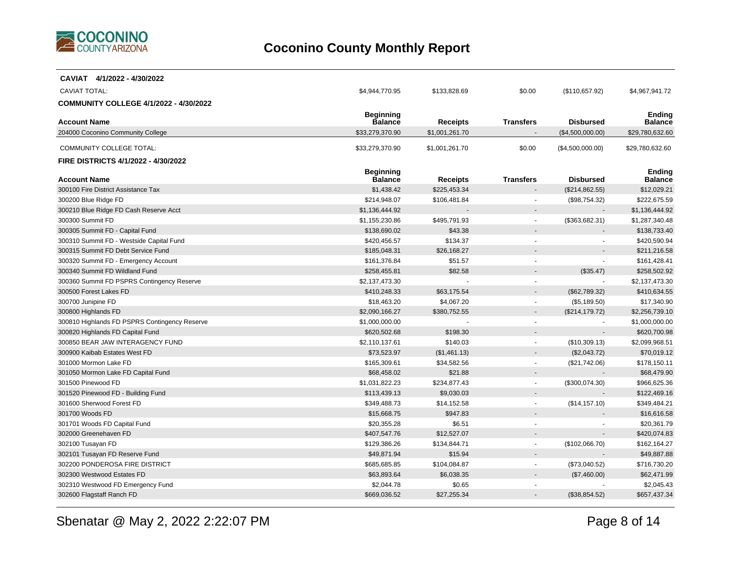

| CAVIAT 4/1/2022 - 4/30/2022                                            |                                    |                                 |                  |                               |                                |
|------------------------------------------------------------------------|------------------------------------|---------------------------------|------------------|-------------------------------|--------------------------------|
| <b>CAVIAT TOTAL:</b>                                                   | \$4,944,770.95                     | \$133,828.69                    | \$0.00           | (\$110,657.92)                | \$4,967,941.72                 |
| <b>COMMUNITY COLLEGE 4/1/2022 - 4/30/2022</b>                          |                                    |                                 |                  |                               |                                |
|                                                                        | <b>Beginning</b>                   |                                 |                  |                               | <b>Ending</b>                  |
| <b>Account Name</b>                                                    | <b>Balance</b>                     | <b>Receipts</b>                 | <b>Transfers</b> | <b>Disbursed</b>              | <b>Balance</b>                 |
| 204000 Coconino Community College                                      | \$33,279,370.90                    | \$1,001,261.70                  |                  | (\$4,500,000.00)              | \$29,780,632.60                |
| <b>COMMUNITY COLLEGE TOTAL:</b>                                        | \$33,279,370.90                    | \$1,001,261.70                  | \$0.00           | (\$4,500,000.00)              | \$29,780,632.60                |
| FIRE DISTRICTS 4/1/2022 - 4/30/2022                                    |                                    |                                 |                  |                               |                                |
|                                                                        | <b>Beginning</b><br><b>Balance</b> |                                 |                  | <b>Disbursed</b>              | Endina<br><b>Balance</b>       |
| <b>Account Name</b><br>300100 Fire District Assistance Tax             | \$1,438.42                         | <b>Receipts</b><br>\$225,453.34 | <b>Transfers</b> |                               | \$12,029.21                    |
|                                                                        | \$214,948.07                       |                                 |                  | (\$214, 862.55)               |                                |
| 300200 Blue Ridge FD<br>300210 Blue Ridge FD Cash Reserve Acct         | \$1,136,444.92                     | \$106,481.84                    |                  | (\$98,754.32)                 | \$222,675.59<br>\$1,136,444.92 |
| 300300 Summit FD                                                       |                                    |                                 |                  | (\$363,682.31)                |                                |
| 300305 Summit FD - Capital Fund                                        | \$1,155,230.86<br>\$138,690.02     | \$495,791.93<br>\$43.38         |                  |                               | \$1,287,340.48<br>\$138,733.40 |
|                                                                        | \$420,456.57                       | \$134.37                        |                  |                               | \$420,590.94                   |
| 300310 Summit FD - Westside Capital Fund                               |                                    |                                 |                  |                               |                                |
| 300315 Summit FD Debt Service Fund                                     | \$185,048.31                       | \$26,168.27                     |                  |                               | \$211,216.58                   |
| 300320 Summit FD - Emergency Account<br>300340 Summit FD Wildland Fund | \$161,376.84<br>\$258,455.81       | \$51.57<br>\$82.58              |                  | (\$35.47)                     | \$161,428.41<br>\$258,502.92   |
|                                                                        |                                    |                                 |                  |                               | \$2,137,473.30                 |
| 300360 Summit FD PSPRS Contingency Reserve<br>300500 Forest Lakes FD   | \$2,137,473.30                     |                                 |                  |                               | \$410,634.55                   |
| 300700 Junipine FD                                                     | \$410,248.33<br>\$18,463.20        | \$63,175.54<br>\$4,067.20       |                  | (\$62,789.32)<br>(\$5,189.50) | \$17,340.90                    |
|                                                                        |                                    |                                 |                  |                               | \$2,256,739.10                 |
| 300800 Highlands FD<br>300810 Highlands FD PSPRS Contingency Reserve   | \$2,090,166.27<br>\$1,000,000.00   | \$380,752.55                    | $\sim$           | (\$214, 179.72)               | \$1,000,000.00                 |
| 300820 Highlands FD Capital Fund                                       | \$620,502.68                       | \$198.30                        |                  |                               | \$620,700.98                   |
| 300850 BEAR JAW INTERAGENCY FUND                                       | \$2,110,137.61                     | \$140.03                        | $\sim$           | (\$10,309.13)                 | \$2,099,968.51                 |
| 300900 Kaibab Estates West FD                                          | \$73,523.97                        | (\$1,461.13)                    |                  | (\$2,043.72)                  | \$70,019.12                    |
| 301000 Mormon Lake FD                                                  | \$165,309.61                       | \$34,582.56                     | $\sim$           | (\$21,742.06)                 | \$178,150.11                   |
| 301050 Mormon Lake FD Capital Fund                                     | \$68,458.02                        | \$21.88                         |                  |                               | \$68,479.90                    |
| 301500 Pinewood FD                                                     | \$1,031,822.23                     | \$234,877.43                    |                  | (\$300,074.30)                | \$966,625.36                   |
| 301520 Pinewood FD - Building Fund                                     | \$113,439.13                       | \$9,030.03                      |                  |                               | \$122,469.16                   |
| 301600 Sherwood Forest FD                                              | \$349,488.73                       | \$14,152.58                     |                  | (\$14, 157.10)                | \$349,484.21                   |
| 301700 Woods FD                                                        | \$15,668.75                        | \$947.83                        |                  |                               | \$16,616.58                    |
| 301701 Woods FD Capital Fund                                           | \$20,355.28                        | \$6.51                          | $\sim$           |                               | \$20,361.79                    |
| 302000 Greenehaven FD                                                  | \$407,547.76                       | \$12,527.07                     |                  |                               | \$420,074.83                   |
| 302100 Tusayan FD                                                      | \$129,386.26                       | \$134,844.71                    |                  | (\$102,066.70)                | \$162,164.27                   |
| 302101 Tusayan FD Reserve Fund                                         | \$49,871.94                        | \$15.94                         |                  |                               | \$49,887.88                    |
| 302200 PONDEROSA FIRE DISTRICT                                         | \$685,685.85                       | \$104,084.87                    | $\sim$           | (\$73,040.52)                 | \$716,730.20                   |
| 302300 Westwood Estates FD                                             | \$63,893.64                        | \$6,038.35                      |                  | (\$7,460.00)                  | \$62,471.99                    |
| 302310 Westwood FD Emergency Fund                                      | \$2,044.78                         | \$0.65                          |                  |                               | \$2,045.43                     |
| 302600 Flagstaff Ranch FD                                              | \$669,036.52                       | \$27,255.34                     |                  | (\$38,854.52)                 | \$657,437.34                   |
|                                                                        |                                    |                                 |                  |                               |                                |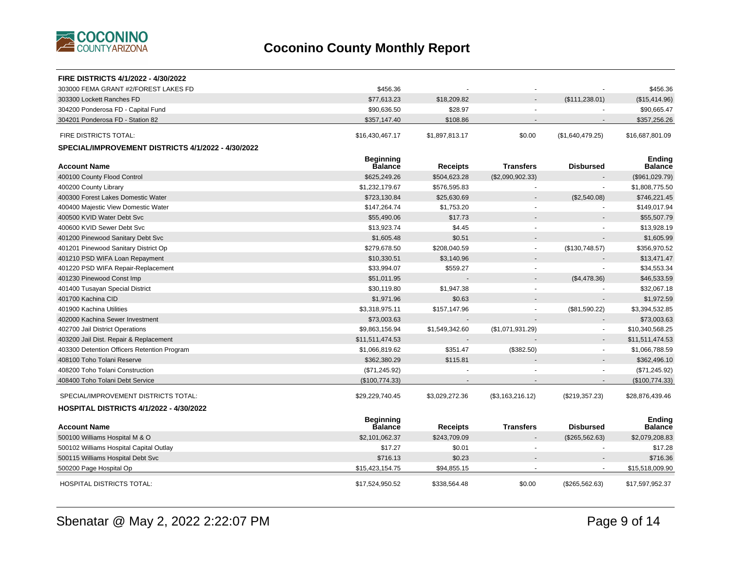

| FIRE DISTRICTS 4/1/2022 - 4/30/2022                |                                    |                 |                  |                  |                          |
|----------------------------------------------------|------------------------------------|-----------------|------------------|------------------|--------------------------|
| 303000 FEMA GRANT #2/FOREST LAKES FD               | \$456.36                           |                 |                  |                  | \$456.36                 |
| 303300 Lockett Ranches FD                          | \$77,613.23                        | \$18,209.82     |                  | (\$111, 238.01)  | (\$15,414.96)            |
| 304200 Ponderosa FD - Capital Fund                 | \$90.636.50                        | \$28.97         |                  |                  | \$90,665.47              |
| 304201 Ponderosa FD - Station 82                   | \$357,147.40                       | \$108.86        |                  |                  | \$357,256.26             |
| FIRE DISTRICTS TOTAL:                              | \$16,430,467.17                    | \$1,897,813.17  | \$0.00           | (\$1,640,479.25) | \$16,687,801.09          |
| SPECIAL/IMPROVEMENT DISTRICTS 4/1/2022 - 4/30/2022 |                                    |                 |                  |                  |                          |
| <b>Account Name</b>                                | <b>Beginning</b><br><b>Balance</b> | <b>Receipts</b> | <b>Transfers</b> | <b>Disbursed</b> | Ending<br><b>Balance</b> |
| 400100 County Flood Control                        | \$625.249.26                       | \$504,623.28    | (\$2,090,902.33) |                  | (\$961,029.79)           |
| 400200 County Library                              | \$1,232,179.67                     | \$576,595.83    | $\sim$           |                  | \$1,808,775.50           |
| 400300 Forest Lakes Domestic Water                 | \$723,130.84                       | \$25,630.69     |                  | (\$2,540.08)     | \$746,221.45             |
| 400400 Majestic View Domestic Water                | \$147,264.74                       | \$1,753.20      | $\blacksquare$   |                  | \$149,017.94             |
| 400500 KVID Water Debt Svc                         | \$55,490.06                        | \$17.73         |                  |                  | \$55,507.79              |
| 400600 KVID Sewer Debt Svc                         | \$13,923.74                        | \$4.45          |                  |                  | \$13,928.19              |
| 401200 Pinewood Sanitary Debt Svc                  | \$1,605.48                         | \$0.51          |                  |                  | \$1,605.99               |
| 401201 Pinewood Sanitary District Op               | \$279,678.50                       | \$208,040.59    | $\sim$           | (\$130,748.57)   | \$356,970.52             |
| 401210 PSD WIFA Loan Repayment                     | \$10,330.51                        | \$3,140.96      |                  |                  | \$13,471.47              |
| 401220 PSD WIFA Repair-Replacement                 | \$33,994.07                        | \$559.27        | $\sim$           |                  | \$34,553.34              |
| 401230 Pinewood Const Imp                          | \$51,011.95                        |                 |                  | (\$4,478.36)     | \$46,533.59              |
| 401400 Tusayan Special District                    | \$30,119.80                        | \$1,947.38      |                  |                  | \$32,067.18              |
| 401700 Kachina CID                                 | \$1,971.96                         | \$0.63          |                  |                  | \$1,972.59               |
| 401900 Kachina Utilities                           | \$3,318,975.11                     | \$157,147.96    |                  | (\$81,590.22)    | \$3,394,532.85           |
| 402000 Kachina Sewer Investment                    | \$73,003.63                        |                 |                  |                  | \$73,003.63              |
| 402700 Jail District Operations                    | \$9,863,156.94                     | \$1,549,342.60  | (\$1,071,931.29) |                  | \$10,340,568.25          |
| 403200 Jail Dist. Repair & Replacement             | \$11,511,474.53                    |                 |                  |                  | \$11,511,474.53          |
| 403300 Detention Officers Retention Program        | \$1,066,819.62                     | \$351.47        | (\$382.50)       |                  | \$1,066,788.59           |
| 408100 Toho Tolani Reserve                         | \$362,380.29                       | \$115.81        |                  |                  | \$362,496.10             |
| 408200 Toho Tolani Construction                    | (\$71,245.92)                      |                 |                  |                  | (\$71,245.92)            |
| 408400 Toho Tolani Debt Service                    | (\$100,774.33)                     |                 |                  |                  | (\$100,774.33)           |
| SPECIAL/IMPROVEMENT DISTRICTS TOTAL:               | \$29,229,740.45                    | \$3,029,272.36  | (\$3,163,216.12) | (\$219,357.23)   | \$28,876,439.46          |
| <b>HOSPITAL DISTRICTS 4/1/2022 - 4/30/2022</b>     |                                    |                 |                  |                  |                          |
|                                                    | <b>Beginning</b>                   |                 |                  |                  | <b>Ending</b>            |
| <b>Account Name</b>                                | <b>Balance</b>                     | <b>Receipts</b> | <b>Transfers</b> | <b>Disbursed</b> | <b>Balance</b>           |
| 500100 Williams Hospital M & O                     | \$2,101,062.37                     | \$243,709.09    |                  | (\$265,562.63)   | \$2,079,208.83           |
| 500102 Williams Hospital Capital Outlay            | \$17.27                            | \$0.01          |                  |                  | \$17.28                  |
| 500115 Williams Hospital Debt Svc                  | \$716.13                           | \$0.23          |                  |                  | \$716.36                 |
| 500200 Page Hospital Op                            | \$15,423,154.75                    | \$94,855.15     |                  |                  | \$15,518,009.90          |
| <b>HOSPITAL DISTRICTS TOTAL:</b>                   | \$17,524,950.52                    | \$338,564.48    | \$0.00           | (\$265,562.63)   | \$17,597,952.37          |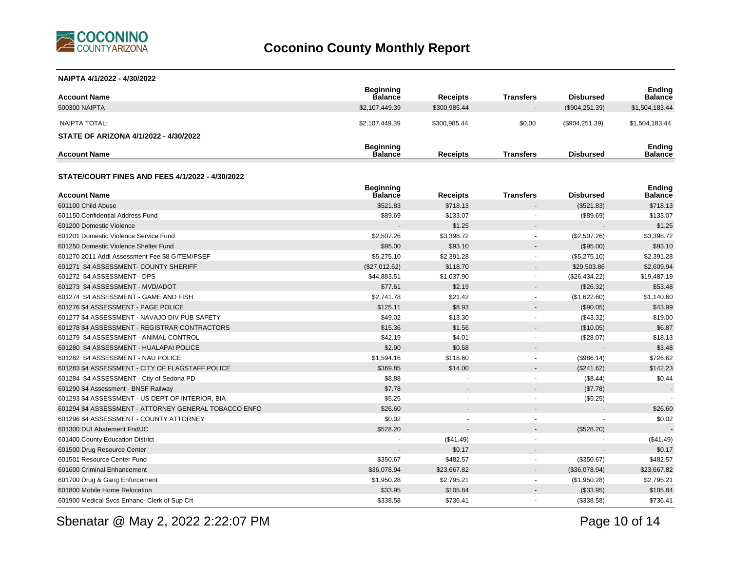

#### **NAIPTA 4/1/2022 - 4/30/2022**

| <b>Account Name</b>                                    | <b>Beginning</b><br><b>Balance</b> | <b>Receipts</b> | <b>Transfers</b>         | <b>Disbursed</b> | <b>Ending</b><br><b>Balance</b> |
|--------------------------------------------------------|------------------------------------|-----------------|--------------------------|------------------|---------------------------------|
| 500300 NAIPTA                                          | \$2,107,449.39                     | \$300,985.44    | $\overline{\phantom{0}}$ | (\$904, 251.39)  | \$1,504,183.44                  |
| NAIPTA TOTAL:<br>STATE OF ARIZONA 4/1/2022 - 4/30/2022 | \$2.107.449.39                     | \$300.985.44    | \$0.00                   | $(\$904,251.39)$ | \$1,504,183.44                  |
| <b>Account Name</b>                                    | <b>Beginning</b><br><b>Balance</b> | <b>Receipts</b> | <b>Transfers</b>         | <b>Disbursed</b> | <b>Ending</b><br><b>Balance</b> |

#### **STATE/COURT FINES AND FEES 4/1/2022 - 4/30/2022**

| <b>Account Name</b>                                   | <b>Beginning</b><br><b>Balance</b> | <b>Receipts</b> | <b>Transfers</b>         | <b>Disbursed</b> | <b>Ending</b><br><b>Balance</b> |
|-------------------------------------------------------|------------------------------------|-----------------|--------------------------|------------------|---------------------------------|
| 601100 Child Abuse                                    | \$521.83                           | \$718.13        |                          | (\$521.83)       | \$718.13                        |
| 601150 Confidential Address Fund                      | \$89.69                            | \$133.07        |                          | (\$89.69)        | \$133.07                        |
| 601200 Domestic Violence                              |                                    | \$1.25          |                          |                  | \$1.25                          |
| 601201 Domestic Violence Service Fund                 | \$2,507.26                         | \$3,398.72      | $\overline{\phantom{a}}$ | (\$2,507.26)     | \$3,398.72                      |
| 601250 Domestic Violence Shelter Fund                 | \$95.00                            | \$93.10         |                          | (\$95.00)        | \$93.10                         |
| 601270 2011 Addl Assessment Fee \$8 GITEM/PSEF        | \$5,275.10                         | \$2,391.28      |                          | (\$5,275.10)     | \$2,391.28                      |
| 601271 \$4 ASSESSMENT- COUNTY SHERIFF                 | (\$27,012.62)                      | \$118.70        |                          | \$29,503.86      | \$2,609.94                      |
| 601272 \$4 ASSESSMENT - DPS                           | \$44,883.51                        | \$1,037.90      |                          | (\$26,434.22)    | \$19,487.19                     |
| 601273 \$4 ASSESSMENT - MVD/ADOT                      | \$77.61                            | \$2.19          | $\overline{\phantom{a}}$ | (\$26.32)        | \$53.48                         |
| 601274 \$4 ASSESSMENT - GAME AND FISH                 | \$2,741.78                         | \$21.42         |                          | (\$1,622.60)     | \$1,140.60                      |
| 601276 \$4 ASSESSMENT - PAGE POLICE                   | \$125.11                           | \$8.93          |                          | (\$90.05)        | \$43.99                         |
| 601277 \$4 ASSESSMENT - NAVAJO DIV PUB SAFETY         | \$49.02                            | \$13.30         |                          | (\$43.32)        | \$19.00                         |
| 601278 \$4 ASSESSMENT - REGISTRAR CONTRACTORS         | \$15.36                            | \$1.56          |                          | (\$10.05)        | \$6.87                          |
| 601279 \$4 ASSESSMENT - ANIMAL CONTROL                | \$42.19                            | \$4.01          |                          | (\$28.07)        | \$18.13                         |
| 601280 \$4 ASSESSMENT - HUALAPAI POLICE               | \$2.90                             | \$0.58          |                          |                  | \$3.48                          |
| 601282 \$4 ASSESSMENT - NAU POLICE                    | \$1,594.16                         | \$118.60        |                          | (\$986.14)       | \$726.62                        |
| 601283 \$4 ASSESSMENT - CITY OF FLAGSTAFF POLICE      | \$369.85                           | \$14.00         |                          | (\$241.62)       | \$142.23                        |
| 601284 \$4 ASSESSMENT - City of Sedona PD             | \$8.88                             |                 |                          | (\$8.44)         | \$0.44                          |
| 601290 \$4 Assessment - BNSF Railway                  | \$7.78                             |                 |                          | (\$7.78)         | $\blacksquare$                  |
| 601293 \$4 ASSESSMENT - US DEPT OF INTERIOR, BIA      | \$5.25                             |                 |                          | (\$5.25)         |                                 |
| 601294 \$4 ASSESSMENT - ATTORNEY GENERAL TOBACCO ENFO | \$26.60                            |                 |                          |                  | \$26.60                         |
| 601296 \$4 ASSESSMENT - COUNTY ATTORNEY               | \$0.02                             |                 |                          |                  | \$0.02                          |
| 601300 DUI Abatement Fnd/JC                           | \$528.20                           | $\blacksquare$  |                          | (\$528.20)       |                                 |
| 601400 County Education District                      |                                    | (\$41.49)       |                          |                  | (\$41.49)                       |
| 601500 Drug Resource Center                           | $\overline{a}$                     | \$0.17          |                          |                  | \$0.17                          |
| 601501 Resource Center Fund                           | \$350.67                           | \$482.57        | ٠                        | (\$350.67)       | \$482.57                        |
| 601600 Criminal Enhancement                           | \$36,078.94                        | \$23,667.82     |                          | (\$36,078.94)    | \$23,667.82                     |
| 601700 Drug & Gang Enforcement                        | \$1,950.28                         | \$2,795.21      |                          | (\$1,950.28)     | \$2,795.21                      |
| 601800 Mobile Home Relocation                         | \$33.95                            | \$105.84        |                          | (\$33.95)        | \$105.84                        |
| 601900 Medical Svcs Enhanc- Clerk of Sup Crt          | \$338.58                           | \$736.41        |                          | (\$338.58)       | \$736.41                        |

Sbenatar @ May 2, 2022 2:22:07 PM

Page 10 of 14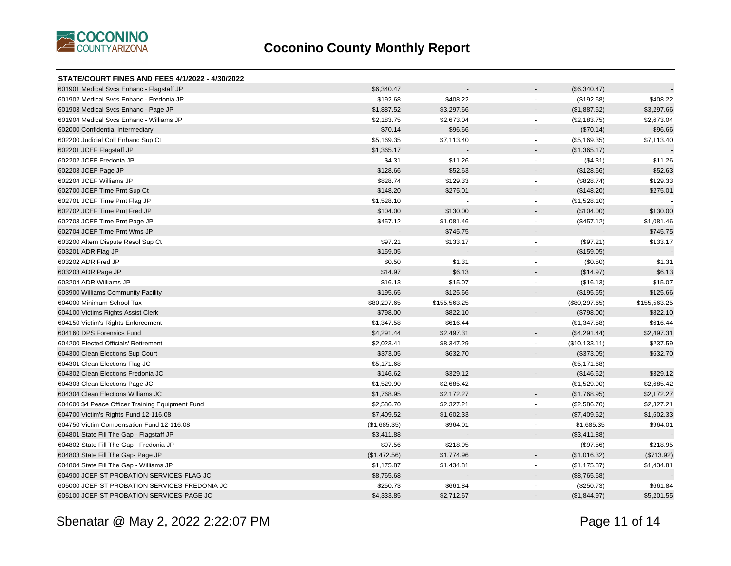

#### **STATE/COURT FINES AND FEES 4/1/2022 - 4/30/2022**

| 601901 Medical Svcs Enhanc - Flagstaff JP        | \$6,340.47   |              | (\$6,340.47)                              |              |
|--------------------------------------------------|--------------|--------------|-------------------------------------------|--------------|
| 601902 Medical Svcs Enhanc - Fredonia JP         | \$192.68     | \$408.22     | (\$192.68)                                | \$408.22     |
| 601903 Medical Svcs Enhanc - Page JP             | \$1,887.52   | \$3,297.66   | (\$1,887.52)                              | \$3,297.66   |
| 601904 Medical Svcs Enhanc - Williams JP         | \$2,183.75   | \$2,673.04   | (\$2,183.75)<br>$\blacksquare$            | \$2,673.04   |
| 602000 Confidential Intermediary                 | \$70.14      | \$96.66      | (\$70.14)<br>$\blacksquare$               | \$96.66      |
| 602200 Judicial Coll Enhanc Sup Ct               | \$5,169.35   | \$7,113.40   | (\$5,169.35)<br>$\blacksquare$            | \$7,113.40   |
| 602201 JCEF Flagstaff JP                         | \$1,365.17   |              | (\$1,365.17)                              |              |
| 602202 JCEF Fredonia JP                          | \$4.31       | \$11.26      | (\$4.31)<br>٠                             | \$11.26      |
| 602203 JCEF Page JP                              | \$128.66     | \$52.63      | (\$128.66)                                | \$52.63      |
| 602204 JCEF Williams JP                          | \$828.74     | \$129.33     | (\$828.74)<br>٠                           | \$129.33     |
| 602700 JCEF Time Pmt Sup Ct                      | \$148.20     | \$275.01     | (\$148.20)                                | \$275.01     |
| 602701 JCEF Time Pmt Flag JP                     | \$1,528.10   |              | (\$1,528.10)<br>$\blacksquare$            |              |
| 602702 JCEF Time Pmt Fred JP                     | \$104.00     | \$130.00     | (\$104.00)                                | \$130.00     |
| 602703 JCEF Time Pmt Page JP                     | \$457.12     | \$1,081.46   | (\$457.12)<br>÷.                          | \$1,081.46   |
| 602704 JCEF Time Pmt Wms JP                      |              | \$745.75     |                                           | \$745.75     |
| 603200 Altern Dispute Resol Sup Ct               | \$97.21      | \$133.17     | (\$97.21)<br>$\blacksquare$               | \$133.17     |
| 603201 ADR Flag JP                               | \$159.05     |              | (\$159.05)                                |              |
| 603202 ADR Fred JP                               | \$0.50       | \$1.31       | (\$0.50)<br>٠                             | \$1.31       |
| 603203 ADR Page JP                               | \$14.97      | \$6.13       | (\$14.97)                                 | \$6.13       |
| 603204 ADR Williams JP                           | \$16.13      | \$15.07      | (\$16.13)                                 | \$15.07      |
| 603900 Williams Community Facility               | \$195.65     | \$125.66     | (\$195.65)                                | \$125.66     |
| 604000 Minimum School Tax                        | \$80,297.65  | \$155,563.25 | (\$80,297.65)<br>$\overline{\phantom{a}}$ | \$155,563.25 |
| 604100 Victims Rights Assist Clerk               | \$798.00     | \$822.10     | (\$798.00)<br>۰                           | \$822.10     |
| 604150 Victim's Rights Enforcement               | \$1,347.58   | \$616.44     | (\$1,347.58)<br>$\blacksquare$            | \$616.44     |
| 604160 DPS Forensics Fund                        | \$4,291.44   | \$2,497.31   | (\$4,291.44)<br>$\blacksquare$            | \$2,497.31   |
| 604200 Elected Officials' Retirement             | \$2,023.41   | \$8,347.29   | (\$10,133.11)<br>$\blacksquare$           | \$237.59     |
| 604300 Clean Elections Sup Court                 | \$373.05     | \$632.70     | (\$373.05)                                | \$632.70     |
| 604301 Clean Elections Flag JC                   | \$5,171.68   |              | (\$5,171.68)<br>$\mathbf{r}$              |              |
| 604302 Clean Elections Fredonia JC               | \$146.62     | \$329.12     | (\$146.62)<br>$\blacksquare$              | \$329.12     |
| 604303 Clean Elections Page JC                   | \$1,529.90   | \$2,685.42   | (\$1,529.90)                              | \$2,685.42   |
| 604304 Clean Elections Williams JC               | \$1,768.95   | \$2,172.27   | (\$1,768.95)<br>$\blacksquare$            | \$2,172.27   |
| 604600 \$4 Peace Officer Training Equipment Fund | \$2,586.70   | \$2,327.21   | (\$2,586.70)<br>$\blacksquare$            | \$2,327.21   |
| 604700 Victim's Rights Fund 12-116.08            | \$7,409.52   | \$1,602.33   | (\$7,409.52)<br>$\blacksquare$            | \$1,602.33   |
| 604750 Victim Compensation Fund 12-116.08        | (\$1,685.35) | \$964.01     | \$1,685.35<br>$\blacksquare$              | \$964.01     |
| 604801 State Fill The Gap - Flagstaff JP         | \$3,411.88   |              | (\$3,411.88)<br>$\blacksquare$            |              |
| 604802 State Fill The Gap - Fredonia JP          | \$97.56      | \$218.95     | (\$97.56)<br>÷.                           | \$218.95     |
| 604803 State Fill The Gap- Page JP               | (\$1,472.56) | \$1,774.96   | (\$1,016.32)<br>$\overline{\phantom{a}}$  | (\$713.92)   |
| 604804 State Fill The Gap - Williams JP          | \$1,175.87   | \$1,434.81   | (\$1,175.87)<br>$\blacksquare$            | \$1,434.81   |
| 604900 JCEF-ST PROBATION SERVICES-FLAG JC        | \$8,765.68   |              | (\$8,765.68)                              |              |
| 605000 JCEF-ST PROBATION SERVICES-FREDONIA JC    | \$250.73     | \$661.84     | (\$250.73)                                | \$661.84     |
| 605100 JCEF-ST PROBATION SERVICES-PAGE JC        | \$4,333.85   | \$2,712.67   | (\$1,844.97)                              | \$5,201.55   |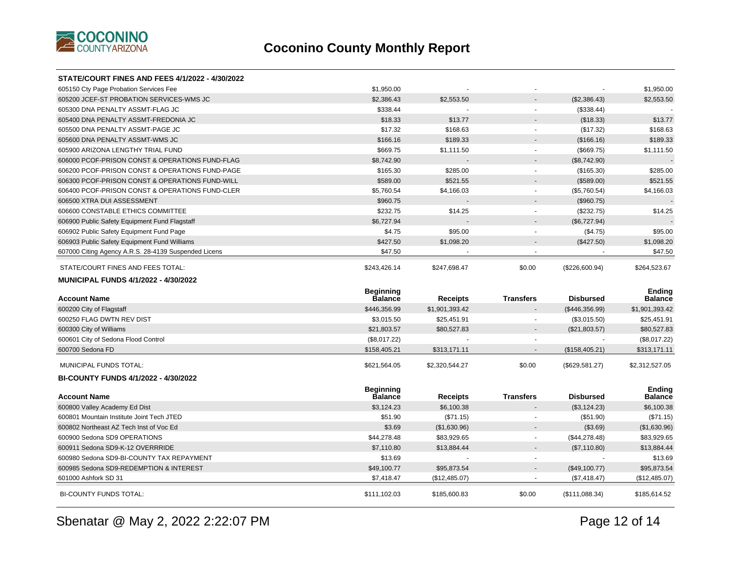

| <b>STATE/COURT FINES AND FEES 4/1/2022 - 4/30/2022</b> |                                    |                               |                  |                                |                                 |
|--------------------------------------------------------|------------------------------------|-------------------------------|------------------|--------------------------------|---------------------------------|
| 605150 Cty Page Probation Services Fee                 | \$1,950.00                         |                               |                  |                                | \$1,950.00                      |
| 605200 JCEF-ST PROBATION SERVICES-WMS JC               | \$2,386.43                         | \$2,553.50                    |                  | (\$2,386.43)                   | \$2,553.50                      |
| 605300 DNA PENALTY ASSMT-FLAG JC                       | \$338.44                           |                               | ٠                | (\$338.44)                     |                                 |
| 605400 DNA PENALTY ASSMT-FREDONIA JC                   | \$18.33                            | \$13.77                       |                  | (\$18.33)                      | \$13.77                         |
| 605500 DNA PENALTY ASSMT-PAGE JC                       | \$17.32                            | \$168.63                      | ÷.               | (\$17.32)                      | \$168.63                        |
| 605600 DNA PENALTY ASSMT-WMS JC                        | \$166.16                           | \$189.33                      |                  | (\$166.16)                     | \$189.33                        |
| 605900 ARIZONA LENGTHY TRIAL FUND                      | \$669.75                           | \$1,111.50                    | $\mathbf{u}$     | (\$669.75)                     | \$1,111.50                      |
| 606000 PCOF-PRISON CONST & OPERATIONS FUND-FLAG        | \$8,742.90                         |                               |                  | (\$8,742.90)                   |                                 |
| 606200 PCOF-PRISON CONST & OPERATIONS FUND-PAGE        | \$165.30                           | \$285.00                      |                  | (\$165.30)                     | \$285.00                        |
| 606300 PCOF-PRISON CONST & OPERATIONS FUND-WILL        | \$589.00                           | \$521.55                      |                  | (\$589.00)                     | \$521.55                        |
| 606400 PCOF-PRISON CONST & OPERATIONS FUND-CLER        | \$5,760.54                         | \$4,166.03                    | $\mathbf{u}$     | (\$5,760.54)                   | \$4,166.03                      |
| 606500 XTRA DUI ASSESSMENT                             | \$960.75                           |                               | ÷                | (\$960.75)                     |                                 |
| 606600 CONSTABLE ETHICS COMMITTEE                      | \$232.75                           | \$14.25                       |                  | (\$232.75)                     | \$14.25                         |
| 606900 Public Safety Equipment Fund Flagstaff          | \$6,727.94                         |                               | $\overline{a}$   | (\$6,727.94)                   |                                 |
| 606902 Public Safety Equipment Fund Page               | \$4.75                             | \$95.00                       | $\blacksquare$   | (\$4.75)                       | \$95.00                         |
| 606903 Public Safety Equipment Fund Williams           | \$427.50                           | \$1,098.20                    |                  | (\$427.50)                     | \$1,098.20                      |
| 607000 Citing Agency A.R.S. 28-4139 Suspended Licens   | \$47.50                            |                               |                  |                                | \$47.50                         |
| STATE/COURT FINES AND FEES TOTAL:                      | \$243,426.14                       | \$247,698.47                  | \$0.00           | (\$226,600.94)                 | \$264,523.67                    |
| <b>MUNICIPAL FUNDS 4/1/2022 - 4/30/2022</b>            |                                    |                               |                  |                                |                                 |
|                                                        |                                    |                               |                  |                                |                                 |
| <b>Account Name</b>                                    | <b>Beginning</b><br><b>Balance</b> |                               | <b>Transfers</b> | <b>Disbursed</b>               | <b>Ending</b><br><b>Balance</b> |
|                                                        |                                    | <b>Receipts</b>               |                  |                                |                                 |
| 600200 City of Flagstaff<br>600250 FLAG DWTN REV DIST  | \$446,356.99<br>\$3,015.50         | \$1,901,393.42<br>\$25,451.91 |                  | (\$446,356.99)<br>(\$3,015.50) | \$1,901,393.42<br>\$25,451.91   |
| 600300 City of Williams                                | \$21,803.57                        | \$80,527.83                   |                  | (\$21,803.57)                  | \$80,527.83                     |
| 600601 City of Sedona Flood Control                    | (\$8,017.22)                       |                               |                  |                                | (\$8,017.22)                    |
| 600700 Sedona FD                                       | \$158,405.21                       | \$313,171.11                  |                  | (\$158,405.21)                 | \$313,171.11                    |
| MUNICIPAL FUNDS TOTAL:                                 | \$621,564.05                       | \$2,320,544.27                | \$0.00           | (\$629,581.27)                 | \$2,312,527.05                  |
| <b>BI-COUNTY FUNDS 4/1/2022 - 4/30/2022</b>            |                                    |                               |                  |                                |                                 |
| <b>Account Name</b>                                    | <b>Beginning</b><br><b>Balance</b> | <b>Receipts</b>               | <b>Transfers</b> | <b>Disbursed</b>               | <b>Ending</b><br><b>Balance</b> |
| 600800 Valley Academy Ed Dist                          | \$3,124.23                         | \$6,100.38                    |                  | (\$3,124.23)                   | \$6,100.38                      |
| 600801 Mountain Institute Joint Tech JTED              | \$51.90                            | (\$71.15)                     |                  | (\$51.90)                      | (\$71.15)                       |
| 600802 Northeast AZ Tech Inst of Voc Ed                | \$3.69                             | (\$1,630.96)                  | $\blacksquare$   | (\$3.69)                       | (\$1,630.96)                    |
| 600900 Sedona SD9 OPERATIONS                           | \$44,278.48                        | \$83,929.65                   | $\blacksquare$   | (\$44,278.48)                  | \$83,929.65                     |
| 600911 Sedona SD9-K-12 OVERRRIDE                       | \$7,110.80                         | \$13,884.44                   |                  | (\$7,110.80)                   | \$13,884.44                     |
| 600980 Sedona SD9-BI-COUNTY TAX REPAYMENT              | \$13.69                            |                               |                  |                                | \$13.69                         |
| 600985 Sedona SD9-REDEMPTION & INTEREST                | \$49,100.77                        | \$95,873.54                   |                  | (\$49,100.77)                  | \$95,873.54                     |
| 601000 Ashfork SD 31                                   | \$7,418.47                         | (\$12,485.07)                 | $\blacksquare$   | (\$7,418.47)                   | (\$12,485.07)                   |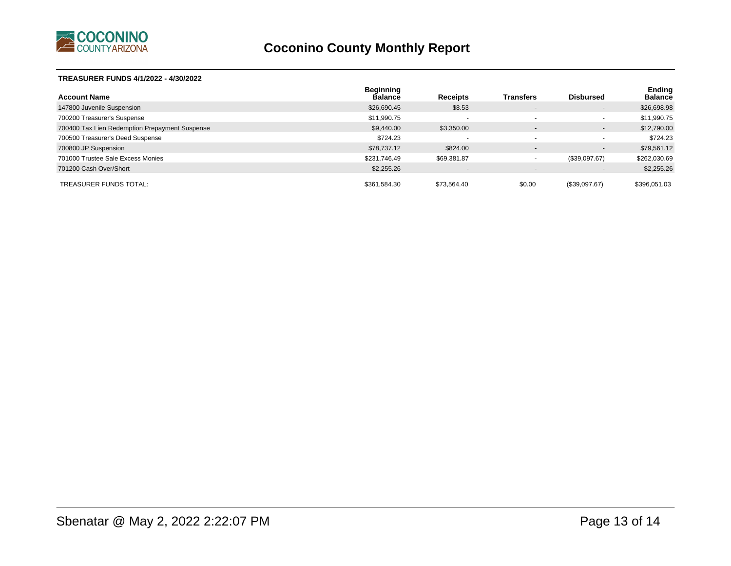

#### **TREASURER FUNDS 4/1/2022 - 4/30/2022**

| <b>Account Name</b>                            | Beginning<br><b>Balance</b> | <b>Receipts</b>          | <b>Transfers</b>         | <b>Disbursed</b>         | Ending<br><b>Balance</b> |
|------------------------------------------------|-----------------------------|--------------------------|--------------------------|--------------------------|--------------------------|
| 147800 Juvenile Suspension                     | \$26,690.45                 | \$8.53                   | $\overline{\phantom{0}}$ | $\blacksquare$           | \$26,698.98              |
| 700200 Treasurer's Suspense                    | \$11,990.75                 | $\overline{\phantom{a}}$ |                          | ۰                        | \$11,990.75              |
| 700400 Tax Lien Redemption Prepayment Suspense | \$9,440.00                  | \$3,350.00               | $\sim$                   | ۰.                       | \$12,790.00              |
| 700500 Treasurer's Deed Suspense               | \$724.23                    | $\overline{\phantom{a}}$ | $\overline{\phantom{a}}$ | ۰                        | \$724.23                 |
| 700800 JP Suspension                           | \$78,737.12                 | \$824.00                 | $\sim$                   | $\overline{\phantom{a}}$ | \$79,561.12              |
| 701000 Trustee Sale Excess Monies              | \$231,746.49                | \$69,381.87              | $\overline{\phantom{a}}$ | (\$39,097.67)            | \$262,030.69             |
| 701200 Cash Over/Short                         | \$2,255.26                  | $\overline{\phantom{a}}$ | $\overline{\phantom{0}}$ | $\blacksquare$           | \$2,255.26               |
| TREASURER FUNDS TOTAL:                         | \$361.584.30                | \$73.564.40              | \$0.00                   | (\$39,097.67)            | \$396,051.03             |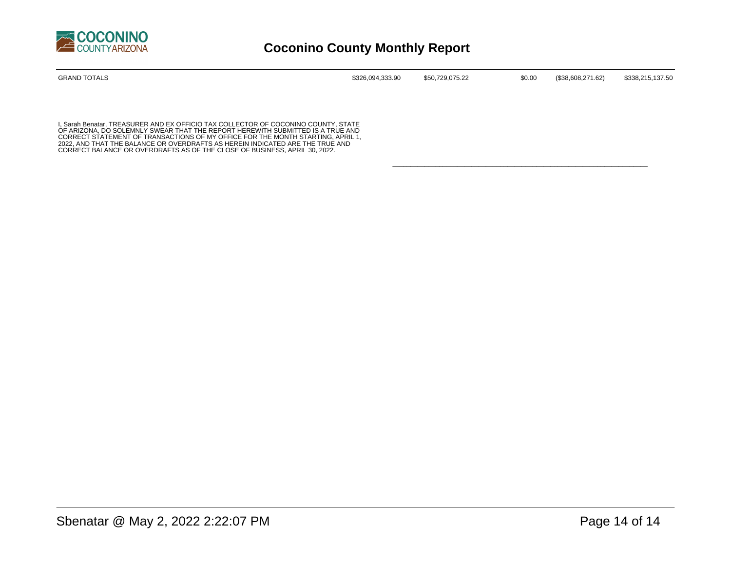

| <b>GRAND TOTALS</b> | \$326,094,333.90 | \$50,729,075.22 | \$0.00 | (\$38,608,271.62) | \$338,215,137.50 |
|---------------------|------------------|-----------------|--------|-------------------|------------------|
|                     |                  |                 |        |                   |                  |

\_\_\_\_\_\_\_\_\_\_\_\_\_\_\_\_\_\_\_\_\_\_\_\_\_\_\_\_\_\_\_\_\_\_\_\_\_\_\_\_\_\_\_\_\_\_\_\_\_\_\_\_\_\_\_\_\_\_\_\_\_\_\_\_\_\_\_\_\_\_\_

I, Sarah Benatar, TREASURER AND EX OFFICIO TAX COLLECTOR OF COCONINO COUNTY, STATE<br>OF ARIZONA, DO SOLEMNLY SWEAR THAT THE REPORT HEREWITH SUBMITTED IS A TRUE AND<br>CORRECT STATEMENT OF TRANSACTIONS OF MY OFFICE FOR THE MONTH 2022, AND THAT THE BALANCE OR OVERDRAFTS AS HEREIN INDICATED ARE THE TRUE AND CORRECT BALANCE OR OVERDRAFTS AS OF THE CLOSE OF BUSINESS, APRIL 30, 2022.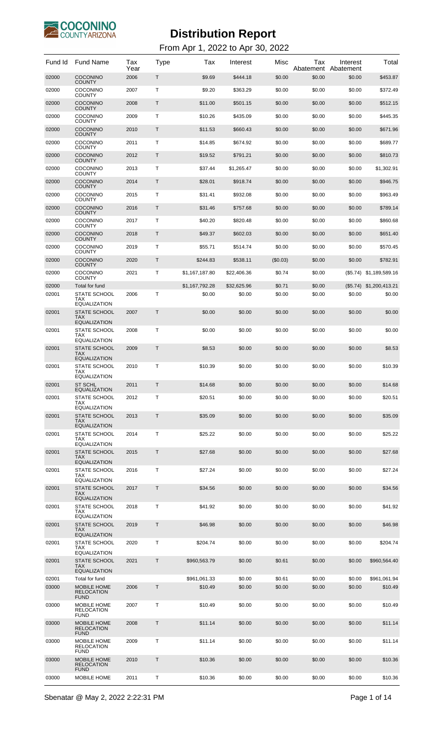

| Fund Id | <b>Fund Name</b>                                                                | Tax<br>Year | Type | Tax            | Interest    | Misc        | Тах<br>Abatement | Interest<br>Abatement | Total                     |
|---------|---------------------------------------------------------------------------------|-------------|------|----------------|-------------|-------------|------------------|-----------------------|---------------------------|
| 02000   | <b>COCONINO</b><br><b>COUNTY</b>                                                | 2006        | Τ    | \$9.69         | \$444.18    | \$0.00      | \$0.00           | \$0.00                | \$453.87                  |
| 02000   | <b>COCONINO</b><br><b>COUNTY</b>                                                | 2007        | Τ    | \$9.20         | \$363.29    | \$0.00      | \$0.00           | \$0.00                | \$372.49                  |
| 02000   | <b>COCONINO</b><br><b>COUNTY</b>                                                | 2008        | Τ    | \$11.00        | \$501.15    | \$0.00      | \$0.00           | \$0.00                | \$512.15                  |
| 02000   | <b>COCONINO</b><br><b>COUNTY</b>                                                | 2009        | Τ    | \$10.26        | \$435.09    | \$0.00      | \$0.00           | \$0.00                | \$445.35                  |
| 02000   | <b>COCONINO</b><br><b>COUNTY</b>                                                | 2010        | Τ    | \$11.53        | \$660.43    | \$0.00      | \$0.00           | \$0.00                | \$671.96                  |
| 02000   | <b>COCONINO</b><br><b>COUNTY</b>                                                | 2011        | Τ    | \$14.85        | \$674.92    | \$0.00      | \$0.00           | \$0.00                | \$689.77                  |
| 02000   | <b>COCONINO</b><br><b>COUNTY</b>                                                | 2012        | Τ    | \$19.52        | \$791.21    | \$0.00      | \$0.00           | \$0.00                | \$810.73                  |
| 02000   | <b>COCONINO</b><br><b>COUNTY</b>                                                | 2013        | Τ    | \$37.44        | \$1,265.47  | \$0.00      | \$0.00           | \$0.00                | \$1,302.91                |
| 02000   | <b>COCONINO</b><br><b>COUNTY</b>                                                | 2014        | Τ    | \$28.01        | \$918.74    | \$0.00      | \$0.00           | \$0.00                | \$946.75                  |
| 02000   | <b>COCONINO</b><br><b>COUNTY</b>                                                | 2015        | Τ    | \$31.41        | \$932.08    | \$0.00      | \$0.00           | \$0.00                | \$963.49                  |
| 02000   | <b>COCONINO</b><br><b>COUNTY</b>                                                | 2016        | Τ    | \$31.46        | \$757.68    | \$0.00      | \$0.00           | \$0.00                | \$789.14                  |
| 02000   | <b>COCONINO</b><br><b>COUNTY</b>                                                | 2017        | Τ    | \$40.20        | \$820.48    | \$0.00      | \$0.00           | \$0.00                | \$860.68                  |
| 02000   | <b>COCONINO</b><br><b>COUNTY</b>                                                | 2018        | Τ    | \$49.37        | \$602.03    | \$0.00      | \$0.00           | \$0.00                | \$651.40                  |
| 02000   | <b>COCONINO</b><br><b>COUNTY</b>                                                | 2019        | Т    | \$55.71        | \$514.74    | \$0.00      | \$0.00           | \$0.00                | \$570.45                  |
| 02000   | <b>COCONINO</b><br><b>COUNTY</b>                                                | 2020        | Τ    | \$244.83       | \$538.11    | $($ \$0.03) | \$0.00           | \$0.00                | \$782.91                  |
| 02000   | <b>COCONINO</b>                                                                 | 2021        | Т    | \$1,167,187.80 | \$22,406.36 | \$0.74      | \$0.00           | (\$5.74)              | \$1,189,589.16            |
| 02000   | <b>COUNTY</b><br>Total for fund                                                 |             |      | \$1,167,792.28 | \$32,625.96 | \$0.71      | \$0.00           |                       | $(\$5.74)$ \$1,200,413.21 |
| 02001   | <b>STATE SCHOOL</b><br><b>TAX</b>                                               | 2006        | Т    | \$0.00         | \$0.00      | \$0.00      | \$0.00           | \$0.00                | \$0.00                    |
| 02001   | <b>EQUALIZATION</b><br><b>STATE SCHOOL</b><br><b>TAX</b><br><b>EQUALIZATION</b> | 2007        | Τ    | \$0.00         | \$0.00      | \$0.00      | \$0.00           | \$0.00                | \$0.00                    |
| 02001   | <b>STATE SCHOOL</b><br><b>TAX</b><br><b>EQUALIZATION</b>                        | 2008        | Т    | \$0.00         | \$0.00      | \$0.00      | \$0.00           | \$0.00                | \$0.00                    |
| 02001   | <b>STATE SCHOOL</b><br><b>TAX</b><br><b>EQUALIZATION</b>                        | 2009        | T    | \$8.53         | \$0.00      | \$0.00      | \$0.00           | \$0.00                | \$8.53                    |
| 02001   | <b>STATE SCHOOL</b><br>TAX<br><b>EQUALIZATION</b>                               | 2010        | Т    | \$10.39        | \$0.00      | \$0.00      | \$0.00           | \$0.00                | \$10.39                   |
| 02001   | <b>ST SCHL</b><br>EQUALIZATION                                                  | 2011        | Τ    | \$14.68        | \$0.00      | \$0.00      | \$0.00           | \$0.00                | \$14.68                   |
| 02001   | STATE SCHOOL<br>TAX<br><b>EQUALIZATION</b>                                      | 2012        | Τ    | \$20.51        | \$0.00      | \$0.00      | \$0.00           | \$0.00                | \$20.51                   |
| 02001   | <b>STATE SCHOOL</b><br><b>TAX</b><br><b>EQUALIZATION</b>                        | 2013        | T    | \$35.09        | \$0.00      | \$0.00      | \$0.00           | \$0.00                | \$35.09                   |
| 02001   | STATE SCHOOL<br><b>TAX</b><br><b>EQUALIZATION</b>                               | 2014        | Т    | \$25.22        | \$0.00      | \$0.00      | \$0.00           | \$0.00                | \$25.22                   |
| 02001   | <b>STATE SCHOOL</b><br><b>TAX</b><br><b>EQUALIZATION</b>                        | 2015        | Τ    | \$27.68        | \$0.00      | \$0.00      | \$0.00           | \$0.00                | \$27.68                   |
| 02001   | <b>STATE SCHOOL</b><br>TAX                                                      | 2016        | Т    | \$27.24        | \$0.00      | \$0.00      | \$0.00           | \$0.00                | \$27.24                   |
| 02001   | <b>EQUALIZATION</b><br><b>STATE SCHOOL</b><br><b>TAX</b>                        | 2017        | T    | \$34.56        | \$0.00      | \$0.00      | \$0.00           | \$0.00                | \$34.56                   |
| 02001   | <b>EQUALIZATION</b><br><b>STATE SCHOOL</b><br><b>TAX</b>                        | 2018        | Τ    | \$41.92        | \$0.00      | \$0.00      | \$0.00           | \$0.00                | \$41.92                   |
| 02001   | <b>EQUALIZATION</b><br><b>STATE SCHOOL</b><br><b>TAX</b><br><b>EQUALIZATION</b> | 2019        | T    | \$46.98        | \$0.00      | \$0.00      | \$0.00           | \$0.00                | \$46.98                   |
| 02001   | STATE SCHOOL<br>TAX                                                             | 2020        | Т    | \$204.74       | \$0.00      | \$0.00      | \$0.00           | \$0.00                | \$204.74                  |
| 02001   | <b>EQUALIZATION</b><br><b>STATE SCHOOL</b><br><b>TAX</b><br><b>EQUALIZATION</b> | 2021        | Τ    | \$960,563.79   | \$0.00      | \$0.61      | \$0.00           | \$0.00                | \$960,564.40              |
| 02001   | Total for fund                                                                  |             |      | \$961,061.33   | \$0.00      | \$0.61      | \$0.00           | \$0.00                | \$961,061.94              |
| 03000   | MOBILE HOME<br><b>RELOCATION</b><br><b>FUND</b>                                 | 2006        | T    | \$10.49        | \$0.00      | \$0.00      | \$0.00           | \$0.00                | \$10.49                   |
| 03000   | MOBILE HOME<br><b>RELOCATION</b><br><b>FUND</b>                                 | 2007        | Т    | \$10.49        | \$0.00      | \$0.00      | \$0.00           | \$0.00                | \$10.49                   |
| 03000   | MOBILE HOME<br><b>RELOCATION</b><br><b>FUND</b>                                 | 2008        | T    | \$11.14        | \$0.00      | \$0.00      | \$0.00           | \$0.00                | \$11.14                   |
| 03000   | MOBILE HOME<br><b>RELOCATION</b><br><b>FUND</b>                                 | 2009        | Τ    | \$11.14        | \$0.00      | \$0.00      | \$0.00           | \$0.00                | \$11.14                   |
| 03000   | MOBILE HOME<br><b>RELOCATION</b><br><b>FUND</b>                                 | 2010        | T    | \$10.36        | \$0.00      | \$0.00      | \$0.00           | \$0.00                | \$10.36                   |
| 03000   | MOBILE HOME                                                                     | 2011        | т    | \$10.36        | \$0.00      | \$0.00      | \$0.00           | \$0.00                | \$10.36                   |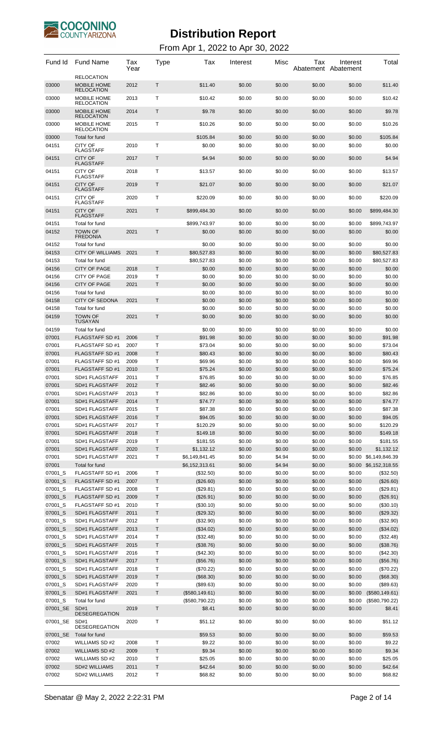

| Fund Id            | <b>Fund Name</b>                                             | Tax<br>Year  | Type             | Tax                    | Interest         | Misc             | Tax              | Interest<br>Abatement Abatement | Total                  |
|--------------------|--------------------------------------------------------------|--------------|------------------|------------------------|------------------|------------------|------------------|---------------------------------|------------------------|
| 03000              | <b>RELOCATION</b><br>MOBILE HOME                             | 2012         | $\mathsf{T}$     | \$11.40                | \$0.00           | \$0.00           | \$0.00           | \$0.00                          | \$11.40                |
| 03000              | <b>RELOCATION</b><br><b>MOBILE HOME</b><br><b>RELOCATION</b> | 2013         | Т                | \$10.42                | \$0.00           | \$0.00           | \$0.00           | \$0.00                          | \$10.42                |
| 03000              | <b>MOBILE HOME</b><br><b>RELOCATION</b>                      | 2014         | Τ                | \$9.78                 | \$0.00           | \$0.00           | \$0.00           | \$0.00                          | \$9.78                 |
| 03000              | MOBILE HOME<br><b>RELOCATION</b>                             | 2015         | Т                | \$10.26                | \$0.00           | \$0.00           | \$0.00           | \$0.00                          | \$10.26                |
| 03000              | Total for fund                                               |              |                  | \$105.84               | \$0.00           | \$0.00           | \$0.00           | \$0.00                          | \$105.84               |
| 04151              | <b>CITY OF</b><br><b>FLAGSTAFF</b>                           | 2010         | $\mathsf{T}$     | \$0.00                 | \$0.00           | \$0.00           | \$0.00           | \$0.00                          | \$0.00                 |
| 04151              | <b>CITY OF</b><br><b>FLAGSTAFF</b>                           | 2017         | $\mathsf{T}$     | \$4.94                 | \$0.00           | \$0.00           | \$0.00           | \$0.00                          | \$4.94                 |
| 04151              | <b>CITY OF</b><br><b>FLAGSTAFF</b>                           | 2018         | $\mathsf{T}$     | \$13.57                | \$0.00           | \$0.00           | \$0.00           | \$0.00                          | \$13.57                |
| 04151              | <b>CITY OF</b><br><b>FLAGSTAFF</b>                           | 2019         | $\mathsf{T}$     | \$21.07                | \$0.00           | \$0.00           | \$0.00           | \$0.00                          | \$21.07                |
| 04151              | <b>CITY OF</b><br><b>FLAGSTAFF</b>                           | 2020         | $\mathsf{T}$     | \$220.09               | \$0.00           | \$0.00           | \$0.00           | \$0.00                          | \$220.09               |
| 04151              | <b>CITY OF</b><br><b>FLAGSTAFF</b>                           | 2021         | $\mathsf{T}$     | \$899,484.30           | \$0.00           | \$0.00           | \$0.00           | \$0.00                          | \$899,484.30           |
| 04151<br>04152     | Total for fund<br><b>TOWN OF</b>                             | 2021         | $\mathsf{T}$     | \$899,743.97<br>\$0.00 | \$0.00<br>\$0.00 | \$0.00<br>\$0.00 | \$0.00<br>\$0.00 | \$0.00<br>\$0.00                | \$899,743.97<br>\$0.00 |
| 04152              | <b>FREDONIA</b><br>Total for fund                            |              |                  | \$0.00                 | \$0.00           | \$0.00           | \$0.00           | \$0.00                          | \$0.00                 |
| 04153              | <b>CITY OF WILLIAMS</b>                                      | 2021         | T.               | \$80,527.83            | \$0.00           | \$0.00           | \$0.00           | \$0.00                          | \$80,527.83            |
| 04153              | Total for fund                                               |              |                  | \$80,527.83            | \$0.00           | \$0.00           | \$0.00           | \$0.00                          | \$80,527.83            |
| 04156              | <b>CITY OF PAGE</b>                                          | 2018         | Τ                | \$0.00                 | \$0.00           | \$0.00           | \$0.00           | \$0.00                          | \$0.00                 |
| 04156              | <b>CITY OF PAGE</b>                                          | 2019         | Т                | \$0.00                 | \$0.00           | \$0.00           | \$0.00           | \$0.00                          | \$0.00                 |
| 04156              | <b>CITY OF PAGE</b>                                          | 2021         | Τ                | \$0.00                 | \$0.00           | \$0.00           | \$0.00           | \$0.00                          | \$0.00                 |
| 04156              | Total for fund                                               |              |                  | \$0.00                 | \$0.00           | \$0.00           | \$0.00           | \$0.00                          | \$0.00                 |
| 04158              | <b>CITY OF SEDONA</b>                                        | 2021         | T.               | \$0.00                 | \$0.00           | \$0.00           | \$0.00           | \$0.00                          | \$0.00                 |
| 04158              | Total for fund                                               |              |                  | \$0.00                 | \$0.00           | \$0.00           | \$0.00           | \$0.00                          | \$0.00                 |
| 04159              | <b>TOWN OF</b><br><b>TUSAYAN</b>                             | 2021         | $\mathsf{T}$     | \$0.00                 | \$0.00           | \$0.00           | \$0.00           | \$0.00                          | \$0.00                 |
| 04159              | Total for fund                                               |              |                  | \$0.00                 | \$0.00           | \$0.00           | \$0.00           | \$0.00                          | \$0.00                 |
| 07001              | <b>FLAGSTAFF SD#1</b>                                        | 2006         | $\mathsf{T}$     | \$91.98                | \$0.00           | \$0.00           | \$0.00           | \$0.00                          | \$91.98                |
| 07001<br>07001     | <b>FLAGSTAFF SD#1</b><br><b>FLAGSTAFF SD#1</b>               | 2007<br>2008 | Т<br>T           | \$73.04<br>\$80.43     | \$0.00<br>\$0.00 | \$0.00<br>\$0.00 | \$0.00<br>\$0.00 | \$0.00<br>\$0.00                | \$73.04<br>\$80.43     |
| 07001              | <b>FLAGSTAFF SD#1</b>                                        | 2009         | Т                | \$69.96                | \$0.00           | \$0.00           | \$0.00           | \$0.00                          | \$69.96                |
| 07001              | <b>FLAGSTAFF SD#1</b>                                        | 2010         | T                | \$75.24                | \$0.00           | \$0.00           | \$0.00           | \$0.00                          | \$75.24                |
| 07001              | SD#1 FLAGSTAFF                                               | 2011         | т                | \$76.85                | \$0.00           | \$0.00           | \$0.00           | \$0.00                          | \$76.85                |
| 07001              | SD#1 FLAGSTAFF                                               | 2012         | T                | \$82.46                | \$0.00           | \$0.00           | \$0.00           | \$0.00                          | \$82.46                |
| 07001              | SD#1 FLAGSTAFF                                               | 2013         | Τ                | \$82.86                | \$0.00           | \$0.00           | \$0.00           | \$0.00                          | \$82.86                |
| 07001              | SD#1 FLAGSTAFF                                               | 2014         | $\sf T$          | \$74.77                | \$0.00           | \$0.00           | \$0.00           | \$0.00                          | \$74.77                |
| 07001              | SD#1 FLAGSTAFF                                               | 2015         | Т                | \$87.38                | \$0.00           | \$0.00           | \$0.00           | \$0.00                          | \$87.38                |
| 07001              | SD#1 FLAGSTAFF                                               | 2016         | T                | \$94.05                | \$0.00           | \$0.00           | \$0.00           | \$0.00                          | \$94.05                |
| 07001              | SD#1 FLAGSTAFF                                               | 2017         | Т                | \$120.29               | \$0.00           | \$0.00           | \$0.00           | \$0.00                          | \$120.29               |
| 07001<br>07001     | SD#1 FLAGSTAFF<br>SD#1 FLAGSTAFF                             | 2018<br>2019 | T<br>T           | \$149.18<br>\$181.55   | \$0.00<br>\$0.00 | \$0.00<br>\$0.00 | \$0.00<br>\$0.00 | \$0.00<br>\$0.00                | \$149.18<br>\$181.55   |
| 07001              | SD#1 FLAGSTAFF                                               | 2020         | $\top$           | \$1,132.12             | \$0.00           | \$0.00           | \$0.00           | \$0.00                          | \$1,132.12             |
| 07001              | SD#1 FLAGSTAFF                                               | 2021         | Т                | \$6,149,841.45         | \$0.00           | \$4.94           | \$0.00           | \$0.00                          | \$6,149,846.39         |
| 07001              | Total for fund                                               |              |                  | \$6,152,313.61         | \$0.00           | \$4.94           | \$0.00           |                                 | \$0.00 \$6,152,318.55  |
| 07001_S            | FLAGSTAFF SD #1                                              | 2006         | Τ                | (\$32.50)              | \$0.00           | \$0.00           | \$0.00           | \$0.00                          | (\$32.50)              |
| 07001_S            | FLAGSTAFF SD #1                                              | 2007         | $\sf T$          | (\$26.60)              | \$0.00           | \$0.00           | \$0.00           | \$0.00                          | (\$26.60)              |
| 07001_S            | <b>FLAGSTAFF SD#1</b>                                        | 2008         | $\top$           | (\$29.81)              | \$0.00           | \$0.00           | \$0.00           | \$0.00                          | (\$29.81)              |
| 07001_S            | <b>FLAGSTAFF SD#1</b>                                        | 2009         | $\sf T$          | (\$26.91)              | \$0.00           | \$0.00           | \$0.00           | \$0.00                          | (\$26.91)              |
| 07001_S            | FLAGSTAFF SD #1                                              | 2010         | Т                | (\$30.10)              | \$0.00           | \$0.00           | \$0.00           | \$0.00                          | (\$30.10)              |
| 07001_S<br>07001_S | SD#1 FLAGSTAFF<br>SD#1 FLAGSTAFF                             | 2011<br>2012 | T<br>Т           | (\$29.32)              | \$0.00<br>\$0.00 | \$0.00<br>\$0.00 | \$0.00<br>\$0.00 | \$0.00<br>\$0.00                | (\$29.32)<br>(\$32.90) |
| 07001_S            | SD#1 FLAGSTAFF                                               | 2013         | T                | (\$32.90)<br>(\$34.02) | \$0.00           | \$0.00           | \$0.00           | \$0.00                          | (\$34.02)              |
| 07001_S            | SD#1 FLAGSTAFF                                               | 2014         | T                | (\$32.48)              | \$0.00           | \$0.00           | \$0.00           | \$0.00                          | (\$32.48)              |
| 07001_S            | SD#1 FLAGSTAFF                                               | 2015         | $\top$           | (\$38.76)              | \$0.00           | \$0.00           | \$0.00           | \$0.00                          | (\$38.76)              |
| 07001_S            | SD#1 FLAGSTAFF                                               | 2016         | Т                | (\$42.30)              | \$0.00           | \$0.00           | \$0.00           | \$0.00                          | (\$42.30)              |
| 07001_S            | SD#1 FLAGSTAFF                                               | 2017         | T                | (\$56.76)              | \$0.00           | \$0.00           | \$0.00           | \$0.00                          | (\$56.76)              |
| 07001_S            | SD#1 FLAGSTAFF                                               | 2018         | Т                | (\$70.22)              | \$0.00           | \$0.00           | \$0.00           | \$0.00                          | (\$70.22)              |
| 07001_S            | SD#1 FLAGSTAFF                                               | 2019         | T                | (\$68.30)              | \$0.00           | \$0.00           | \$0.00           | \$0.00                          | (\$68.30)              |
| 07001_S            | SD#1 FLAGSTAFF                                               | 2020         | $\sf T$          | (\$89.63)              | \$0.00           | \$0.00           | \$0.00           | \$0.00                          | (\$89.63)              |
| 07001_S            | SD#1 FLAGSTAFF                                               | 2021         | $\top$           | (\$580, 149.61)        | \$0.00           | \$0.00           | \$0.00           | \$0.00                          | (\$580, 149.61)        |
| 07001_S            | Total for fund                                               |              | T                | (\$580,790.22)         | \$0.00           | \$0.00           | \$0.00           | \$0.00                          | (\$580,790.22)         |
| 07001_SE           | SD#1<br><b>DESEGREGATION</b>                                 | 2019         |                  | \$8.41                 | \$0.00           | \$0.00           | \$0.00           | \$0.00                          | \$8.41                 |
| 07001_SE           | SD#1<br><b>DESEGREGATION</b>                                 | 2020         | $\top$           | \$51.12                | \$0.00           | \$0.00           | \$0.00           | \$0.00                          | \$51.12                |
| 07001_SE           | Total for fund                                               |              |                  | \$59.53                | \$0.00           | \$0.00           | \$0.00           | \$0.00                          | \$59.53                |
| 07002              | <b>WILLIAMS SD#2</b>                                         | 2008         | т                | \$9.22                 | \$0.00           | \$0.00           | \$0.00           | \$0.00                          | \$9.22                 |
| 07002              | WILLIAMS SD #2                                               | 2009         | $\sf T$          | \$9.34                 | \$0.00           | \$0.00           | \$0.00           | \$0.00                          | \$9.34                 |
| 07002              | WILLIAMS SD #2                                               | 2010         | $\mathsf T$      | \$25.05                | \$0.00           | \$0.00           | \$0.00           | \$0.00                          | \$25.05                |
| 07002<br>07002     | SD#2 WILLIAMS<br>SD#2 WILLIAMS                               | 2011         | $\top$<br>$\top$ | \$42.64                | \$0.00<br>\$0.00 | \$0.00<br>\$0.00 | \$0.00           | \$0.00                          | \$42.64<br>\$68.82     |
|                    |                                                              | 2012         |                  | \$68.82                |                  |                  | \$0.00           | \$0.00                          |                        |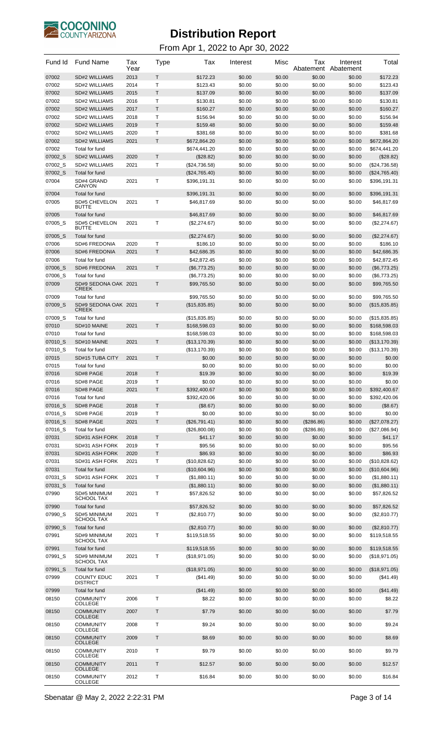

| Fund Id        | <b>Fund Name</b>                      | Tax<br>Year  | Type         | Tax                           | Interest         | Misc             | Tax<br>Abatement | Interest<br>Abatement | Total                         |
|----------------|---------------------------------------|--------------|--------------|-------------------------------|------------------|------------------|------------------|-----------------------|-------------------------------|
| 07002          | <b>SD#2 WILLIAMS</b>                  | 2013         | T            | \$172.23                      | \$0.00           | \$0.00           | \$0.00           | \$0.00                | \$172.23                      |
| 07002          | SD#2 WILLIAMS                         | 2014         | T            | \$123.43                      | \$0.00           | \$0.00           | \$0.00           | \$0.00                | \$123.43                      |
| 07002          | <b>SD#2 WILLIAMS</b>                  | 2015         | T            | \$137.09                      | \$0.00           | \$0.00           | \$0.00           | \$0.00                | \$137.09                      |
| 07002          | SD#2 WILLIAMS                         | 2016         | т            | \$130.81                      | \$0.00           | \$0.00           | \$0.00           | \$0.00                | \$130.81                      |
| 07002          | <b>SD#2 WILLIAMS</b>                  | 2017         | T.<br>Т      | \$160.27                      | \$0.00           | \$0.00           | \$0.00           | \$0.00                | \$160.27                      |
| 07002<br>07002 | SD#2 WILLIAMS<br><b>SD#2 WILLIAMS</b> | 2018<br>2019 | T            | \$156.94<br>\$159.48          | \$0.00<br>\$0.00 | \$0.00<br>\$0.00 | \$0.00<br>\$0.00 | \$0.00<br>\$0.00      | \$156.94<br>\$159.48          |
| 07002          | SD#2 WILLIAMS                         | 2020         | Т            | \$381.68                      | \$0.00           | \$0.00           | \$0.00           | \$0.00                | \$381.68                      |
| 07002          | <b>SD#2 WILLIAMS</b>                  | 2021         | T.           | \$672,864.20                  | \$0.00           | \$0.00           | \$0.00           | \$0.00                | \$672,864.20                  |
| 07002          | Total for fund                        |              |              | \$674,441.20                  | \$0.00           | \$0.00           | \$0.00           | \$0.00                | \$674,441.20                  |
| 07002_S        | <b>SD#2 WILLIAMS</b>                  | 2020         | T.           | (\$28.82)                     | \$0.00           | \$0.00           | \$0.00           | \$0.00                | (\$28.82)                     |
| 07002_S        | SD#2 WILLIAMS                         | 2021         | т            | (\$24,736.58)                 | \$0.00           | \$0.00           | \$0.00           | \$0.00                | (\$24,736.58)                 |
| 07002 S        | Total for fund                        |              |              | (\$24,765.40)                 | \$0.00           | \$0.00           | \$0.00           | \$0.00                | (\$24,765.40)                 |
| 07004          | SD#4 GRAND                            | 2021         | T            | \$396,191.31                  | \$0.00           | \$0.00           | \$0.00           | \$0.00                | \$396,191.31                  |
|                | <b>CANYON</b>                         |              |              |                               |                  |                  |                  |                       |                               |
| 07004          | Total for fund                        |              |              | \$396,191.31                  | \$0.00           | \$0.00           | \$0.00           | \$0.00                | \$396,191.31                  |
| 07005          | <b>SD#5 CHEVELON</b><br><b>BUTTE</b>  | 2021         | т            | \$46,817.69                   | \$0.00           | \$0.00           | \$0.00           | \$0.00                | \$46,817.69                   |
| 07005          | Total for fund                        |              |              | \$46,817.69                   | \$0.00           | \$0.00           | \$0.00           | \$0.00                | \$46,817.69                   |
| 07005 S        | <b>SD#5 CHEVELON</b>                  | 2021         | т            | (\$2,274.67)                  | \$0.00           | \$0.00           | \$0.00           | \$0.00                | (\$2,274.67)                  |
|                | <b>BUTTE</b>                          |              |              |                               |                  |                  |                  |                       |                               |
| 07005_S        | Total for fund                        |              |              | (\$2,274.67)                  | \$0.00           | \$0.00           | \$0.00           | \$0.00                | (\$2,274.67)                  |
| 07006          | <b>SD#6 FREDONIA</b>                  | 2020         | Т            | \$186.10                      | \$0.00           | \$0.00           | \$0.00           | \$0.00                | \$186.10                      |
| 07006          | <b>SD#6 FREDONIA</b>                  | 2021         | $\mathsf{T}$ | \$42,686.35                   | \$0.00           | \$0.00           | \$0.00           | \$0.00                | \$42,686.35                   |
| 07006          | Total for fund                        |              |              | \$42,872.45                   | \$0.00           | \$0.00           | \$0.00           | \$0.00                | \$42,872.45                   |
| 07006 S        | <b>SD#6 FREDONIA</b>                  | 2021         | T.           | (\$6,773.25)                  | \$0.00           | \$0.00           | \$0.00           | \$0.00                | (\$6,773.25)                  |
| 07006_S        | Total for fund                        |              | T            | $(\$6,773.25)$                | \$0.00           | \$0.00           | \$0.00           | \$0.00                | (\$6,773.25)                  |
| 07009          | SD#9 SEDONA OAK 2021<br><b>CREEK</b>  |              |              | \$99,765.50                   | \$0.00           | \$0.00           | \$0.00           | \$0.00                | \$99,765.50                   |
| 07009          | Total for fund                        |              |              | \$99,765.50                   | \$0.00           | \$0.00           | \$0.00           | \$0.00                | \$99,765.50                   |
| 07009_S        | SD#9 SEDONA OAK 2021                  |              | T            | (\$15,835.85)                 | \$0.00           | \$0.00           | \$0.00           | \$0.00                | (\$15,835.85)                 |
|                | <b>CREEK</b>                          |              |              |                               |                  |                  |                  |                       |                               |
| 07009_S        | Total for fund                        |              |              | (\$15,835.85)                 | \$0.00           | \$0.00           | \$0.00           | \$0.00                | (\$15,835.85)                 |
| 07010<br>07010 | SD#10 MAINE<br>Total for fund         | 2021         | T            | \$168,598.03                  | \$0.00           | \$0.00           | \$0.00           | \$0.00                | \$168,598.03                  |
| 07010 S        | SD#10 MAINE                           | 2021         | T.           | \$168,598.03<br>(\$13,170.39) | \$0.00<br>\$0.00 | \$0.00<br>\$0.00 | \$0.00<br>\$0.00 | \$0.00<br>\$0.00      | \$168,598.03<br>(\$13,170.39) |
| 07010_S        | Total for fund                        |              |              | (\$13,170.39)                 | \$0.00           | \$0.00           | \$0.00           | \$0.00                | (\$13,170.39)                 |
| 07015          | SD#15 TUBA CITY                       | 2021         | T            | \$0.00                        | \$0.00           | \$0.00           | \$0.00           | \$0.00                | \$0.00                        |
| 07015          | Total for fund                        |              |              | \$0.00                        | \$0.00           | \$0.00           | \$0.00           | \$0.00                | \$0.00                        |
| 07016          | SD#8 PAGE                             | 2018         | T            | \$19.39                       | \$0.00           | \$0.00           | \$0.00           | \$0.00                | \$19.39                       |
| 07016          | SD#8 PAGE                             | 2019         | -1           | \$0.00                        | \$0.00           | \$0.00           | \$0.00           | \$0.00                | \$0.00                        |
| 07016          | SD#8 PAGE                             | 2021         | T            | \$392,400.67                  | \$0.00           | \$0.00           | \$0.00           | \$0.00                | \$392,400.67                  |
| 07016          | Total for fund                        |              |              | \$392,420.06                  | \$0.00           | \$0.00           | \$0.00           | \$0.00                | \$392,420.06                  |
| 07016 S        | SD#8 PAGE                             | 2018         | Τ            | (\$8.67)                      | \$0.00           | \$0.00           | \$0.00           | \$0.00                | (\$8.67)                      |
| 07016_S        | SD#8 PAGE                             | 2019         | T            | \$0.00                        | \$0.00           | \$0.00           | \$0.00           | \$0.00                | \$0.00                        |
| 07016_S        | SD#8 PAGE                             | 2021         | T.           | (\$26,791.41)                 | \$0.00           | \$0.00           | (\$286.86)       | \$0.00                | (\$27,078.27)                 |
| 07016_S        | Total for fund                        |              |              | (\$26,800.08)                 | \$0.00           | \$0.00           | (\$286.86)       | \$0.00                | (\$27,086.94)                 |
| 07031          | SD#31 ASH FORK                        | 2018         | T            | \$41.17                       | \$0.00           | \$0.00           | \$0.00           | \$0.00                | \$41.17                       |
| 07031          | SD#31 ASH FORK                        | 2019         | Т            | \$95.56                       | \$0.00           | \$0.00           | \$0.00           | \$0.00                | \$95.56                       |
| 07031          | SD#31 ASH FORK                        | 2020         | Т            | \$86.93                       | \$0.00           | \$0.00           | \$0.00           | \$0.00                | \$86.93                       |
| 07031          | SD#31 ASH FORK                        | 2021         | Т            | (\$10,828.62)                 | \$0.00           | \$0.00           | \$0.00           | \$0.00                | (\$10,828.62)                 |
| 07031          | Total for fund                        |              |              | (\$10,604.96)                 | \$0.00           | \$0.00           | \$0.00           | \$0.00                | (\$10,604.96)                 |
| 07031_S        | SD#31 ASH FORK                        | 2021         | Т            | (\$1,880.11)                  | \$0.00           | \$0.00           | \$0.00           | \$0.00                | (\$1,880.11)                  |
| 07031_S        | Total for fund                        |              |              | (\$1,880.11)                  | \$0.00           | \$0.00           | \$0.00           | \$0.00                | (\$1,880.11)                  |
| 07990          | SD#5 MINIMUM<br><b>SCHOOL TAX</b>     | 2021         | т            | \$57,826.52                   | \$0.00           | \$0.00           | \$0.00           | \$0.00                | \$57,826.52                   |
| 07990          | Total for fund                        |              |              | \$57,826.52                   | \$0.00           | \$0.00           | \$0.00           | \$0.00                | \$57,826.52                   |
| 07990 S        | SD#5 MINIMUM                          | 2021         | т            | (\$2,810.77)                  | \$0.00           | \$0.00           | \$0.00           | \$0.00                | (\$2,810.77)                  |
|                | <b>SCHOOL TAX</b>                     |              |              |                               |                  |                  |                  |                       |                               |
| 07990 S        | Total for fund                        |              |              | (\$2,810.77)                  | \$0.00           | \$0.00           | \$0.00           | \$0.00                | (\$2,810.77)                  |
| 07991          | SD#9 MINIMUM<br><b>SCHOOL TAX</b>     | 2021         | т            | \$119,518.55                  | \$0.00           | \$0.00           | \$0.00           | \$0.00                | \$119,518.55                  |
| 07991          | Total for fund                        |              |              | \$119,518.55                  | \$0.00           | \$0.00           | \$0.00           | \$0.00                | \$119,518.55                  |
| 07991_S        | SD#9 MINIMUM                          | 2021         | т            | (\$18,971.05)                 | \$0.00           | \$0.00           | \$0.00           | \$0.00                | (\$18,971.05)                 |
|                | <b>SCHOOL TAX</b>                     |              |              |                               |                  |                  |                  |                       |                               |
| 07991_S        | Total for fund                        |              |              | (\$18,971.05)                 | \$0.00           | \$0.00           | \$0.00           | \$0.00                | (\$18,971.05)                 |
| 07999          | <b>COUNTY EDUC</b><br><b>DISTRICT</b> | 2021         | т            | (\$41.49)                     | \$0.00           | \$0.00           | \$0.00           | \$0.00                | (\$41.49)                     |
| 07999          | Total for fund                        |              |              | (\$41.49)                     | \$0.00           | \$0.00           | \$0.00           | \$0.00                | (\$41.49)                     |
| 08150          | <b>COMMUNITY</b>                      | 2006         | T.           | \$8.22                        | \$0.00           | \$0.00           | \$0.00           | \$0.00                | \$8.22                        |
|                | <b>COLLEGE</b>                        |              |              |                               |                  |                  |                  |                       |                               |
| 08150          | <b>COMMUNITY</b><br><b>COLLEGE</b>    | 2007         | T            | \$7.79                        | \$0.00           | \$0.00           | \$0.00           | \$0.00                | \$7.79                        |
| 08150          | <b>COMMUNITY</b><br><b>COLLEGE</b>    | 2008         | Т            | \$9.24                        | \$0.00           | \$0.00           | \$0.00           | \$0.00                | \$9.24                        |
| 08150          | <b>COMMUNITY</b><br><b>COLLEGE</b>    | 2009         | T            | \$8.69                        | \$0.00           | \$0.00           | \$0.00           | \$0.00                | \$8.69                        |
| 08150          | <b>COMMUNITY</b><br><b>COLLEGE</b>    | 2010         | T            | \$9.79                        | \$0.00           | \$0.00           | \$0.00           | \$0.00                | \$9.79                        |
| 08150          | <b>COMMUNITY</b><br><b>COLLEGE</b>    | 2011         | T            | \$12.57                       | \$0.00           | \$0.00           | \$0.00           | \$0.00                | \$12.57                       |
| 08150          | <b>COMMUNITY</b><br><b>COLLEGE</b>    | 2012         | Т            | \$16.84                       | \$0.00           | \$0.00           | \$0.00           | \$0.00                | \$16.84                       |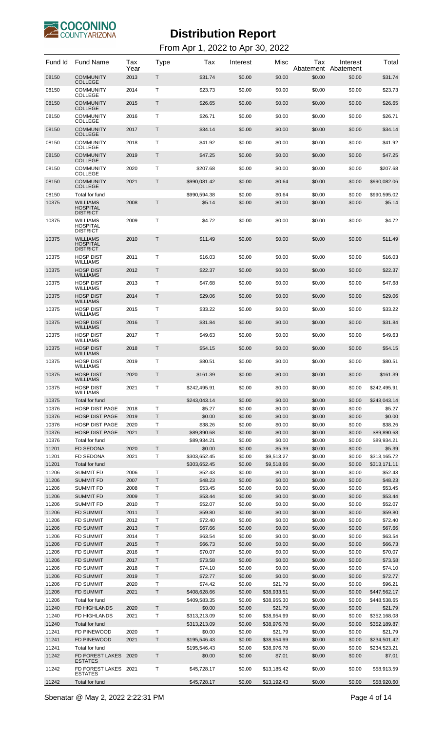

| Fund Id        | <b>Fund Name</b>                                         | Tax<br>Year  | Type         | Tax                          | Interest         | Misc                       | Тах<br>Abatement | Interest<br>Abatement | Total                        |
|----------------|----------------------------------------------------------|--------------|--------------|------------------------------|------------------|----------------------------|------------------|-----------------------|------------------------------|
| 08150          | <b>COMMUNITY</b><br><b>COLLEGE</b>                       | 2013         | Τ            | \$31.74                      | \$0.00           | \$0.00                     | \$0.00           | \$0.00                | \$31.74                      |
| 08150          | <b>COMMUNITY</b><br><b>COLLEGE</b>                       | 2014         | Τ            | \$23.73                      | \$0.00           | \$0.00                     | \$0.00           | \$0.00                | \$23.73                      |
| 08150          | <b>COMMUNITY</b><br><b>COLLEGE</b>                       | 2015         | Τ            | \$26.65                      | \$0.00           | \$0.00                     | \$0.00           | \$0.00                | \$26.65                      |
| 08150          | <b>COMMUNITY</b><br><b>COLLEGE</b>                       | 2016         | Τ            | \$26.71                      | \$0.00           | \$0.00                     | \$0.00           | \$0.00                | \$26.71                      |
| 08150          | <b>COMMUNITY</b><br><b>COLLEGE</b>                       | 2017         | Τ            | \$34.14                      | \$0.00           | \$0.00                     | \$0.00           | \$0.00                | \$34.14                      |
| 08150          | <b>COMMUNITY</b>                                         | 2018         | Τ            | \$41.92                      | \$0.00           | \$0.00                     | \$0.00           | \$0.00                | \$41.92                      |
| 08150          | <b>COLLEGE</b><br><b>COMMUNITY</b>                       | 2019         | Τ            | \$47.25                      | \$0.00           | \$0.00                     | \$0.00           | \$0.00                | \$47.25                      |
| 08150          | <b>COLLEGE</b><br><b>COMMUNITY</b>                       | 2020         | Τ            | \$207.68                     | \$0.00           | \$0.00                     | \$0.00           | \$0.00                | \$207.68                     |
| 08150          | <b>COLLEGE</b><br><b>COMMUNITY</b>                       | 2021         | Τ            | \$990,081.42                 | \$0.00           | \$0.64                     | \$0.00           | \$0.00                | \$990,082.06                 |
| 08150          | <b>COLLEGE</b><br>Total for fund                         |              |              | \$990,594.38                 | \$0.00           | \$0.64                     | \$0.00           | \$0.00                | \$990,595.02                 |
| 10375          | <b>WILLIAMS</b><br><b>HOSPITAL</b><br><b>DISTRICT</b>    | 2008         | Т            | \$5.14                       | \$0.00           | \$0.00                     | \$0.00           | \$0.00                | \$5.14                       |
| 10375          | <b>WILLIAMS</b><br><b>HOSPITAL</b><br><b>DISTRICT</b>    | 2009         | Т            | \$4.72                       | \$0.00           | \$0.00                     | \$0.00           | \$0.00                | \$4.72                       |
| 10375          | <b>WILLIAMS</b><br><b>HOSPITAL</b><br><b>DISTRICT</b>    | 2010         | Τ            | \$11.49                      | \$0.00           | \$0.00                     | \$0.00           | \$0.00                | \$11.49                      |
| 10375          | <b>HOSP DIST</b><br>WILLIAMS                             | 2011         | Т            | \$16.03                      | \$0.00           | \$0.00                     | \$0.00           | \$0.00                | \$16.03                      |
| 10375          | <b>HOSP DIST</b><br><b>WILLIAMS</b>                      | 2012         | Τ            | \$22.37                      | \$0.00           | \$0.00                     | \$0.00           | \$0.00                | \$22.37                      |
| 10375          | <b>HOSP DIST</b><br>WILLIAMS                             | 2013         | Т            | \$47.68                      | \$0.00           | \$0.00                     | \$0.00           | \$0.00                | \$47.68                      |
| 10375          | <b>HOSP DIST</b><br><b>WILLIAMS</b>                      | 2014         | Τ            | \$29.06                      | \$0.00           | \$0.00                     | \$0.00           | \$0.00                | \$29.06                      |
| 10375          | <b>HOSP DIST</b><br>WILLIAMS                             | 2015         | Т            | \$33.22                      | \$0.00           | \$0.00                     | \$0.00           | \$0.00                | \$33.22                      |
| 10375          | <b>HOSP DIST</b>                                         | 2016         | Τ            | \$31.84                      | \$0.00           | \$0.00                     | \$0.00           | \$0.00                | \$31.84                      |
| 10375          | <b>WILLIAMS</b><br><b>HOSP DIST</b>                      | 2017         | Т            | \$49.63                      | \$0.00           | \$0.00                     | \$0.00           | \$0.00                | \$49.63                      |
| 10375          | WILLIAMS<br><b>HOSP DIST</b>                             | 2018         | Τ            | \$54.15                      | \$0.00           | \$0.00                     | \$0.00           | \$0.00                | \$54.15                      |
| 10375          | <b>WILLIAMS</b><br><b>HOSP DIST</b>                      | 2019         | Т            | \$80.51                      | \$0.00           | \$0.00                     | \$0.00           | \$0.00                | \$80.51                      |
| 10375          | WILLIAMS<br><b>HOSP DIST</b>                             | 2020         | T            | \$161.39                     | \$0.00           | \$0.00                     | \$0.00           | \$0.00                | \$161.39                     |
| 10375          | WILL LAMS<br><b>HOSP DIST</b>                            | 2021         | $\mathsf{T}$ | \$242,495.91                 | \$0.00           | \$0.00                     | \$0.00           | \$0.00                | \$242,495.91                 |
| 10375          | <b>WILLIAMS</b><br>Total for fund                        |              |              | \$243.043.14                 | \$0.00           | \$0.00                     | \$0.00           | \$0.00                | \$243,043.14                 |
| 10376          | <b>HOSP DIST PAGE</b>                                    | 2018         | T            | \$5.27                       | \$0.00           | \$0.00                     | \$0.00           | \$0.00                | \$5.27                       |
| 10376          | <b>HOSP DIST PAGE</b>                                    | 2019         | T            | \$0.00                       | \$0.00           | \$0.00                     | \$0.00           | \$0.00                | \$0.00                       |
| 10376<br>10376 | <b>HOSP DIST PAGE</b><br><b>HOSP DIST PAGE</b>           | 2020<br>2021 | T<br>T       | \$38.26<br>\$89,890.68       | \$0.00<br>\$0.00 | \$0.00<br>\$0.00           | \$0.00<br>\$0.00 | \$0.00<br>\$0.00      | \$38.26<br>\$89.890.68       |
| 10376          | Total for fund                                           |              |              | \$89,934.21                  | \$0.00           | \$0.00                     | \$0.00           | \$0.00                | \$89,934.21                  |
| 11201          | <b>FD SEDONA</b>                                         | 2020         | $\mathsf{T}$ | \$0.00                       | \$0.00           | \$5.39                     | \$0.00           | \$0.00                | \$5.39                       |
| 11201          | <b>FD SEDONA</b>                                         | 2021         | Τ            | \$303,652.45                 | \$0.00           | \$9,513.27                 | \$0.00           | \$0.00                | \$313,165.72                 |
| 11201          | Total for fund                                           |              |              | \$303.652.45                 | \$0.00           | \$9,518.66                 | \$0.00           | \$0.00                | \$313,171.11                 |
| 11206          | <b>SUMMIT FD</b>                                         | 2006         | T            | \$52.43                      | \$0.00           | \$0.00                     | \$0.00           | \$0.00                | \$52.43                      |
| 11206          | <b>SUMMIT FD</b>                                         | 2007         | T            | \$48.23                      | \$0.00           | \$0.00                     | \$0.00           | \$0.00                | \$48.23                      |
| 11206          | <b>SUMMIT FD</b>                                         | 2008         | Τ            | \$53.45                      | \$0.00           | \$0.00                     | \$0.00           | \$0.00                | \$53.45                      |
| 11206<br>11206 | <b>SUMMIT FD</b><br><b>SUMMIT FD</b>                     | 2009<br>2010 | T<br>Т       | \$53.44<br>\$52.07           | \$0.00<br>\$0.00 | \$0.00<br>\$0.00           | \$0.00<br>\$0.00 | \$0.00<br>\$0.00      | \$53.44<br>\$52.07           |
| 11206          | <b>FD SUMMIT</b>                                         | 2011         | T.           | \$59.80                      | \$0.00           | \$0.00                     | \$0.00           | \$0.00                | \$59.80                      |
| 11206          | <b>FD SUMMIT</b>                                         | 2012         | T            | \$72.40                      | \$0.00           | \$0.00                     | \$0.00           | \$0.00                | \$72.40                      |
| 11206          | <b>FD SUMMIT</b>                                         | 2013         | T            | \$67.66                      | \$0.00           | \$0.00                     | \$0.00           | \$0.00                | \$67.66                      |
| 11206          | <b>FD SUMMIT</b>                                         | 2014         | Т            | \$63.54                      | \$0.00           | \$0.00                     | \$0.00           | \$0.00                | \$63.54                      |
| 11206          | <b>FD SUMMIT</b>                                         | 2015         | $\mathsf{T}$ | \$66.73                      | \$0.00           | \$0.00                     | \$0.00           | \$0.00                | \$66.73                      |
| 11206          | <b>FD SUMMIT</b>                                         | 2016         | Τ            | \$70.07                      | \$0.00           | \$0.00                     | \$0.00           | \$0.00                | \$70.07                      |
| 11206          | <b>FD SUMMIT</b>                                         | 2017         | T.           | \$73.58                      | \$0.00           | \$0.00                     | \$0.00           | \$0.00                | \$73.58                      |
| 11206<br>11206 | <b>FD SUMMIT</b><br><b>FD SUMMIT</b>                     | 2018<br>2019 | $\top$<br>T  | \$74.10<br>\$72.77           | \$0.00<br>\$0.00 | \$0.00<br>\$0.00           | \$0.00<br>\$0.00 | \$0.00<br>\$0.00      | \$74.10<br>\$72.77           |
| 11206          | <b>FD SUMMIT</b>                                         | 2020         | Т            | \$74.42                      | \$0.00           | \$21.79                    | \$0.00           | \$0.00                | \$96.21                      |
| 11206          | <b>FD SUMMIT</b>                                         | 2021         | $\mathsf{T}$ | \$408,628.66                 | \$0.00           | \$38,933.51                | \$0.00           | \$0.00                | \$447,562.17                 |
| 11206          | Total for fund                                           |              |              | \$409,583.35                 | \$0.00           | \$38,955.30                | \$0.00           | \$0.00                | \$448,538.65                 |
| 11240          | FD HIGHLANDS                                             | 2020         | $\mathsf{T}$ | \$0.00                       | \$0.00           | \$21.79                    | \$0.00           | \$0.00                | \$21.79                      |
| 11240          | FD HIGHLANDS                                             | 2021         | $\top$       | \$313,213.09                 | \$0.00           | \$38,954.99                | \$0.00           | \$0.00                | \$352,168.08                 |
| 11240          | Total for fund                                           |              |              | \$313,213.09                 | \$0.00           | \$38,976.78                | \$0.00           | \$0.00                | \$352,189.87                 |
| 11241          | FD PINEWOOD                                              | 2020         | Τ            | \$0.00                       | \$0.00           | \$21.79                    | \$0.00           | \$0.00                | \$21.79                      |
| 11241<br>11241 | FD PINEWOOD<br>Total for fund                            | 2021         | $\mathsf{T}$ | \$195,546.43<br>\$195,546.43 | \$0.00<br>\$0.00 | \$38,954.99<br>\$38,976.78 | \$0.00<br>\$0.00 | \$0.00<br>\$0.00      | \$234,501.42<br>\$234,523.21 |
| 11242          | FD FOREST LAKES                                          | 2020         | Τ            | \$0.00                       | \$0.00           | \$7.01                     | \$0.00           | \$0.00                | \$7.01                       |
| 11242          | <b>ESTATES</b><br>FD FOREST LAKES 2021<br><b>ESTATES</b> |              | т            | \$45,728.17                  | \$0.00           | \$13,185.42                | \$0.00           | \$0.00                | \$58,913.59                  |
| 11242          | Total for fund                                           |              |              | \$45,728.17                  | \$0.00           | \$13,192.43                | \$0.00           | \$0.00                | \$58,920.60                  |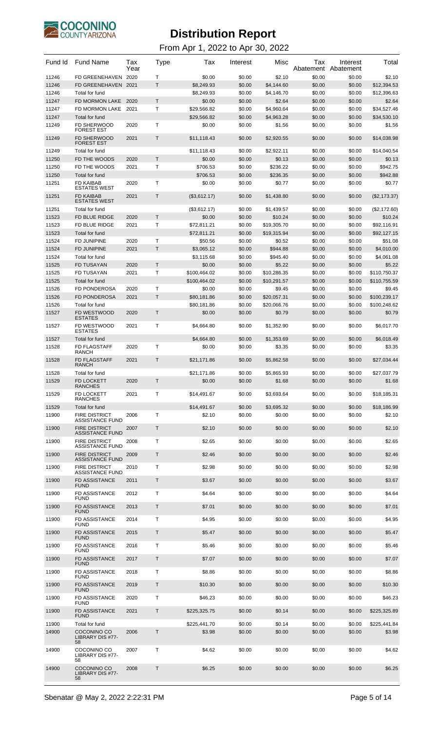

| Fund Id        | <b>Fund Name</b>                                                         | Tax<br>Year | Type    | Tax                        | Interest         | Misc                       | Tax              | Interest<br>Abatement Abatement | Total                      |
|----------------|--------------------------------------------------------------------------|-------------|---------|----------------------------|------------------|----------------------------|------------------|---------------------------------|----------------------------|
| 11246          | FD GREENEHAVEN                                                           | 2020        | T       | \$0.00                     | \$0.00           | \$2.10                     | \$0.00           | \$0.00                          | \$2.10                     |
| 11246          | FD GREENEHAVEN 2021                                                      |             | T.      | \$8,249.93                 | \$0.00           | \$4,144.60                 | \$0.00           | \$0.00                          | \$12,394.53                |
| 11246          | Total for fund                                                           |             |         | \$8,249.93                 | \$0.00           | \$4,146.70                 | \$0.00           | \$0.00                          | \$12,396.63                |
| 11247          | FD MORMON LAKE                                                           | 2020        | T.<br>T | \$0.00                     | \$0.00           | \$2.64                     | \$0.00           | \$0.00                          | \$2.64                     |
| 11247<br>11247 | FD MORMON LAKE<br>Total for fund                                         | 2021        |         | \$29,566.82<br>\$29,566.82 | \$0.00<br>\$0.00 | \$4,960.64<br>\$4,963.28   | \$0.00<br>\$0.00 | \$0.00<br>\$0.00                | \$34,527.46<br>\$34,530.10 |
| 11249          | FD SHERWOOD<br><b>FOREST EST</b>                                         | 2020        | т       | \$0.00                     | \$0.00           | \$1.56                     | \$0.00           | \$0.00                          | \$1.56                     |
| 11249          | <b>FD SHERWOOD</b><br><b>FOREST EST</b>                                  | 2021        | Τ       | \$11,118.43                | \$0.00           | \$2,920.55                 | \$0.00           | \$0.00                          | \$14,038.98                |
| 11249          | Total for fund                                                           |             |         | \$11,118.43                | \$0.00           | \$2,922.11                 | \$0.00           | \$0.00                          | \$14,040.54                |
| 11250          | FD THE WOODS                                                             | 2020        | T       | \$0.00                     | \$0.00           | \$0.13                     | \$0.00           | \$0.00                          | \$0.13                     |
| 11250          | FD THE WOODS                                                             | 2021        | T       | \$706.53                   | \$0.00           | \$236.22                   | \$0.00           | \$0.00                          | \$942.75                   |
| 11250          | Total for fund                                                           |             | T       | \$706.53                   | \$0.00           | \$236.35                   | \$0.00           | \$0.00                          | \$942.88                   |
| 11251          | FD KAIBAB<br><b>ESTATES WEST</b>                                         | 2020        |         | \$0.00                     | \$0.00           | \$0.77                     | \$0.00           | \$0.00                          | \$0.77                     |
| 11251          | <b>FD KAIBAB</b><br><b>ESTATES WEST</b>                                  | 2021        | Т       | (\$3,612.17)               | \$0.00           | \$1,438.80                 | \$0.00           | \$0.00                          | (\$2,173.37)               |
| 11251          | Total for fund                                                           |             |         | (\$3,612.17)               | \$0.00           | \$1,439.57                 | \$0.00           | \$0.00                          | (\$2,172.60)               |
| 11523          | FD BLUE RIDGE                                                            | 2020        | T       | \$0.00                     | \$0.00           | \$10.24                    | \$0.00           | \$0.00                          | \$10.24                    |
| 11523<br>11523 | FD BLUE RIDGE<br>Total for fund                                          | 2021        | т       | \$72,811.21<br>\$72,811.21 | \$0.00<br>\$0.00 | \$19,305.70<br>\$19,315.94 | \$0.00<br>\$0.00 | \$0.00<br>\$0.00                | \$92,116.91<br>\$92,127.15 |
| 11524          | FD JUNIPINE                                                              | 2020        | T       | \$50.56                    | \$0.00           | \$0.52                     | \$0.00           | \$0.00                          | \$51.08                    |
| 11524          | <b>FD JUNIPINE</b>                                                       | 2021        | Τ       | \$3,065.12                 | \$0.00           | \$944.88                   | \$0.00           | \$0.00                          | \$4,010.00                 |
| 11524          | Total for fund                                                           |             |         | \$3,115.68                 | \$0.00           | \$945.40                   | \$0.00           | \$0.00                          | \$4,061.08                 |
| 11525          | <b>FD TUSAYAN</b>                                                        | 2020        | T       | \$0.00                     | \$0.00           | \$5.22                     | \$0.00           | \$0.00                          | \$5.22                     |
| 11525          | FD TUSAYAN                                                               | 2021        | т       | \$100,464.02               | \$0.00           | \$10,286.35                | \$0.00           | \$0.00                          | \$110,750.37               |
| 11525          | Total for fund                                                           |             |         | \$100,464.02               | \$0.00           | \$10,291.57                | \$0.00           | \$0.00                          | \$110,755.59               |
| 11526          | FD PONDEROSA                                                             | 2020        | T       | \$0.00                     | \$0.00           | \$9.45                     | \$0.00           | \$0.00                          | \$9.45                     |
| 11526          | <b>FD PONDEROSA</b>                                                      | 2021        | T.      | \$80,181.86                | \$0.00           | \$20,057.31                | \$0.00           | \$0.00                          | \$100,239.17               |
| 11526          | Total for fund                                                           |             |         | \$80,181.86                | \$0.00           | \$20,066.76                | \$0.00           | \$0.00                          | \$100,248.62               |
| 11527          | FD WESTWOOD<br><b>ESTATES</b>                                            | 2020        | T       | \$0.00                     | \$0.00           | \$0.79                     | \$0.00           | \$0.00                          | \$0.79                     |
| 11527          | FD WESTWOOD<br><b>ESTATES</b>                                            | 2021        | T       | \$4,664.80                 | \$0.00           | \$1,352.90                 | \$0.00           | \$0.00                          | \$6,017.70                 |
| 11527          | Total for fund                                                           |             |         | \$4,664.80                 | \$0.00           | \$1,353.69                 | \$0.00           | \$0.00                          | \$6.018.49                 |
| 11528          | FD FLAGSTAFF<br><b>RANCH</b>                                             | 2020        | т       | \$0.00                     | \$0.00           | \$3.35                     | \$0.00           | \$0.00                          | \$3.35                     |
| 11528          | <b>FD FLAGSTAFF</b><br>RANCH                                             | 2021        | Т       | \$21,171.86                | \$0.00           | \$5,862.58                 | \$0.00           | \$0.00                          | \$27,034.44                |
| 11528<br>11529 | Total for fund<br>FD LOCKETT<br><b>RANCHES</b>                           | 2020        |         | \$21,171.86<br>\$0.00      | \$0.00<br>\$0.00 | \$5,865.93<br>\$1.68       | \$0.00<br>\$0.00 | \$0.00<br>\$0.00                | \$27,037.79<br>\$1.68      |
| 11529          | FD LOCKETT<br>RANCHES                                                    | 2021        | T       | \$14,491.67                | \$0.00           | \$3.693.64                 | \$0.00           | \$0.00                          | \$18,185.31                |
| 11529          | Total for fund                                                           |             |         | \$14,491.67                | \$0.00           | \$3,695.32                 | \$0.00           | \$0.00                          | \$18,186.99                |
| 11900          | <b>FIRE DISTRICT</b>                                                     | 2006        | T       | \$2.10                     | \$0.00           | \$0.00                     | \$0.00           | \$0.00                          | \$2.10                     |
| 11900          | <b>ASSISTANCE FUND</b><br><b>FIRE DISTRICT</b><br><b>ASSISTANCE FUND</b> | 2007        | T       | \$2.10                     | \$0.00           | \$0.00                     | \$0.00           | \$0.00                          | \$2.10                     |
| 11900          | <b>FIRE DISTRICT</b><br><b>ASSISTANCE FUND</b>                           | 2008        | T.      | \$2.65                     | \$0.00           | \$0.00                     | \$0.00           | \$0.00                          | \$2.65                     |
| 11900          | <b>FIRE DISTRICT</b><br><b>ASSISTANCE FUND</b>                           | 2009        | T       | \$2.46                     | \$0.00           | \$0.00                     | \$0.00           | \$0.00                          | \$2.46                     |
| 11900          | <b>FIRE DISTRICT</b><br><b>ASSISTANCE FUND</b>                           | 2010        | T.      | \$2.98                     | \$0.00           | \$0.00                     | \$0.00           | \$0.00                          | \$2.98                     |
| 11900          | <b>FD ASSISTANCE</b><br><b>FUND</b>                                      | 2011        | T       | \$3.67                     | \$0.00           | \$0.00                     | \$0.00           | \$0.00                          | \$3.67                     |
| 11900          | FD ASSISTANCE<br><b>FUND</b>                                             | 2012        | Τ       | \$4.64                     | \$0.00           | \$0.00                     | \$0.00           | \$0.00                          | \$4.64                     |
| 11900          | <b>FD ASSISTANCE</b><br><b>FUND</b>                                      | 2013        | T       | \$7.01                     | \$0.00           | \$0.00                     | \$0.00           | \$0.00                          | \$7.01                     |
| 11900          | FD ASSISTANCE<br><b>FUND</b>                                             | 2014        | T.      | \$4.95                     | \$0.00           | \$0.00                     | \$0.00           | \$0.00                          | \$4.95                     |
| 11900          | <b>FD ASSISTANCE</b>                                                     | 2015        | T       | \$5.47                     | \$0.00           | \$0.00                     | \$0.00           | \$0.00                          | \$5.47                     |
| 11900          | <b>FUND</b><br>FD ASSISTANCE<br>FUND                                     | 2016        | T.      | \$5.46                     | \$0.00           | \$0.00                     | \$0.00           | \$0.00                          | \$5.46                     |
| 11900          | <b>FD ASSISTANCE</b>                                                     | 2017        | T       | \$7.07                     | \$0.00           | \$0.00                     | \$0.00           | \$0.00                          | \$7.07                     |
| 11900          | <b>FUND</b><br>FD ASSISTANCE<br>FUND                                     | 2018        | Τ       | \$8.86                     | \$0.00           | \$0.00                     | \$0.00           | \$0.00                          | \$8.86                     |
| 11900          | <b>FD ASSISTANCE</b>                                                     | 2019        | T       | \$10.30                    | \$0.00           | \$0.00                     | \$0.00           | \$0.00                          | \$10.30                    |
| 11900          | <b>FUND</b><br>FD ASSISTANCE<br><b>FUND</b>                              | 2020        | T.      | \$46.23                    | \$0.00           | \$0.00                     | \$0.00           | \$0.00                          | \$46.23                    |
| 11900          | <b>FD ASSISTANCE</b>                                                     | 2021        | T       | \$225,325.75               | \$0.00           | \$0.14                     | \$0.00           | \$0.00                          | \$225,325.89               |
| 11900          | <b>FUND</b><br>Total for fund                                            |             |         | \$225,441.70               | \$0.00           | \$0.14                     | \$0.00           | \$0.00                          | \$225,441.84               |
| 14900          | COCONINO CO                                                              | 2006        | Τ       | \$3.98                     | \$0.00           | \$0.00                     | \$0.00           | \$0.00                          | \$3.98                     |
|                | LIBRARY DIS #77-<br>58                                                   |             |         |                            |                  |                            |                  |                                 |                            |
| 14900          | COCONINO CO<br>LIBRARY DIS #77-<br>58                                    | 2007        | т       | \$4.62                     | \$0.00           | \$0.00                     | \$0.00           | \$0.00                          | \$4.62                     |
| 14900          | COCONINO CO<br>LIBRARY DIS #77-<br>58                                    | 2008        | Τ       | \$6.25                     | \$0.00           | \$0.00                     | \$0.00           | \$0.00                          | \$6.25                     |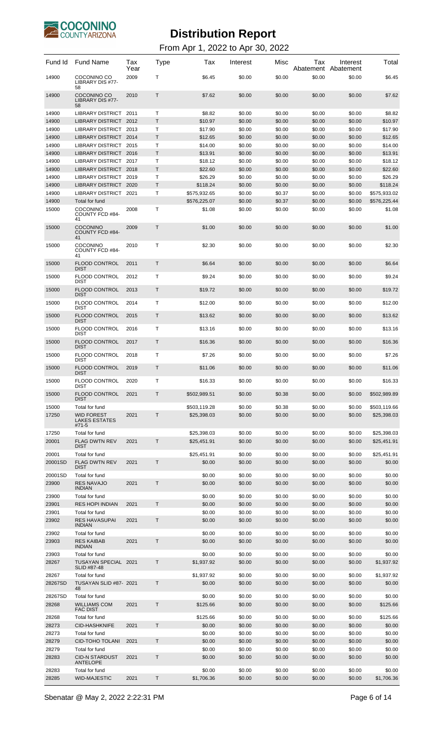

| Fund Id          | <b>Fund Name</b>                                         | Tax<br>Year  | Type         | Tax                  | Interest         | Misc             | Тах<br>Abatement | Interest<br>Abatement | Total                |
|------------------|----------------------------------------------------------|--------------|--------------|----------------------|------------------|------------------|------------------|-----------------------|----------------------|
| 14900            | COCONINO CO<br>LIBRARY DIS #77-<br>58                    | 2009         | Т            | \$6.45               | \$0.00           | \$0.00           | \$0.00           | \$0.00                | \$6.45               |
| 14900            | COCONINO CO<br>LIBRARY DIS #77-<br>58                    | 2010         | T.           | \$7.62               | \$0.00           | \$0.00           | \$0.00           | \$0.00                | \$7.62               |
| 14900            | LIBRARY DISTRICT 2011                                    |              | т            | \$8.82               | \$0.00           | \$0.00           | \$0.00           | \$0.00                | \$8.82               |
| 14900            | LIBRARY DISTRICT 2012                                    |              | T            | \$10.97              | \$0.00           | \$0.00           | \$0.00           | \$0.00                | \$10.97              |
| 14900            | LIBRARY DISTRICT 2013                                    |              | Т            | \$17.90              | \$0.00           | \$0.00           | \$0.00           | \$0.00                | \$17.90              |
| 14900            | LIBRARY DISTRICT 2014                                    |              | T            | \$12.65              | \$0.00           | \$0.00           | \$0.00           | \$0.00                | \$12.65              |
| 14900            | LIBRARY DISTRICT                                         | 2015         | T            | \$14.00              | \$0.00           | \$0.00           | \$0.00           | \$0.00                | \$14.00              |
| 14900<br>14900   | LIBRARY DISTRICT 2016<br>LIBRARY DISTRICT 2017           |              | T<br>Τ       | \$13.91<br>\$18.12   | \$0.00<br>\$0.00 | \$0.00<br>\$0.00 | \$0.00<br>\$0.00 | \$0.00<br>\$0.00      | \$13.91<br>\$18.12   |
| 14900            | LIBRARY DISTRICT 2018                                    |              | T            | \$22.60              | \$0.00           | \$0.00           | \$0.00           | \$0.00                | \$22.60              |
| 14900            | LIBRARY DISTRICT 2019                                    |              | Т            | \$26.29              | \$0.00           | \$0.00           | \$0.00           | \$0.00                | \$26.29              |
| 14900            | <b>LIBRARY DISTRICT</b>                                  | 2020         | T            | \$118.24             | \$0.00           | \$0.00           | \$0.00           | \$0.00                | \$118.24             |
| 14900            | <b>LIBRARY DISTRICT</b>                                  | 2021         | Т            | \$575,932.65         | \$0.00           | \$0.37           | \$0.00           | \$0.00                | \$575,933.02         |
| 14900            | Total for fund                                           |              |              | \$576.225.07         | \$0.00           | \$0.37           | \$0.00           | \$0.00                | \$576.225.44         |
| 15000            | <b>COCONINO</b><br>COUNTY FCD #84-<br>41                 | 2008         | Т            | \$1.08               | \$0.00           | \$0.00           | \$0.00           | \$0.00                | \$1.08               |
| 15000            | COCONINO<br>COUNTY FCD #84-<br>41                        | 2009         | $\mathsf{T}$ | \$1.00               | \$0.00           | \$0.00           | \$0.00           | \$0.00                | \$1.00               |
| 15000            | COCONINO<br>COUNTY FCD #84-<br>41                        | 2010         | Т            | \$2.30               | \$0.00           | \$0.00           | \$0.00           | \$0.00                | \$2.30               |
| 15000            | <b>FLOOD CONTROL</b><br><b>DIST</b>                      | 2011         | Τ            | \$6.64               | \$0.00           | \$0.00           | \$0.00           | \$0.00                | \$6.64               |
| 15000            | <b>FLOOD CONTROL</b><br><b>DIST</b>                      | 2012         | т            | \$9.24               | \$0.00           | \$0.00           | \$0.00           | \$0.00                | \$9.24               |
| 15000            | <b>FLOOD CONTROL</b><br><b>DIST</b>                      | 2013         | Т            | \$19.72              | \$0.00           | \$0.00           | \$0.00           | \$0.00                | \$19.72              |
| 15000            | <b>FLOOD CONTROL</b><br><b>DIST</b>                      | 2014         | Т            | \$12.00              | \$0.00           | \$0.00           | \$0.00           | \$0.00                | \$12.00              |
| 15000            | <b>FLOOD CONTROL</b><br><b>DIST</b>                      | 2015         | Т            | \$13.62              | \$0.00           | \$0.00           | \$0.00           | \$0.00                | \$13.62              |
| 15000            | <b>FLOOD CONTROL</b><br>DIST                             | 2016         | т            | \$13.16              | \$0.00           | \$0.00           | \$0.00           | \$0.00                | \$13.16              |
| 15000            | <b>FLOOD CONTROL</b><br><b>DIST</b>                      | 2017         | Т            | \$16.36              | \$0.00           | \$0.00           | \$0.00           | \$0.00                | \$16.36              |
| 15000<br>15000   | <b>FLOOD CONTROL</b><br>DIST<br><b>FLOOD CONTROL</b>     | 2018<br>2019 | т<br>T       | \$7.26<br>\$11.06    | \$0.00<br>\$0.00 | \$0.00<br>\$0.00 | \$0.00           | \$0.00                | \$7.26               |
| 15000            | <b>DIST</b><br>FLOOD CONTROL                             | 2020         | T            | \$16.33              | \$0.00           | \$0.00           | \$0.00<br>\$0.00 | \$0.00<br>\$0.00      | \$11.06<br>\$16.33   |
| 15000            | DIST<br><b>FLOOD CONTROL</b>                             | 2021         | Τ            | \$502,989.51         | \$0.00           | \$0.38           | \$0.00           | \$0.00                | \$502,989.89         |
| 15000            | <b>DIST</b><br>Total for fund                            |              |              | \$503,119.28         | \$0.00           | \$0.38           | \$0.00           | \$0.00                | \$503,119.66         |
| 17250            | <b>WID FOREST</b><br><b>LAKES ESTATES</b><br>#71-5       | 2021         | Τ            | \$25.398.03          | \$0.00           | \$0.00           | \$0.00           | \$0.00                | \$25,398.03          |
| 17250            | Total for fund                                           |              |              | \$25,398.03          | \$0.00           | \$0.00           | \$0.00           | \$0.00                | \$25,398.03          |
| 20001            | <b>FLAG DWTN REV</b><br><b>DIST</b>                      | 2021         | Τ            | \$25,451.91          | \$0.00           | \$0.00           | \$0.00           | \$0.00                | \$25,451.91          |
| 20001            | Total for fund                                           |              |              | \$25,451.91          | \$0.00           | \$0.00           | \$0.00           | \$0.00                | \$25,451.91          |
| 20001SD          | <b>FLAG DWTN REV</b><br><b>DIST</b>                      | 2021         | T            | \$0.00               | \$0.00           | \$0.00           | \$0.00           | \$0.00                | \$0.00               |
| 20001SD          | Total for fund<br><b>RES NAVAJO</b>                      |              |              | \$0.00               | \$0.00           | \$0.00           | \$0.00           | \$0.00                | \$0.00               |
| 23900            | <b>INDIAN</b>                                            | 2021         | Т            | \$0.00               | \$0.00           | \$0.00           | \$0.00           | \$0.00                | \$0.00               |
| 23900            | Total for fund                                           |              |              | \$0.00               | \$0.00           | \$0.00           | \$0.00           | \$0.00                | \$0.00               |
| 23901            | <b>RES HOPI INDIAN</b>                                   | 2021         | T            | \$0.00               | \$0.00           | \$0.00           | \$0.00           | \$0.00                | \$0.00               |
| 23901            | Total for fund                                           |              |              | \$0.00               | \$0.00           | \$0.00           | \$0.00           | \$0.00                | \$0.00               |
| 23902            | <b>RES HAVASUPAI</b><br><b>INDIAN</b>                    | 2021         | Τ            | \$0.00               | \$0.00           | \$0.00           | \$0.00           | \$0.00                | \$0.00               |
| 23902<br>23903   | Total for fund<br><b>RES KAIBAB</b>                      | 2021         | T            | \$0.00<br>\$0.00     | \$0.00<br>\$0.00 | \$0.00<br>\$0.00 | \$0.00<br>\$0.00 | \$0.00<br>\$0.00      | \$0.00<br>\$0.00     |
| 23903            | <b>INDIAN</b><br>Total for fund                          |              |              | \$0.00               | \$0.00           | \$0.00           | \$0.00           | \$0.00                | \$0.00               |
| 28267            | TUSAYAN SPECIAL                                          | 2021         | Т            | \$1,937.92           | \$0.00           | \$0.00           | \$0.00           | \$0.00                | \$1,937.92           |
|                  | SLID #87-48                                              |              |              |                      |                  |                  |                  |                       |                      |
| 28267<br>28267SD | Total for fund<br>TUSAYAN SLID #87- 2021                 |              | T            | \$1,937.92<br>\$0.00 | \$0.00<br>\$0.00 | \$0.00<br>\$0.00 | \$0.00<br>\$0.00 | \$0.00<br>\$0.00      | \$1,937.92<br>\$0.00 |
|                  | 48                                                       |              |              |                      |                  |                  |                  |                       |                      |
| 28267SD<br>28268 | Total for fund<br><b>WILLIAMS COM</b><br><b>FAC DIST</b> | 2021         | T            | \$0.00<br>\$125.66   | \$0.00<br>\$0.00 | \$0.00<br>\$0.00 | \$0.00<br>\$0.00 | \$0.00<br>\$0.00      | \$0.00<br>\$125.66   |
| 28268            | Total for fund                                           |              |              | \$125.66             | \$0.00           | \$0.00           | \$0.00           | \$0.00                | \$125.66             |
| 28273            | <b>CID-HASHKNIFE</b>                                     | 2021         | T            | \$0.00               | \$0.00           | \$0.00           | \$0.00           | \$0.00                | \$0.00               |
| 28273            | Total for fund                                           |              |              | \$0.00               | \$0.00           | \$0.00           | \$0.00           | \$0.00                | \$0.00               |
| 28279            | <b>CID-TOHO TOLANI</b>                                   | 2021         | T.           | \$0.00               | \$0.00           | \$0.00           | \$0.00           | \$0.00                | \$0.00               |
| 28279            | Total for fund                                           |              |              | \$0.00               | \$0.00           | \$0.00           | \$0.00           | \$0.00                | \$0.00               |
| 28283            | <b>CID-N STARDUST</b><br><b>ANTELOPE</b>                 | 2021         | Т            | \$0.00               | \$0.00           | \$0.00           | \$0.00           | \$0.00                | \$0.00               |
| 28283            | Total for fund                                           |              |              | \$0.00               | \$0.00           | \$0.00           | \$0.00           | \$0.00                | \$0.00               |
| 28285            | <b>WID-MAJESTIC</b>                                      | 2021         | Т            | \$1,706.36           | \$0.00           | \$0.00           | \$0.00           | \$0.00                | \$1,706.36           |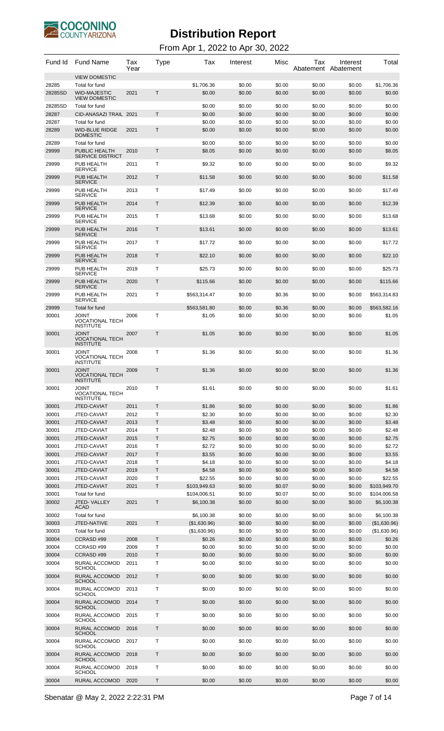

| Fund Id          | <b>Fund Name</b>                                              | Tax<br>Year | Type         | Tax                  | Interest         | Misc             | Тах<br>Abatement | Interest<br>Abatement | Total                |
|------------------|---------------------------------------------------------------|-------------|--------------|----------------------|------------------|------------------|------------------|-----------------------|----------------------|
|                  | <b>VIEW DOMESTIC</b>                                          |             |              |                      |                  |                  |                  |                       |                      |
| 28285<br>28285SD | Total for fund<br><b>WID-MAJESTIC</b><br><b>VIEW DOMESTIC</b> | 2021        | Τ            | \$1,706.36<br>\$0.00 | \$0.00<br>\$0.00 | \$0.00<br>\$0.00 | \$0.00<br>\$0.00 | \$0.00<br>\$0.00      | \$1,706.36<br>\$0.00 |
| 28285SD          | Total for fund                                                |             |              | \$0.00               | \$0.00           | \$0.00           | \$0.00           | \$0.00                | \$0.00               |
| 28287            | CID-ANASAZI TRAIL 2021                                        |             | T            | \$0.00               | \$0.00           | \$0.00           | \$0.00           | \$0.00                | \$0.00               |
| 28287            | Total for fund                                                |             |              | \$0.00               | \$0.00           | \$0.00           | \$0.00           | \$0.00                | \$0.00               |
| 28289            | <b>WID-BLUE RIDGE</b><br><b>DOMESTIC</b>                      | 2021        | Τ            | \$0.00               | \$0.00           | \$0.00           | \$0.00           | \$0.00                | \$0.00               |
| 28289<br>29999   | Total for fund<br>PUBLIC HEALTH<br><b>SERVICE DISTRICT</b>    | 2010        | Τ            | \$0.00<br>\$8.05     | \$0.00<br>\$0.00 | \$0.00<br>\$0.00 | \$0.00<br>\$0.00 | \$0.00<br>\$0.00      | \$0.00<br>\$8.05     |
| 29999            | PUB HEALTH<br><b>SERVICE</b>                                  | 2011        | Т            | \$9.32               | \$0.00           | \$0.00           | \$0.00           | \$0.00                | \$9.32               |
| 29999            | PUB HEALTH<br><b>SERVICE</b>                                  | 2012        | Τ            | \$11.58              | \$0.00           | \$0.00           | \$0.00           | \$0.00                | \$11.58              |
| 29999            | PUB HEALTH<br><b>SERVICE</b>                                  | 2013        | T            | \$17.49              | \$0.00           | \$0.00           | \$0.00           | \$0.00                | \$17.49              |
| 29999            | PUB HEALTH<br><b>SERVICE</b>                                  | 2014        | Τ            | \$12.39              | \$0.00           | \$0.00           | \$0.00           | \$0.00                | \$12.39              |
| 29999            | PUB HEALTH<br><b>SERVICE</b>                                  | 2015        | Т            | \$13.68              | \$0.00           | \$0.00           | \$0.00           | \$0.00                | \$13.68              |
| 29999            | PUB HEALTH<br><b>SERVICE</b>                                  | 2016        | Τ            | \$13.61              | \$0.00           | \$0.00           | \$0.00           | \$0.00                | \$13.61              |
| 29999            | PUB HEALTH<br><b>SERVICE</b>                                  | 2017        | Т            | \$17.72              | \$0.00           | \$0.00           | \$0.00           | \$0.00                | \$17.72              |
| 29999            | PUB HEALTH<br><b>SERVICE</b>                                  | 2018        | Τ            | \$22.10              | \$0.00           | \$0.00           | \$0.00           | \$0.00                | \$22.10              |
| 29999            | PUB HEALTH<br><b>SERVICE</b>                                  | 2019        | Т            | \$25.73              | \$0.00           | \$0.00           | \$0.00           | \$0.00                | \$25.73              |
| 29999            | PUB HEALTH<br><b>SERVICE</b>                                  | 2020        | Τ            | \$115.66             | \$0.00           | \$0.00           | \$0.00           | \$0.00                | \$115.66             |
| 29999            | PUB HEALTH<br><b>SERVICE</b>                                  | 2021        | т            | \$563,314.47         | \$0.00           | \$0.36           | \$0.00           | \$0.00                | \$563,314.83         |
| 29999            | Total for fund                                                |             |              | \$563,581.80         | \$0.00           | \$0.36           | \$0.00           | \$0.00                | \$563,582.16         |
| 30001            | <b>JOINT</b><br><b>VOCATIONAL TECH</b><br><b>INSTITUTE</b>    | 2006        | Т            | \$1.05               | \$0.00           | \$0.00           | \$0.00           | \$0.00                | \$1.05               |
| 30001            | <b>JOINT</b><br><b>VOCATIONAL TECH</b><br><b>INSTITUTE</b>    | 2007        | Τ            | \$1.05               | \$0.00           | \$0.00           | \$0.00           | \$0.00                | \$1.05               |
| 30001            | <b>JOINT</b><br><b>VOCATIONAL TECH</b><br><b>INSTITUTE</b>    | 2008        | Т            | \$1.36               | \$0.00           | \$0.00           | \$0.00           | \$0.00                | \$1.36               |
| 30001            | <b>JOINT</b><br><b>VOCATIONAL TECH</b><br>INSTITI ITF         | 2009        | T            | \$1.36               | \$0.00           | \$0.00           | \$0.00           | \$0.00                | \$1.36               |
| 30001            | TNIOL<br><b>VOCATIONAL TECH</b><br><b>INSTITUTE</b>           | 2010        | T            | \$1.61               | \$0.00           | \$0.00           | \$0.00           | \$0.00                | \$1.61               |
| 30001            | JTED-CAVIAT                                                   | 2011        | $\mathsf{T}$ | \$1.86               | \$0.00           | \$0.00           | \$0.00           | \$0.00                | \$1.86               |
| 30001            | JTED-CAVIAT                                                   | 2012        | T            | \$2.30               | \$0.00           | \$0.00           | \$0.00           | \$0.00                | \$2.30               |
| 30001            | JTED-CAVIAT                                                   | 2013        | T.           | \$3.48               | \$0.00           | \$0.00           | \$0.00           | \$0.00                | \$3.48               |
| 30001            | JTED-CAVIAT                                                   | 2014        | Т            | \$2.48               | \$0.00           | \$0.00           | \$0.00           | \$0.00                | \$2.48               |
| 30001            | JTED-CAVIAT                                                   | 2015        | T.           | \$2.75               | \$0.00           | \$0.00           | \$0.00           | \$0.00                | \$2.75               |
| 30001            | JTED-CAVIAT                                                   | 2016        | T            | \$2.72               | \$0.00           | \$0.00           | \$0.00           | \$0.00                | \$2.72               |
| 30001            | JTED-CAVIAT                                                   | 2017        | T            | \$3.55               | \$0.00           | \$0.00           | \$0.00           | \$0.00                | \$3.55               |
| 30001            | JTED-CAVIAT                                                   | 2018        | т            | \$4.18               | \$0.00           | \$0.00           | \$0.00           | \$0.00                | \$4.18               |
| 30001            | JTED-CAVIAT                                                   | 2019        | T.           | \$4.58               | \$0.00           | \$0.00           | \$0.00           | \$0.00                | \$4.58               |
| 30001            | JTED-CAVIAT                                                   | 2020        | Т            | \$22.55              | \$0.00           | \$0.00           | \$0.00           | \$0.00                | \$22.55              |
| 30001            | JTED-CAVIAT                                                   | 2021        | T.           | \$103,949.63         | \$0.00           | \$0.07           | \$0.00           | \$0.00                | \$103,949.70         |
| 30001            | Total for fund                                                |             |              | \$104,006.51         | \$0.00           | \$0.07           | \$0.00           | \$0.00                | \$104,006.58         |
| 30002            | JTED-VALLEY<br><b>ACAD</b>                                    | 2021        | Τ            | \$6,100.38           | \$0.00           | \$0.00           | \$0.00           | \$0.00                | \$6,100.38           |
| 30002            | Total for fund                                                |             |              | \$6,100.38           | \$0.00           | \$0.00           | \$0.00           | \$0.00                | \$6,100.38           |
| 30003            | JTED-NATIVE                                                   | 2021        | T.           | (\$1,630.96)         | \$0.00           | \$0.00           | \$0.00           | \$0.00                | (\$1,630.96)         |
| 30003            | Total for fund                                                |             |              | (\$1,630.96)         | \$0.00           | \$0.00           | \$0.00           | \$0.00                | (\$1,630.96)         |
| 30004            | CCRASD#99                                                     | 2008        | T.           | \$0.26               | \$0.00           | \$0.00           | \$0.00           | \$0.00                | \$0.26               |
| 30004            | CCRASD #99                                                    | 2009        | т            | \$0.00               | \$0.00           | \$0.00           | \$0.00           | \$0.00                | \$0.00               |
| 30004            | CCRASD#99                                                     | 2010        | T            | \$0.00               | \$0.00           | \$0.00           | \$0.00           | \$0.00                | \$0.00               |
| 30004            | RURAL ACCOMOD<br><b>SCHOOL</b>                                | 2011        | т            | \$0.00               | \$0.00           | \$0.00           | \$0.00           | \$0.00                | \$0.00               |
| 30004            | RURAL ACCOMOD<br><b>SCHOOL</b>                                | 2012        | Τ            | \$0.00               | \$0.00           | \$0.00           | \$0.00           | \$0.00                | \$0.00               |
| 30004            | RURAL ACCOMOD<br><b>SCHOOL</b>                                | 2013        | Т            | \$0.00               | \$0.00           | \$0.00           | \$0.00           | \$0.00                | \$0.00               |
| 30004            | RURAL ACCOMOD<br><b>SCHOOL</b>                                | 2014        | Τ            | \$0.00               | \$0.00           | \$0.00           | \$0.00           | \$0.00                | \$0.00               |
| 30004            | RURAL ACCOMOD<br><b>SCHOOL</b>                                | 2015        | Τ            | \$0.00               | \$0.00           | \$0.00           | \$0.00           | \$0.00                | \$0.00               |
| 30004            | RURAL ACCOMOD<br><b>SCHOOL</b>                                | 2016        | Τ            | \$0.00               | \$0.00           | \$0.00           | \$0.00           | \$0.00                | \$0.00               |
| 30004            | RURAL ACCOMOD<br><b>SCHOOL</b>                                | 2017        | Т            | \$0.00               | \$0.00           | \$0.00           | \$0.00           | \$0.00                | \$0.00               |
| 30004            | RURAL ACCOMOD<br><b>SCHOOL</b>                                | 2018        | Τ            | \$0.00               | \$0.00           | \$0.00           | \$0.00           | \$0.00                | \$0.00               |
| 30004            | RURAL ACCOMOD<br><b>SCHOOL</b>                                | 2019        | Т            | \$0.00               | \$0.00           | \$0.00           | \$0.00           | \$0.00                | \$0.00               |
| 30004            | <b>RURAL ACCOMOD</b>                                          | 2020        | Τ            | \$0.00               | \$0.00           | \$0.00           | \$0.00           | \$0.00                | \$0.00               |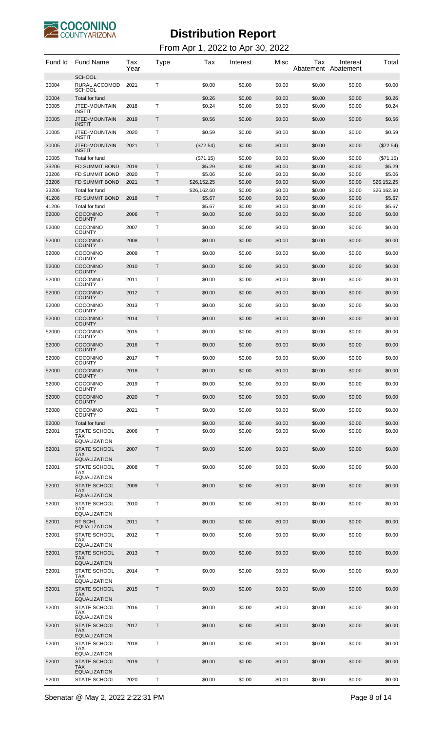

| Fund Id        | <b>Fund Name</b>                                             | Tax<br>Year  | Type         | Tax              | Interest         | Misc             | Tax<br>Abatement Abatement | Interest         | Total            |
|----------------|--------------------------------------------------------------|--------------|--------------|------------------|------------------|------------------|----------------------------|------------------|------------------|
| 30004          | <b>SCHOOL</b><br>RURAL ACCOMOD<br><b>SCHOOL</b>              | 2021         | Т            | \$0.00           | \$0.00           | \$0.00           | \$0.00                     | \$0.00           | \$0.00           |
| 30004          | Total for fund                                               |              |              | \$0.26           | \$0.00           | \$0.00           | \$0.00                     | \$0.00           | \$0.26           |
| 30005          | JTED-MOUNTAIN                                                | 2018         | Τ            | \$0.24           | \$0.00           | \$0.00           | \$0.00                     | \$0.00           | \$0.24           |
| 30005          | <b>INSTIT</b><br>JTED-MOUNTAIN<br><b>INSTIT</b>              | 2019         | $\mathsf{T}$ | \$0.56           | \$0.00           | \$0.00           | \$0.00                     | \$0.00           | \$0.56           |
| 30005          | JTED-MOUNTAIN<br><b>INSTIT</b>                               | 2020         | Τ            | \$0.59           | \$0.00           | \$0.00           | \$0.00                     | \$0.00           | \$0.59           |
| 30005          | JTED-MOUNTAIN<br><b>INSTIT</b>                               | 2021         | $\mathsf{T}$ | $(\$72.54)$      | \$0.00           | \$0.00           | \$0.00                     | \$0.00           | (\$72.54)        |
| 30005          | Total for fund                                               |              |              | (\$71.15)        | \$0.00           | \$0.00           | \$0.00                     | \$0.00           | (\$71.15)        |
| 33206          | <b>FD SUMMIT BOND</b>                                        | 2019         | T.           | \$5.29           | \$0.00           | \$0.00           | \$0.00                     | \$0.00           | \$5.29           |
| 33206          | <b>FD SUMMIT BOND</b>                                        | 2020         | Т            | \$5.06           | \$0.00           | \$0.00           | \$0.00                     | \$0.00           | \$5.06           |
| 33206          | <b>FD SUMMIT BOND</b>                                        | 2021         | Τ            | \$26,152.25      | \$0.00           | \$0.00           | \$0.00                     | \$0.00           | \$26,152.25      |
| 33206          | Total for fund                                               |              |              | \$26,162.60      | \$0.00           | \$0.00           | \$0.00                     | \$0.00           | \$26,162.60      |
| 41206          | <b>FD SUMMIT BOND</b>                                        | 2018         | T            | \$5.67           | \$0.00           | \$0.00           | \$0.00                     | \$0.00           | \$5.67           |
| 41206          | Total for fund                                               |              |              | \$5.67           | \$0.00           | \$0.00           | \$0.00                     | \$0.00           | \$5.67           |
| 52000          | <b>COCONINO</b><br><b>COUNTY</b>                             | 2006         | T            | \$0.00           | \$0.00           | \$0.00           | \$0.00                     | \$0.00           | \$0.00           |
| 52000<br>52000 | <b>COCONINO</b><br><b>COUNTY</b><br><b>COCONINO</b>          | 2007<br>2008 | Τ<br>T       | \$0.00<br>\$0.00 | \$0.00<br>\$0.00 | \$0.00<br>\$0.00 | \$0.00<br>\$0.00           | \$0.00           | \$0.00<br>\$0.00 |
| 52000          | <b>COUNTY</b><br><b>COCONINO</b>                             | 2009         | Τ            | \$0.00           | \$0.00           | \$0.00           | \$0.00                     | \$0.00<br>\$0.00 | \$0.00           |
| 52000          | <b>COUNTY</b><br><b>COCONINO</b>                             | 2010         | T            | \$0.00           | \$0.00           | \$0.00           | \$0.00                     | \$0.00           | \$0.00           |
| 52000          | <b>COUNTY</b><br><b>COCONINO</b>                             | 2011         | Τ            | \$0.00           | \$0.00           | \$0.00           | \$0.00                     | \$0.00           | \$0.00           |
| 52000          | <b>COUNTY</b><br><b>COCONINO</b>                             | 2012         | T            | \$0.00           | \$0.00           | \$0.00           | \$0.00                     | \$0.00           | \$0.00           |
| 52000          | <b>COUNTY</b><br><b>COCONINO</b>                             | 2013         | Τ            | \$0.00           | \$0.00           | \$0.00           | \$0.00                     | \$0.00           | \$0.00           |
| 52000          | <b>COUNTY</b><br><b>COCONINO</b>                             | 2014         | T            | \$0.00           | \$0.00           | \$0.00           | \$0.00                     | \$0.00           | \$0.00           |
| 52000          | <b>COUNTY</b><br><b>COCONINO</b>                             | 2015         | Τ            | \$0.00           | \$0.00           | \$0.00           | \$0.00                     | \$0.00           | \$0.00           |
| 52000          | <b>COUNTY</b><br><b>COCONINO</b>                             | 2016         | T            | \$0.00           | \$0.00           | \$0.00           | \$0.00                     | \$0.00           | \$0.00           |
| 52000          | <b>COUNTY</b><br><b>COCONINO</b>                             | 2017         | Т            | \$0.00           | \$0.00           | \$0.00           | \$0.00                     | \$0.00           | \$0.00           |
| 52000          | <b>COUNTY</b><br><b>COCONINO</b><br><b>COUNTY</b>            | 2018         | T            | \$0.00           | \$0.00           | \$0.00           | \$0.00                     | \$0.00           | \$0.00           |
| 52000          | COCONINO<br><b>COUNTY</b>                                    | 2019         | Т            | \$0.00           | \$0.00           | \$0.00           | \$0.00                     | \$0.00           | \$0.00           |
| 52000          | <b>COCONINO</b><br><b>COUNTY</b>                             | 2020         | T            | \$0.00           | \$0.00           | \$0.00           | \$0.00                     | \$0.00           | \$0.00           |
| 52000          | COCONINO<br><b>COUNTY</b>                                    | 2021         | Τ            | \$0.00           | \$0.00           | \$0.00           | \$0.00                     | \$0.00           | \$0.00           |
| 52000          | Total for fund                                               |              |              | \$0.00           | \$0.00           | \$0.00           | \$0.00                     | \$0.00           | \$0.00           |
| 52001          | <b>STATE SCHOOL</b><br>TAX                                   | 2006         | Τ            | \$0.00           | \$0.00           | \$0.00           | \$0.00                     | \$0.00           | \$0.00           |
| 52001          | <b>EQUALIZATION</b><br><b>STATE SCHOOL</b><br><b>TAX</b>     | 2007         | T            | \$0.00           | \$0.00           | \$0.00           | \$0.00                     | \$0.00           | \$0.00           |
| 52001          | <b>EQUALIZATION</b><br>STATE SCHOOL                          | 2008         | Τ            | \$0.00           | \$0.00           | \$0.00           | \$0.00                     | \$0.00           | \$0.00           |
|                | <b>TAX</b><br><b>EQUALIZATION</b>                            |              |              |                  |                  |                  |                            |                  |                  |
| 52001          | <b>STATE SCHOOL</b><br><b>TAX</b><br><b>EQUALIZATION</b>     | 2009         | T            | \$0.00           | \$0.00           | \$0.00           | \$0.00                     | \$0.00           | \$0.00           |
| 52001          | STATE SCHOOL<br><b>TAX</b>                                   | 2010         | Т            | \$0.00           | \$0.00           | \$0.00           | \$0.00                     | \$0.00           | \$0.00           |
| 52001          | <b>EQUALIZATION</b><br><b>ST SCHL</b><br><b>EQUALIZATION</b> | 2011         | T            | \$0.00           | \$0.00           | \$0.00           | \$0.00                     | \$0.00           | \$0.00           |
| 52001          | STATE SCHOOL<br><b>TAX</b>                                   | 2012         | Τ            | \$0.00           | \$0.00           | \$0.00           | \$0.00                     | \$0.00           | \$0.00           |
| 52001          | EQUALIZATION<br><b>STATE SCHOOL</b>                          | 2013         | Τ            | \$0.00           | \$0.00           | \$0.00           | \$0.00                     | \$0.00           | \$0.00           |
|                | <b>TAX</b><br><b>EQUALIZATION</b><br>STATE SCHOOL            |              | Τ            |                  |                  |                  | \$0.00                     |                  |                  |
| 52001          | TAX<br><b>EQUALIZATION</b>                                   | 2014         |              | \$0.00           | \$0.00           | \$0.00           |                            | \$0.00           | \$0.00           |
| 52001          | <b>STATE SCHOOL</b><br><b>TAX</b><br><b>EQUALIZATION</b>     | 2015         | T            | \$0.00           | \$0.00           | \$0.00           | \$0.00                     | \$0.00           | \$0.00           |
| 52001          | <b>STATE SCHOOL</b><br>TAX                                   | 2016         | Т            | \$0.00           | \$0.00           | \$0.00           | \$0.00                     | \$0.00           | \$0.00           |
| 52001          | <b>EQUALIZATION</b><br><b>STATE SCHOOL</b><br><b>TAX</b>     | 2017         | Τ            | \$0.00           | \$0.00           | \$0.00           | \$0.00                     | \$0.00           | \$0.00           |
| 52001          | <b>EQUALIZATION</b><br><b>STATE SCHOOL</b>                   | 2018         | Т            | \$0.00           | \$0.00           | \$0.00           | \$0.00                     | \$0.00           | \$0.00           |
|                | <b>TAX</b><br><b>EQUALIZATION</b>                            |              |              |                  |                  |                  |                            |                  |                  |
| 52001          | <b>STATE SCHOOL</b><br><b>TAX</b><br><b>EQUALIZATION</b>     | 2019         | Т            | \$0.00           | \$0.00           | \$0.00           | \$0.00                     | \$0.00           | \$0.00           |
| 52001          | STATE SCHOOL                                                 | 2020         | T            | \$0.00           | \$0.00           | \$0.00           | \$0.00                     | \$0.00           | \$0.00           |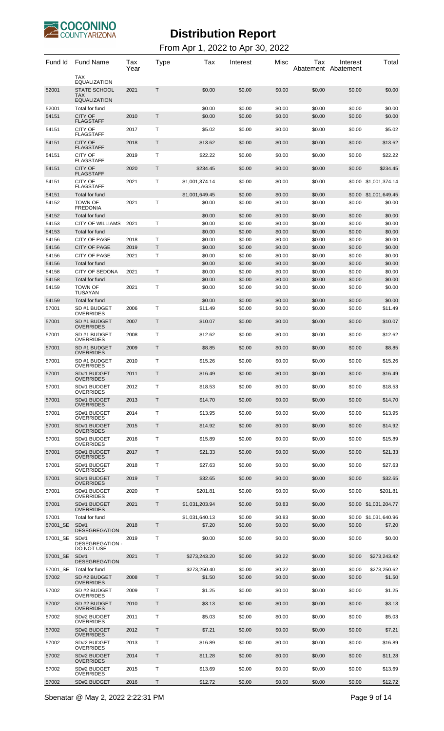

| Fund Id           | <b>Fund Name</b><br><b>TAX</b>                                                  | Tax<br>Year | Type         | Tax                      | Interest         | Misc             | Tax<br>Abatement Abatement | Interest         | Total                           |
|-------------------|---------------------------------------------------------------------------------|-------------|--------------|--------------------------|------------------|------------------|----------------------------|------------------|---------------------------------|
| 52001             | <b>EQUALIZATION</b><br><b>STATE SCHOOL</b><br><b>TAX</b><br><b>EQUALIZATION</b> | 2021        | Τ            | \$0.00                   | \$0.00           | \$0.00           | \$0.00                     | \$0.00           | \$0.00                          |
| 52001             | Total for fund                                                                  |             |              | \$0.00                   | \$0.00           | \$0.00           | \$0.00                     | \$0.00           | \$0.00                          |
| 54151             | <b>CITY OF</b>                                                                  | 2010        | Τ            | \$0.00                   | \$0.00           | \$0.00           | \$0.00                     | \$0.00           | \$0.00                          |
| 54151             | <b>FLAGSTAFF</b><br><b>CITY OF</b>                                              | 2017        | Т            | \$5.02                   | \$0.00           | \$0.00           | \$0.00                     | \$0.00           | \$5.02                          |
|                   | <b>FLAGSTAFF</b>                                                                |             |              |                          |                  |                  |                            |                  |                                 |
| 54151             | <b>CITY OF</b><br><b>FLAGSTAFF</b>                                              | 2018        | Τ            | \$13.62                  | \$0.00           | \$0.00           | \$0.00                     | \$0.00           | \$13.62                         |
| 54151             | CITY OF<br><b>FLAGSTAFF</b>                                                     | 2019        | Τ            | \$22.22                  | \$0.00           | \$0.00           | \$0.00                     | \$0.00           | \$22.22                         |
| 54151             | <b>CITY OF</b>                                                                  | 2020        | Τ            | \$234.45                 | \$0.00           | \$0.00           | \$0.00                     | \$0.00           | \$234.45                        |
| 54151             | <b>FLAGSTAFF</b><br><b>CITY OF</b>                                              | 2021        | Т            | \$1,001,374.14           | \$0.00           | \$0.00           | \$0.00                     |                  | \$0.00 \$1,001,374.14           |
|                   | <b>FLAGSTAFF</b>                                                                |             |              |                          |                  |                  |                            |                  |                                 |
| 54151<br>54152    | Total for fund<br><b>TOWN OF</b>                                                | 2021        | т            | \$1,001,649.45<br>\$0.00 | \$0.00<br>\$0.00 | \$0.00<br>\$0.00 | \$0.00<br>\$0.00           | \$0.00           | \$0.00 \$1,001,649.45<br>\$0.00 |
|                   | <b>FREDONIA</b>                                                                 |             |              |                          |                  |                  |                            |                  |                                 |
| 54152<br>54153    | Total for fund<br><b>CITY OF WILLIAMS</b>                                       | 2021        | Т            | \$0.00<br>\$0.00         | \$0.00<br>\$0.00 | \$0.00<br>\$0.00 | \$0.00<br>\$0.00           | \$0.00           | \$0.00<br>\$0.00                |
| 54153             | Total for fund                                                                  |             |              | \$0.00                   | \$0.00           | \$0.00           | \$0.00                     | \$0.00<br>\$0.00 | \$0.00                          |
| 54156             | <b>CITY OF PAGE</b>                                                             | 2018        | Т            | \$0.00                   | \$0.00           | \$0.00           | \$0.00                     | \$0.00           | \$0.00                          |
| 54156             | <b>CITY OF PAGE</b>                                                             | 2019        | T            | \$0.00                   | \$0.00           | \$0.00           | \$0.00                     | \$0.00           | \$0.00                          |
| 54156             | <b>CITY OF PAGE</b>                                                             | 2021        | Т            | \$0.00                   | \$0.00           | \$0.00           | \$0.00                     | \$0.00           | \$0.00                          |
| 54156             | Total for fund                                                                  |             |              | \$0.00                   | \$0.00           | \$0.00           | \$0.00                     | \$0.00           | \$0.00                          |
| 54158<br>54158    | <b>CITY OF SEDONA</b><br>Total for fund                                         | 2021        | Т            | \$0.00<br>\$0.00         | \$0.00<br>\$0.00 | \$0.00<br>\$0.00 | \$0.00<br>\$0.00           | \$0.00<br>\$0.00 | \$0.00<br>\$0.00                |
| 54159             | <b>TOWN OF</b>                                                                  | 2021        | т            | \$0.00                   | \$0.00           | \$0.00           | \$0.00                     | \$0.00           | \$0.00                          |
|                   | <b>TUSAYAN</b>                                                                  |             |              |                          |                  |                  |                            |                  |                                 |
| 54159<br>57001    | Total for fund<br>SD #1 BUDGET                                                  | 2006        | Т            | \$0.00<br>\$11.49        | \$0.00<br>\$0.00 | \$0.00<br>\$0.00 | \$0.00<br>\$0.00           | \$0.00<br>\$0.00 | \$0.00<br>\$11.49               |
|                   | <b>OVERRIDES</b>                                                                |             |              |                          |                  |                  |                            |                  |                                 |
| 57001             | SD #1 BUDGET<br><b>OVERRIDES</b>                                                | 2007        | Τ            | \$10.07                  | \$0.00           | \$0.00           | \$0.00                     | \$0.00           | \$10.07                         |
| 57001             | SD #1 BUDGET<br><b>OVERRIDES</b>                                                | 2008        | Т            | \$12.62                  | \$0.00           | \$0.00           | \$0.00                     | \$0.00           | \$12.62                         |
| 57001             | SD #1 BUDGET<br><b>OVERRIDES</b>                                                | 2009        | Τ            | \$8.85                   | \$0.00           | \$0.00           | \$0.00                     | \$0.00           | \$8.85                          |
| 57001             | SD #1 BUDGET<br><b>OVERRIDES</b>                                                | 2010        | Т            | \$15.26                  | \$0.00           | \$0.00           | \$0.00                     | \$0.00           | \$15.26                         |
| 57001             | SD#1 BUDGET                                                                     | 2011        | Τ            | \$16.49                  | \$0.00           | \$0.00           | \$0.00                     | \$0.00           | \$16.49                         |
| 57001             | <b>OVERRIDES</b><br>SD#1 BUDGET                                                 | 2012        | T            | \$18.53                  | \$0.00           | \$0.00           | \$0.00                     | \$0.00           | \$18.53                         |
| 57001             | <b>OVERRIDES</b><br>SD#1 BUDGET                                                 | 2013        | Τ            | \$14.70                  | \$0.00           | \$0.00           | \$0.00                     | \$0.00           | \$14.70                         |
| 57001             | <b>OVERRIDES</b><br>SD#1 BUDGET                                                 | 2014        | Т            | \$13.95                  | \$0.00           | \$0.00           | \$0.00                     | \$0.00           | \$13.95                         |
| 57001             | <b>OVERRIDES</b><br>SD#1 BUDGET                                                 | 2015        | Τ            | \$14.92                  | \$0.00           | \$0.00           | \$0.00                     | \$0.00           | \$14.92                         |
| 57001             | <b>OVERRIDES</b><br>SD#1 BUDGET                                                 | 2016        | T            | \$15.89                  | \$0.00           | \$0.00           | \$0.00                     | \$0.00           | \$15.89                         |
| 57001             | <b>OVERRIDES</b><br>SD#1 BUDGET                                                 | 2017        | Τ            | \$21.33                  | \$0.00           | \$0.00           | \$0.00                     | \$0.00           | \$21.33                         |
| 57001             | <b>OVERRIDES</b><br>SD#1 BUDGET                                                 | 2018        | T            | \$27.63                  | \$0.00           | \$0.00           | \$0.00                     | \$0.00           | \$27.63                         |
|                   | <b>OVERRIDES</b>                                                                |             |              |                          |                  |                  |                            |                  |                                 |
| 57001             | SD#1 BUDGET<br><b>OVERRIDES</b>                                                 | 2019        | Τ            | \$32.65                  | \$0.00           | \$0.00           | \$0.00                     | \$0.00           | \$32.65                         |
| 57001             | SD#1 BUDGET<br><b>OVERRIDES</b>                                                 | 2020        | Т            | \$201.81                 | \$0.00           | \$0.00           | \$0.00                     | \$0.00           | \$201.81                        |
| 57001             | SD#1 BUDGET<br><b>OVERRIDES</b>                                                 | 2021        | Τ            | \$1,031,203.94           | \$0.00           | \$0.83           | \$0.00                     | \$0.00           | \$1,031,204.77                  |
| 57001             | Total for fund                                                                  |             |              | \$1,031,640.13           | \$0.00           | \$0.83           | \$0.00                     |                  | \$0.00 \$1,031,640.96           |
| 57001_SE          | SD#1<br><b>DESEGREGATION</b>                                                    | 2018        | Τ            | \$7.20                   | \$0.00           | \$0.00           | \$0.00                     | \$0.00           | \$7.20                          |
| 57001_SE          | SD#1<br>DESEGREGATION -                                                         | 2019        | Т            | \$0.00                   | \$0.00           | \$0.00           | \$0.00                     | \$0.00           | \$0.00                          |
| 57001 SE          | DO NOT USE<br>SD#1                                                              | 2021        | $\mathsf{T}$ | \$273,243.20             | \$0.00           | \$0.22           | \$0.00                     | \$0.00           | \$273,243.42                    |
|                   | <b>DESEGREGATION</b>                                                            |             |              |                          |                  |                  |                            |                  |                                 |
| 57001 SE<br>57002 | Total for fund<br>SD #2 BUDGET                                                  | 2008        | Τ            | \$273,250.40<br>\$1.50   | \$0.00<br>\$0.00 | \$0.22<br>\$0.00 | \$0.00<br>\$0.00           | \$0.00<br>\$0.00 | \$273,250.62<br>\$1.50          |
|                   | <b>OVERRIDES</b>                                                                |             |              |                          |                  |                  |                            |                  |                                 |
| 57002             | SD #2 BUDGET<br><b>OVERRIDES</b>                                                | 2009        | Т            | \$1.25                   | \$0.00           | \$0.00           | \$0.00                     | \$0.00           | \$1.25                          |
| 57002             | SD #2 BUDGET<br><b>OVERRIDES</b>                                                | 2010        | Τ            | \$3.13                   | \$0.00           | \$0.00           | \$0.00                     | \$0.00           | \$3.13                          |
| 57002             | SD#2 BUDGET<br><b>OVERRIDES</b>                                                 | 2011        | Т            | \$5.03                   | \$0.00           | \$0.00           | \$0.00                     | \$0.00           | \$5.03                          |
| 57002             | SD#2 BUDGET<br><b>OVERRIDES</b>                                                 | 2012        | Τ            | \$7.21                   | \$0.00           | \$0.00           | \$0.00                     | \$0.00           | \$7.21                          |
| 57002             | SD#2 BUDGET<br><b>OVERRIDES</b>                                                 | 2013        | Т            | \$16.89                  | \$0.00           | \$0.00           | \$0.00                     | \$0.00           | \$16.89                         |
| 57002             | SD#2 BUDGET<br><b>OVERRIDES</b>                                                 | 2014        | Τ            | \$11.28                  | \$0.00           | \$0.00           | \$0.00                     | \$0.00           | \$11.28                         |
| 57002             | SD#2 BUDGET                                                                     | 2015        | т            | \$13.69                  | \$0.00           | \$0.00           | \$0.00                     | \$0.00           | \$13.69                         |
| 57002             | <b>OVERRIDES</b><br>SD#2 BUDGET                                                 | 2016        | Τ            | \$12.72                  | \$0.00           | \$0.00           | \$0.00                     | \$0.00           | \$12.72                         |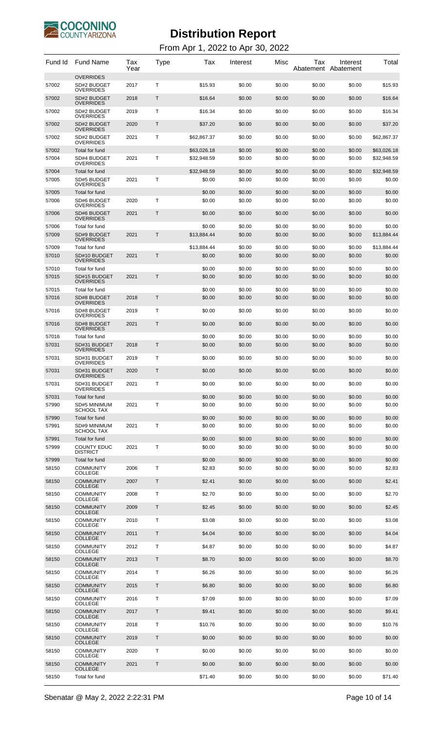

| Fund Id        | <b>Fund Name</b>                                    | Tax<br>Year | Type         | Tax                   | Interest         | Misc             | Tax              | Interest<br>Abatement Abatement | Total                 |
|----------------|-----------------------------------------------------|-------------|--------------|-----------------------|------------------|------------------|------------------|---------------------------------|-----------------------|
| 57002          | <b>OVERRIDES</b><br>SD#2 BUDGET<br><b>OVERRIDES</b> | 2017        | Т            | \$15.93               | \$0.00           | \$0.00           | \$0.00           | \$0.00                          | \$15.93               |
| 57002          | SD#2 BUDGET<br><b>OVERRIDES</b>                     | 2018        | Т            | \$16.64               | \$0.00           | \$0.00           | \$0.00           | \$0.00                          | \$16.64               |
| 57002          | SD#2 BUDGET<br><b>OVERRIDES</b>                     | 2019        | т            | \$16.34               | \$0.00           | \$0.00           | \$0.00           | \$0.00                          | \$16.34               |
| 57002          | SD#2 BUDGET<br><b>OVERRIDES</b>                     | 2020        | Т            | \$37.20               | \$0.00           | \$0.00           | \$0.00           | \$0.00                          | \$37.20               |
| 57002          | SD#2 BUDGET<br><b>OVERRIDES</b>                     | 2021        | Т            | \$62,867.37           | \$0.00           | \$0.00           | \$0.00           | \$0.00                          | \$62,867.37           |
| 57002          | Total for fund                                      |             |              | \$63,026.18           | \$0.00           | \$0.00           | \$0.00           | \$0.00                          | \$63,026.18           |
| 57004          | SD#4 BUDGET<br><b>OVERRIDES</b>                     | 2021        | T            | \$32,948.59           | \$0.00           | \$0.00           | \$0.00           | \$0.00                          | \$32,948.59           |
| 57004<br>57005 | Total for fund<br>SD#5 BUDGET                       | 2021        | Т            | \$32,948.59<br>\$0.00 | \$0.00<br>\$0.00 | \$0.00<br>\$0.00 | \$0.00<br>\$0.00 | \$0.00<br>\$0.00                | \$32,948.59<br>\$0.00 |
|                | <b>OVERRIDES</b>                                    |             |              |                       |                  |                  |                  |                                 |                       |
| 57005<br>57006 | Total for fund<br>SD#6 BUDGET                       | 2020        | т            | \$0.00<br>\$0.00      | \$0.00<br>\$0.00 | \$0.00<br>\$0.00 | \$0.00<br>\$0.00 | \$0.00<br>\$0.00                | \$0.00<br>\$0.00      |
| 57006          | <b>OVERRIDES</b><br>SD#6 BUDGET                     | 2021        | Т            | \$0.00                | \$0.00           | \$0.00           | \$0.00           | \$0.00                          | \$0.00                |
| 57006          | <b>OVERRIDES</b><br>Total for fund                  |             |              | \$0.00                | \$0.00           | \$0.00           | \$0.00           | \$0.00                          | \$0.00                |
| 57009          | SD#9 BUDGET<br><b>OVERRIDES</b>                     | 2021        | $\mathsf{T}$ | \$13,884.44           | \$0.00           | \$0.00           | \$0.00           | \$0.00                          | \$13,884.44           |
| 57009          | Total for fund                                      |             |              | \$13,884.44           | \$0.00           | \$0.00           | \$0.00           | \$0.00                          | \$13,884.44           |
| 57010          | SD#10 BUDGET<br><b>OVERRIDES</b>                    | 2021        | Т            | \$0.00                | \$0.00           | \$0.00           | \$0.00           | \$0.00                          | \$0.00                |
| 57010          | Total for fund                                      |             |              | \$0.00                | \$0.00           | \$0.00           | \$0.00           | \$0.00                          | \$0.00                |
| 57015          | SD#15 BUDGET<br><b>OVERRIDES</b>                    | 2021        | Т            | \$0.00                | \$0.00           | \$0.00           | \$0.00           | \$0.00                          | \$0.00                |
| 57015<br>57016 | Total for fund<br>SD#8 BUDGET                       | 2018        | $\mathsf{T}$ | \$0.00<br>\$0.00      | \$0.00<br>\$0.00 | \$0.00<br>\$0.00 | \$0.00<br>\$0.00 | \$0.00<br>\$0.00                | \$0.00<br>\$0.00      |
| 57016          | <b>OVERRIDES</b><br>SD#8 BUDGET                     | 2019        | T            | \$0.00                | \$0.00           | \$0.00           | \$0.00           | \$0.00                          | \$0.00                |
| 57016          | <b>OVERRIDES</b><br>SD#8 BUDGET                     | 2021        | $\mathsf{T}$ | \$0.00                | \$0.00           | \$0.00           | \$0.00           | \$0.00                          | \$0.00                |
| 57016          | <b>OVERRIDES</b><br>Total for fund                  |             |              | \$0.00                | \$0.00           | \$0.00           | \$0.00           | \$0.00                          | \$0.00                |
| 57031          | SD#31 BUDGET<br><b>OVERRIDES</b>                    | 2018        | T            | \$0.00                | \$0.00           | \$0.00           | \$0.00           | \$0.00                          | \$0.00                |
| 57031          | SD#31 BUDGET<br><b>OVERRIDES</b>                    | 2019        | т            | \$0.00                | \$0.00           | \$0.00           | \$0.00           | \$0.00                          | \$0.00                |
| 57031          | SD#31 BUDGET<br><b>OVERRIDES</b>                    | 2020        | T            | \$0.00                | \$0.00           | \$0.00           | \$0.00           | \$0.00                          | \$0.00                |
| 57031          | SD#31 BUDGET                                        | 2021        | т            | \$0.00                | \$0.00           | \$0.00           | \$0.00           | \$0.00                          | \$0.00                |
| 57031          | <b>OVERRIDES</b><br>Total for fund                  |             |              | \$0.00                | \$0.00           | \$0.00           | \$0.00           | \$0.00                          | \$0.00                |
| 57990          | <b>SD#5 MINIMUM</b><br><b>SCHOOL TAX</b>            | 2021        | Т            | \$0.00                | \$0.00           | \$0.00           | \$0.00           | \$0.00                          | \$0.00                |
| 57990          | Total for fund                                      |             |              | \$0.00                | \$0.00           | \$0.00           | \$0.00           | \$0.00                          | \$0.00                |
| 57991          | SD#9 MINIMUM<br><b>SCHOOL TAX</b>                   | 2021        | T            | \$0.00                | \$0.00           | \$0.00           | \$0.00           | \$0.00                          | \$0.00                |
| 57991<br>57999 | Total for fund<br><b>COUNTY EDUC</b>                | 2021        | Т            | \$0.00<br>\$0.00      | \$0.00<br>\$0.00 | \$0.00<br>\$0.00 | \$0.00<br>\$0.00 | \$0.00<br>\$0.00                | \$0.00<br>\$0.00      |
| 57999          | <b>DISTRICT</b><br>Total for fund                   |             |              | \$0.00                | \$0.00           | \$0.00           | \$0.00           | \$0.00                          | \$0.00                |
| 58150          | <b>COMMUNITY</b>                                    | 2006        | т            | \$2.83                | \$0.00           | \$0.00           | \$0.00           | \$0.00                          | \$2.83                |
| 58150          | <b>COLLEGE</b><br><b>COMMUNITY</b>                  | 2007        | Т            | \$2.41                | \$0.00           | \$0.00           | \$0.00           | \$0.00                          | \$2.41                |
| 58150          | <b>COLLEGE</b><br><b>COMMUNITY</b>                  | 2008        | т            | \$2.70                | \$0.00           | \$0.00           | \$0.00           | \$0.00                          | \$2.70                |
| 58150          | <b>COLLEGE</b><br><b>COMMUNITY</b>                  | 2009        | Т            | \$2.45                | \$0.00           | \$0.00           | \$0.00           | \$0.00                          | \$2.45                |
| 58150          | <b>COLLEGE</b><br><b>COMMUNITY</b>                  | 2010        | Т            | \$3.08                | \$0.00           | \$0.00           | \$0.00           | \$0.00                          | \$3.08                |
| 58150          | <b>COLLEGE</b><br><b>COMMUNITY</b>                  | 2011        | Т            | \$4.04                | \$0.00           | \$0.00           | \$0.00           | \$0.00                          | \$4.04                |
| 58150          | <b>COLLEGE</b><br><b>COMMUNITY</b>                  | 2012        | т            | \$4.87                | \$0.00           | \$0.00           | \$0.00           | \$0.00                          | \$4.87                |
| 58150          | <b>COLLEGE</b><br><b>COMMUNITY</b>                  | 2013        | Т            | \$8.70                | \$0.00           | \$0.00           | \$0.00           | \$0.00                          | \$8.70                |
| 58150          | <b>COLLEGE</b><br><b>COMMUNITY</b>                  | 2014        | т            | \$6.26                | \$0.00           | \$0.00           | \$0.00           | \$0.00                          | \$6.26                |
|                | <b>COLLEGE</b>                                      |             |              |                       |                  |                  |                  |                                 |                       |
| 58150          | <b>COMMUNITY</b><br><b>COLLEGE</b>                  | 2015        | Т            | \$6.80                | \$0.00           | \$0.00           | \$0.00           | \$0.00                          | \$6.80                |
| 58150          | <b>COMMUNITY</b><br><b>COLLEGE</b>                  | 2016        | Т            | \$7.09                | \$0.00           | \$0.00           | \$0.00           | \$0.00                          | \$7.09                |
| 58150          | <b>COMMUNITY</b><br><b>COLLEGE</b>                  | 2017        | Т            | \$9.41                | \$0.00           | \$0.00           | \$0.00           | \$0.00                          | \$9.41                |
| 58150          | <b>COMMUNITY</b><br><b>COLLEGE</b>                  | 2018        | т            | \$10.76               | \$0.00           | \$0.00           | \$0.00           | \$0.00                          | \$10.76               |
| 58150          | <b>COMMUNITY</b><br><b>COLLEGE</b>                  | 2019        | Т            | \$0.00                | \$0.00           | \$0.00           | \$0.00           | \$0.00                          | \$0.00                |
| 58150          | <b>COMMUNITY</b><br><b>COLLEGE</b>                  | 2020        | т            | \$0.00                | \$0.00           | \$0.00           | \$0.00           | \$0.00                          | \$0.00                |
| 58150          | <b>COMMUNITY</b><br><b>COLLEGE</b>                  | 2021        | Т            | \$0.00                | \$0.00           | \$0.00           | \$0.00           | \$0.00                          | \$0.00                |
| 58150          | Total for fund                                      |             |              | \$71.40               | \$0.00           | \$0.00           | \$0.00           | \$0.00                          | \$71.40               |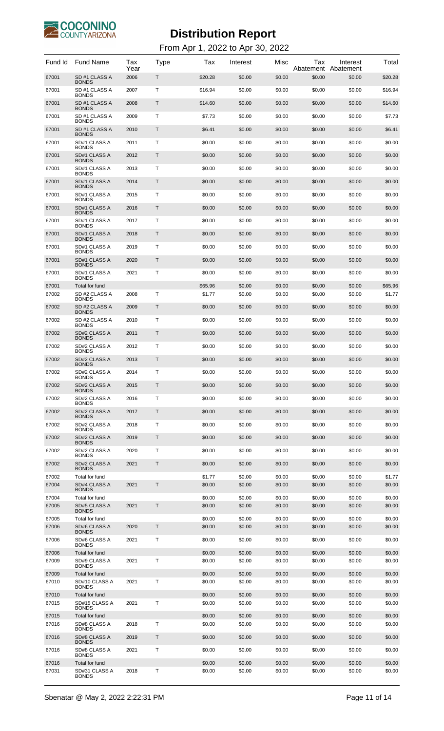

| Fund Id        | <b>Fund Name</b>                                | Tax<br>Year | Type         | Tax              | Interest         | Misc             | Тах<br>Abatement | Interest<br>Abatement | Total            |
|----------------|-------------------------------------------------|-------------|--------------|------------------|------------------|------------------|------------------|-----------------------|------------------|
| 67001          | SD #1 CLASS A<br><b>BONDS</b>                   | 2006        | Τ            | \$20.28          | \$0.00           | \$0.00           | \$0.00           | \$0.00                | \$20.28          |
| 67001          | SD #1 CLASS A<br><b>BONDS</b>                   | 2007        | Т            | \$16.94          | \$0.00           | \$0.00           | \$0.00           | \$0.00                | \$16.94          |
| 67001          | SD #1 CLASS A<br><b>BONDS</b>                   | 2008        | Τ            | \$14.60          | \$0.00           | \$0.00           | \$0.00           | \$0.00                | \$14.60          |
| 67001          | SD #1 CLASS A<br><b>BONDS</b>                   | 2009        | Т            | \$7.73           | \$0.00           | \$0.00           | \$0.00           | \$0.00                | \$7.73           |
| 67001          | SD #1 CLASS A<br><b>BONDS</b>                   | 2010        | Τ            | \$6.41           | \$0.00           | \$0.00           | \$0.00           | \$0.00                | \$6.41           |
| 67001          | SD#1 CLASS A<br><b>BONDS</b>                    | 2011        | Т            | \$0.00           | \$0.00           | \$0.00           | \$0.00           | \$0.00                | \$0.00           |
| 67001          | SD#1 CLASS A<br><b>BONDS</b>                    | 2012        | Τ            | \$0.00           | \$0.00           | \$0.00           | \$0.00           | \$0.00                | \$0.00           |
| 67001          | SD#1 CLASS A                                    | 2013        | Т            | \$0.00           | \$0.00           | \$0.00           | \$0.00           | \$0.00                | \$0.00           |
| 67001          | <b>BONDS</b><br>SD#1 CLASS A                    | 2014        | Τ            | \$0.00           | \$0.00           | \$0.00           | \$0.00           | \$0.00                | \$0.00           |
| 67001          | <b>BONDS</b><br>SD#1 CLASS A                    | 2015        | Т            | \$0.00           | \$0.00           | \$0.00           | \$0.00           | \$0.00                | \$0.00           |
| 67001          | <b>BONDS</b><br>SD#1 CLASS A                    | 2016        | Τ            | \$0.00           | \$0.00           | \$0.00           | \$0.00           | \$0.00                | \$0.00           |
| 67001          | <b>BONDS</b><br>SD#1 CLASS A                    | 2017        | Т            | \$0.00           | \$0.00           | \$0.00           | \$0.00           | \$0.00                | \$0.00           |
| 67001          | <b>BONDS</b><br>SD#1 CLASS A                    | 2018        | Τ            | \$0.00           | \$0.00           | \$0.00           | \$0.00           | \$0.00                | \$0.00           |
| 67001          | <b>BONDS</b><br>SD#1 CLASS A                    | 2019        | Т            | \$0.00           | \$0.00           | \$0.00           | \$0.00           | \$0.00                | \$0.00           |
| 67001          | <b>BONDS</b><br>SD#1 CLASS A                    | 2020        | Τ            | \$0.00           | \$0.00           | \$0.00           | \$0.00           | \$0.00                | \$0.00           |
| 67001          | <b>BONDS</b><br>SD#1 CLASS A                    | 2021        | Т            | \$0.00           | \$0.00           | \$0.00           | \$0.00           | \$0.00                | \$0.00           |
| 67001          | <b>BONDS</b><br>Total for fund                  |             |              | \$65.96          | \$0.00           | \$0.00           | \$0.00           | \$0.00                | \$65.96          |
| 67002          | SD #2 CLASS A<br><b>BONDS</b>                   | 2008        | Т            | \$1.77           | \$0.00           | \$0.00           | \$0.00           | \$0.00                | \$1.77           |
| 67002          | SD #2 CLASS A<br><b>BONDS</b>                   | 2009        | Τ            | \$0.00           | \$0.00           | \$0.00           | \$0.00           | \$0.00                | \$0.00           |
| 67002          | SD #2 CLASS A<br><b>BONDS</b>                   | 2010        | Т            | \$0.00           | \$0.00           | \$0.00           | \$0.00           | \$0.00                | \$0.00           |
| 67002          | SD#2 CLASS A<br><b>BONDS</b>                    | 2011        | T            | \$0.00           | \$0.00           | \$0.00           | \$0.00           | \$0.00                | \$0.00           |
| 67002          | SD#2 CLASS A<br><b>BONDS</b>                    | 2012        | Т            | \$0.00           | \$0.00           | \$0.00           | \$0.00           | \$0.00                | \$0.00           |
| 67002          | SD#2 CLASS A<br><b>BONDS</b>                    | 2013        | Τ            | \$0.00           | \$0.00           | \$0.00           | \$0.00           | \$0.00                | \$0.00           |
| 67002          | SD#2 CLASS A<br><b>BONDS</b>                    | 2014        | T            | \$0.00           | \$0.00           | \$0.00           | \$0.00           | \$0.00                | \$0.00           |
| 67002          | SD#2 CLASS A<br><b>BONDS</b>                    | 2015        | $\mathsf{T}$ | \$0.00           | \$0.00           | \$0.00           | \$0.00           | \$0.00                | \$0.00           |
| 67002          | SD#2 CLASS A<br><b>BONDS</b>                    | 2016        | T            | \$0.00           | \$0.00           | \$0.00           | \$0.00           | \$0.00                | \$0.00           |
| 67002          | SD#2 CLASS A<br><b>BONDS</b>                    | 2017        | T            | \$0.00           | \$0.00           | \$0.00           | \$0.00           | \$0.00                | \$0.00           |
| 67002          | SD#2 CLASS A<br><b>BONDS</b>                    | 2018        | T            | \$0.00           | \$0.00           | \$0.00           | \$0.00           | \$0.00                | \$0.00           |
| 67002          | SD#2 CLASS A<br><b>BONDS</b>                    | 2019        | T            | \$0.00           | \$0.00           | \$0.00           | \$0.00           | \$0.00                | \$0.00           |
| 67002          | SD#2 CLASS A                                    | 2020        | T            | \$0.00           | \$0.00           | \$0.00           | \$0.00           | \$0.00                | \$0.00           |
| 67002          | <b>BONDS</b><br>SD#2 CLASS A                    | 2021        | $\mathsf{T}$ | \$0.00           | \$0.00           | \$0.00           | \$0.00           | \$0.00                | \$0.00           |
| 67002          | <b>BONDS</b><br>Total for fund                  |             |              | \$1.77           | \$0.00           | \$0.00           | \$0.00           | \$0.00                | \$1.77           |
| 67004          | SD#4 CLASS A<br><b>BONDS</b>                    | 2021        | T            | \$0.00           | \$0.00           | \$0.00           | \$0.00           | \$0.00                | \$0.00           |
| 67004<br>67005 | Total for fund<br>SD#5 CLASS A                  | 2021        | $\mathsf{T}$ | \$0.00<br>\$0.00 | \$0.00<br>\$0.00 | \$0.00<br>\$0.00 | \$0.00<br>\$0.00 | \$0.00<br>\$0.00      | \$0.00<br>\$0.00 |
|                | <b>BONDS</b><br>Total for fund                  |             |              |                  |                  |                  |                  | \$0.00                | \$0.00           |
| 67005<br>67006 | SD#6 CLASS A                                    | 2020        | T.           | \$0.00<br>\$0.00 | \$0.00<br>\$0.00 | \$0.00<br>\$0.00 | \$0.00<br>\$0.00 | \$0.00                | \$0.00           |
| 67006          | <b>BONDS</b><br>SD#6 CLASS A                    | 2021        | Τ            | \$0.00           | \$0.00           | \$0.00           | \$0.00           | \$0.00                | \$0.00           |
| 67006          | <b>BONDS</b><br>Total for fund                  |             |              | \$0.00           | \$0.00           | \$0.00           | \$0.00           | \$0.00                | \$0.00           |
| 67009          | SD#9 CLASS A<br><b>BONDS</b>                    | 2021        | Τ            | \$0.00           | \$0.00           | \$0.00           | \$0.00           | \$0.00                | \$0.00           |
| 67009<br>67010 | Total for fund<br>SD#10 CLASS A                 | 2021        | Т            | \$0.00<br>\$0.00 | \$0.00<br>\$0.00 | \$0.00<br>\$0.00 | \$0.00<br>\$0.00 | \$0.00<br>\$0.00      | \$0.00<br>\$0.00 |
| 67010          | <b>BONDS</b><br>Total for fund                  |             |              | \$0.00           | \$0.00           | \$0.00           | \$0.00           | \$0.00                | \$0.00           |
| 67015          | SD#15 CLASS A<br><b>BONDS</b>                   | 2021        | T            | \$0.00           | \$0.00           | \$0.00           | \$0.00           | \$0.00                | \$0.00           |
| 67015          | Total for fund                                  |             |              | \$0.00           | \$0.00           | \$0.00           | \$0.00           | \$0.00                | \$0.00           |
| 67016          | SD#8 CLASS A<br><b>BONDS</b>                    | 2018        | Τ            | \$0.00           | \$0.00           | \$0.00           | \$0.00           | \$0.00                | \$0.00           |
| 67016          | SD#8 CLASS A<br><b>BONDS</b>                    | 2019        | T            | \$0.00           | \$0.00           | \$0.00           | \$0.00           | \$0.00                | \$0.00           |
| 67016          | SD#8 CLASS A<br><b>BONDS</b>                    | 2021        | Τ            | \$0.00           | \$0.00           | \$0.00           | \$0.00           | \$0.00                | \$0.00           |
| 67016<br>67031 | Total for fund<br>SD#31 CLASS A<br><b>BONDS</b> | 2018        | Τ            | \$0.00<br>\$0.00 | \$0.00<br>\$0.00 | \$0.00<br>\$0.00 | \$0.00<br>\$0.00 | \$0.00<br>\$0.00      | \$0.00<br>\$0.00 |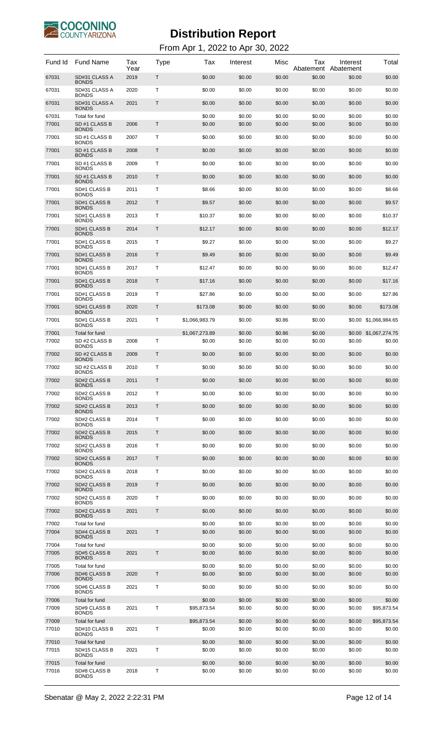

| Fund Id        | Fund Name                                       | Tax<br>Year | Type | Tax                   | Interest         | Misc             | Тах<br>Abatement | Interest<br>Abatement | Total                 |
|----------------|-------------------------------------------------|-------------|------|-----------------------|------------------|------------------|------------------|-----------------------|-----------------------|
| 67031          | SD#31 CLASS A<br><b>BONDS</b>                   | 2019        | Τ    | \$0.00                | \$0.00           | \$0.00           | \$0.00           | \$0.00                | \$0.00                |
| 67031          | SD#31 CLASS A<br><b>BONDS</b>                   | 2020        | т    | \$0.00                | \$0.00           | \$0.00           | \$0.00           | \$0.00                | \$0.00                |
| 67031          | SD#31 CLASS A<br><b>BONDS</b>                   | 2021        | Τ    | \$0.00                | \$0.00           | \$0.00           | \$0.00           | \$0.00                | \$0.00                |
| 67031<br>77001 | Total for fund<br>SD #1 CLASS B<br><b>BONDS</b> | 2006        | Τ    | \$0.00<br>\$0.00      | \$0.00<br>\$0.00 | \$0.00<br>\$0.00 | \$0.00<br>\$0.00 | \$0.00<br>\$0.00      | \$0.00<br>\$0.00      |
| 77001          | SD #1 CLASS B<br><b>BONDS</b>                   | 2007        | т    | \$0.00                | \$0.00           | \$0.00           | \$0.00           | \$0.00                | \$0.00                |
| 77001          | SD #1 CLASS B<br><b>BONDS</b>                   | 2008        | Τ    | \$0.00                | \$0.00           | \$0.00           | \$0.00           | \$0.00                | \$0.00                |
| 77001          | SD #1 CLASS B<br><b>BONDS</b>                   | 2009        | Т    | \$0.00                | \$0.00           | \$0.00           | \$0.00           | \$0.00                | \$0.00                |
| 77001          | SD #1 CLASS B<br><b>BONDS</b>                   | 2010        | Τ    | \$0.00                | \$0.00           | \$0.00           | \$0.00           | \$0.00                | \$0.00                |
| 77001          | SD#1 CLASS B<br><b>BONDS</b>                    | 2011        | т    | \$8.66                | \$0.00           | \$0.00           | \$0.00           | \$0.00                | \$8.66                |
| 77001          | SD#1 CLASS B<br><b>BONDS</b>                    | 2012        | Τ    | \$9.57                | \$0.00           | \$0.00           | \$0.00           | \$0.00                | \$9.57                |
| 77001          | SD#1 CLASS B<br><b>BONDS</b>                    | 2013        | т    | \$10.37               | \$0.00           | \$0.00           | \$0.00           | \$0.00                | \$10.37               |
| 77001          | SD#1 CLASS B<br><b>BONDS</b>                    | 2014        | Τ    | \$12.17               | \$0.00           | \$0.00           | \$0.00           | \$0.00                | \$12.17               |
| 77001          | SD#1 CLASS B<br><b>BONDS</b>                    | 2015        | т    | \$9.27                | \$0.00           | \$0.00           | \$0.00           | \$0.00                | \$9.27                |
| 77001          | SD#1 CLASS B<br><b>BONDS</b>                    | 2016        | Τ    | \$9.49                | \$0.00           | \$0.00           | \$0.00           | \$0.00                | \$9.49                |
| 77001          | SD#1 CLASS B                                    | 2017        | т    | \$12.47               | \$0.00           | \$0.00           | \$0.00           | \$0.00                | \$12.47               |
| 77001          | <b>BONDS</b><br>SD#1 CLASS B                    | 2018        | Τ    | \$17.16               | \$0.00           | \$0.00           | \$0.00           | \$0.00                | \$17.16               |
| 77001          | <b>BONDS</b><br>SD#1 CLASS B                    | 2019        | т    | \$27.86               | \$0.00           | \$0.00           | \$0.00           | \$0.00                | \$27.86               |
| 77001          | <b>BONDS</b><br>SD#1 CLASS B                    | 2020        | Τ    | \$173.08              | \$0.00           | \$0.00           | \$0.00           | \$0.00                | \$173.08              |
| 77001          | <b>BONDS</b><br>SD#1 CLASS B                    | 2021        | т    | \$1,066,983.79        | \$0.00           | \$0.86           | \$0.00           |                       | \$0.00 \$1,066,984.65 |
| 77001          | <b>BONDS</b><br>Total for fund                  |             |      | \$1,067,273.89        | \$0.00           | \$0.86           | \$0.00           |                       | \$0.00 \$1,067,274.75 |
| 77002          | SD #2 CLASS B<br><b>BONDS</b>                   | 2008        | T    | \$0.00                | \$0.00           | \$0.00           | \$0.00           | \$0.00                | \$0.00                |
| 77002          | SD #2 CLASS B<br><b>BONDS</b>                   | 2009        | T    | \$0.00                | \$0.00           | \$0.00           | \$0.00           | \$0.00                | \$0.00                |
| 77002          | SD #2 CLASS B<br><b>BONDS</b>                   | 2010        | Т    | \$0.00                | \$0.00           | \$0.00           | \$0.00           | \$0.00                | \$0.00                |
| 77002          | SD#2 CLASS B<br><b>BONDS</b>                    | 2011        | T    | \$0.00                | \$0.00           | \$0.00           | \$0.00           | \$0.00                | \$0.00                |
| 77002          | SD#2 CLASS B<br><b>BONDS</b>                    | 2012        | T    | \$0.00                | \$0.00           | \$0.00           | \$0.00           | \$0.00                | \$0.00                |
| 77002          | SD#2 CLASS B<br><b>BONDS</b>                    | 2013        | T    | \$0.00                | \$0.00           | \$0.00           | \$0.00           | \$0.00                | \$0.00                |
| 77002          | SD#2 CLASS B<br><b>BONDS</b>                    | 2014        | Т    | \$0.00                | \$0.00           | \$0.00           | \$0.00           | \$0.00                | \$0.00                |
| 77002          | SD#2 CLASS B<br><b>BONDS</b>                    | 2015        | T    | \$0.00                | \$0.00           | \$0.00           | \$0.00           | \$0.00                | \$0.00                |
| 77002          | SD#2 CLASS B<br><b>BONDS</b>                    | 2016        | T    | \$0.00                | \$0.00           | \$0.00           | \$0.00           | \$0.00                | \$0.00                |
| 77002          | SD#2 CLASS B<br><b>BONDS</b>                    | 2017        | T    | \$0.00                | \$0.00           | \$0.00           | \$0.00           | \$0.00                | \$0.00                |
| 77002          | SD#2 CLASS B<br><b>BONDS</b>                    | 2018        | Т    | \$0.00                | \$0.00           | \$0.00           | \$0.00           | \$0.00                | \$0.00                |
| 77002          | SD#2 CLASS B<br><b>BONDS</b>                    | 2019        | T    | \$0.00                | \$0.00           | \$0.00           | \$0.00           | \$0.00                | \$0.00                |
| 77002          | SD#2 CLASS B<br><b>BONDS</b>                    | 2020        | T    | \$0.00                | \$0.00           | \$0.00           | \$0.00           | \$0.00                | \$0.00                |
| 77002          | SD#2 CLASS B<br><b>BONDS</b>                    | 2021        | T    | \$0.00                | \$0.00           | \$0.00           | \$0.00           | \$0.00                | \$0.00                |
| 77002          | Total for fund                                  |             |      | \$0.00                | \$0.00           | \$0.00           | \$0.00           | \$0.00                | \$0.00                |
| 77004          | SD#4 CLASS B<br><b>BONDS</b>                    | 2021        | T    | \$0.00                | \$0.00           | \$0.00           | \$0.00           | \$0.00                | \$0.00                |
| 77004<br>77005 | Total for fund<br>SD#5 CLASS B                  | 2021        | Τ    | \$0.00<br>\$0.00      | \$0.00<br>\$0.00 | \$0.00<br>\$0.00 | \$0.00<br>\$0.00 | \$0.00<br>\$0.00      | \$0.00<br>\$0.00      |
| 77005          | <b>BONDS</b><br>Total for fund                  |             |      | \$0.00                | \$0.00           | \$0.00           | \$0.00           | \$0.00                | \$0.00                |
| 77006          | SD#6 CLASS B<br><b>BONDS</b>                    | 2020        | T.   | \$0.00                | \$0.00           | \$0.00           | \$0.00           | \$0.00                | \$0.00                |
| 77006          | SD#6 CLASS B<br><b>BONDS</b>                    | 2021        | Т    | \$0.00                | \$0.00           | \$0.00           | \$0.00           | \$0.00                | \$0.00                |
| 77006          | Total for fund                                  |             |      | \$0.00                | \$0.00           | \$0.00           | \$0.00           | \$0.00                | \$0.00                |
| 77009          | SD#9 CLASS B<br><b>BONDS</b>                    | 2021        | т    | \$95,873.54           | \$0.00           | \$0.00           | \$0.00           | \$0.00                | \$95,873.54           |
| 77009<br>77010 | Total for fund<br>SD#10 CLASS B                 | 2021        | т    | \$95,873.54<br>\$0.00 | \$0.00<br>\$0.00 | \$0.00<br>\$0.00 | \$0.00<br>\$0.00 | \$0.00<br>\$0.00      | \$95,873.54<br>\$0.00 |
| 77010          | <b>BONDS</b><br>Total for fund                  |             |      | \$0.00                | \$0.00           | \$0.00           | \$0.00           | \$0.00                | \$0.00                |
| 77015          | SD#15 CLASS B<br><b>BONDS</b>                   | 2021        | T    | \$0.00                | \$0.00           | \$0.00           | \$0.00           | \$0.00                | \$0.00                |
| 77015          | Total for fund                                  |             |      | \$0.00                | \$0.00           | \$0.00           | \$0.00           | \$0.00                | \$0.00                |
| 77016          | SD#8 CLASS B<br><b>BONDS</b>                    | 2018        | Τ    | \$0.00                | \$0.00           | \$0.00           | \$0.00           | \$0.00                | \$0.00                |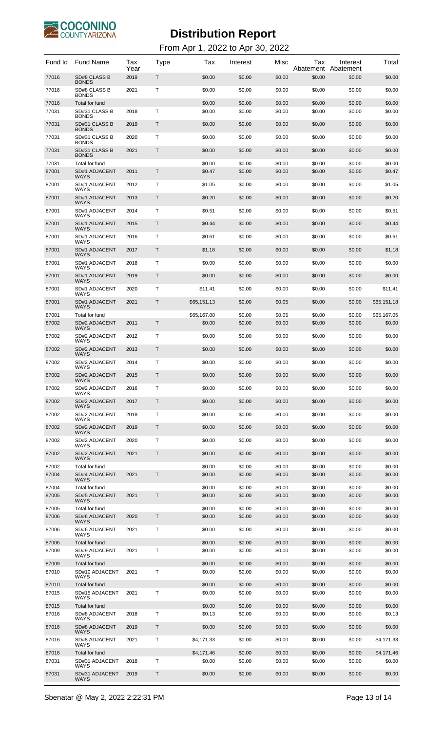

| Fund Id        | <b>Fund Name</b>                       | Tax<br>Year | Type | Tax                  | Interest         | Misc             | Tax<br>Abatement | Interest<br>Abatement | Total                |
|----------------|----------------------------------------|-------------|------|----------------------|------------------|------------------|------------------|-----------------------|----------------------|
| 77016          | SD#8 CLASS B<br><b>BONDS</b>           | 2019        | Τ    | \$0.00               | \$0.00           | \$0.00           | \$0.00           | \$0.00                | \$0.00               |
| 77016          | SD#8 CLASS B<br><b>BONDS</b>           | 2021        | т    | \$0.00               | \$0.00           | \$0.00           | \$0.00           | \$0.00                | \$0.00               |
| 77016<br>77031 | Total for fund<br>SD#31 CLASS B        | 2018        | т    | \$0.00<br>\$0.00     | \$0.00<br>\$0.00 | \$0.00<br>\$0.00 | \$0.00<br>\$0.00 | \$0.00<br>\$0.00      | \$0.00<br>\$0.00     |
| 77031          | <b>BONDS</b><br>SD#31 CLASS B          | 2019        | Т    | \$0.00               | \$0.00           | \$0.00           | \$0.00           | \$0.00                | \$0.00               |
| 77031          | <b>BONDS</b><br>SD#31 CLASS B          | 2020        | т    | \$0.00               | \$0.00           | \$0.00           | \$0.00           | \$0.00                | \$0.00               |
| 77031          | <b>BONDS</b><br>SD#31 CLASS B          | 2021        | Т    | \$0.00               | \$0.00           | \$0.00           | \$0.00           | \$0.00                | \$0.00               |
| 77031          | <b>BONDS</b><br>Total for fund         |             |      | \$0.00               | \$0.00           | \$0.00           | \$0.00           | \$0.00                | \$0.00               |
| 87001          | SD#1 ADJACENT<br>WAYS                  | 2011        | T    | \$0.47               | \$0.00           | \$0.00           | \$0.00           | \$0.00                | \$0.47               |
| 87001          | SD#1 ADJACENT<br>WAYS                  | 2012        | Τ    | \$1.05               | \$0.00           | \$0.00           | \$0.00           | \$0.00                | \$1.05               |
| 87001          | <b>SD#1 ADJACENT</b><br>WAYS           | 2013        | T    | \$0.20               | \$0.00           | \$0.00           | \$0.00           | \$0.00                | \$0.20               |
| 87001          | SD#1 ADJACENT<br>WAYS                  | 2014        | Τ    | \$0.51               | \$0.00           | \$0.00           | \$0.00           | \$0.00                | \$0.51               |
| 87001          | <b>SD#1 ADJACENT</b><br>WAYS           | 2015        | T    | \$0.44               | \$0.00           | \$0.00           | \$0.00           | \$0.00                | \$0.44               |
| 87001          | SD#1 ADJACENT<br>WAYS                  | 2016        | Τ    | \$0.61               | \$0.00           | \$0.00           | \$0.00           | \$0.00                | \$0.61               |
| 87001          | SD#1 ADJACENT<br>WAYS                  | 2017        | T    | \$1.18               | \$0.00           | \$0.00           | \$0.00           | \$0.00                | \$1.18               |
| 87001          | SD#1 ADJACENT<br>WAYS                  | 2018        | Τ    | \$0.00               | \$0.00           | \$0.00           | \$0.00           | \$0.00                | \$0.00               |
| 87001          | SD#1 ADJACENT<br>WAYS                  | 2019        | T    | \$0.00               | \$0.00           | \$0.00           | \$0.00           | \$0.00                | \$0.00               |
| 87001          | SD#1 ADJACENT<br>WAYS                  | 2020        | Τ    | \$11.41              | \$0.00           | \$0.00           | \$0.00           | \$0.00                | \$11.41              |
| 87001          | SD#1 ADJACENT<br>WAYS                  | 2021        | T    | \$65,151.13          | \$0.00           | \$0.05           | \$0.00           | \$0.00                | \$65,151.18          |
| 87001          | Total for fund                         |             |      | \$65,167.00          | \$0.00           | \$0.05           | \$0.00           | \$0.00                | \$65,167.05          |
| 87002          | SD#2 ADJACENT<br><b>WAYS</b>           | 2011        | T    | \$0.00               | \$0.00           | \$0.00           | \$0.00           | \$0.00                | \$0.00               |
| 87002          | <b>SD#2 ADJACENT</b><br>WAYS           | 2012        | т    | \$0.00               | \$0.00           | \$0.00           | \$0.00           | \$0.00                | \$0.00               |
| 87002          | <b>SD#2 ADJACENT</b><br>WAYS           | 2013        | T    | \$0.00               | \$0.00           | \$0.00           | \$0.00           | \$0.00                | \$0.00               |
| 87002          | <b>SD#2 ADJACENT</b><br>WAYS           | 2014        | т    | \$0.00               | \$0.00           | \$0.00           | \$0.00           | \$0.00                | \$0.00               |
| 87002          | <b>SD#2 ADJACENT</b>                   | 2015        | Τ    | \$0.00               | \$0.00           | \$0.00           | \$0.00           | \$0.00                | \$0.00               |
| 87002          | <b>SD#2 ADJACENT</b><br>WAYS           | 2016        | т    | \$0.00               | \$0.00           | \$0.00           | \$0.00           | \$0.00                | \$0.00               |
| 87002          | <b>SD#2 ADJACENT</b><br><b>WAYS</b>    | 2017        | T    | \$0.00               | \$0.00           | \$0.00           | \$0.00           | \$0.00                | \$0.00               |
| 87002          | SD#2 ADJACENT<br><b>WAYS</b>           | 2018        | Т    | \$0.00               | \$0.00           | \$0.00           | \$0.00           | \$0.00                | \$0.00               |
| 87002          | <b>SD#2 ADJACENT</b><br><b>WAYS</b>    | 2019        | T    | \$0.00               | \$0.00           | \$0.00           | \$0.00           | \$0.00                | \$0.00               |
| 87002          | SD#2 ADJACENT<br>WAYS                  | 2020        | Т    | \$0.00               | \$0.00           | \$0.00           | \$0.00           | \$0.00                | \$0.00               |
| 87002          | SD#2 ADJACENT<br><b>WAYS</b>           | 2021        | T    | \$0.00               | \$0.00           | \$0.00           | \$0.00           | \$0.00                | \$0.00               |
| 87002          | Total for fund                         |             | T    | \$0.00               | \$0.00           | \$0.00           | \$0.00           | \$0.00                | \$0.00               |
| 87004          | <b>SD#4 ADJACENT</b><br><b>WAYS</b>    | 2021        |      | \$0.00               | \$0.00           | \$0.00           | \$0.00           | \$0.00                | \$0.00               |
| 87004<br>87005 | Total for fund<br><b>SD#5 ADJACENT</b> | 2021        | T    | \$0.00<br>\$0.00     | \$0.00<br>\$0.00 | \$0.00<br>\$0.00 | \$0.00<br>\$0.00 | \$0.00<br>\$0.00      | \$0.00<br>\$0.00     |
| 87005          | <b>WAYS</b><br>Total for fund          |             |      | \$0.00               | \$0.00           | \$0.00           | \$0.00           | \$0.00                | \$0.00               |
| 87006          | <b>SD#6 ADJACENT</b><br><b>WAYS</b>    | 2020        | T    | \$0.00               | \$0.00           | \$0.00           | \$0.00           | \$0.00                | \$0.00               |
| 87006          | SD#6 ADJACENT<br><b>WAYS</b>           | 2021        | т    | \$0.00               | \$0.00           | \$0.00           | \$0.00           | \$0.00                | \$0.00               |
| 87006<br>87009 | Total for fund<br>SD#9 ADJACENT        | 2021        | Τ    | \$0.00<br>\$0.00     | \$0.00<br>\$0.00 | \$0.00<br>\$0.00 | \$0.00<br>\$0.00 | \$0.00<br>\$0.00      | \$0.00<br>\$0.00     |
| 87009          | <b>WAYS</b><br>Total for fund          |             |      | \$0.00               | \$0.00           | \$0.00           | \$0.00           | \$0.00                | \$0.00               |
| 87010          | SD#10 ADJACENT<br><b>WAYS</b>          | 2021        | Т    | \$0.00               | \$0.00           | \$0.00           | \$0.00           | \$0.00                | \$0.00               |
| 87010          | Total for fund                         |             |      | \$0.00               | \$0.00           | \$0.00           | \$0.00           | \$0.00                | \$0.00               |
| 87015          | SD#15 ADJACENT<br><b>WAYS</b>          | 2021        | Т    | \$0.00               | \$0.00           | \$0.00           | \$0.00           | \$0.00                | \$0.00               |
| 87015          | Total for fund                         |             |      | \$0.00               | \$0.00           | \$0.00           | \$0.00           | \$0.00                | \$0.00               |
| 87016          | SD#8 ADJACENT<br><b>WAYS</b>           | 2018        | Т    | \$0.13               | \$0.00           | \$0.00           | \$0.00           | \$0.00                | \$0.13               |
| 87016          | SD#8 ADJACENT<br><b>WAYS</b>           | 2019        | Т    | \$0.00               | \$0.00           | \$0.00           | \$0.00           | \$0.00                | \$0.00               |
| 87016          | SD#8 ADJACENT<br><b>WAYS</b>           | 2021        | Т    | \$4,171.33           | \$0.00           | \$0.00           | \$0.00           | \$0.00                | \$4,171.33           |
| 87016<br>87031 | Total for fund<br>SD#31 ADJACENT       | 2018        | T    | \$4,171.46<br>\$0.00 | \$0.00<br>\$0.00 | \$0.00<br>\$0.00 | \$0.00<br>\$0.00 | \$0.00<br>\$0.00      | \$4,171.46<br>\$0.00 |
| 87031          | <b>WAYS</b><br>SD#31 ADJACENT<br>WAYS  | 2019        | Τ    | \$0.00               | \$0.00           | \$0.00           | \$0.00           | \$0.00                | \$0.00               |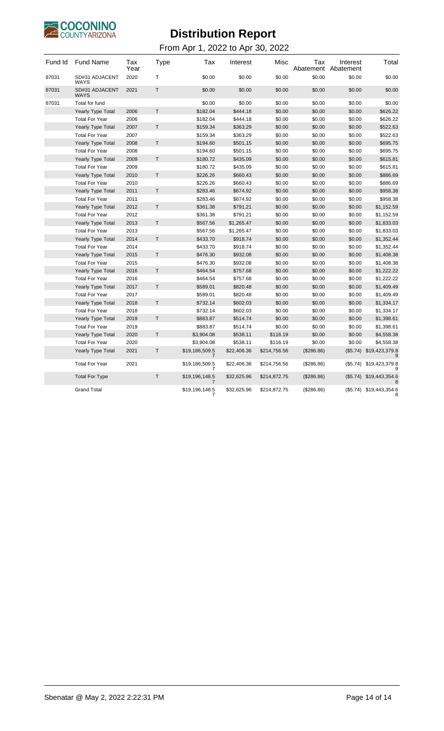

| Fund Id | <b>Fund Name</b>              | Tax<br>Year | <b>Type</b>  | Tax                 | Interest    | Misc         | Tax<br>Abatement | Interest<br>Abatement | Total                   |
|---------|-------------------------------|-------------|--------------|---------------------|-------------|--------------|------------------|-----------------------|-------------------------|
| 87031   | SD#31 ADJACENT<br>WAYS        | 2020        | T            | \$0.00              | \$0.00      | \$0.00       | \$0.00           | \$0.00                | \$0.00                  |
| 87031   | SD#31 ADJACENT<br><b>WAYS</b> | 2021        | T            | \$0.00              | \$0.00      | \$0.00       | \$0.00           | \$0.00                | \$0.00                  |
| 87031   | Total for fund                |             |              | \$0.00              | \$0.00      | \$0.00       | \$0.00           | \$0.00                | \$0.00                  |
|         | <b>Yearly Type Total</b>      | 2006        | T            | \$182.04            | \$444.18    | \$0.00       | \$0.00           | \$0.00                | \$626.22                |
|         | <b>Total For Year</b>         | 2006        |              | \$182.04            | \$444.18    | \$0.00       | \$0.00           | \$0.00                | \$626.22                |
|         | <b>Yearly Type Total</b>      | 2007        | $\mathsf T$  | \$159.34            | \$363.29    | \$0.00       | \$0.00           | \$0.00                | \$522.63                |
|         | <b>Total For Year</b>         | 2007        |              | \$159.34            | \$363.29    | \$0.00       | \$0.00           | \$0.00                | \$522.63                |
|         | Yearly Type Total             | 2008        | T            | \$194.60            | \$501.15    | \$0.00       | \$0.00           | \$0.00                | \$695.75                |
|         | <b>Total For Year</b>         | 2008        |              | \$194.60            | \$501.15    | \$0.00       | \$0.00           | \$0.00                | \$695.75                |
|         | <b>Yearly Type Total</b>      | 2009        | T            | \$180.72            | \$435.09    | \$0.00       | \$0.00           | \$0.00                | \$615.81                |
|         | <b>Total For Year</b>         | 2009        |              | \$180.72            | \$435.09    | \$0.00       | \$0.00           | \$0.00                | \$615.81                |
|         | <b>Yearly Type Total</b>      | 2010        | T            | \$226.26            | \$660.43    | \$0.00       | \$0.00           | \$0.00                | \$886.69                |
|         | <b>Total For Year</b>         | 2010        |              | \$226.26            | \$660.43    | \$0.00       | \$0.00           | \$0.00                | \$886.69                |
|         | <b>Yearly Type Total</b>      | 2011        | $\mathsf T$  | \$283.46            | \$674.92    | \$0.00       | \$0.00           | \$0.00                | \$958.38                |
|         | <b>Total For Year</b>         | 2011        |              | \$283.46            | \$674.92    | \$0.00       | \$0.00           | \$0.00                | \$958.38                |
|         | Yearly Type Total             | 2012        | T            | \$361.38            | \$791.21    | \$0.00       | \$0.00           | \$0.00                | \$1,152.59              |
|         | <b>Total For Year</b>         | 2012        |              | \$361.38            | \$791.21    | \$0.00       | \$0.00           | \$0.00                | \$1,152.59              |
|         | <b>Yearly Type Total</b>      | 2013        | $\mathsf T$  | \$567.56            | \$1,265.47  | \$0.00       | \$0.00           | \$0.00                | \$1,833.03              |
|         | <b>Total For Year</b>         | 2013        |              | \$567.56            | \$1,265.47  | \$0.00       | \$0.00           | \$0.00                | \$1,833.03              |
|         | <b>Yearly Type Total</b>      | 2014        | T            | \$433.70            | \$918.74    | \$0.00       | \$0.00           | \$0.00                | \$1,352.44              |
|         | <b>Total For Year</b>         | 2014        |              | \$433.70            | \$918.74    | \$0.00       | \$0.00           | \$0.00                | \$1,352.44              |
|         | Yearly Type Total             | 2015        | T            | \$476.30            | \$932.08    | \$0.00       | \$0.00           | \$0.00                | \$1,408.38              |
|         | <b>Total For Year</b>         | 2015        |              | \$476.30            | \$932.08    | \$0.00       | \$0.00           | \$0.00                | \$1,408.38              |
|         | <b>Yearly Type Total</b>      | 2016        | T.           | \$464.54            | \$757.68    | \$0.00       | \$0.00           | \$0.00                | \$1,222.22              |
|         | <b>Total For Year</b>         | 2016        |              | \$464.54            | \$757.68    | \$0.00       | \$0.00           | \$0.00                | \$1,222.22              |
|         | Yearly Type Total             | 2017        | $\mathsf{T}$ | \$589.01            | \$820.48    | \$0.00       | \$0.00           | \$0.00                | \$1,409.49              |
|         | <b>Total For Year</b>         | 2017        |              | \$589.01            | \$820.48    | \$0.00       | \$0.00           | \$0.00                | \$1,409.49              |
|         | <b>Yearly Type Total</b>      | 2018        | T            | \$732.14            | \$602.03    | \$0.00       | \$0.00           | \$0.00                | \$1,334.17              |
|         | <b>Total For Year</b>         | 2018        |              | \$732.14            | \$602.03    | \$0.00       | \$0.00           | \$0.00                | \$1,334.17              |
|         | Yearly Type Total             | 2019        | T            | \$883.87            | \$514.74    | \$0.00       | \$0.00           | \$0.00                | \$1,398.61              |
|         | <b>Total For Year</b>         | 2019        |              | \$883.87            | \$514.74    | \$0.00       | \$0.00           | \$0.00                | \$1,398.61              |
|         | Yearly Type Total             | 2020        | T            | \$3,904.08          | \$538.11    | \$116.19     | \$0.00           | \$0.00                | \$4,558.38              |
|         | <b>Total For Year</b>         | 2020        |              | \$3,904.08          | \$538.11    | \$116.19     | \$0.00           | \$0.00                | \$4,558.38              |
|         | Yearly Type Total             | 2021        | Τ            | \$19,186,509.5<br>7 | \$22,406.36 | \$214,756.56 | (\$286.86)       | (\$5.74)              | \$19,423,379.8<br>9     |
|         | <b>Total For Year</b>         | 2021        |              | \$19,186,509.5<br>7 | \$22,406.36 | \$214,756.56 | (\$286.86)       | (\$5.74)              | \$19,423,379.8          |
|         | <b>Total For Type</b>         |             | T            | \$19,196,148.5      | \$32,625.96 | \$214,872.75 | (\$286.86)       | (\$5.74)              | \$19,443,354.6          |
|         | <b>Grand Total</b>            |             |              | \$19,196,148.5      | \$32,625.96 | \$214,872.75 | (\$286.86)       |                       | (\$5.74) \$19,443,354.6 |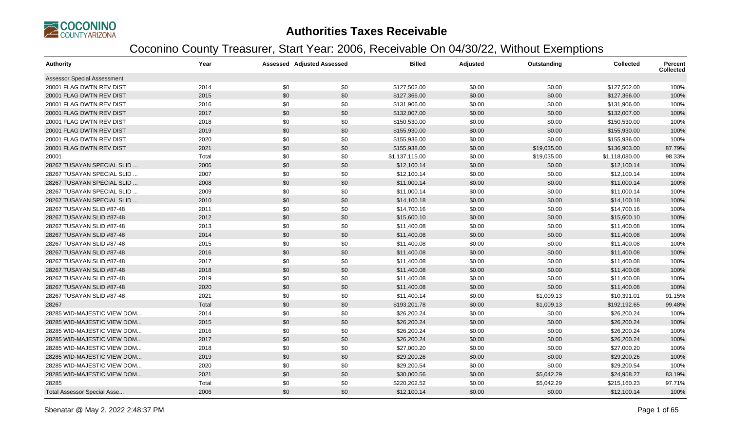

| Authority                          | Year  |     | <b>Assessed Adjusted Assessed</b> | <b>Billed</b>  | Adjusted | Outstanding | <b>Collected</b> | <b>Percent</b><br><b>Collected</b> |
|------------------------------------|-------|-----|-----------------------------------|----------------|----------|-------------|------------------|------------------------------------|
| <b>Assessor Special Assessment</b> |       |     |                                   |                |          |             |                  |                                    |
| 20001 FLAG DWTN REV DIST           | 2014  | \$0 | \$0                               | \$127,502.00   | \$0.00   | \$0.00      | \$127,502.00     | 100%                               |
| 20001 FLAG DWTN REV DIST           | 2015  | \$0 | \$0                               | \$127,366.00   | \$0.00   | \$0.00      | \$127,366.00     | 100%                               |
| 20001 FLAG DWTN REV DIST           | 2016  | \$0 | \$0                               | \$131,906.00   | \$0.00   | \$0.00      | \$131,906.00     | 100%                               |
| 20001 FLAG DWTN REV DIST           | 2017  | \$0 | \$0                               | \$132,007.00   | \$0.00   | \$0.00      | \$132,007.00     | 100%                               |
| 20001 FLAG DWTN REV DIST           | 2018  | \$0 | \$0                               | \$150,530.00   | \$0.00   | \$0.00      | \$150,530.00     | 100%                               |
| 20001 FLAG DWTN REV DIST           | 2019  | \$0 | \$0                               | \$155,930.00   | \$0.00   | \$0.00      | \$155,930.00     | 100%                               |
| 20001 FLAG DWTN REV DIST           | 2020  | \$0 | \$0                               | \$155,936.00   | \$0.00   | \$0.00      | \$155,936.00     | 100%                               |
| 20001 FLAG DWTN REV DIST           | 2021  | \$0 | \$0                               | \$155,938.00   | \$0.00   | \$19,035.00 | \$136,903.00     | 87.79%                             |
| 20001                              | Total | \$0 | \$0                               | \$1,137,115.00 | \$0.00   | \$19,035.00 | \$1,118,080.00   | 98.33%                             |
| 28267 TUSAYAN SPECIAL SLID.        | 2006  | \$0 | \$0                               | \$12,100.14    | \$0.00   | \$0.00      | \$12,100.14      | 100%                               |
| 28267 TUSAYAN SPECIAL SLID         | 2007  | \$0 | \$0                               | \$12,100.14    | \$0.00   | \$0.00      | \$12,100.14      | 100%                               |
| 28267 TUSAYAN SPECIAL SLID         | 2008  | \$0 | \$0                               | \$11,000.14    | \$0.00   | \$0.00      | \$11,000.14      | 100%                               |
| 28267 TUSAYAN SPECIAL SLID         | 2009  | \$0 | \$0                               | \$11,000.14    | \$0.00   | \$0.00      | \$11,000.14      | 100%                               |
| 28267 TUSAYAN SPECIAL SLID         | 2010  | \$0 | \$0                               | \$14,100.18    | \$0.00   | \$0.00      | \$14,100.18      | 100%                               |
| 28267 TUSAYAN SLID #87-48          | 2011  | \$0 | \$0                               | \$14,700.16    | \$0.00   | \$0.00      | \$14,700.16      | 100%                               |
| 28267 TUSAYAN SLID #87-48          | 2012  | \$0 | \$0                               | \$15,600.10    | \$0.00   | \$0.00      | \$15,600.10      | 100%                               |
| 28267 TUSAYAN SLID #87-48          | 2013  | \$0 | \$0                               | \$11,400.08    | \$0.00   | \$0.00      | \$11,400.08      | 100%                               |
| 28267 TUSAYAN SLID #87-48          | 2014  | \$0 | \$0                               | \$11,400.08    | \$0.00   | \$0.00      | \$11,400.08      | 100%                               |
| 28267 TUSAYAN SLID #87-48          | 2015  | \$0 | \$0                               | \$11,400.08    | \$0.00   | \$0.00      | \$11,400.08      | 100%                               |
| 28267 TUSAYAN SLID #87-48          | 2016  | \$0 | \$0                               | \$11,400.08    | \$0.00   | \$0.00      | \$11,400.08      | 100%                               |
| 28267 TUSAYAN SLID #87-48          | 2017  | \$0 | \$0                               | \$11,400.08    | \$0.00   | \$0.00      | \$11,400.08      | 100%                               |
| 28267 TUSAYAN SLID #87-48          | 2018  | \$0 | \$0                               | \$11,400.08    | \$0.00   | \$0.00      | \$11,400.08      | 100%                               |
| 28267 TUSAYAN SLID #87-48          | 2019  | \$0 | \$0                               | \$11,400.08    | \$0.00   | \$0.00      | \$11,400.08      | 100%                               |
| 28267 TUSAYAN SLID #87-48          | 2020  | \$0 | \$0                               | \$11,400.08    | \$0.00   | \$0.00      | \$11,400.08      | 100%                               |
| 28267 TUSAYAN SLID #87-48          | 2021  | \$0 | \$0                               | \$11,400.14    | \$0.00   | \$1,009.13  | \$10,391.01      | 91.15%                             |
| 28267                              | Total | \$0 | \$0                               | \$193,201.78   | \$0.00   | \$1,009.13  | \$192,192.65     | 99.48%                             |
| 28285 WID-MAJESTIC VIEW DOM        | 2014  | \$0 | \$0                               | \$26,200.24    | \$0.00   | \$0.00      | \$26,200.24      | 100%                               |
| 28285 WID-MAJESTIC VIEW DOM        | 2015  | \$0 | \$0                               | \$26,200.24    | \$0.00   | \$0.00      | \$26,200.24      | 100%                               |
| 28285 WID-MAJESTIC VIEW DOM        | 2016  | \$0 | \$0                               | \$26,200.24    | \$0.00   | \$0.00      | \$26,200.24      | 100%                               |
| 28285 WID-MAJESTIC VIEW DOM        | 2017  | \$0 | \$0                               | \$26,200.24    | \$0.00   | \$0.00      | \$26,200.24      | 100%                               |
| 28285 WID-MAJESTIC VIEW DOM        | 2018  | \$0 | \$0                               | \$27,000.20    | \$0.00   | \$0.00      | \$27,000.20      | 100%                               |
| 28285 WID-MAJESTIC VIEW DOM        | 2019  | \$0 | \$0                               | \$29,200.26    | \$0.00   | \$0.00      | \$29,200.26      | 100%                               |
| 28285 WID-MAJESTIC VIEW DOM        | 2020  | \$0 | \$0                               | \$29,200.54    | \$0.00   | \$0.00      | \$29,200.54      | 100%                               |
| 28285 WID-MAJESTIC VIEW DOM        | 2021  | \$0 | \$0                               | \$30,000.56    | \$0.00   | \$5,042.29  | \$24,958.27      | 83.19%                             |
| 28285                              | Total | \$0 | \$0                               | \$220,202.52   | \$0.00   | \$5,042.29  | \$215,160.23     | 97.71%                             |
| Total Assessor Special Asse        | 2006  | \$0 | \$0                               | \$12,100.14    | \$0.00   | \$0.00      | \$12,100.14      | 100%                               |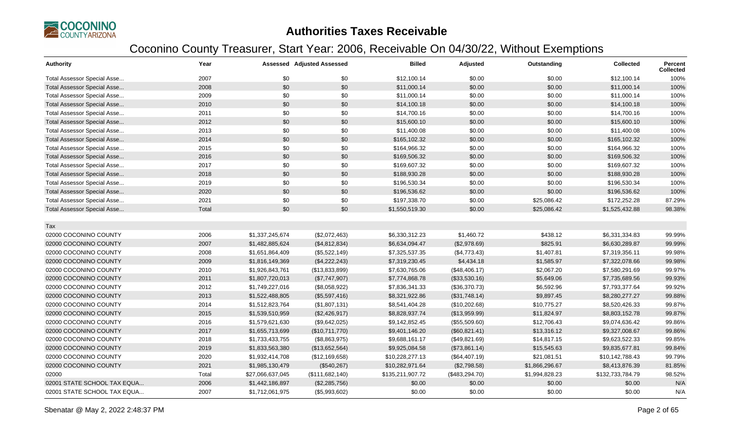

| <b>Authority</b>                   | Year  |                  | <b>Assessed Adjusted Assessed</b> | <b>Billed</b>    | Adjusted       | Outstanding    | <b>Collected</b> | <b>Percent</b><br><b>Collected</b> |
|------------------------------------|-------|------------------|-----------------------------------|------------------|----------------|----------------|------------------|------------------------------------|
| Total Assessor Special Asse        | 2007  | \$0              | \$0                               | \$12,100.14      | \$0.00         | \$0.00         | \$12,100.14      | 100%                               |
| Total Assessor Special Asse        | 2008  | \$0              | \$0                               | \$11,000.14      | \$0.00         | \$0.00         | \$11,000.14      | 100%                               |
| Total Assessor Special Asse        | 2009  | \$0              | \$0                               | \$11,000.14      | \$0.00         | \$0.00         | \$11,000.14      | 100%                               |
| <b>Total Assessor Special Asse</b> | 2010  | \$0              | \$0                               | \$14,100.18      | \$0.00         | \$0.00         | \$14,100.18      | 100%                               |
| Total Assessor Special Asse        | 2011  | \$0              | \$0                               | \$14,700.16      | \$0.00         | \$0.00         | \$14,700.16      | 100%                               |
| <b>Total Assessor Special Asse</b> | 2012  | \$0              | \$0                               | \$15,600.10      | \$0.00         | \$0.00         | \$15,600.10      | 100%                               |
| Total Assessor Special Asse        | 2013  | \$0              | \$0                               | \$11,400.08      | \$0.00         | \$0.00         | \$11,400.08      | 100%                               |
| Total Assessor Special Asse        | 2014  | \$0              | \$0                               | \$165,102.32     | \$0.00         | \$0.00         | \$165,102.32     | 100%                               |
| Total Assessor Special Asse        | 2015  | \$0              | \$0                               | \$164,966.32     | \$0.00         | \$0.00         | \$164,966.32     | 100%                               |
| Total Assessor Special Asse        | 2016  | \$0              | \$0                               | \$169,506.32     | \$0.00         | \$0.00         | \$169,506.32     | 100%                               |
| Total Assessor Special Asse        | 2017  | \$0              | \$0                               | \$169,607.32     | \$0.00         | \$0.00         | \$169,607.32     | 100%                               |
| Total Assessor Special Asse        | 2018  | \$0              | \$0                               | \$188,930.28     | \$0.00         | \$0.00         | \$188,930.28     | 100%                               |
| Total Assessor Special Asse        | 2019  | \$0              | \$0                               | \$196,530.34     | \$0.00         | \$0.00         | \$196,530.34     | 100%                               |
| Total Assessor Special Asse        | 2020  | \$0              | \$0                               | \$196,536.62     | \$0.00         | \$0.00         | \$196,536.62     | 100%                               |
| Total Assessor Special Asse        | 2021  | \$0              | \$0                               | \$197,338.70     | \$0.00         | \$25,086.42    | \$172,252.28     | 87.29%                             |
| Total Assessor Special Asse        | Total | \$0              | \$0                               | \$1,550,519.30   | \$0.00         | \$25,086.42    | \$1,525,432.88   | 98.38%                             |
|                                    |       |                  |                                   |                  |                |                |                  |                                    |
| Tax                                |       |                  |                                   |                  |                |                |                  |                                    |
| 02000 COCONINO COUNTY              | 2006  | \$1,337,245,674  | (\$2,072,463)                     | \$6,330,312.23   | \$1,460.72     | \$438.12       | \$6,331,334.83   | 99.99%                             |
| 02000 COCONINO COUNTY              | 2007  | \$1,482,885,624  | (\$4,812,834)                     | \$6,634,094.47   | (\$2,978.69)   | \$825.91       | \$6,630,289.87   | 99.99%                             |
| 02000 COCONINO COUNTY              | 2008  | \$1,651,864,409  | (\$5,522,149)                     | \$7,325,537.35   | (\$4,773.43)   | \$1,407.81     | \$7,319,356.11   | 99.98%                             |
| 02000 COCONINO COUNTY              | 2009  | \$1,816,149,369  | (\$4,222,243)                     | \$7,319,230.45   | \$4,434.18     | \$1,585.97     | \$7,322,078.66   | 99.98%                             |
| 02000 COCONINO COUNTY              | 2010  | \$1,926,843,761  | (\$13,833,899)                    | \$7,630,765.06   | (\$48,406.17)  | \$2,067.20     | \$7,580,291.69   | 99.97%                             |
| 02000 COCONINO COUNTY              | 2011  | \$1,807,720,013  | (\$7,747,907)                     | \$7,774,868.78   | (\$33,530.16)  | \$5,649.06     | \$7,735,689.56   | 99.93%                             |
| 02000 COCONINO COUNTY              | 2012  | \$1,749,227,016  | (\$8,058,922)                     | \$7,836,341.33   | (\$36,370.73)  | \$6,592.96     | \$7,793,377.64   | 99.92%                             |
| 02000 COCONINO COUNTY              | 2013  | \$1,522,488,805  | (\$5,597,416)                     | \$8,321,922.86   | (\$31,748.14)  | \$9,897.45     | \$8,280,277.27   | 99.88%                             |
| 02000 COCONINO COUNTY              | 2014  | \$1,512,823,764  | (\$1,807,131)                     | \$8,541,404.28   | (\$10,202.68)  | \$10,775.27    | \$8,520,426.33   | 99.87%                             |
| 02000 COCONINO COUNTY              | 2015  | \$1,539,510,959  | (\$2,426,917)                     | \$8,828,937.74   | (\$13,959.99)  | \$11,824.97    | \$8,803,152.78   | 99.87%                             |
| 02000 COCONINO COUNTY              | 2016  | \$1,579,621,630  | (\$9,642,025)                     | \$9,142,852.45   | (\$55,509.60)  | \$12,706.43    | \$9,074,636.42   | 99.86%                             |
| 02000 COCONINO COUNTY              | 2017  | \$1,655,713,699  | (\$10,711,770)                    | \$9,401,146.20   | (\$60,821.41)  | \$13,316.12    | \$9,327,008.67   | 99.86%                             |
| 02000 COCONINO COUNTY              | 2018  | \$1,733,433,755  | (\$8,863,975)                     | \$9,688,161.17   | (\$49,821.69)  | \$14,817.15    | \$9,623,522.33   | 99.85%                             |
| 02000 COCONINO COUNTY              | 2019  | \$1,833,563,380  | (\$13,652,564)                    | \$9,925,084.58   | (\$73,861.14)  | \$15,545.63    | \$9,835,677.81   | 99.84%                             |
| 02000 COCONINO COUNTY              | 2020  | \$1,932,414,708  | (\$12,169,658)                    | \$10,228,277.13  | (\$64,407.19)  | \$21,081.51    | \$10,142,788.43  | 99.79%                             |
| 02000 COCONINO COUNTY              | 2021  | \$1,985,130,479  | (\$540,267)                       | \$10,282,971.64  | (\$2,798.58)   | \$1,866,296.67 | \$8,413,876.39   | 81.85%                             |
| 02000                              | Total | \$27,066,637,045 | (\$111,682,140)                   | \$135,211,907.72 | (\$483,294.70) | \$1,994,828.23 | \$132,733,784.79 | 98.52%                             |
| 02001 STATE SCHOOL TAX EQUA        | 2006  | \$1,442,186,897  | (\$2,285,756)                     | \$0.00           | \$0.00         | \$0.00         | \$0.00           | N/A                                |
| 02001 STATE SCHOOL TAX EQUA        | 2007  | \$1,712,061,975  | (\$5,993,602)                     | \$0.00           | \$0.00         | \$0.00         | \$0.00           | N/A                                |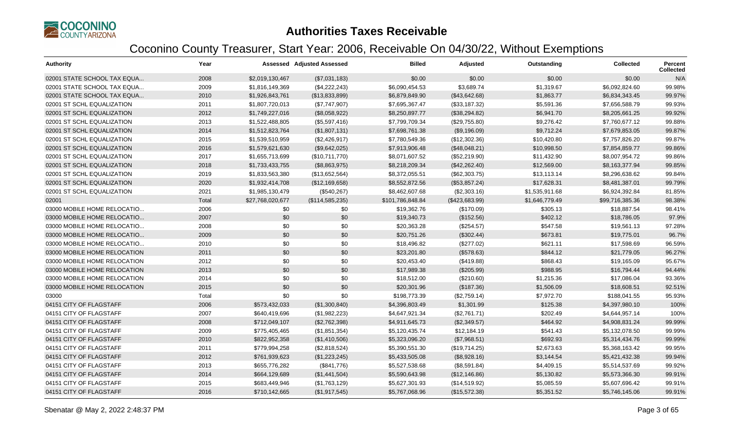

| <b>Authority</b>             | Year  |                  | <b>Assessed Adjusted Assessed</b> | <b>Billed</b>    | Adjusted       | Outstanding    | <b>Collected</b> | <b>Percent</b><br><b>Collected</b> |
|------------------------------|-------|------------------|-----------------------------------|------------------|----------------|----------------|------------------|------------------------------------|
| 02001 STATE SCHOOL TAX EQUA  | 2008  | \$2,019,130,467  | (\$7,031,183)                     | \$0.00           | \$0.00         | \$0.00         | \$0.00           | N/A                                |
| 02001 STATE SCHOOL TAX EQUA  | 2009  | \$1,816,149,369  | (\$4,222,243)                     | \$6,090,454.53   | \$3.689.74     | \$1,319.67     | \$6,092,824.60   | 99.98%                             |
| 02001 STATE SCHOOL TAX EQUA  | 2010  | \$1,926,843,761  | (\$13,833,899)                    | \$6,879,849.90   | (\$43,642.68)  | \$1,863.77     | \$6,834,343.45   | 99.97%                             |
| 02001 ST SCHL EQUALIZATION   | 2011  | \$1,807,720,013  | (\$7,747,907)                     | \$7,695,367.47   | (\$33,187.32)  | \$5,591.36     | \$7,656,588.79   | 99.93%                             |
| 02001 ST SCHL EQUALIZATION   | 2012  | \$1,749,227,016  | (\$8,058,922)                     | \$8,250,897.77   | (\$38,294.82)  | \$6,941.70     | \$8,205,661.25   | 99.92%                             |
| 02001 ST SCHL EQUALIZATION   | 2013  | \$1,522,488,805  | (\$5,597,416)                     | \$7,799,709.34   | (\$29,755.80)  | \$9,276.42     | \$7,760,677.12   | 99.88%                             |
| 02001 ST SCHL EQUALIZATION   | 2014  | \$1,512,823,764  | (\$1,807,131)                     | \$7,698,761.38   | (\$9,196.09)   | \$9,712.24     | \$7,679,853.05   | 99.87%                             |
| 02001 ST SCHL EQUALIZATION   | 2015  | \$1,539,510,959  | (\$2,426,917)                     | \$7,780,549.36   | (\$12,302.36)  | \$10,420.80    | \$7,757,826.20   | 99.87%                             |
| 02001 ST SCHL EQUALIZATION   | 2016  | \$1,579,621,630  | (\$9,642,025)                     | \$7,913,906.48   | (\$48,048.21)  | \$10,998.50    | \$7,854,859.77   | 99.86%                             |
| 02001 ST SCHL EQUALIZATION   | 2017  | \$1,655,713,699  | (\$10,711,770)                    | \$8,071,607.52   | (\$52,219.90)  | \$11,432.90    | \$8,007,954.72   | 99.86%                             |
| 02001 ST SCHL EQUALIZATION   | 2018  | \$1,733,433,755  | (\$8,863,975)                     | \$8,218,209.34   | (\$42,262.40)  | \$12,569.00    | \$8,163,377.94   | 99.85%                             |
| 02001 ST SCHL EQUALIZATION   | 2019  | \$1,833,563,380  | (\$13,652,564)                    | \$8,372,055.51   | (\$62,303.75)  | \$13,113.14    | \$8,296,638.62   | 99.84%                             |
| 02001 ST SCHL EQUALIZATION   | 2020  | \$1,932,414,708  | (\$12,169,658)                    | \$8,552,872.56   | (\$53,857.24)  | \$17,628.31    | \$8,481,387.01   | 99.79%                             |
| 02001 ST SCHL EQUALIZATION   | 2021  | \$1,985,130,479  | (\$540,267)                       | \$8,462,607.68   | (\$2,303.16)   | \$1,535,911.68 | \$6,924,392.84   | 81.85%                             |
| 02001                        | Total | \$27,768,020,677 | (\$114,585,235)                   | \$101,786,848.84 | (\$423,683.99) | \$1,646,779.49 | \$99,716,385.36  | 98.38%                             |
| 03000 MOBILE HOME RELOCATIO  | 2006  | \$0              | \$0                               | \$19,362.76      | (\$170.09)     | \$305.13       | \$18,887.54      | 98.41%                             |
| 03000 MOBILE HOME RELOCATIO  | 2007  | \$0              | \$0                               | \$19,340.73      | (\$152.56)     | \$402.12       | \$18,786.05      | 97.9%                              |
| 03000 MOBILE HOME RELOCATIO  | 2008  | \$0              | \$0                               | \$20,363.28      | (\$254.57)     | \$547.58       | \$19,561.13      | 97.28%                             |
| 03000 MOBILE HOME RELOCATIO  | 2009  | \$0              | \$0                               | \$20,751.26      | (\$302.44)     | \$673.81       | \$19,775.01      | 96.7%                              |
| 03000 MOBILE HOME RELOCATIO  | 2010  | \$0              | \$0                               | \$18,496.82      | (\$277.02)     | \$621.11       | \$17,598.69      | 96.59%                             |
| 03000 MOBILE HOME RELOCATION | 2011  | \$0              | \$0                               | \$23,201.80      | (\$578.63)     | \$844.12       | \$21,779.05      | 96.27%                             |
| 03000 MOBILE HOME RELOCATION | 2012  | \$0              | \$0                               | \$20,453.40      | (\$419.88)     | \$868.43       | \$19,165.09      | 95.67%                             |
| 03000 MOBILE HOME RELOCATION | 2013  | \$0              | \$0                               | \$17,989.38      | (\$205.99)     | \$988.95       | \$16,794.44      | 94.44%                             |
| 03000 MOBILE HOME RELOCATION | 2014  | \$0              | \$0                               | \$18,512.00      | (\$210.60)     | \$1,215.36     | \$17,086.04      | 93.36%                             |
| 03000 MOBILE HOME RELOCATION | 2015  | \$0              | \$0                               | \$20,301.96      | (\$187.36)     | \$1,506.09     | \$18,608.51      | 92.51%                             |
| 03000                        | Total | \$0              | \$0                               | \$198,773.39     | (\$2,759.14)   | \$7,972.70     | \$188,041.55     | 95.93%                             |
| 04151 CITY OF FLAGSTAFF      | 2006  | \$573,432,033    | (\$1,300,840)                     | \$4,396,803.49   | \$1,301.99     | \$125.38       | \$4,397,980.10   | 100%                               |
| 04151 CITY OF FLAGSTAFF      | 2007  | \$640,419,696    | (\$1,982,223)                     | \$4,647,921.34   | (\$2,761.71)   | \$202.49       | \$4,644,957.14   | 100%                               |
| 04151 CITY OF FLAGSTAFF      | 2008  | \$712,049,107    | (\$2,762,398)                     | \$4,911,645.73   | (\$2,349.57)   | \$464.92       | \$4,908,831.24   | 99.99%                             |
| 04151 CITY OF FLAGSTAFF      | 2009  | \$775,405,465    | (\$1,851,354)                     | \$5,120,435.74   | \$12,184.19    | \$541.43       | \$5,132,078.50   | 99.99%                             |
| 04151 CITY OF FLAGSTAFF      | 2010  | \$822,952,358    | (\$1,410,506)                     | \$5,323,096.20   | (\$7,968.51)   | \$692.93       | \$5,314,434.76   | 99.99%                             |
| 04151 CITY OF FLAGSTAFF      | 2011  | \$779,994,258    | (\$2,818,524)                     | \$5,390,551.30   | (\$19,714.25)  | \$2,673.63     | \$5,368,163.42   | 99.95%                             |
| 04151 CITY OF FLAGSTAFF      | 2012  | \$761,939,623    | (\$1,223,245)                     | \$5,433,505.08   | (\$8,928.16)   | \$3,144.54     | \$5,421,432.38   | 99.94%                             |
| 04151 CITY OF FLAGSTAFF      | 2013  | \$655,776,282    | (\$841,776)                       | \$5,527,538.68   | (\$8,591.84)   | \$4,409.15     | \$5,514,537.69   | 99.92%                             |
| 04151 CITY OF FLAGSTAFF      | 2014  | \$664,129,689    | (\$1,441,504)                     | \$5,590,643.98   | (\$12,146.86)  | \$5,130.82     | \$5,573,366.30   | 99.91%                             |
| 04151 CITY OF FLAGSTAFF      | 2015  | \$683,449,946    | (\$1,763,129)                     | \$5,627,301.93   | (\$14,519.92)  | \$5,085.59     | \$5,607,696.42   | 99.91%                             |
| 04151 CITY OF FLAGSTAFF      | 2016  | \$710,142,665    | (\$1,917,545)                     | \$5,767,068.96   | (\$15,572.38)  | \$5,351.52     | \$5,746,145.06   | 99.91%                             |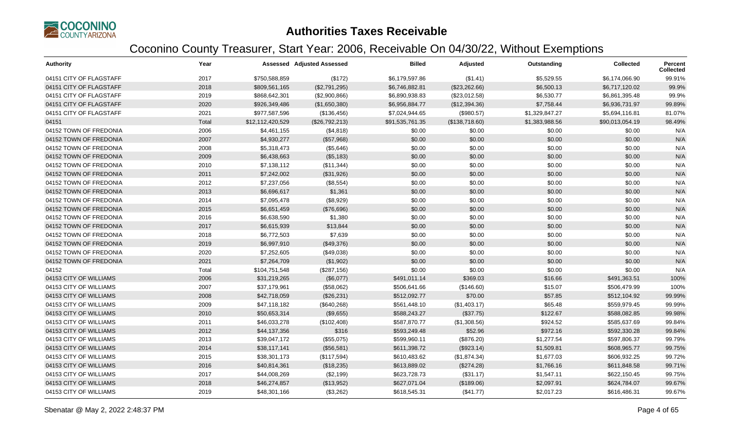

| <b>Authority</b>        | Year  |                  | <b>Assessed Adjusted Assessed</b> | <b>Billed</b>   | Adjusted       | Outstanding    | <b>Collected</b> | <b>Percent</b><br><b>Collected</b> |
|-------------------------|-------|------------------|-----------------------------------|-----------------|----------------|----------------|------------------|------------------------------------|
| 04151 CITY OF FLAGSTAFF | 2017  | \$750,588,859    | (\$172)                           | \$6,179,597.86  | (\$1.41)       | \$5,529.55     | \$6,174,066.90   | 99.91%                             |
| 04151 CITY OF FLAGSTAFF | 2018  | \$809,561,165    | (\$2,791,295)                     | \$6,746,882.81  | (\$23,262.66)  | \$6,500.13     | \$6,717,120.02   | 99.9%                              |
| 04151 CITY OF FLAGSTAFF | 2019  | \$868,642,301    | (\$2,900,866)                     | \$6,890,938.83  | (\$23,012.58)  | \$6,530.77     | \$6,861,395.48   | 99.9%                              |
| 04151 CITY OF FLAGSTAFF | 2020  | \$926,349,486    | (\$1,650,380)                     | \$6,956,884.77  | (\$12,394.36)  | \$7,758.44     | \$6,936,731.97   | 99.89%                             |
| 04151 CITY OF FLAGSTAFF | 2021  | \$977,587,596    | (\$136,456)                       | \$7,024,944.65  | (\$980.57)     | \$1,329,847.27 | \$5,694,116.81   | 81.07%                             |
| 04151                   | Total | \$12,112,420,529 | (\$26,792,213)                    | \$91,535,761.35 | (\$138,718.60) | \$1,383,988.56 | \$90,013,054.19  | 98.49%                             |
| 04152 TOWN OF FREDONIA  | 2006  | \$4,461,155      | (\$4,818)                         | \$0.00          | \$0.00         | \$0.00         | \$0.00           | N/A                                |
| 04152 TOWN OF FREDONIA  | 2007  | \$4,930,277      | (\$57,968)                        | \$0.00          | \$0.00         | \$0.00         | \$0.00           | N/A                                |
| 04152 TOWN OF FREDONIA  | 2008  | \$5,318,473      | (\$5,646)                         | \$0.00          | \$0.00         | \$0.00         | \$0.00           | N/A                                |
| 04152 TOWN OF FREDONIA  | 2009  | \$6,438,663      | (\$5,183)                         | \$0.00          | \$0.00         | \$0.00         | \$0.00           | N/A                                |
| 04152 TOWN OF FREDONIA  | 2010  | \$7,138,112      | (\$11,344)                        | \$0.00          | \$0.00         | \$0.00         | \$0.00           | N/A                                |
| 04152 TOWN OF FREDONIA  | 2011  | \$7,242,002      | (\$31,926)                        | \$0.00          | \$0.00         | \$0.00         | \$0.00           | N/A                                |
| 04152 TOWN OF FREDONIA  | 2012  | \$7,237,056      | (\$8,554)                         | \$0.00          | \$0.00         | \$0.00         | \$0.00           | N/A                                |
| 04152 TOWN OF FREDONIA  | 2013  | \$6,696,617      | \$1,361                           | \$0.00          | \$0.00         | \$0.00         | \$0.00           | N/A                                |
| 04152 TOWN OF FREDONIA  | 2014  | \$7,095,478      | (\$8,929)                         | \$0.00          | \$0.00         | \$0.00         | \$0.00           | N/A                                |
| 04152 TOWN OF FREDONIA  | 2015  | \$6,651,459      | (\$76,696)                        | \$0.00          | \$0.00         | \$0.00         | \$0.00           | N/A                                |
| 04152 TOWN OF FREDONIA  | 2016  | \$6,638,590      | \$1,380                           | \$0.00          | \$0.00         | \$0.00         | \$0.00           | N/A                                |
| 04152 TOWN OF FREDONIA  | 2017  | \$6,615,939      | \$13,844                          | \$0.00          | \$0.00         | \$0.00         | \$0.00           | N/A                                |
| 04152 TOWN OF FREDONIA  | 2018  | \$6,772,503      | \$7,639                           | \$0.00          | \$0.00         | \$0.00         | \$0.00           | N/A                                |
| 04152 TOWN OF FREDONIA  | 2019  | \$6,997,910      | (\$49,376)                        | \$0.00          | \$0.00         | \$0.00         | \$0.00           | N/A                                |
| 04152 TOWN OF FREDONIA  | 2020  | \$7,252,605      | (\$49,038)                        | \$0.00          | \$0.00         | \$0.00         | \$0.00           | N/A                                |
| 04152 TOWN OF FREDONIA  | 2021  | \$7,264,709      | (\$1,902)                         | \$0.00          | \$0.00         | \$0.00         | \$0.00           | N/A                                |
| 04152                   | Total | \$104,751,548    | (\$287, 156)                      | \$0.00          | \$0.00         | \$0.00         | \$0.00           | N/A                                |
| 04153 CITY OF WILLIAMS  | 2006  | \$31,219,265     | (\$6,077)                         | \$491,011.14    | \$369.03       | \$16.66        | \$491,363.51     | 100%                               |
| 04153 CITY OF WILLIAMS  | 2007  | \$37,179,961     | (\$58,062)                        | \$506,641.66    | (\$146.60)     | \$15.07        | \$506,479.99     | 100%                               |
| 04153 CITY OF WILLIAMS  | 2008  | \$42,718,059     | (\$26,231)                        | \$512,092.77    | \$70.00        | \$57.85        | \$512,104.92     | 99.99%                             |
| 04153 CITY OF WILLIAMS  | 2009  | \$47,118,182     | (\$640,268)                       | \$561,448.10    | (\$1,403.17)   | \$65.48        | \$559,979.45     | 99.99%                             |
| 04153 CITY OF WILLIAMS  | 2010  | \$50,653,314     | (\$9,655)                         | \$588,243.27    | (\$37.75)      | \$122.67       | \$588,082.85     | 99.98%                             |
| 04153 CITY OF WILLIAMS  | 2011  | \$46,033,278     | (\$102,408)                       | \$587,870.77    | (\$1,308.56)   | \$924.52       | \$585,637.69     | 99.84%                             |
| 04153 CITY OF WILLIAMS  | 2012  | \$44,137,356     | \$316                             | \$593,249.48    | \$52.96        | \$972.16       | \$592,330.28     | 99.84%                             |
| 04153 CITY OF WILLIAMS  | 2013  | \$39,047,172     | (\$55,075)                        | \$599,960.11    | (\$876.20)     | \$1,277.54     | \$597,806.37     | 99.79%                             |
| 04153 CITY OF WILLIAMS  | 2014  | \$38,117,141     | (\$56,581)                        | \$611,398.72    | (\$923.14)     | \$1,509.81     | \$608,965.77     | 99.75%                             |
| 04153 CITY OF WILLIAMS  | 2015  | \$38,301,173     | (\$117,594)                       | \$610,483.62    | (\$1,874.34)   | \$1,677.03     | \$606,932.25     | 99.72%                             |
| 04153 CITY OF WILLIAMS  | 2016  | \$40,814,361     | (\$18,235)                        | \$613,889.02    | (\$274.28)     | \$1,766.16     | \$611,848.58     | 99.71%                             |
| 04153 CITY OF WILLIAMS  | 2017  | \$44,008,269     | (\$2,199)                         | \$623,728.73    | (\$31.17)      | \$1,547.11     | \$622,150.45     | 99.75%                             |
| 04153 CITY OF WILLIAMS  | 2018  | \$46,274,857     | (\$13,952)                        | \$627,071.04    | (\$189.06)     | \$2,097.91     | \$624,784.07     | 99.67%                             |
| 04153 CITY OF WILLIAMS  | 2019  | \$48,301,166     | (\$3,262)                         | \$618,545.31    | (\$41.77)      | \$2,017.23     | \$616,486.31     | 99.67%                             |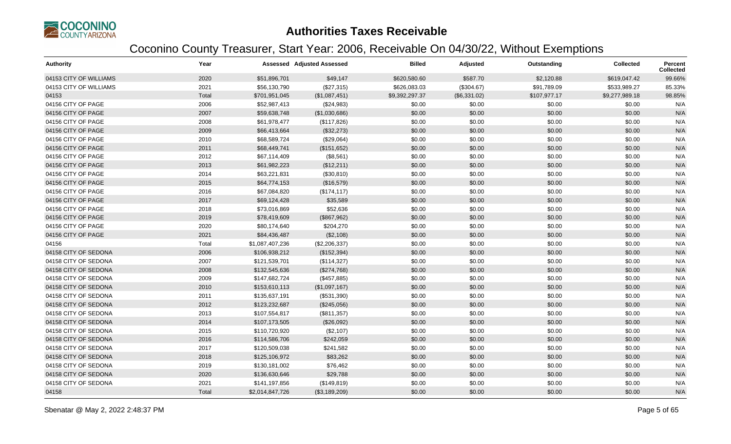

| <b>Authority</b>       | Year  |                 | <b>Assessed Adjusted Assessed</b> | <b>Billed</b>  | Adjusted     | Outstanding  | <b>Collected</b> | <b>Percent</b><br>Collected |
|------------------------|-------|-----------------|-----------------------------------|----------------|--------------|--------------|------------------|-----------------------------|
| 04153 CITY OF WILLIAMS | 2020  | \$51,896,701    | \$49,147                          | \$620,580.60   | \$587.70     | \$2,120.88   | \$619,047.42     | 99.66%                      |
| 04153 CITY OF WILLIAMS | 2021  | \$56,130,790    | (\$27,315)                        | \$626,083.03   | (\$304.67)   | \$91,789.09  | \$533,989.27     | 85.33%                      |
| 04153                  | Total | \$701,951,045   | (\$1,087,451)                     | \$9,392,297.37 | (\$6,331.02) | \$107,977.17 | \$9,277,989.18   | 98.85%                      |
| 04156 CITY OF PAGE     | 2006  | \$52,987,413    | (\$24,983)                        | \$0.00         | \$0.00       | \$0.00       | \$0.00           | N/A                         |
| 04156 CITY OF PAGE     | 2007  | \$59,638,748    | (\$1,030,686)                     | \$0.00         | \$0.00       | \$0.00       | \$0.00           | N/A                         |
| 04156 CITY OF PAGE     | 2008  | \$61,978,477    | (\$117,826)                       | \$0.00         | \$0.00       | \$0.00       | \$0.00           | N/A                         |
| 04156 CITY OF PAGE     | 2009  | \$66,413,664    | (\$32,273)                        | \$0.00         | \$0.00       | \$0.00       | \$0.00           | N/A                         |
| 04156 CITY OF PAGE     | 2010  | \$68,589,724    | (\$29,064)                        | \$0.00         | \$0.00       | \$0.00       | \$0.00           | N/A                         |
| 04156 CITY OF PAGE     | 2011  | \$68,449,741    | (\$151,652)                       | \$0.00         | \$0.00       | \$0.00       | \$0.00           | N/A                         |
| 04156 CITY OF PAGE     | 2012  | \$67,114,409    | (\$8,561)                         | \$0.00         | \$0.00       | \$0.00       | \$0.00           | N/A                         |
| 04156 CITY OF PAGE     | 2013  | \$61,982,223    | (\$12,211)                        | \$0.00         | \$0.00       | \$0.00       | \$0.00           | N/A                         |
| 04156 CITY OF PAGE     | 2014  | \$63,221,831    | (\$30,810)                        | \$0.00         | \$0.00       | \$0.00       | \$0.00           | N/A                         |
| 04156 CITY OF PAGE     | 2015  | \$64,774,153    | (\$16,579)                        | \$0.00         | \$0.00       | \$0.00       | \$0.00           | N/A                         |
| 04156 CITY OF PAGE     | 2016  | \$67,084,820    | (\$174, 117)                      | \$0.00         | \$0.00       | \$0.00       | \$0.00           | N/A                         |
| 04156 CITY OF PAGE     | 2017  | \$69,124,428    | \$35,589                          | \$0.00         | \$0.00       | \$0.00       | \$0.00           | N/A                         |
| 04156 CITY OF PAGE     | 2018  | \$73,016,869    | \$52,636                          | \$0.00         | \$0.00       | \$0.00       | \$0.00           | N/A                         |
| 04156 CITY OF PAGE     | 2019  | \$78,419,609    | (\$867,962)                       | \$0.00         | \$0.00       | \$0.00       | \$0.00           | N/A                         |
| 04156 CITY OF PAGE     | 2020  | \$80,174,640    | \$204,270                         | \$0.00         | \$0.00       | \$0.00       | \$0.00           | N/A                         |
| 04156 CITY OF PAGE     | 2021  | \$84,436,487    | (\$2,108)                         | \$0.00         | \$0.00       | \$0.00       | \$0.00           | N/A                         |
| 04156                  | Total | \$1,087,407,236 | (\$2,206,337)                     | \$0.00         | \$0.00       | \$0.00       | \$0.00           | N/A                         |
| 04158 CITY OF SEDONA   | 2006  | \$106,938,212   | (\$152,394)                       | \$0.00         | \$0.00       | \$0.00       | \$0.00           | N/A                         |
| 04158 CITY OF SEDONA   | 2007  | \$121,539,701   | (\$114,327)                       | \$0.00         | \$0.00       | \$0.00       | \$0.00           | N/A                         |
| 04158 CITY OF SEDONA   | 2008  | \$132,545,636   | (\$274,768)                       | \$0.00         | \$0.00       | \$0.00       | \$0.00           | N/A                         |
| 04158 CITY OF SEDONA   | 2009  | \$147,682,724   | (\$457,885)                       | \$0.00         | \$0.00       | \$0.00       | \$0.00           | N/A                         |
| 04158 CITY OF SEDONA   | 2010  | \$153,610,113   | (\$1,097,167)                     | \$0.00         | \$0.00       | \$0.00       | \$0.00           | N/A                         |
| 04158 CITY OF SEDONA   | 2011  | \$135,637,191   | (\$531,390)                       | \$0.00         | \$0.00       | \$0.00       | \$0.00           | N/A                         |
| 04158 CITY OF SEDONA   | 2012  | \$123,232,687   | (\$245,056)                       | \$0.00         | \$0.00       | \$0.00       | \$0.00           | N/A                         |
| 04158 CITY OF SEDONA   | 2013  | \$107,554,817   | (\$811,357)                       | \$0.00         | \$0.00       | \$0.00       | \$0.00           | N/A                         |
| 04158 CITY OF SEDONA   | 2014  | \$107,173,505   | (\$26,092)                        | \$0.00         | \$0.00       | \$0.00       | \$0.00           | N/A                         |
| 04158 CITY OF SEDONA   | 2015  | \$110,720,920   | (\$2,107)                         | \$0.00         | \$0.00       | \$0.00       | \$0.00           | N/A                         |
| 04158 CITY OF SEDONA   | 2016  | \$114,586,706   | \$242,059                         | \$0.00         | \$0.00       | \$0.00       | \$0.00           | N/A                         |
| 04158 CITY OF SEDONA   | 2017  | \$120,509,038   | \$241,582                         | \$0.00         | \$0.00       | \$0.00       | \$0.00           | N/A                         |
| 04158 CITY OF SEDONA   | 2018  | \$125,106,972   | \$83,262                          | \$0.00         | \$0.00       | \$0.00       | \$0.00           | N/A                         |
| 04158 CITY OF SEDONA   | 2019  | \$130,181,002   | \$76,462                          | \$0.00         | \$0.00       | \$0.00       | \$0.00           | N/A                         |
| 04158 CITY OF SEDONA   | 2020  | \$136,630,646   | \$29,788                          | \$0.00         | \$0.00       | \$0.00       | \$0.00           | N/A                         |
| 04158 CITY OF SEDONA   | 2021  | \$141,197,856   | (\$149, 819)                      | \$0.00         | \$0.00       | \$0.00       | \$0.00           | N/A                         |
| 04158                  | Total | \$2,014,847,726 | (\$3,189,209)                     | \$0.00         | \$0.00       | \$0.00       | \$0.00           | N/A                         |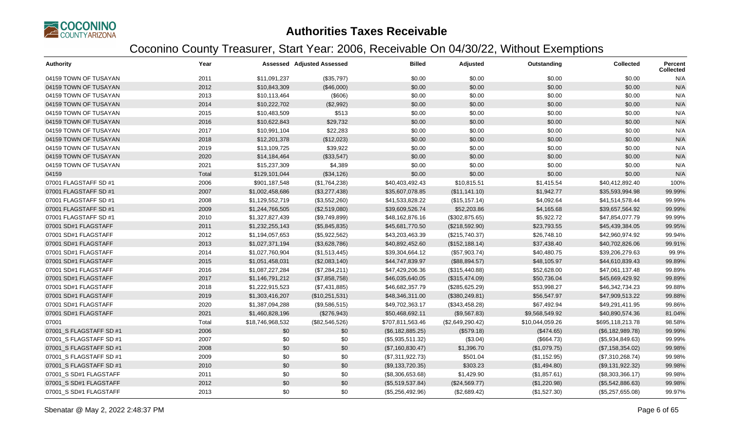

| <b>Authority</b>        | Year  |                  | <b>Assessed Adjusted Assessed</b> | <b>Billed</b>    | Adjusted         | Outstanding     | Collected        | Percent<br><b>Collected</b> |
|-------------------------|-------|------------------|-----------------------------------|------------------|------------------|-----------------|------------------|-----------------------------|
| 04159 TOWN OF TUSAYAN   | 2011  | \$11,091,237     | (\$35,797)                        | \$0.00           | \$0.00           | \$0.00          | \$0.00           | N/A                         |
| 04159 TOWN OF TUSAYAN   | 2012  | \$10,843,309     | (\$46,000)                        | \$0.00           | \$0.00           | \$0.00          | \$0.00           | N/A                         |
| 04159 TOWN OF TUSAYAN   | 2013  | \$10,113,464     | (\$606)                           | \$0.00           | \$0.00           | \$0.00          | \$0.00           | N/A                         |
| 04159 TOWN OF TUSAYAN   | 2014  | \$10,222,702     | (\$2,992)                         | \$0.00           | \$0.00           | \$0.00          | \$0.00           | N/A                         |
| 04159 TOWN OF TUSAYAN   | 2015  | \$10,483,509     | \$513                             | \$0.00           | \$0.00           | \$0.00          | \$0.00           | N/A                         |
| 04159 TOWN OF TUSAYAN   | 2016  | \$10,622,843     | \$29,732                          | \$0.00           | \$0.00           | \$0.00          | \$0.00           | N/A                         |
| 04159 TOWN OF TUSAYAN   | 2017  | \$10,991,104     | \$22,283                          | \$0.00           | \$0.00           | \$0.00          | \$0.00           | N/A                         |
| 04159 TOWN OF TUSAYAN   | 2018  | \$12,201,378     | (\$12,023)                        | \$0.00           | \$0.00           | \$0.00          | \$0.00           | N/A                         |
| 04159 TOWN OF TUSAYAN   | 2019  | \$13,109,725     | \$39,922                          | \$0.00           | \$0.00           | \$0.00          | \$0.00           | N/A                         |
| 04159 TOWN OF TUSAYAN   | 2020  | \$14,184,464     | (\$33,547)                        | \$0.00           | \$0.00           | \$0.00          | \$0.00           | N/A                         |
| 04159 TOWN OF TUSAYAN   | 2021  | \$15,237,309     | \$4,389                           | \$0.00           | \$0.00           | \$0.00          | \$0.00           | N/A                         |
| 04159                   | Total | \$129,101,044    | (\$34,126)                        | \$0.00           | \$0.00           | \$0.00          | \$0.00           | N/A                         |
| 07001 FLAGSTAFF SD #1   | 2006  | \$901,187,548    | (\$1,764,238)                     | \$40,403,492.43  | \$10,815.51      | \$1,415.54      | \$40,412,892.40  | 100%                        |
| 07001 FLAGSTAFF SD #1   | 2007  | \$1,002,458,686  | (\$3,277,438)                     | \$35,607,078.85  | (\$11,141.10)    | \$1,942.77      | \$35,593,994.98  | 99.99%                      |
| 07001 FLAGSTAFF SD #1   | 2008  | \$1,129,552,719  | (\$3,552,260)                     | \$41,533,828.22  | (\$15, 157.14)   | \$4,092.64      | \$41,514,578.44  | 99.99%                      |
| 07001 FLAGSTAFF SD #1   | 2009  | \$1,244,766,505  | (\$2,519,080)                     | \$39,609,526.74  | \$52,203.86      | \$4,165.68      | \$39,657,564.92  | 99.99%                      |
| 07001 FLAGSTAFF SD #1   | 2010  | \$1,327,827,439  | (\$9,749,899)                     | \$48,162,876.16  | (\$302,875.65)   | \$5,922.72      | \$47,854,077.79  | 99.99%                      |
| 07001 SD#1 FLAGSTAFF    | 2011  | \$1,232,255,143  | (\$5,845,835)                     | \$45,681,770.50  | (\$218,592.90)   | \$23,793.55     | \$45,439,384.05  | 99.95%                      |
| 07001 SD#1 FLAGSTAFF    | 2012  | \$1,194,057,653  | (\$5,922,562)                     | \$43,203,463.39  | (\$215,740.37)   | \$26,748.10     | \$42,960,974.92  | 99.94%                      |
| 07001 SD#1 FLAGSTAFF    | 2013  | \$1,027,371,194  | (\$3,628,786)                     | \$40,892,452.60  | (\$152, 188.14)  | \$37,438.40     | \$40,702,826.06  | 99.91%                      |
| 07001 SD#1 FLAGSTAFF    | 2014  | \$1,027,760,904  | (\$1,513,445)                     | \$39,304,664.12  | (\$57,903.74)    | \$40,480.75     | \$39,206,279.63  | 99.9%                       |
| 07001 SD#1 FLAGSTAFF    | 2015  | \$1,051,458,031  | (\$2,083,140)                     | \$44,747,839.97  | (\$88,894.57)    | \$48,105.97     | \$44,610,839.43  | 99.89%                      |
| 07001 SD#1 FLAGSTAFF    | 2016  | \$1,087,227,284  | (\$7,284,211)                     | \$47,429,206.36  | (\$315,440.88)   | \$52,628.00     | \$47,061,137.48  | 99.89%                      |
| 07001 SD#1 FLAGSTAFF    | 2017  | \$1,146,791,212  | (\$7,858,758)                     | \$46,035,640.05  | (\$315,474.09)   | \$50,736.04     | \$45,669,429.92  | 99.89%                      |
| 07001 SD#1 FLAGSTAFF    | 2018  | \$1,222,915,523  | (\$7,431,885)                     | \$46,682,357.79  | (\$285,625.29)   | \$53,998.27     | \$46,342,734.23  | 99.88%                      |
| 07001 SD#1 FLAGSTAFF    | 2019  | \$1,303,416,207  | (\$10,251,531)                    | \$48,346,311.00  | (\$380, 249.81)  | \$56,547.97     | \$47,909,513.22  | 99.88%                      |
| 07001 SD#1 FLAGSTAFF    | 2020  | \$1,387,094,288  | (\$9,586,515)                     | \$49,702,363.17  | (\$343,458.28)   | \$67,492.94     | \$49,291,411.95  | 99.86%                      |
| 07001 SD#1 FLAGSTAFF    | 2021  | \$1,460,828,196  | (\$276,943)                       | \$50,468,692.11  | (\$9,567.83)     | \$9,568,549.92  | \$40,890,574.36  | 81.04%                      |
| 07001                   | Total | \$18,746,968,532 | (\$82,546,526)                    | \$707,811,563.46 | (\$2,649,290.42) | \$10,044,059.26 | \$695,118,213.78 | 98.58%                      |
| 07001 S FLAGSTAFF SD #1 | 2006  | \$0              | \$0                               | (\$6,182,885.25) | (\$579.18)       | (\$474.65)      | (\$6,182,989.78) | 99.99%                      |
| 07001_S FLAGSTAFF SD #1 | 2007  | \$0              | \$0                               | (\$5,935,511.32) | (\$3.04)         | (\$664.73)      | (\$5,934,849.63) | 99.99%                      |
| 07001 S FLAGSTAFF SD #1 | 2008  | \$0              | \$0                               | (\$7,160,830.47) | \$1,396.70       | (\$1,079.75)    | (\$7,158,354.02) | 99.98%                      |
| 07001 S FLAGSTAFF SD #1 | 2009  | \$0              | \$0                               | (\$7,311,922.73) | \$501.04         | (\$1,152.95)    | (\$7,310,268.74) | 99.98%                      |
| 07001_S FLAGSTAFF SD #1 | 2010  | \$0              | \$0                               | (\$9,133,720.35) | \$303.23         | (\$1,494.80)    | (\$9,131,922.32) | 99.98%                      |
| 07001_S SD#1 FLAGSTAFF  | 2011  | \$0              | \$0                               | (\$8,306,653.68) | \$1,429.90       | (\$1,857.61)    | (\$8,303,366.17) | 99.98%                      |
| 07001_S SD#1 FLAGSTAFF  | 2012  | \$0              | \$0                               | (\$5,519,537.84) | (\$24,569.77)    | (\$1,220.98)    | (\$5,542,886.63) | 99.98%                      |
| 07001_S SD#1 FLAGSTAFF  | 2013  | \$0              | \$0                               | (\$5,256,492.96) | (\$2,689.42)     | (\$1,527.30)    | (\$5,257,655.08) | 99.97%                      |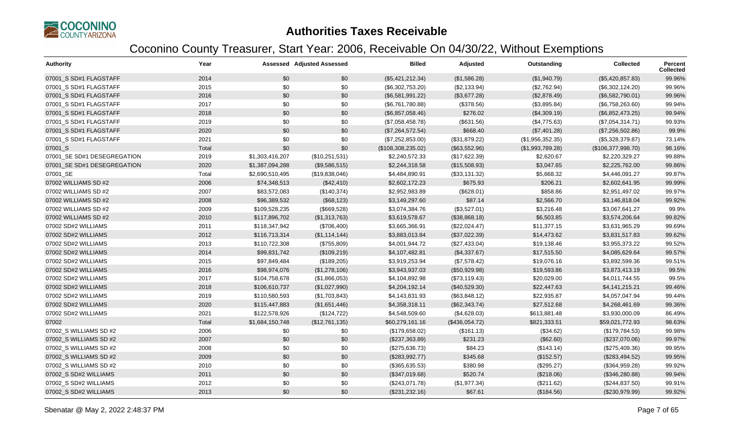

| <b>Authority</b>            | Year  |                 | <b>Assessed Adjusted Assessed</b> | <b>Billed</b>      | Adjusted       | Outstanding      | <b>Collected</b>   | <b>Percent</b><br><b>Collected</b> |
|-----------------------------|-------|-----------------|-----------------------------------|--------------------|----------------|------------------|--------------------|------------------------------------|
| 07001_S SD#1 FLAGSTAFF      | 2014  | \$0             | \$0                               | (\$5,421,212.34)   | (\$1,586.28)   | (\$1,940.79)     | (\$5,420,857.83)   | 99.96%                             |
| 07001 S SD#1 FLAGSTAFF      | 2015  | \$0             | \$0                               | (\$6,302,753.20)   | (\$2,133.94)   | (\$2,762.94)     | (\$6,302,124.20)   | 99.96%                             |
| 07001_S SD#1 FLAGSTAFF      | 2016  | \$0             | \$0                               | (\$6,581,991.22)   | (\$3,677.28)   | (\$2,878.49)     | (\$6,582,790.01)   | 99.96%                             |
| 07001 S SD#1 FLAGSTAFF      | 2017  | \$0             | \$0                               | (\$6,761,780.88)   | (\$378.56)     | (\$3,895.84)     | (\$6,758,263.60)   | 99.94%                             |
| 07001 S SD#1 FLAGSTAFF      | 2018  | \$0             | \$0                               | (\$6,857,058.46)   | \$276.02       | (\$4,309.19)     | (\$6,852,473.25)   | 99.94%                             |
| 07001_S SD#1 FLAGSTAFF      | 2019  | \$0             | \$0                               | (\$7,058,458.78)   | (\$631.56)     | (\$4,775.63)     | (\$7,054,314.71)   | 99.93%                             |
| 07001_S SD#1 FLAGSTAFF      | 2020  | \$0             | \$0                               | (\$7,264,572.54)   | \$668.40       | (\$7,401.28)     | (\$7,256,502.86)   | 99.9%                              |
| 07001_S SD#1 FLAGSTAFF      | 2021  | \$0             | \$0                               | (\$7,252,853.00)   | (\$31,879.22)  | (\$1,956,352.35) | (\$5,328,379.87)   | 73.14%                             |
| 07001_S                     | Total | \$0             | \$0                               | (\$108,308,235.02) | (\$63,552.96)  | (\$1,993,789.28) | (\$106,377,998.70) | 98.16%                             |
| 07001_SE SD#1 DESEGREGATION | 2019  | \$1,303,416,207 | (\$10,251,531)                    | \$2,240,572.33     | (\$17,622.39)  | \$2,620.67       | \$2,220,329.27     | 99.88%                             |
| 07001 SE SD#1 DESEGREGATION | 2020  | \$1,387,094,288 | (\$9,586,515)                     | \$2,244,318.58     | (\$15,508.93)  | \$3,047.65       | \$2,225,762.00     | 99.86%                             |
| 07001_SE                    | Total | \$2,690,510,495 | (\$19,838,046)                    | \$4,484,890.91     | (\$33,131.32)  | \$5,668.32       | \$4,446,091.27     | 99.87%                             |
| 07002 WILLIAMS SD #2        | 2006  | \$74,348,513    | (\$42,410)                        | \$2,602,172.23     | \$675.93       | \$206.21         | \$2,602,641.95     | 99.99%                             |
| 07002 WILLIAMS SD #2        | 2007  | \$83,572,083    | (\$140,374)                       | \$2,952,983.89     | (\$628.01)     | \$858.86         | \$2,951,497.02     | 99.97%                             |
| 07002 WILLIAMS SD #2        | 2008  | \$96,389,532    | (\$68,123)                        | \$3,149,297.60     | \$87.14        | \$2,566.70       | \$3,146,818.04     | 99.92%                             |
| 07002 WILLIAMS SD #2        | 2009  | \$109,528,235   | (\$669,528)                       | \$3,074,384.76     | (\$3,527.01)   | \$3,216.48       | \$3,067,641.27     | 99.9%                              |
| 07002 WILLIAMS SD #2        | 2010  | \$117,896,702   | (\$1,313,763)                     | \$3,619,578.67     | (\$38,868.18)  | \$6,503.85       | \$3,574,206.64     | 99.82%                             |
| 07002 SD#2 WILLIAMS         | 2011  | \$118,347,942   | (\$706,400)                       | \$3,665,366.91     | (\$22,024.47)  | \$11,377.15      | \$3,631,965.29     | 99.69%                             |
| 07002 SD#2 WILLIAMS         | 2012  | \$116,713,314   | (\$1,114,144)                     | \$3,883,013.84     | (\$37,022.39)  | \$14,473.62      | \$3,831,517.83     | 99.62%                             |
| 07002 SD#2 WILLIAMS         | 2013  | \$110,722,308   | (\$755,809)                       | \$4,001,944.72     | (\$27,433.04)  | \$19,138.46      | \$3,955,373.22     | 99.52%                             |
| 07002 SD#2 WILLIAMS         | 2014  | \$99,831,742    | (\$109,219)                       | \$4,107,482.81     | (\$4,337.67)   | \$17,515.50      | \$4,085,629.64     | 99.57%                             |
| 07002 SD#2 WILLIAMS         | 2015  | \$97,849,484    | (\$189,205)                       | \$3,919,253.94     | (\$7,578.42)   | \$19,076.16      | \$3,892,599.36     | 99.51%                             |
| 07002 SD#2 WILLIAMS         | 2016  | \$98,974,076    | (\$1,278,106)                     | \$3,943,937.03     | (\$50,929.98)  | \$19,593.86      | \$3,873,413.19     | 99.5%                              |
| 07002 SD#2 WILLIAMS         | 2017  | \$104,758,678   | (\$1,866,053)                     | \$4,104,892.98     | (\$73,119.43)  | \$20,029.00      | \$4,011,744.55     | 99.5%                              |
| 07002 SD#2 WILLIAMS         | 2018  | \$106,610,737   | (\$1,027,990)                     | \$4,204,192.14     | (\$40,529.30)  | \$22,447.63      | \$4,141,215.21     | 99.46%                             |
| 07002 SD#2 WILLIAMS         | 2019  | \$110,580,593   | (\$1,703,843)                     | \$4,143,831.93     | (\$63,848.12)  | \$22,935.87      | \$4,057,047.94     | 99.44%                             |
| 07002 SD#2 WILLIAMS         | 2020  | \$115,447,883   | (\$1,651,446)                     | \$4,358,318.11     | (\$62,343.74)  | \$27,512.68      | \$4,268,461.69     | 99.36%                             |
| 07002 SD#2 WILLIAMS         | 2021  | \$122,578,926   | (\$124, 722)                      | \$4,548,509.60     | (\$4,628.03)   | \$613,881.48     | \$3,930,000.09     | 86.49%                             |
| 07002                       | Total | \$1,684,150,748 | (\$12,761,135)                    | \$60,279,161.16    | (\$436,054.72) | \$821,333.51     | \$59,021,772.93    | 98.63%                             |
| 07002_S WILLIAMS SD #2      | 2006  | \$0             | \$0                               | (\$179,658.02)     | (\$161.13)     | (\$34.62)        | (\$179,784.53)     | 99.98%                             |
| 07002_S WILLIAMS SD #2      | 2007  | \$0             | \$0                               | (\$237,363.89)     | \$231.23       | (\$62.60)        | (\$237,070.06)     | 99.97%                             |
| 07002 S WILLIAMS SD #2      | 2008  | \$0             | \$0                               | (\$275,636.73)     | \$84.23        | (\$143.14)       | (\$275,409.36)     | 99.95%                             |
| 07002 S WILLIAMS SD #2      | 2009  | \$0             | \$0                               | (\$283,992.77)     | \$345.68       | (\$152.57)       | (\$283,494.52)     | 99.95%                             |
| 07002 S WILLIAMS SD #2      | 2010  | \$0             | \$0                               | (\$365,635.53)     | \$380.98       | (\$295.27)       | (\$364,959.28)     | 99.92%                             |
| 07002 S SD#2 WILLIAMS       | 2011  | \$0             | \$0                               | (\$347,019.68)     | \$520.74       | (\$218.06)       | (\$346,280.88)     | 99.94%                             |
| 07002_S SD#2 WILLIAMS       | 2012  | \$0             | \$0                               | (\$243,071.78)     | (\$1,977.34)   | (\$211.62)       | (\$244, 837.50)    | 99.91%                             |
| 07002 S SD#2 WILLIAMS       | 2013  | \$0             | \$0                               | (\$231, 232.16)    | \$67.61        | (\$184.56)       | (\$230,979.99)     | 99.92%                             |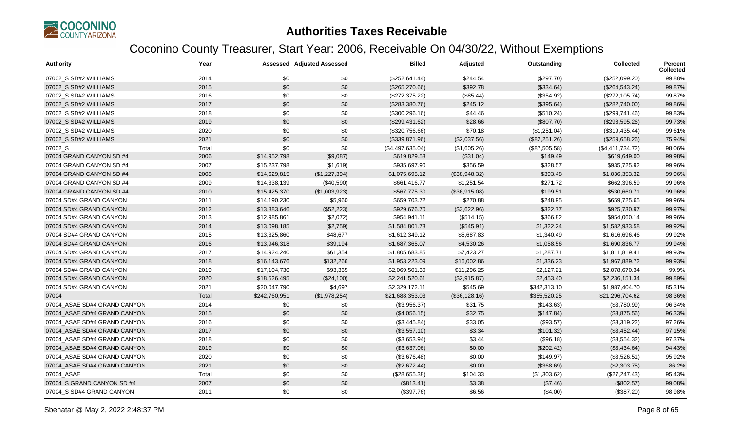

| <b>Authority</b>             | Year  |               | <b>Assessed Adjusted Assessed</b> | <b>Billed</b>    | Adjusted      | Outstanding   | <b>Collected</b> | <b>Percent</b><br><b>Collected</b> |
|------------------------------|-------|---------------|-----------------------------------|------------------|---------------|---------------|------------------|------------------------------------|
| 07002 S SD#2 WILLIAMS        | 2014  | \$0           | \$0                               | (\$252, 641.44)  | \$244.54      | (\$297.70)    | (\$252,099.20)   | 99.88%                             |
| 07002 S SD#2 WILLIAMS        | 2015  | \$0           | \$0                               | (\$265,270.66)   | \$392.78      | (\$334.64)    | (\$264, 543.24)  | 99.87%                             |
| 07002 S SD#2 WILLIAMS        | 2016  | \$0           | \$0                               | (\$272,375.22)   | (\$85.44)     | (\$354.92)    | (\$272,105.74)   | 99.87%                             |
| 07002_S SD#2 WILLIAMS        | 2017  | \$0           | \$0                               | (\$283,380.76)   | \$245.12      | (\$395.64)    | (\$282,740.00)   | 99.86%                             |
| 07002_S SD#2 WILLIAMS        | 2018  | \$0           | \$0                               | (\$300, 296.16)  | \$44.46       | (\$510.24)    | (\$299,741.46)   | 99.83%                             |
| 07002 S SD#2 WILLIAMS        | 2019  | \$0           | \$0                               | (\$299,431.62)   | \$28.66       | (\$807.70)    | (\$298,595.26)   | 99.73%                             |
| 07002_S SD#2 WILLIAMS        | 2020  | \$0           | \$0                               | (\$320,756.66)   | \$70.18       | (\$1,251.04)  | (\$319,435.44)   | 99.61%                             |
| 07002 S SD#2 WILLIAMS        | 2021  | \$0           | \$0                               | (\$339,871.96)   | (\$2,037.56)  | (\$82,251.26) | (\$259,658.26)   | 75.94%                             |
| 07002_S                      | Total | \$0           | \$0                               | (\$4,497,635.04) | (\$1,605.26)  | (\$87,505.58) | (\$4,411,734.72) | 98.06%                             |
| 07004 GRAND CANYON SD #4     | 2006  | \$14,952,798  | (\$9,087)                         | \$619,829.53     | (\$31.04)     | \$149.49      | \$619,649.00     | 99.98%                             |
| 07004 GRAND CANYON SD #4     | 2007  | \$15,237,798  | (\$1,619)                         | \$935,697.90     | \$356.59      | \$328.57      | \$935,725.92     | 99.96%                             |
| 07004 GRAND CANYON SD #4     | 2008  | \$14,629,815  | (\$1,227,394)                     | \$1,075,695.12   | (\$38,948.32) | \$393.48      | \$1,036,353.32   | 99.96%                             |
| 07004 GRAND CANYON SD #4     | 2009  | \$14,338,139  | (\$40,590)                        | \$661,416.77     | \$1,251.54    | \$271.72      | \$662,396.59     | 99.96%                             |
| 07004 GRAND CANYON SD #4     | 2010  | \$15,425,370  | (\$1,003,923)                     | \$567,775.30     | (\$36,915.08) | \$199.51      | \$530,660.71     | 99.96%                             |
| 07004 SD#4 GRAND CANYON      | 2011  | \$14,190,230  | \$5,960                           | \$659,703.72     | \$270.88      | \$248.95      | \$659,725.65     | 99.96%                             |
| 07004 SD#4 GRAND CANYON      | 2012  | \$13,883,646  | (\$52,223)                        | \$929,676.70     | (\$3,622.96)  | \$322.77      | \$925,730.97     | 99.97%                             |
| 07004 SD#4 GRAND CANYON      | 2013  | \$12,985,861  | (\$2,072)                         | \$954,941.11     | (\$514.15)    | \$366.82      | \$954,060.14     | 99.96%                             |
| 07004 SD#4 GRAND CANYON      | 2014  | \$13,098,185  | (\$2,759)                         | \$1,584,801.73   | (\$545.91)    | \$1,322.24    | \$1,582,933.58   | 99.92%                             |
| 07004 SD#4 GRAND CANYON      | 2015  | \$13,325,860  | \$48,677                          | \$1,612,349.12   | \$5,687.83    | \$1,340.49    | \$1,616,696.46   | 99.92%                             |
| 07004 SD#4 GRAND CANYON      | 2016  | \$13,946,318  | \$39,194                          | \$1,687,365.07   | \$4,530.26    | \$1,058.56    | \$1,690,836.77   | 99.94%                             |
| 07004 SD#4 GRAND CANYON      | 2017  | \$14,924,240  | \$61,354                          | \$1,805,683.85   | \$7,423.27    | \$1,287.71    | \$1,811,819.41   | 99.93%                             |
| 07004 SD#4 GRAND CANYON      | 2018  | \$16,143,676  | \$132,266                         | \$1,953,223.09   | \$16,002.86   | \$1,336.23    | \$1,967,889.72   | 99.93%                             |
| 07004 SD#4 GRAND CANYON      | 2019  | \$17,104,730  | \$93,365                          | \$2,069,501.30   | \$11,296.25   | \$2,127.21    | \$2,078,670.34   | 99.9%                              |
| 07004 SD#4 GRAND CANYON      | 2020  | \$18,526,495  | (\$24,100)                        | \$2,241,520.61   | (\$2,915.87)  | \$2,453.40    | \$2,236,151.34   | 99.89%                             |
| 07004 SD#4 GRAND CANYON      | 2021  | \$20,047,790  | \$4,697                           | \$2,329,172.11   | \$545.69      | \$342,313.10  | \$1,987,404.70   | 85.31%                             |
| 07004                        | Total | \$242,760,951 | (\$1,978,254)                     | \$21,688,353.03  | (\$36,128.16) | \$355,520.25  | \$21,296,704.62  | 98.36%                             |
| 07004 ASAE SD#4 GRAND CANYON | 2014  | \$0           | \$0                               | (\$3,956.37)     | \$31.75       | (\$143.63)    | (\$3,780.99)     | 96.34%                             |
| 07004 ASAE SD#4 GRAND CANYON | 2015  | \$0           | \$0                               | (\$4,056.15)     | \$32.75       | (\$147.84)    | (\$3,875.56)     | 96.33%                             |
| 07004 ASAE SD#4 GRAND CANYON | 2016  | \$0           | \$0                               | (\$3,445.84)     | \$33.05       | (\$93.57)     | (\$3,319.22)     | 97.26%                             |
| 07004 ASAE SD#4 GRAND CANYON | 2017  | $$0$$         | \$0                               | (\$3,557.10)     | \$3.34        | (\$101.32)    | (\$3,452.44)     | 97.15%                             |
| 07004_ASAE SD#4 GRAND CANYON | 2018  | \$0           | \$0                               | (\$3,653.94)     | \$3.44        | (\$96.18)     | (\$3,554.32)     | 97.37%                             |
| 07004 ASAE SD#4 GRAND CANYON | 2019  | \$0           | \$0                               | (\$3,637.06)     | \$0.00        | (\$202.42)    | (\$3,434.64)     | 94.43%                             |
| 07004 ASAE SD#4 GRAND CANYON | 2020  | \$0           | \$0                               | (\$3,676.48)     | \$0.00        | (\$149.97)    | (\$3,526.51)     | 95.92%                             |
| 07004 ASAE SD#4 GRAND CANYON | 2021  | \$0           | \$0                               | (\$2,672.44)     | \$0.00        | (\$368.69)    | (\$2,303.75)     | 86.2%                              |
| 07004_ASAE                   | Total | \$0           | \$0                               | (\$28,655.38)    | \$104.33      | (\$1,303.62)  | (\$27, 247.43)   | 95.43%                             |
| 07004_S GRAND CANYON SD #4   | 2007  | \$0           | \$0                               | (\$813.41)       | \$3.38        | (\$7.46)      | (\$802.57)       | 99.08%                             |
| 07004 S SD#4 GRAND CANYON    | 2011  | \$0           | \$0                               | (\$397.76)       | \$6.56        | (\$4.00)      | (\$387.20)       | 98.98%                             |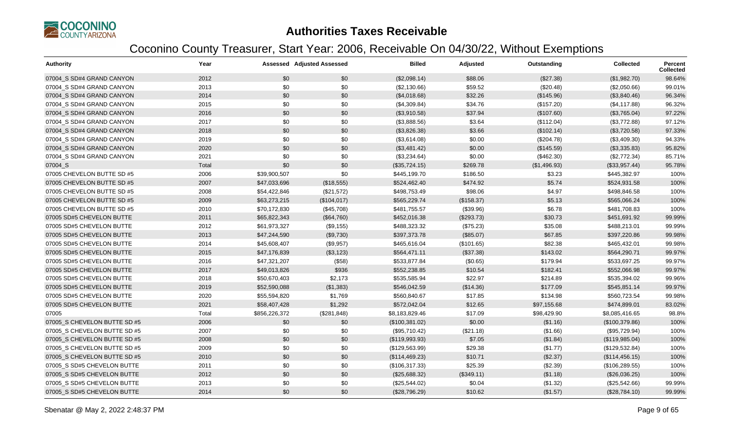

| <b>Authority</b>             | Year  |               | <b>Assessed Adjusted Assessed</b> | <b>Billed</b>  | Adjusted   | Outstanding  | <b>Collected</b> | <b>Percent</b><br><b>Collected</b> |
|------------------------------|-------|---------------|-----------------------------------|----------------|------------|--------------|------------------|------------------------------------|
| 07004 S SD#4 GRAND CANYON    | 2012  | \$0           | \$0                               | (\$2,098.14)   | \$88.06    | (\$27.38)    | (\$1,982.70)     | 98.64%                             |
| 07004_S SD#4 GRAND CANYON    | 2013  | \$0           | \$0                               | (\$2,130.66)   | \$59.52    | (\$20.48)    | (\$2,050.66)     | 99.01%                             |
| 07004 S SD#4 GRAND CANYON    | 2014  | \$0           | \$0                               | (\$4,018.68)   | \$32.26    | (\$145.96)   | (\$3,840.46)     | 96.34%                             |
| 07004_S SD#4 GRAND CANYON    | 2015  | \$0           | \$0                               | (\$4,309.84)   | \$34.76    | (\$157.20)   | (\$4,117.88)     | 96.32%                             |
| 07004 S SD#4 GRAND CANYON    | 2016  | \$0           | \$0                               | (\$3,910.58)   | \$37.94    | (\$107.60)   | (\$3,765.04)     | 97.22%                             |
| 07004 S SD#4 GRAND CANYON    | 2017  | \$0           | \$0                               | (\$3,888.56)   | \$3.64     | (\$112.04)   | (\$3,772.88)     | 97.12%                             |
| 07004_S SD#4 GRAND CANYON    | 2018  | \$0           | \$0                               | (\$3,826.38)   | \$3.66     | (\$102.14)   | (\$3,720.58)     | 97.33%                             |
| 07004 S SD#4 GRAND CANYON    | 2019  | \$0           | \$0                               | (\$3,614.08)   | \$0.00     | (\$204.78)   | (\$3,409.30)     | 94.33%                             |
| 07004 S SD#4 GRAND CANYON    | 2020  | \$0           | \$0                               | (\$3,481.42)   | \$0.00     | (\$145.59)   | (\$3,335.83)     | 95.82%                             |
| 07004_S SD#4 GRAND CANYON    | 2021  | \$0           | \$0                               | (\$3,234.64)   | \$0.00     | (\$462.30)   | (\$2,772.34)     | 85.71%                             |
| 07004_S                      | Total | \$0           | \$0                               | (\$35,724.15)  | \$269.78   | (\$1,496.93) | (\$33,957.44)    | 95.78%                             |
| 07005 CHEVELON BUTTE SD #5   | 2006  | \$39,900,507  | \$0                               | \$445,199.70   | \$186.50   | \$3.23       | \$445,382.97     | 100%                               |
| 07005 CHEVELON BUTTE SD #5   | 2007  | \$47,033,696  | (\$18,555)                        | \$524,462.40   | \$474.92   | \$5.74       | \$524,931.58     | 100%                               |
| 07005 CHEVELON BUTTE SD #5   | 2008  | \$54,422,846  | (\$21,572)                        | \$498,753.49   | \$98.06    | \$4.97       | \$498,846.58     | 100%                               |
| 07005 CHEVELON BUTTE SD #5   | 2009  | \$63,273,215  | (\$104,017)                       | \$565,229.74   | (\$158.37) | \$5.13       | \$565,066.24     | 100%                               |
| 07005 CHEVELON BUTTE SD #5   | 2010  | \$70,172,830  | (\$45,708)                        | \$481,755.57   | (\$39.96)  | \$6.78       | \$481,708.83     | 100%                               |
| 07005 SD#5 CHEVELON BUTTE    | 2011  | \$65,822,343  | (\$64,760)                        | \$452,016.38   | (\$293.73) | \$30.73      | \$451,691.92     | 99.99%                             |
| 07005 SD#5 CHEVELON BUTTE    | 2012  | \$61,973,327  | (\$9,155)                         | \$488,323.32   | (\$75.23)  | \$35.08      | \$488,213.01     | 99.99%                             |
| 07005 SD#5 CHEVELON BUTTE    | 2013  | \$47,244,590  | (\$9,730)                         | \$397,373.78   | (\$85.07)  | \$67.85      | \$397,220.86     | 99.98%                             |
| 07005 SD#5 CHEVELON BUTTE    | 2014  | \$45,608,407  | (\$9,957)                         | \$465,616.04   | (\$101.65) | \$82.38      | \$465,432.01     | 99.98%                             |
| 07005 SD#5 CHEVELON BUTTE    | 2015  | \$47,176,839  | (\$3,123)                         | \$564,471.11   | (\$37.38)  | \$143.02     | \$564,290.71     | 99.97%                             |
| 07005 SD#5 CHEVELON BUTTE    | 2016  | \$47,321,207  | (\$58)                            | \$533,877.84   | (\$0.65)   | \$179.94     | \$533,697.25     | 99.97%                             |
| 07005 SD#5 CHEVELON BUTTE    | 2017  | \$49,013,826  | \$936                             | \$552,238.85   | \$10.54    | \$182.41     | \$552,066.98     | 99.97%                             |
| 07005 SD#5 CHEVELON BUTTE    | 2018  | \$50,670,403  | \$2,173                           | \$535,585.94   | \$22.97    | \$214.89     | \$535,394.02     | 99.96%                             |
| 07005 SD#5 CHEVELON BUTTE    | 2019  | \$52,590,088  | (\$1,383)                         | \$546,042.59   | (\$14.36)  | \$177.09     | \$545,851.14     | 99.97%                             |
| 07005 SD#5 CHEVELON BUTTE    | 2020  | \$55,594,820  | \$1,769                           | \$560,840.67   | \$17.85    | \$134.98     | \$560,723.54     | 99.98%                             |
| 07005 SD#5 CHEVELON BUTTE    | 2021  | \$58,407,428  | \$1,292                           | \$572,042.04   | \$12.65    | \$97,155.68  | \$474,899.01     | 83.02%                             |
| 07005                        | Total | \$856,226,372 | (\$281, 848)                      | \$8,183,829.46 | \$17.09    | \$98,429.90  | \$8,085,416.65   | 98.8%                              |
| 07005 S CHEVELON BUTTE SD #5 | 2006  | \$0           | \$0                               | (\$100,381.02) | \$0.00     | (\$1.16)     | (\$100,379.86)   | 100%                               |
| 07005 S CHEVELON BUTTE SD #5 | 2007  | \$0           | \$0                               | (\$95,710.42)  | (\$21.18)  | (\$1.66)     | (\$95,729.94)    | 100%                               |
| 07005_S CHEVELON BUTTE SD #5 | 2008  | \$0           | \$0                               | (\$119,993.93) | \$7.05     | (\$1.84)     | (\$119,985.04)   | 100%                               |
| 07005 S CHEVELON BUTTE SD #5 | 2009  | \$0           | \$0                               | (\$129,563.99) | \$29.38    | (\$1.77)     | (\$129,532.84)   | 100%                               |
| 07005 S CHEVELON BUTTE SD #5 | 2010  | \$0           | \$0                               | (\$114,469.23) | \$10.71    | (\$2.37)     | (\$114,456.15)   | 100%                               |
| 07005_S SD#5 CHEVELON BUTTE  | 2011  | \$0           | \$0                               | (\$106,317.33) | \$25.39    | (\$2.39)     | (\$106, 289.55)  | 100%                               |
| 07005 S SD#5 CHEVELON BUTTE  | 2012  | \$0           | \$0                               | (\$25,688.32)  | (\$349.11) | (\$1.18)     | (\$26,036.25)    | 100%                               |
| 07005_S SD#5 CHEVELON BUTTE  | 2013  | \$0           | \$0                               | (\$25,544.02)  | \$0.04     | (\$1.32)     | (\$25,542.66)    | 99.99%                             |
| 07005_S SD#5 CHEVELON BUTTE  | 2014  | \$0           | \$0                               | (\$28,796.29)  | \$10.62    | (\$1.57)     | (\$28,784.10)    | 99.99%                             |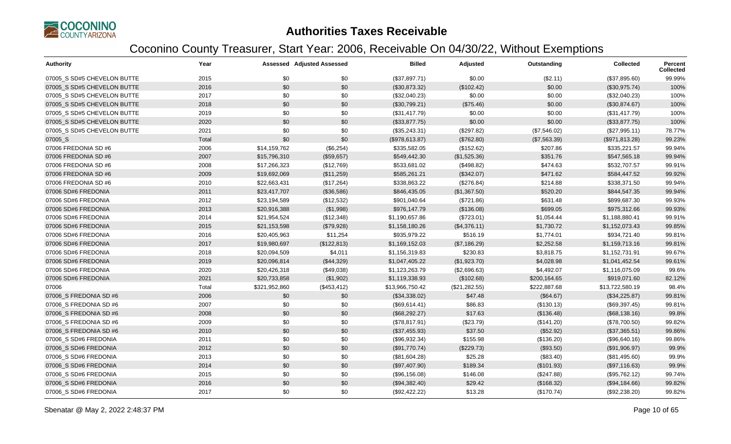

| <b>Authority</b>            | Year  |               | <b>Assessed Adjusted Assessed</b> | <b>Billed</b>   | Adjusted      | Outstanding  | <b>Collected</b> | Percent<br><b>Collected</b> |
|-----------------------------|-------|---------------|-----------------------------------|-----------------|---------------|--------------|------------------|-----------------------------|
| 07005 S SD#5 CHEVELON BUTTE | 2015  | \$0           | \$0                               | (\$37,897.71)   | \$0.00        | (\$2.11)     | (\$37,895.60)    | 99.99%                      |
| 07005 S SD#5 CHEVELON BUTTE | 2016  | \$0           | \$0                               | (\$30,873.32)   | (\$102.42)    | \$0.00       | (\$30,975.74)    | 100%                        |
| 07005_S SD#5 CHEVELON BUTTE | 2017  | \$0           | \$0                               | (\$32,040.23)   | \$0.00        | \$0.00       | (\$32,040.23)    | 100%                        |
| 07005 S SD#5 CHEVELON BUTTE | 2018  | \$0           | \$0                               | (\$30,799.21)   | (\$75.46)     | \$0.00       | (\$30,874.67)    | 100%                        |
| 07005 S SD#5 CHEVELON BUTTE | 2019  | \$0           | \$0                               | (\$31,417.79)   | \$0.00        | \$0.00       | (\$31,417.79)    | 100%                        |
| 07005_S SD#5 CHEVELON BUTTE | 2020  | \$0           | \$0                               | (\$33,877.75)   | \$0.00        | \$0.00       | (\$33,877.75)    | 100%                        |
| 07005 S SD#5 CHEVELON BUTTE | 2021  | \$0           | \$0                               | (\$35,243.31)   | (\$297.82)    | (\$7,546.02) | (\$27,995.11)    | 78.77%                      |
| 07005_S                     | Total | \$0           | \$0                               | (\$978,613.87)  | (\$762.80)    | (\$7,563.39) | (\$971, 813.28)  | 99.23%                      |
| 07006 FREDONIA SD #6        | 2006  | \$14,159,762  | (\$6,254)                         | \$335,582.05    | (\$152.62)    | \$207.86     | \$335,221.57     | 99.94%                      |
| 07006 FREDONIA SD #6        | 2007  | \$15,796,310  | (\$59,657)                        | \$549,442.30    | (\$1,525.36)  | \$351.76     | \$547,565.18     | 99.94%                      |
| 07006 FREDONIA SD #6        | 2008  | \$17,266,323  | (\$12,769)                        | \$533,681.02    | (\$498.82)    | \$474.63     | \$532,707.57     | 99.91%                      |
| 07006 FREDONIA SD #6        | 2009  | \$19,692,069  | (\$11,259)                        | \$585,261.21    | (\$342.07)    | \$471.62     | \$584,447.52     | 99.92%                      |
| 07006 FREDONIA SD #6        | 2010  | \$22,663,431  | (\$17,264)                        | \$338,863.22    | (\$276.84)    | \$214.88     | \$338,371.50     | 99.94%                      |
| 07006 SD#6 FREDONIA         | 2011  | \$23,417,707  | (\$36,586)                        | \$846,435.05    | (\$1,367.50)  | \$520.20     | \$844,547.35     | 99.94%                      |
| 07006 SD#6 FREDONIA         | 2012  | \$23,194,589  | (\$12,532)                        | \$901,040.64    | (\$721.86)    | \$631.48     | \$899,687.30     | 99.93%                      |
| 07006 SD#6 FREDONIA         | 2013  | \$20,916,388  | (\$1,998)                         | \$976,147.79    | (\$136.08)    | \$699.05     | \$975,312.66     | 99.93%                      |
| 07006 SD#6 FREDONIA         | 2014  | \$21,954,524  | (\$12,348)                        | \$1,190,657.86  | (\$723.01)    | \$1,054.44   | \$1,188,880.41   | 99.91%                      |
| 07006 SD#6 FREDONIA         | 2015  | \$21,153,598  | (\$79,928)                        | \$1,158,180.26  | (\$4,376.11)  | \$1,730.72   | \$1,152,073.43   | 99.85%                      |
| 07006 SD#6 FREDONIA         | 2016  | \$20,405,963  | \$11,254                          | \$935,979.22    | \$516.19      | \$1,774.01   | \$934,721.40     | 99.81%                      |
| 07006 SD#6 FREDONIA         | 2017  | \$19,980,697  | (\$122,813)                       | \$1,169,152.03  | (\$7,186.29)  | \$2,252.58   | \$1,159,713.16   | 99.81%                      |
| 07006 SD#6 FREDONIA         | 2018  | \$20,094,509  | \$4,011                           | \$1,156,319.83  | \$230.83      | \$3,818.75   | \$1,152,731.91   | 99.67%                      |
| 07006 SD#6 FREDONIA         | 2019  | \$20,096,814  | (\$44,329)                        | \$1,047,405.22  | (\$1,923.70)  | \$4,028.98   | \$1,041,452.54   | 99.61%                      |
| 07006 SD#6 FREDONIA         | 2020  | \$20,426,318  | (\$49,038)                        | \$1,123,263.79  | (\$2,696.63)  | \$4,492.07   | \$1,116,075.09   | 99.6%                       |
| 07006 SD#6 FREDONIA         | 2021  | \$20,733,858  | (\$1,902)                         | \$1,119,338.93  | (\$102.68)    | \$200,164.65 | \$919,071.60     | 82.12%                      |
| 07006                       | Total | \$321,952,860 | (\$453, 412)                      | \$13,966,750.42 | (\$21,282.55) | \$222,887.68 | \$13,722,580.19  | 98.4%                       |
| 07006_S FREDONIA SD #6      | 2006  | \$0           | \$0                               | (\$34,338.02)   | \$47.48       | (\$64.67)    | (\$34,225.87)    | 99.81%                      |
| 07006_S FREDONIA SD #6      | 2007  | \$0           | \$0                               | (\$69,614.41)   | \$86.83       | (\$130.13)   | (\$69,397.45)    | 99.81%                      |
| 07006 S FREDONIA SD #6      | 2008  | \$0           | \$0                               | (\$68,292.27)   | \$17.63       | (\$136.48)   | (\$68,138.16)    | 99.8%                       |
| 07006 S FREDONIA SD #6      | 2009  | \$0           | \$0                               | (\$78,817.91)   | (\$23.79)     | (\$141.20)   | (\$78,700.50)    | 99.82%                      |
| 07006_S FREDONIA SD #6      | 2010  | \$0           | \$0                               | (\$37,455.93)   | \$37.50       | (\$52.92)    | (\$37,365.51)    | 99.86%                      |
| 07006 S SD#6 FREDONIA       | 2011  | \$0           | \$0                               | (\$96,932.34)   | \$155.98      | (\$136.20)   | (\$96,640.16)    | 99.86%                      |
| 07006_S SD#6 FREDONIA       | 2012  | \$0           | \$0                               | (\$91,770.74)   | (\$229.73)    | (\$93.50)    | (\$91,906.97)    | 99.9%                       |
| 07006 S SD#6 FREDONIA       | 2013  | \$0           | \$0                               | (\$81,604.28)   | \$25.28       | (\$83.40)    | (\$81,495.60)    | 99.9%                       |
| 07006_S SD#6 FREDONIA       | 2014  | \$0           | \$0                               | (\$97,407.90)   | \$189.34      | (\$101.93)   | (\$97,116.63)    | 99.9%                       |
| 07006_S SD#6 FREDONIA       | 2015  | \$0           | \$0                               | (\$96,156.08)   | \$146.08      | (\$247.88)   | (\$95,762.12)    | 99.74%                      |
| 07006 S SD#6 FREDONIA       | 2016  | \$0           | \$0                               | (\$94,382.40)   | \$29.42       | (\$168.32)   | (\$94,184.66)    | 99.82%                      |
| 07006 S SD#6 FREDONIA       | 2017  | \$0           | \$0                               | (\$92,422.22)   | \$13.28       | (\$170.74)   | (\$92,238.20)    | 99.82%                      |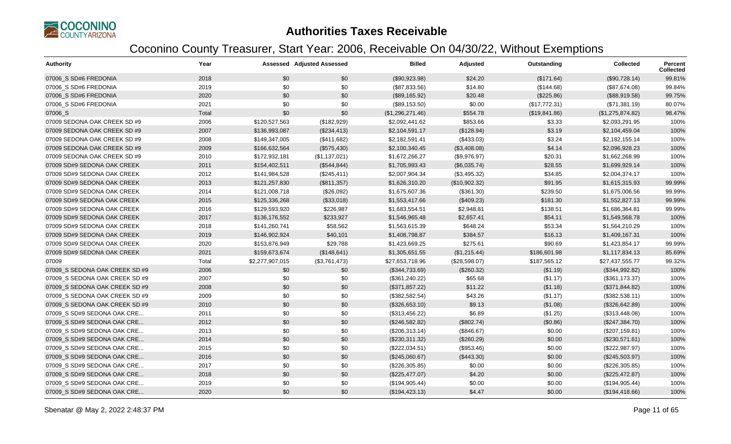

| <b>Authority</b>               | Year  |                 | <b>Assessed Adjusted Assessed</b> | <b>Billed</b>    | Adjusted      | Outstanding   | <b>Collected</b> | Percent<br><b>Collected</b> |
|--------------------------------|-------|-----------------|-----------------------------------|------------------|---------------|---------------|------------------|-----------------------------|
| 07006 S SD#6 FREDONIA          | 2018  | \$0             | \$0                               | (\$90,923.98)    | \$24.20       | (\$171.64)    | (\$90,728.14)    | 99.81%                      |
| 07006_S SD#6 FREDONIA          | 2019  | \$0             | \$0                               | (\$87,833.56)    | \$14.80       | (\$144.68)    | (\$87,674.08)    | 99.84%                      |
| 07006 S SD#6 FREDONIA          | 2020  | \$0             | \$0                               | (\$89,165.92)    | \$20.48       | (\$225.86)    | (\$88,919.58)    | 99.75%                      |
| 07006 S SD#6 FREDONIA          | 2021  | \$0             | \$0                               | (\$89,153.50)    | \$0.00        | (\$17,772.31) | (\$71,381.19)    | 80.07%                      |
| 07006_S                        | Total | \$0             | \$0                               | (\$1,296,271.46) | \$554.78      | (\$19,841.86) | (\$1,275,874.82) | 98.47%                      |
| 07009 SEDONA OAK CREEK SD #9   | 2006  | \$120,527,563   | (\$182,929)                       | \$2,092,441.62   | \$853.66      | \$3.33        | \$2,093,291.95   | 100%                        |
| 07009 SEDONA OAK CREEK SD #9   | 2007  | \$136,993,087   | (\$234,413)                       | \$2,104,591.17   | (\$128.94)    | \$3.19        | \$2,104,459.04   | 100%                        |
| 07009 SEDONA OAK CREEK SD #9   | 2008  | \$149,347,005   | (\$411,682)                       | \$2,182,591.41   | (\$433.03)    | \$3.24        | \$2,182,155.14   | 100%                        |
| 07009 SEDONA OAK CREEK SD #9   | 2009  | \$166,632,564   | (\$575,430)                       | \$2,100,340.45   | (\$3,408.08)  | \$4.14        | \$2,096,928.23   | 100%                        |
| 07009 SEDONA OAK CREEK SD #9   | 2010  | \$172,932,181   | (\$1,137,021)                     | \$1,672,266.27   | (\$9,976.97)  | \$20.31       | \$1,662,268.99   | 100%                        |
| 07009 SD#9 SEDONA OAK CREEK    | 2011  | \$154,402,511   | (\$544, 844)                      | \$1,705,993.43   | (\$6,035.74)  | \$28.55       | \$1,699,929.14   | 100%                        |
| 07009 SD#9 SEDONA OAK CREEK    | 2012  | \$141,984,528   | (\$245,411)                       | \$2,007,904.34   | (\$3,495.32)  | \$34.85       | \$2,004,374.17   | 100%                        |
| 07009 SD#9 SEDONA OAK CREEK    | 2013  | \$121,257,830   | (\$811,357)                       | \$1,626,310.20   | (\$10,902.32) | \$91.95       | \$1,615,315.93   | 99.99%                      |
| 07009 SD#9 SEDONA OAK CREEK    | 2014  | \$121,008,718   | (\$26,092)                        | \$1,675,607.36   | (\$361.30)    | \$239.50      | \$1,675,006.56   | 99.99%                      |
| 07009 SD#9 SEDONA OAK CREEK    | 2015  | \$125,336,268   | (\$33,018)                        | \$1,553,417.66   | (\$409.23)    | \$181.30      | \$1,552,827.13   | 99.99%                      |
| 07009 SD#9 SEDONA OAK CREEK    | 2016  | \$129,593,920   | \$226,987                         | \$1,683,554.51   | \$2,948.81    | \$138.51      | \$1,686,364.81   | 99.99%                      |
| 07009 SD#9 SEDONA OAK CREEK    | 2017  | \$136,176,552   | \$233,927                         | \$1,546,965.48   | \$2,657.41    | \$54.11       | \$1,549,568.78   | 100%                        |
| 07009 SD#9 SEDONA OAK CREEK    | 2018  | \$141,260,741   | \$58,562                          | \$1,563,615.39   | \$648.24      | \$53.34       | \$1,564,210.29   | 100%                        |
| 07009 SD#9 SEDONA OAK CREEK    | 2019  | \$146,902,924   | \$40,101                          | \$1,408,798.87   | \$384.57      | \$16.13       | \$1,409,167.31   | 100%                        |
| 07009 SD#9 SEDONA OAK CREEK    | 2020  | \$153,876,949   | \$29,788                          | \$1,423,669.25   | \$275.61      | \$90.69       | \$1,423,854.17   | 99.99%                      |
| 07009 SD#9 SEDONA OAK CREEK    | 2021  | \$159,673,674   | (\$148,641)                       | \$1,305,651.55   | (\$1,215.44)  | \$186,601.98  | \$1,117,834.13   | 85.69%                      |
| 07009                          | Total | \$2,277,907,015 | (\$3,761,473)                     | \$27,653,718.96  | (\$28,598.07) | \$187,565.12  | \$27,437,555.77  | 99.32%                      |
| 07009 S SEDONA OAK CREEK SD #9 | 2006  | \$0             | \$0                               | (\$344,733.69)   | (\$260.32)    | (\$1.19)      | (\$344,992.82)   | 100%                        |
| 07009 S SEDONA OAK CREEK SD #9 | 2007  | \$0             | \$0                               | (\$361, 240.22)  | \$65.68       | (\$1.17)      | (\$361,173.37)   | 100%                        |
| 07009_S SEDONA OAK CREEK SD #9 | 2008  | \$0             | \$0                               | (\$371,857.22)   | \$11.22       | (\$1.18)      | (\$371, 844.82)  | 100%                        |
| 07009_S SEDONA OAK CREEK SD #9 | 2009  | \$0             | \$0                               | (\$382,582.54)   | \$43.26       | (\$1.17)      | (\$382,538.11)   | 100%                        |
| 07009 S SEDONA OAK CREEK SD #9 | 2010  | \$0             | \$0                               | (\$326,653.10)   | \$9.13        | (\$1.08)      | (\$326,642.89)   | 100%                        |
| 07009 S SD#9 SEDONA OAK CRE    | 2011  | \$0             | \$0                               | (\$313,456.22)   | \$6.89        | (\$1.25)      | (\$313,448.08)   | 100%                        |
| 07009 S SD#9 SEDONA OAK CRE    | 2012  | \$0             | \$0                               | (\$246,582.82)   | (\$802.74)    | (\$0.86)      | (\$247,384.70)   | 100%                        |
| 07009_S SD#9 SEDONA OAK CRE    | 2013  | \$0             | \$0                               | (\$206,313.14)   | (\$846.67)    | \$0.00        | (\$207, 159.81)  | 100%                        |
| 07009 S SD#9 SEDONA OAK CRE    | 2014  | \$0             | \$0                               | (\$230,311.32)   | (\$260.29)    | \$0.00        | (\$230,571.61)   | 100%                        |
| 07009 S SD#9 SEDONA OAK CRE    | 2015  | \$0             | \$0                               | (\$222,034.51)   | (\$953.46)    | \$0.00        | (\$222,987.97)   | 100%                        |
| 07009 S SD#9 SEDONA OAK CRE    | 2016  | \$0             | \$0                               | (\$245,060.67)   | (\$443.30)    | \$0.00        | $(\$245,503.97)$ | 100%                        |
| 07009 S SD#9 SEDONA OAK CRE    | 2017  | \$0             | \$0                               | (\$226,305.85)   | \$0.00        | \$0.00        | (\$226,305.85)   | 100%                        |
| 07009 S SD#9 SEDONA OAK CRE    | 2018  | \$0             | \$0                               | (\$225,477.07)   | \$4.20        | \$0.00        | (\$225,472.87)   | 100%                        |
| 07009 S SD#9 SEDONA OAK CRE    | 2019  | \$0             | \$0                               | (\$194,905.44)   | \$0.00        | \$0.00        | (\$194,905.44)   | 100%                        |
| 07009 S SD#9 SEDONA OAK CRE    | 2020  | \$0             | \$0                               | (\$194,423.13)   | \$4.47        | \$0.00        | (\$194,418.66)   | 100%                        |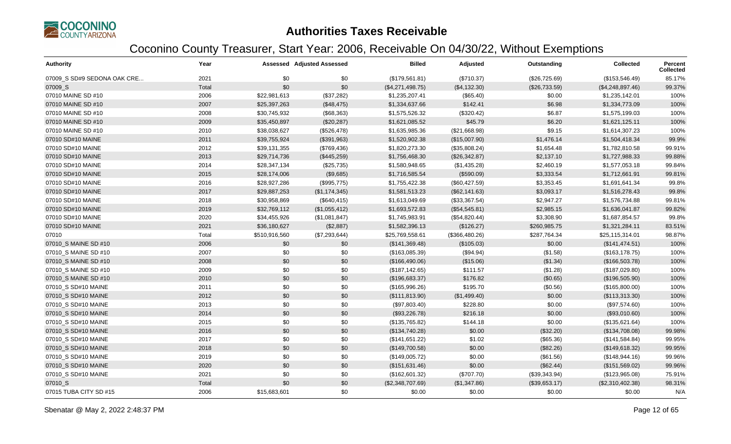

| <b>Authority</b>            | Year  |               | <b>Assessed Adjusted Assessed</b> | <b>Billed</b>    | Adjusted       | Outstanding   | <b>Collected</b> | Percent<br><b>Collected</b> |
|-----------------------------|-------|---------------|-----------------------------------|------------------|----------------|---------------|------------------|-----------------------------|
| 07009 S SD#9 SEDONA OAK CRE | 2021  | \$0           | \$0                               | (\$179,561.81)   | (\$710.37)     | (\$26,725.69) | (\$153,546.49)   | 85.17%                      |
| 07009_S                     | Total | \$0           | \$0                               | (\$4,271,498.75) | (\$4,132.30)   | (\$26,733.59) | (\$4,248,897.46) | 99.37%                      |
| 07010 MAINE SD #10          | 2006  | \$22,981,613  | (\$37,282)                        | \$1,235,207.41   | (\$65.40)      | \$0.00        | \$1,235,142.01   | 100%                        |
| 07010 MAINE SD #10          | 2007  | \$25,397,263  | (\$48,475)                        | \$1,334,637.66   | \$142.41       | \$6.98        | \$1,334,773.09   | 100%                        |
| 07010 MAINE SD #10          | 2008  | \$30,745,932  | (\$68,363)                        | \$1,575,526.32   | (\$320.42)     | \$6.87        | \$1,575,199.03   | 100%                        |
| 07010 MAINE SD #10          | 2009  | \$35,450,897  | (\$20,287)                        | \$1,621,085.52   | \$45.79        | \$6.20        | \$1,621,125.11   | 100%                        |
| 07010 MAINE SD #10          | 2010  | \$38,038,627  | (\$526,478)                       | \$1,635,985.36   | (\$21,668.98)  | \$9.15        | \$1,614,307.23   | 100%                        |
| 07010 SD#10 MAINE           | 2011  | \$39,755,924  | (\$391,963)                       | \$1,520,902.38   | (\$15,007.90)  | \$1,476.14    | \$1,504,418.34   | 99.9%                       |
| 07010 SD#10 MAINE           | 2012  | \$39,131,355  | (\$769,436)                       | \$1,820,273.30   | (\$35,808.24)  | \$1,654.48    | \$1,782,810.58   | 99.91%                      |
| 07010 SD#10 MAINE           | 2013  | \$29,714,736  | (\$445,259)                       | \$1,756,468.30   | (\$26,342.87)  | \$2,137.10    | \$1,727,988.33   | 99.88%                      |
| 07010 SD#10 MAINE           | 2014  | \$28,347,134  | (\$25,735)                        | \$1,580,948.65   | (\$1,435.28)   | \$2,460.19    | \$1,577,053.18   | 99.84%                      |
| 07010 SD#10 MAINE           | 2015  | \$28,174,006  | (\$9,685)                         | \$1,716,585.54   | (\$590.09)     | \$3,333.54    | \$1,712,661.91   | 99.81%                      |
| 07010 SD#10 MAINE           | 2016  | \$28,927,286  | (\$995,775)                       | \$1,755,422.38   | (\$60,427.59)  | \$3,353.45    | \$1,691,641.34   | 99.8%                       |
| 07010 SD#10 MAINE           | 2017  | \$29,887,253  | (\$1,174,345)                     | \$1,581,513.23   | (\$62,141.63)  | \$3,093.17    | \$1,516,278.43   | 99.8%                       |
| 07010 SD#10 MAINE           | 2018  | \$30,958,869  | (\$640, 415)                      | \$1,613,049.69   | (\$33,367.54)  | \$2,947.27    | \$1,576,734.88   | 99.81%                      |
| 07010 SD#10 MAINE           | 2019  | \$32,769,112  | (\$1,055,412)                     | \$1,693,572.83   | (\$54,545.81)  | \$2,985.15    | \$1,636,041.87   | 99.82%                      |
| 07010 SD#10 MAINE           | 2020  | \$34,455,926  | (\$1,081,847)                     | \$1,745,983.91   | (\$54,820.44)  | \$3,308.90    | \$1,687,854.57   | 99.8%                       |
| 07010 SD#10 MAINE           | 2021  | \$36,180,627  | (\$2,887)                         | \$1,582,396.13   | (\$126.27)     | \$260,985.75  | \$1,321,284.11   | 83.51%                      |
| 07010                       | Total | \$510,916,560 | (\$7,293,644)                     | \$25,769,558.61  | (\$366,480.26) | \$287,764.34  | \$25,115,314.01  | 98.87%                      |
| 07010 S MAINE SD #10        | 2006  | \$0           | \$0                               | (\$141,369.48)   | (\$105.03)     | \$0.00        | (\$141, 474.51)  | 100%                        |
| 07010 S MAINE SD #10        | 2007  | \$0           | \$0                               | (\$163,085.39)   | (\$94.94)      | (\$1.58)      | (\$163, 178.75)  | 100%                        |
| 07010 S MAINE SD #10        | 2008  | \$0           | \$0                               | (\$166,490.06)   | (\$15.06)      | (\$1.34)      | (\$166,503.78)   | 100%                        |
| 07010_S MAINE SD #10        | 2009  | \$0           | \$0                               | (\$187, 142.65)  | \$111.57       | (\$1.28)      | (\$187,029.80)   | 100%                        |
| 07010 S MAINE SD #10        | 2010  | \$0           | \$0                               | (\$196,683.37)   | \$176.82       | (\$0.65)      | (\$196,505.90)   | 100%                        |
| 07010_S SD#10 MAINE         | 2011  | \$0           | \$0                               | (\$165,996.26)   | \$195.70       | (\$0.56)      | (\$165,800.00)   | 100%                        |
| 07010_S SD#10 MAINE         | 2012  | \$0           | \$0                               | (\$111, 813.90)  | (\$1,499.40)   | \$0.00        | (\$113,313.30)   | 100%                        |
| 07010_S SD#10 MAINE         | 2013  | \$0           | \$0                               | (\$97,803.40)    | \$228.80       | \$0.00        | (\$97,574.60)    | 100%                        |
| 07010_S SD#10 MAINE         | 2014  | \$0           | \$0                               | (\$93,226.78)    | \$216.18       | \$0.00        | (\$93,010.60)    | 100%                        |
| 07010 S SD#10 MAINE         | 2015  | \$0           | \$0                               | (\$135,765.82)   | \$144.18       | \$0.00        | (\$135,621.64)   | 100%                        |
| 07010_S SD#10 MAINE         | 2016  | \$0           | \$0                               | (\$134,740.28)   | \$0.00         | (\$32.20)     | (\$134,708.08)   | 99.98%                      |
| 07010 S SD#10 MAINE         | 2017  | \$0           | \$0                               | (\$141,651.22)   | \$1.02         | (\$65.36)     | (\$141,584.84)   | 99.95%                      |
| 07010_S SD#10 MAINE         | 2018  | \$0           | \$0                               | (\$149,700.58)   | \$0.00         | (\$82.26)     | (\$149,618.32)   | 99.95%                      |
| 07010 S SD#10 MAINE         | 2019  | \$0           | \$0                               | (\$149,005.72)   | \$0.00         | (\$61.56)     | (\$148,944.16)   | 99.96%                      |
| 07010_S SD#10 MAINE         | 2020  | \$0           | \$0                               | (\$151,631.46)   | \$0.00         | (\$62.44)     | (\$151,569.02)   | 99.96%                      |
| 07010_S SD#10 MAINE         | 2021  | \$0           | \$0                               | (\$162,601.32)   | (\$707.70)     | (\$39,343.94) | (\$123,965.08)   | 75.91%                      |
| 07010_S                     | Total | \$0           | \$0                               | (\$2,348,707.69) | (\$1,347.86)   | (\$39,653.17) | (\$2,310,402.38) | 98.31%                      |
| 07015 TUBA CITY SD #15      | 2006  | \$15,683,601  | \$0                               | \$0.00           | \$0.00         | \$0.00        | \$0.00           | N/A                         |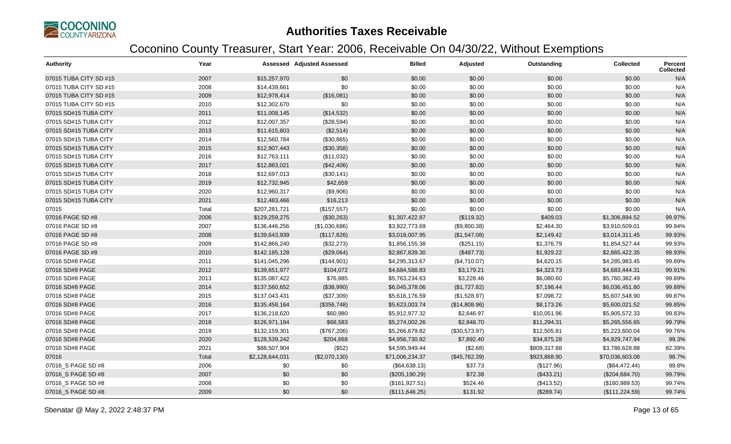

| <b>Authority</b>       | Year  |                 | <b>Assessed Adjusted Assessed</b> | <b>Billed</b>   | Adjusted      | Outstanding  | <b>Collected</b> | <b>Percent</b><br>Collected |
|------------------------|-------|-----------------|-----------------------------------|-----------------|---------------|--------------|------------------|-----------------------------|
| 07015 TUBA CITY SD #15 | 2007  | \$15,257,970    | \$0                               | \$0.00          | \$0.00        | \$0.00       | \$0.00           | N/A                         |
| 07015 TUBA CITY SD #15 | 2008  | \$14,439,661    | \$0                               | \$0.00          | \$0.00        | \$0.00       | \$0.00           | N/A                         |
| 07015 TUBA CITY SD #15 | 2009  | \$12,978,414    | (\$16,081)                        | \$0.00          | \$0.00        | \$0.00       | \$0.00           | N/A                         |
| 07015 TUBA CITY SD #15 | 2010  | \$12,302,670    | \$0                               | \$0.00          | \$0.00        | \$0.00       | \$0.00           | N/A                         |
| 07015 SD#15 TUBA CITY  | 2011  | \$11,008,145    | (\$14,532)                        | \$0.00          | \$0.00        | \$0.00       | \$0.00           | N/A                         |
| 07015 SD#15 TUBA CITY  | 2012  | \$12,007,357    | (\$28,594)                        | \$0.00          | \$0.00        | \$0.00       | \$0.00           | N/A                         |
| 07015 SD#15 TUBA CITY  | 2013  | \$11,615,803    | (\$2,514)                         | \$0.00          | \$0.00        | \$0.00       | \$0.00           | N/A                         |
| 07015 SD#15 TUBA CITY  | 2014  | \$12,560,784    | (\$30,865)                        | \$0.00          | \$0.00        | \$0.00       | \$0.00           | N/A                         |
| 07015 SD#15 TUBA CITY  | 2015  | \$12,907,443    | (\$30,358)                        | \$0.00          | \$0.00        | \$0.00       | \$0.00           | N/A                         |
| 07015 SD#15 TUBA CITY  | 2016  | \$12,763,111    | (\$11,032)                        | \$0.00          | \$0.00        | \$0.00       | \$0.00           | N/A                         |
| 07015 SD#15 TUBA CITY  | 2017  | \$12,883,021    | (\$42,406)                        | \$0.00          | \$0.00        | \$0.00       | \$0.00           | N/A                         |
| 07015 SD#15 TUBA CITY  | 2018  | \$12,697,013    | (\$30,141)                        | \$0.00          | \$0.00        | \$0.00       | \$0.00           | N/A                         |
| 07015 SD#15 TUBA CITY  | 2019  | \$12,732,945    | \$42,659                          | \$0.00          | \$0.00        | \$0.00       | \$0.00           | N/A                         |
| 07015 SD#15 TUBA CITY  | 2020  | \$12,960,317    | (\$9,906)                         | \$0.00          | \$0.00        | \$0.00       | \$0.00           | N/A                         |
| 07015 SD#15 TUBA CITY  | 2021  | \$12,483,466    | \$16,213                          | \$0.00          | \$0.00        | \$0.00       | \$0.00           | N/A                         |
| 07015                  | Total | \$207,281,721   | (\$157,557)                       | \$0.00          | \$0.00        | \$0.00       | \$0.00           | N/A                         |
| 07016 PAGE SD #8       | 2006  | \$129,259,275   | (\$30,263)                        | \$1,307,422.87  | (\$119.32)    | \$409.03     | \$1,306,894.52   | 99.97%                      |
| 07016 PAGE SD #8       | 2007  | \$136,446,256   | (\$1,030,686)                     | \$3,922,773.69  | (\$9,800.38)  | \$2,464.30   | \$3,910,509.01   | 99.94%                      |
| 07016 PAGE SD #8       | 2008  | \$139,643,939   | (\$117,826)                       | \$3,018,007.95  | (\$1,547.08)  | \$2,149.42   | \$3,014,311.45   | 99.93%                      |
| 07016 PAGE SD #8       | 2009  | \$142,866,240   | (\$32,273)                        | \$1,856,155.38  | (\$251.15)    | \$1,376.79   | \$1,854,527.44   | 99.93%                      |
| 07016 PAGE SD #8       | 2010  | \$142,185,128   | (\$29,064)                        | \$2,867,839.30  | (\$487.73)    | \$1,929.22   | \$2,865,422.35   | 99.93%                      |
| 07016 SD#8 PAGE        | 2011  | \$141,045,296   | (\$144,901)                       | \$4,295,313.67  | (\$4,710.07)  | \$4,620.15   | \$4,285,983.45   | 99.89%                      |
| 07016 SD#8 PAGE        | 2012  | \$139,651,977   | \$104,072                         | \$4,684,588.83  | \$3,179.21    | \$4,323.73   | \$4,683,444.31   | 99.91%                      |
| 07016 SD#8 PAGE        | 2013  | \$135,087,422   | \$76,885                          | \$5,763,234.63  | \$3,228.46    | \$6,080.60   | \$5,760,382.49   | 99.89%                      |
| 07016 SD#8 PAGE        | 2014  | \$137,560,652   | (\$38,990)                        | \$6,045,378.06  | (\$1,727.82)  | \$7,198.44   | \$6,036,451.80   | 99.88%                      |
| 07016 SD#8 PAGE        | 2015  | \$137,043,431   | (\$37,309)                        | \$5,616,176.59  | (\$1,528.97)  | \$7,098.72   | \$5,607,548.90   | 99.87%                      |
| 07016 SD#8 PAGE        | 2016  | \$135,458,164   | (\$356,748)                       | \$5,623,003.74  | (\$14,808.96) | \$8,173.26   | \$5,600,021.52   | 99.85%                      |
| 07016 SD#8 PAGE        | 2017  | \$136,218,620   | \$60,980                          | \$5,912,977.32  | \$2,646.97    | \$10,051.96  | \$5,905,572.33   | 99.83%                      |
| 07016 SD#8 PAGE        | 2018  | \$126,971,184   | \$68,583                          | \$5,274,002.26  | \$2,848.70    | \$11,294.31  | \$5,265,556.65   | 99.79%                      |
| 07016 SD#8 PAGE        | 2019  | \$132,159,301   | (\$767,206)                       | \$5,266,679.82  | (\$30,573.97) | \$12,505.81  | \$5,223,600.04   | 99.76%                      |
| 07016 SD#8 PAGE        | 2020  | \$128,539,242   | \$204,668                         | \$4,956,730.82  | \$7,892.40    | \$34,875.28  | \$4,929,747.94   | 99.3%                       |
| 07016 SD#8 PAGE        | 2021  | \$88,507,904    | (\$52)                            | \$4,595,949.44  | (\$2.68)      | \$809,317.88 | \$3,786,628.88   | 82.39%                      |
| 07016                  | Total | \$2,128,644,031 | (\$2,070,130)                     | \$71,006,234.37 | (\$45,762.39) | \$923,868.90 | \$70,036,603.08  | 98.7%                       |
| 07016_S PAGE SD #8     | 2006  | \$0             | \$0                               | (\$64,638.13)   | \$37.73       | (\$127.96)   | (\$64,472.44)    | 99.8%                       |
| 07016 S PAGE SD #8     | 2007  | \$0             | \$0                               | (\$205,190.29)  | \$72.38       | (\$433.21)   | (\$204,684.70)   | 99.79%                      |
| 07016_S PAGE SD #8     | 2008  | \$0             | \$0                               | (\$161, 927.51) | \$524.46      | (\$413.52)   | (\$160,989.53)   | 99.74%                      |
| 07016_S PAGE SD #8     | 2009  | \$0             | \$0                               | (\$111, 646.25) | \$131.92      | (\$289.74)   | (\$111, 224.59)  | 99.74%                      |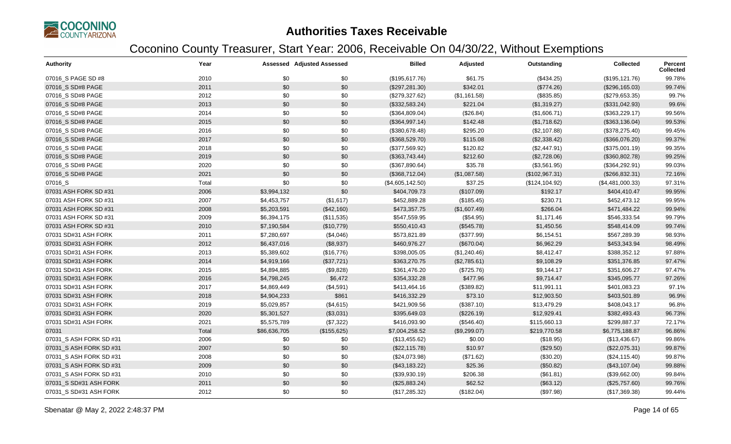

| <b>Authority</b>        | Year  |              | <b>Assessed Adjusted Assessed</b> | <b>Billed</b>    | Adjusted     | Outstanding     | <b>Collected</b> | Percent<br><b>Collected</b> |
|-------------------------|-------|--------------|-----------------------------------|------------------|--------------|-----------------|------------------|-----------------------------|
| 07016_S PAGE SD #8      | 2010  | \$0          | \$0                               | (\$195,617.76)   | \$61.75      | (\$434.25)      | (\$195, 121.76)  | 99.78%                      |
| 07016 S SD#8 PAGE       | 2011  | \$0          | \$0                               | (\$297, 281.30)  | \$342.01     | (\$774.26)      | (\$296,165.03)   | 99.74%                      |
| 07016_S SD#8 PAGE       | 2012  | \$0          | \$0                               | (\$279,327.62)   | (\$1,161.58) | (\$835.85)      | (\$279,653.35)   | 99.7%                       |
| 07016_S SD#8 PAGE       | 2013  | \$0          | \$0                               | (\$332,583.24)   | \$221.04     | (\$1,319.27)    | (\$331,042.93)   | 99.6%                       |
| 07016_S SD#8 PAGE       | 2014  | \$0          | \$0                               | (\$364,809.04)   | (\$26.84)    | (\$1,606.71)    | (\$363,229.17)   | 99.56%                      |
| 07016_S SD#8 PAGE       | 2015  | \$0          | \$0                               | (\$364,997.14)   | \$142.48     | (\$1,718.62)    | (\$363,136.04)   | 99.53%                      |
| 07016_S SD#8 PAGE       | 2016  | \$0          | \$0                               | (\$380,678.48)   | \$295.20     | (\$2,107.88)    | (\$378,275.40)   | 99.45%                      |
| 07016_S SD#8 PAGE       | 2017  | \$0          | \$0                               | (\$368,529.70)   | \$115.08     | (\$2,338.42)    | (\$366,076.20)   | 99.37%                      |
| 07016_S SD#8 PAGE       | 2018  | \$0          | \$0                               | (\$377,569.92)   | \$120.82     | (\$2,447.91)    | (\$375,001.19)   | 99.35%                      |
| 07016 S SD#8 PAGE       | 2019  | \$0          | \$0                               | (\$363,743.44)   | \$212.60     | (\$2,728.06)    | (\$360,802.78)   | 99.25%                      |
| 07016 S SD#8 PAGE       | 2020  | \$0          | \$0                               | (\$367,890.64)   | \$35.78      | (\$3,561.95)    | (\$364, 292.91)  | 99.03%                      |
| 07016_S SD#8 PAGE       | 2021  | \$0          | \$0                               | (\$368,712.04)   | (\$1,087.58) | (\$102,967.31)  | (\$266, 832.31)  | 72.16%                      |
| 07016_S                 | Total | \$0          | \$0                               | (\$4,605,142.50) | \$37.25      | (\$124, 104.92) | (\$4,481,000.33) | 97.31%                      |
| 07031 ASH FORK SD #31   | 2006  | \$3,994,132  | \$0                               | \$404,709.73     | (\$107.09)   | \$192.17        | \$404,410.47     | 99.95%                      |
| 07031 ASH FORK SD #31   | 2007  | \$4,453,757  | (\$1,617)                         | \$452,889.28     | (\$185.45)   | \$230.71        | \$452,473.12     | 99.95%                      |
| 07031 ASH FORK SD #31   | 2008  | \$5,203,591  | (\$42,160)                        | \$473,357.75     | (\$1,607.49) | \$266.04        | \$471,484.22     | 99.94%                      |
| 07031 ASH FORK SD #31   | 2009  | \$6,394,175  | (\$11,535)                        | \$547,559.95     | (\$54.95)    | \$1,171.46      | \$546,333.54     | 99.79%                      |
| 07031 ASH FORK SD #31   | 2010  | \$7,190,584  | (\$10,779)                        | \$550,410.43     | (\$545.78)   | \$1,450.56      | \$548,414.09     | 99.74%                      |
| 07031 SD#31 ASH FORK    | 2011  | \$7,280,697  | (\$4,046)                         | \$573,821.89     | (\$377.99)   | \$6,154.51      | \$567,289.39     | 98.93%                      |
| 07031 SD#31 ASH FORK    | 2012  | \$6,437,016  | (\$8,937)                         | \$460,976.27     | (\$670.04)   | \$6,962.29      | \$453,343.94     | 98.49%                      |
| 07031 SD#31 ASH FORK    | 2013  | \$5,389,602  | (\$16,776)                        | \$398,005.05     | (\$1,240.46) | \$8,412.47      | \$388,352.12     | 97.88%                      |
| 07031 SD#31 ASH FORK    | 2014  | \$4,919,166  | (\$37,721)                        | \$363,270.75     | (\$2,785.61) | \$9,108.29      | \$351,376.85     | 97.47%                      |
| 07031 SD#31 ASH FORK    | 2015  | \$4,894,885  | (\$9,828)                         | \$361,476.20     | (\$725.76)   | \$9,144.17      | \$351,606.27     | 97.47%                      |
| 07031 SD#31 ASH FORK    | 2016  | \$4,798,245  | \$6,472                           | \$354,332.28     | \$477.96     | \$9,714.47      | \$345,095.77     | 97.26%                      |
| 07031 SD#31 ASH FORK    | 2017  | \$4,869,449  | (\$4,591)                         | \$413,464.16     | (\$389.82)   | \$11,991.11     | \$401,083.23     | 97.1%                       |
| 07031 SD#31 ASH FORK    | 2018  | \$4,904,233  | \$861                             | \$416,332.29     | \$73.10      | \$12,903.50     | \$403,501.89     | 96.9%                       |
| 07031 SD#31 ASH FORK    | 2019  | \$5,029,857  | (\$4,615)                         | \$421,909.56     | (\$387.10)   | \$13,479.29     | \$408,043.17     | 96.8%                       |
| 07031 SD#31 ASH FORK    | 2020  | \$5,301,527  | (\$3,031)                         | \$395,649.03     | (\$226.19)   | \$12,929.41     | \$382,493.43     | 96.73%                      |
| 07031 SD#31 ASH FORK    | 2021  | \$5,575,789  | (\$7,322)                         | \$416,093.90     | (\$546.40)   | \$115,660.13    | \$299,887.37     | 72.17%                      |
| 07031                   | Total | \$86,636,705 | (\$155,625)                       | \$7,004,258.52   | (\$9,299.07) | \$219,770.58    | \$6,775,188.87   | 96.86%                      |
| 07031 S ASH FORK SD #31 | 2006  | \$0          | \$0                               | (\$13,455.62)    | \$0.00       | (\$18.95)       | (\$13,436.67)    | 99.86%                      |
| 07031 S ASH FORK SD #31 | 2007  | \$0          | \$0                               | (\$22,115.78)    | \$10.97      | (\$29.50)       | (\$22,075.31)    | 99.87%                      |
| 07031 S ASH FORK SD #31 | 2008  | \$0          | \$0                               | (\$24,073.98)    | (\$71.62)    | (\$30.20)       | (\$24,115.40)    | 99.87%                      |
| 07031_S ASH FORK SD #31 | 2009  | \$0          | \$0                               | (\$43,183.22)    | \$25.36      | (\$50.82)       | (\$43,107.04)    | 99.88%                      |
| 07031_S ASH FORK SD #31 | 2010  | \$0          | \$0                               | (\$39,930.19)    | \$206.38     | (\$61.81)       | (\$39,662.00)    | 99.84%                      |
| 07031 S SD#31 ASH FORK  | 2011  | \$0          | \$0                               | (\$25,883.24)    | \$62.52      | (\$63.12)       | (\$25,757.60)    | 99.76%                      |
| 07031_S SD#31 ASH FORK  | 2012  | \$0          | \$0                               | (\$17,285.32)    | (\$182.04)   | (\$97.98)       | (\$17,369.38)    | 99.44%                      |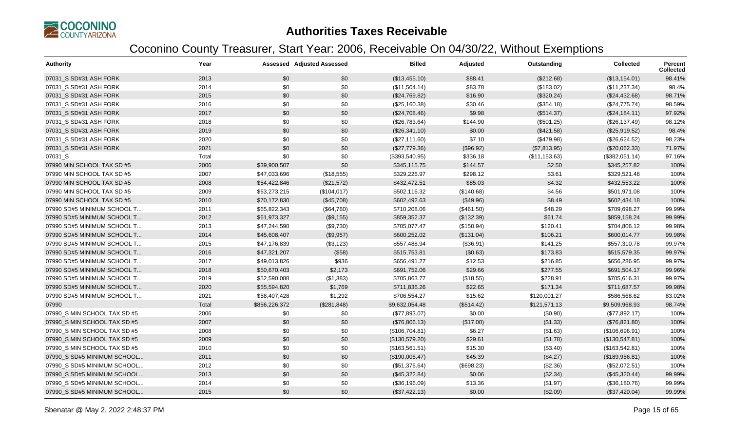

| <b>Authority</b>             | Year  |               | <b>Assessed Adjusted Assessed</b> | <b>Billed</b>  | Adjusted   | Outstanding   | <b>Collected</b> | <b>Percent</b><br><b>Collected</b> |
|------------------------------|-------|---------------|-----------------------------------|----------------|------------|---------------|------------------|------------------------------------|
| 07031 S SD#31 ASH FORK       | 2013  | \$0           | \$0                               | (\$13,455.10)  | \$88.41    | (\$212.68)    | (\$13,154.01)    | 98.41%                             |
| 07031_S SD#31 ASH FORK       | 2014  | \$0           | \$0                               | (\$11,504.14)  | \$83.78    | (\$183.02)    | (\$11,237.34)    | 98.4%                              |
| 07031 S SD#31 ASH FORK       | 2015  | \$0           | \$0                               | (\$24,769.82)  | \$16.90    | (\$320.24)    | (\$24,432.68)    | 98.71%                             |
| 07031_S SD#31 ASH FORK       | 2016  | \$0           | \$0                               | (\$25,160.38)  | \$30.46    | (\$354.18)    | (\$24,775.74)    | 98.59%                             |
| 07031 S SD#31 ASH FORK       | 2017  | \$0           | \$0                               | (\$24,708.46)  | \$9.98     | (\$514.37)    | (\$24,184.11)    | 97.92%                             |
| 07031 S SD#31 ASH FORK       | 2018  | \$0           | \$0                               | (\$26,783.64)  | \$144.90   | (\$501.25)    | (\$26,137.49)    | 98.12%                             |
| 07031_S SD#31 ASH FORK       | 2019  | \$0           | \$0                               | (\$26,341.10)  | \$0.00     | (\$421.58)    | (\$25,919.52)    | 98.4%                              |
| 07031_S SD#31 ASH FORK       | 2020  | \$0           | \$0                               | (\$27,111.60)  | \$7.10     | (\$479.98)    | (\$26,624.52)    | 98.23%                             |
| 07031 S SD#31 ASH FORK       | 2021  | \$0           | \$0                               | (\$27,779.36)  | (\$96.92)  | (\$7,813.95)  | (\$20,062.33)    | 71.97%                             |
| 07031_S                      | Total | \$0           | \$0                               | (\$393,540.95) | \$336.18   | (\$11,153.63) | (\$382,051.14)   | 97.16%                             |
| 07990 MIN SCHOOL TAX SD #5   | 2006  | \$39,900,507  | \$0                               | \$345,115.75   | \$144.57   | \$2.50        | \$345,257.82     | 100%                               |
| 07990 MIN SCHOOL TAX SD #5   | 2007  | \$47,033,696  | (\$18,555)                        | \$329,226.97   | \$298.12   | \$3.61        | \$329,521.48     | 100%                               |
| 07990 MIN SCHOOL TAX SD #5   | 2008  | \$54,422,846  | (\$21,572)                        | \$432,472.51   | \$85.03    | \$4.32        | \$432,553.22     | 100%                               |
| 07990 MIN SCHOOL TAX SD #5   | 2009  | \$63,273,215  | (\$104,017)                       | \$502,116.32   | (\$140.68) | \$4.56        | \$501,971.08     | 100%                               |
| 07990 MIN SCHOOL TAX SD #5   | 2010  | \$70,172,830  | (\$45,708)                        | \$602,492.63   | (\$49.96)  | \$8.49        | \$602,434.18     | 100%                               |
| 07990 SD#5 MINIMUM SCHOOL T  | 2011  | \$65,822,343  | (\$64,760)                        | \$710,208.06   | (\$461.50) | \$48.29       | \$709,698.27     | 99.99%                             |
| 07990 SD#5 MINIMUM SCHOOL T  | 2012  | \$61,973,327  | (\$9,155)                         | \$859,352.37   | (\$132.39) | \$61.74       | \$859,158.24     | 99.99%                             |
| 07990 SD#5 MINIMUM SCHOOL T  | 2013  | \$47,244,590  | (\$9,730)                         | \$705,077.47   | (\$150.94) | \$120.41      | \$704,806.12     | 99.98%                             |
| 07990 SD#5 MINIMUM SCHOOL T  | 2014  | \$45,608,407  | (\$9,957)                         | \$600,252.02   | (\$131.04) | \$106.21      | \$600,014.77     | 99.98%                             |
| 07990 SD#5 MINIMUM SCHOOL T  | 2015  | \$47,176,839  | (\$3,123)                         | \$557,488.94   | (\$36.91)  | \$141.25      | \$557,310.78     | 99.97%                             |
| 07990 SD#5 MINIMUM SCHOOL T  | 2016  | \$47,321,207  | (\$58)                            | \$515,753.81   | (\$0.63)   | \$173.83      | \$515,579.35     | 99.97%                             |
| 07990 SD#5 MINIMUM SCHOOL T  | 2017  | \$49,013,826  | \$936                             | \$656,491.27   | \$12.53    | \$216.85      | \$656,286.95     | 99.97%                             |
| 07990 SD#5 MINIMUM SCHOOL T  | 2018  | \$50,670,403  | \$2,173                           | \$691,752.06   | \$29.66    | \$277.55      | \$691,504.17     | 99.96%                             |
| 07990 SD#5 MINIMUM SCHOOL T  | 2019  | \$52,590,088  | (\$1,383)                         | \$705,863.77   | (\$18.55)  | \$228.91      | \$705,616.31     | 99.97%                             |
| 07990 SD#5 MINIMUM SCHOOL T  | 2020  | \$55,594,820  | \$1,769                           | \$711,836.26   | \$22.65    | \$171.34      | \$711,687.57     | 99.98%                             |
| 07990 SD#5 MINIMUM SCHOOL T  | 2021  | \$58,407,428  | \$1,292                           | \$706,554.27   | \$15.62    | \$120,001.27  | \$586,568.62     | 83.02%                             |
| 07990                        | Total | \$856,226,372 | (\$281,848)                       | \$9,632,054.48 | (\$514.42) | \$121,571.13  | \$9,509,968.93   | 98.74%                             |
| 07990_S MIN SCHOOL TAX SD #5 | 2006  | \$0           | \$0                               | (\$77,893.07)  | \$0.00     | (\$0.90)      | (\$77,892.17)    | 100%                               |
| 07990 S MIN SCHOOL TAX SD #5 | 2007  | \$0           | \$0                               | (\$76,806.13)  | (\$17.00)  | (\$1.33)      | (\$76,821.80)    | 100%                               |
| 07990 S MIN SCHOOL TAX SD #5 | 2008  | \$0           | \$0                               | (\$106,704.81) | \$6.27     | (\$1.63)      | (\$106,696.91)   | 100%                               |
| 07990_S MIN SCHOOL TAX SD #5 | 2009  | \$0           | \$0                               | (\$130,579.20) | \$29.61    | (\$1.78)      | (\$130,547.81)   | 100%                               |
| 07990 S MIN SCHOOL TAX SD #5 | 2010  | \$0           | \$0                               | (\$163,561.51) | \$15.30    | (\$3.40)      | (\$163,542.81)   | 100%                               |
| 07990 S SD#5 MINIMUM SCHOOL  | 2011  | \$0           | \$0                               | (\$190,006.47) | \$45.39    | (\$4.27)      | (\$189,956.81)   | 100%                               |
| 07990_S SD#5 MINIMUM SCHOOL  | 2012  | \$0           | \$0                               | (\$51,376.64)  | (\$698.23) | (\$2.36)      | (\$52,072.51)    | 100%                               |
| 07990 S SD#5 MINIMUM SCHOOL  | 2013  | \$0           | \$0                               | (\$45,322.84)  | \$0.06     | (\$2.34)      | (\$45,320.44)    | 99.99%                             |
| 07990_S SD#5 MINIMUM SCHOOL  | 2014  | \$0           | \$0                               | (\$36,196.09)  | \$13.36    | (\$1.97)      | (\$36,180.76)    | 99.99%                             |
| 07990 S SD#5 MINIMUM SCHOOL  | 2015  | \$0           | \$0                               | (\$37,422.13)  | \$0.00     | (\$2.09)      | (\$37,420.04)    | 99.99%                             |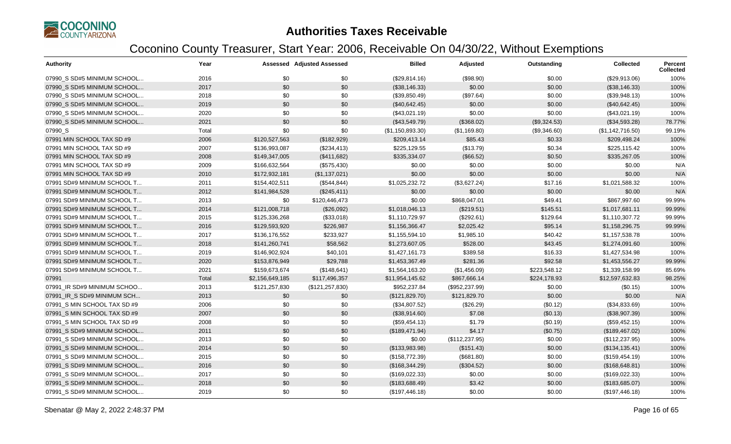

| <b>Authority</b>             | Year  |                 | <b>Assessed Adjusted Assessed</b> | <b>Billed</b>    | Adjusted        | Outstanding  | <b>Collected</b> | <b>Percent</b><br><b>Collected</b> |
|------------------------------|-------|-----------------|-----------------------------------|------------------|-----------------|--------------|------------------|------------------------------------|
| 07990 S SD#5 MINIMUM SCHOOL  | 2016  | \$0             | \$0                               | (\$29,814.16)    | (\$98.90)       | \$0.00       | (\$29,913.06)    | 100%                               |
| 07990 S SD#5 MINIMUM SCHOOL  | 2017  | \$0             | \$0                               | (\$38,146.33)    | \$0.00          | \$0.00       | (\$38,146.33)    | 100%                               |
| 07990 S SD#5 MINIMUM SCHOOL  | 2018  | \$0             | \$0                               | (\$39,850.49)    | (\$97.64)       | \$0.00       | (\$39,948.13)    | 100%                               |
| 07990_S SD#5 MINIMUM SCHOOL  | 2019  | \$0             | \$0                               | (\$40,642.45)    | \$0.00          | \$0.00       | (\$40,642.45)    | 100%                               |
| 07990 S SD#5 MINIMUM SCHOOL  | 2020  | \$0             | \$0                               | (\$43,021.19)    | \$0.00          | \$0.00       | (\$43,021.19)    | 100%                               |
| 07990 S SD#5 MINIMUM SCHOOL  | 2021  | \$0             | \$0                               | (\$43,549.79)    | (\$368.02)      | (\$9,324.53) | (\$34,593.28)    | 78.77%                             |
| 07990_S                      | Total | \$0             | \$0                               | (\$1,150,893.30) | (\$1,169.80)    | (\$9,346.60) | (\$1,142,716.50) | 99.19%                             |
| 07991 MIN SCHOOL TAX SD #9   | 2006  | \$120,527,563   | (\$182,929)                       | \$209,413.14     | \$85.43         | \$0.33       | \$209,498.24     | 100%                               |
| 07991 MIN SCHOOL TAX SD #9   | 2007  | \$136,993,087   | (\$234,413)                       | \$225,129.55     | (\$13.79)       | \$0.34       | \$225,115.42     | 100%                               |
| 07991 MIN SCHOOL TAX SD #9   | 2008  | \$149,347,005   | (\$411,682)                       | \$335,334.07     | (\$66.52)       | \$0.50       | \$335,267.05     | 100%                               |
| 07991 MIN SCHOOL TAX SD #9   | 2009  | \$166,632,564   | (\$575,430)                       | \$0.00           | \$0.00          | \$0.00       | \$0.00           | N/A                                |
| 07991 MIN SCHOOL TAX SD #9   | 2010  | \$172,932,181   | (\$1,137,021)                     | \$0.00           | \$0.00          | \$0.00       | \$0.00           | N/A                                |
| 07991 SD#9 MINIMUM SCHOOL T  | 2011  | \$154,402,511   | (\$544, 844)                      | \$1,025,232.72   | (\$3,627.24)    | \$17.16      | \$1,021,588.32   | 100%                               |
| 07991 SD#9 MINIMUM SCHOOL T  | 2012  | \$141,984,528   | (\$245,411)                       | \$0.00           | \$0.00          | \$0.00       | \$0.00           | N/A                                |
| 07991 SD#9 MINIMUM SCHOOL T  | 2013  | \$0             | \$120,446,473                     | \$0.00           | \$868,047.01    | \$49.41      | \$867,997.60     | 99.99%                             |
| 07991 SD#9 MINIMUM SCHOOL T  | 2014  | \$121,008,718   | (\$26,092)                        | \$1,018,046.13   | (\$219.51)      | \$145.51     | \$1,017,681.11   | 99.99%                             |
| 07991 SD#9 MINIMUM SCHOOL T  | 2015  | \$125,336,268   | (\$33,018)                        | \$1,110,729.97   | (\$292.61)      | \$129.64     | \$1,110,307.72   | 99.99%                             |
| 07991 SD#9 MINIMUM SCHOOL T  | 2016  | \$129,593,920   | \$226,987                         | \$1,156,366.47   | \$2,025.42      | \$95.14      | \$1,158,296.75   | 99.99%                             |
| 07991 SD#9 MINIMUM SCHOOL T  | 2017  | \$136,176,552   | \$233,927                         | \$1,155,594.10   | \$1,985.10      | \$40.42      | \$1,157,538.78   | 100%                               |
| 07991 SD#9 MINIMUM SCHOOL T  | 2018  | \$141,260,741   | \$58,562                          | \$1,273,607.05   | \$528.00        | \$43.45      | \$1,274,091.60   | 100%                               |
| 07991 SD#9 MINIMUM SCHOOL T  | 2019  | \$146,902,924   | \$40,101                          | \$1,427,161.73   | \$389.58        | \$16.33      | \$1,427,534.98   | 100%                               |
| 07991 SD#9 MINIMUM SCHOOL T  | 2020  | \$153,876,949   | \$29,788                          | \$1,453,367.49   | \$281.36        | \$92.58      | \$1,453,556.27   | 99.99%                             |
| 07991 SD#9 MINIMUM SCHOOL T  | 2021  | \$159,673,674   | (\$148,641)                       | \$1,564,163.20   | (\$1,456.09)    | \$223,548.12 | \$1,339,158.99   | 85.69%                             |
| 07991                        | Total | \$2,156,649,185 | \$117,496,357                     | \$11,954,145.62  | \$867,666.14    | \$224,178.93 | \$12,597,632.83  | 98.25%                             |
| 07991 IR SD#9 MINIMUM SCHOO  | 2013  | \$121,257,830   | (\$121, 257, 830)                 | \$952,237.84     | (\$952, 237.99) | \$0.00       | (\$0.15)         | 100%                               |
| 07991 IR S SD#9 MINIMUM SCH  | 2013  | \$0             | \$0                               | (\$121,829.70)   | \$121,829.70    | \$0.00       | \$0.00           | N/A                                |
| 07991 S MIN SCHOOL TAX SD #9 | 2006  | \$0             | \$0                               | (\$34,807.52)    | (\$26.29)       | (\$0.12)     | (\$34,833.69)    | 100%                               |
| 07991 S MIN SCHOOL TAX SD #9 | 2007  | \$0             | \$0                               | (\$38,914.60)    | \$7.08          | (\$0.13)     | (\$38,907.39)    | 100%                               |
| 07991_S MIN SCHOOL TAX SD #9 | 2008  | \$0             | \$0                               | (\$59,454.13)    | \$1.79          | (\$0.19)     | (\$59,452.15)    | 100%                               |
| 07991 S SD#9 MINIMUM SCHOOL  | 2011  | \$0             | \$0                               | (\$189,471.94)   | \$4.17          | (\$0.75)     | (\$189,467.02)   | 100%                               |
| 07991 S SD#9 MINIMUM SCHOOL  | 2013  | \$0             | \$0                               | \$0.00           | (\$112, 237.95) | \$0.00       | (\$112, 237.95)  | 100%                               |
| 07991 S SD#9 MINIMUM SCHOOL  | 2014  | \$0             | \$0                               | (\$133,983.98)   | (\$151.43)      | \$0.00       | (\$134, 135.41)  | 100%                               |
| 07991 S SD#9 MINIMUM SCHOOL  | 2015  | \$0             | \$0                               | (\$158,772.39)   | (\$681.80)      | \$0.00       | (\$159,454.19)   | 100%                               |
| 07991_S SD#9 MINIMUM SCHOOL  | 2016  | \$0             | \$0                               | (\$168,344.29)   | (\$304.52)      | \$0.00       | (\$168, 648.81)  | 100%                               |
| 07991_S SD#9 MINIMUM SCHOOL  | 2017  | \$0             | \$0                               | (\$169,022.33)   | \$0.00          | \$0.00       | (\$169,022.33)   | 100%                               |
| 07991 S SD#9 MINIMUM SCHOOL  | 2018  | \$0             | \$0                               | (\$183,688.49)   | \$3.42          | \$0.00       | (\$183,685.07)   | 100%                               |
| 07991_S SD#9 MINIMUM SCHOOL  | 2019  | \$0             | \$0                               | (\$197,446.18)   | \$0.00          | \$0.00       | (\$197,446.18)   | 100%                               |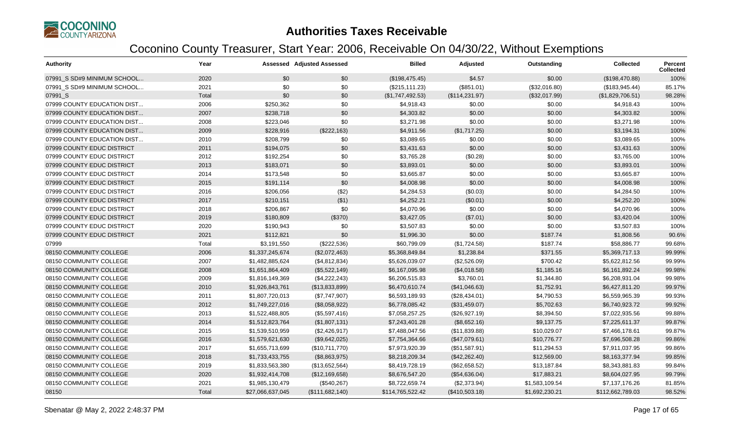

| <b>Authority</b>            | Year  |                  | <b>Assessed Adjusted Assessed</b> | <b>Billed</b>    | Adjusted        | Outstanding    | <b>Collected</b> | <b>Percent</b><br><b>Collected</b> |
|-----------------------------|-------|------------------|-----------------------------------|------------------|-----------------|----------------|------------------|------------------------------------|
| 07991 S SD#9 MINIMUM SCHOOL | 2020  | \$0              | \$0                               | (\$198,475.45)   | \$4.57          | \$0.00         | (\$198,470.88)   | 100%                               |
| 07991 S SD#9 MINIMUM SCHOOL | 2021  | \$0              | \$0                               | (\$215, 111.23)  | (\$851.01)      | (\$32,016.80)  | (\$183,945.44)   | 85.17%                             |
| 07991 S                     | Total | \$0              | \$0                               | (\$1,747,492.53) | (\$114, 231.97) | (\$32,017.99)  | (\$1,829,706.51) | 98.28%                             |
| 07999 COUNTY EDUCATION DIST | 2006  | \$250,362        | \$0                               | \$4,918.43       | \$0.00          | \$0.00         | \$4,918.43       | 100%                               |
| 07999 COUNTY EDUCATION DIST | 2007  | \$238,718        | \$0                               | \$4,303.82       | \$0.00          | \$0.00         | \$4,303.82       | 100%                               |
| 07999 COUNTY EDUCATION DIST | 2008  | \$223,046        | \$0                               | \$3,271.98       | \$0.00          | \$0.00         | \$3,271.98       | 100%                               |
| 07999 COUNTY EDUCATION DIST | 2009  | \$228,916        | (\$222,163)                       | \$4,911.56       | (\$1,717.25)    | \$0.00         | \$3,194.31       | 100%                               |
| 07999 COUNTY EDUCATION DIST | 2010  | \$208,799        | \$0                               | \$3,089.65       | \$0.00          | \$0.00         | \$3,089.65       | 100%                               |
| 07999 COUNTY EDUC DISTRICT  | 2011  | \$194,075        | \$0                               | \$3,431.63       | \$0.00          | \$0.00         | \$3,431.63       | 100%                               |
| 07999 COUNTY EDUC DISTRICT  | 2012  | \$192,254        | \$0                               | \$3,765.28       | (\$0.28)        | \$0.00         | \$3,765.00       | 100%                               |
| 07999 COUNTY EDUC DISTRICT  | 2013  | \$183,071        | \$0                               | \$3,893.01       | \$0.00          | \$0.00         | \$3,893.01       | 100%                               |
| 07999 COUNTY EDUC DISTRICT  | 2014  | \$173,548        | \$0                               | \$3,665.87       | \$0.00          | \$0.00         | \$3,665.87       | 100%                               |
| 07999 COUNTY EDUC DISTRICT  | 2015  | \$191,114        | \$0                               | \$4,008.98       | \$0.00          | \$0.00         | \$4,008.98       | 100%                               |
| 07999 COUNTY EDUC DISTRICT  | 2016  | \$206,056        | (\$2)                             | \$4,284.53       | (\$0.03)        | \$0.00         | \$4,284.50       | 100%                               |
| 07999 COUNTY EDUC DISTRICT  | 2017  | \$210,151        | ( \$1)                            | \$4,252.21       | (\$0.01)        | \$0.00         | \$4,252.20       | 100%                               |
| 07999 COUNTY EDUC DISTRICT  | 2018  | \$206,867        | \$0                               | \$4,070.96       | \$0.00          | \$0.00         | \$4,070.96       | 100%                               |
| 07999 COUNTY EDUC DISTRICT  | 2019  | \$180,809        | (\$370)                           | \$3,427.05       | (\$7.01)        | \$0.00         | \$3,420.04       | 100%                               |
| 07999 COUNTY EDUC DISTRICT  | 2020  | \$190,943        | \$0                               | \$3,507.83       | \$0.00          | \$0.00         | \$3,507.83       | 100%                               |
| 07999 COUNTY EDUC DISTRICT  | 2021  | \$112,821        | \$0                               | \$1,996.30       | \$0.00          | \$187.74       | \$1,808.56       | 90.6%                              |
| 07999                       | Total | \$3,191,550      | (\$222,536)                       | \$60,799.09      | (\$1,724.58)    | \$187.74       | \$58,886.77      | 99.68%                             |
| 08150 COMMUNITY COLLEGE     | 2006  | \$1,337,245,674  | (\$2,072,463)                     | \$5,368,849.84   | \$1,238.84      | \$371.55       | \$5,369,717.13   | 99.99%                             |
| 08150 COMMUNITY COLLEGE     | 2007  | \$1,482,885,624  | (\$4,812,834)                     | \$5,626,039.07   | (\$2,526.09)    | \$700.42       | \$5,622,812.56   | 99.99%                             |
| 08150 COMMUNITY COLLEGE     | 2008  | \$1,651,864,409  | (\$5,522,149)                     | \$6,167,095.98   | (\$4,018.58)    | \$1,185.16     | \$6,161,892.24   | 99.98%                             |
| 08150 COMMUNITY COLLEGE     | 2009  | \$1,816,149,369  | (\$4,222,243)                     | \$6,206,515.83   | \$3,760.01      | \$1,344.80     | \$6,208,931.04   | 99.98%                             |
| 08150 COMMUNITY COLLEGE     | 2010  | \$1,926,843,761  | (\$13,833,899)                    | \$6,470,610.74   | (\$41,046.63)   | \$1,752.91     | \$6,427,811.20   | 99.97%                             |
| 08150 COMMUNITY COLLEGE     | 2011  | \$1,807,720,013  | (\$7,747,907)                     | \$6,593,189.93   | (\$28,434.01)   | \$4,790.53     | \$6,559,965.39   | 99.93%                             |
| 08150 COMMUNITY COLLEGE     | 2012  | \$1,749,227,016  | (\$8,058,922)                     | \$6,778,085.42   | (\$31,459.07)   | \$5,702.63     | \$6,740,923.72   | 99.92%                             |
| 08150 COMMUNITY COLLEGE     | 2013  | \$1,522,488,805  | (\$5,597,416)                     | \$7,058,257.25   | (\$26,927.19)   | \$8,394.50     | \$7,022,935.56   | 99.88%                             |
| 08150 COMMUNITY COLLEGE     | 2014  | \$1,512,823,764  | (\$1,807,131)                     | \$7,243,401.28   | (\$8,652.16)    | \$9,137.75     | \$7,225,611.37   | 99.87%                             |
| 08150 COMMUNITY COLLEGE     | 2015  | \$1,539,510,959  | (\$2,426,917)                     | \$7,488,047.56   | (\$11,839.88)   | \$10,029.07    | \$7,466,178.61   | 99.87%                             |
| 08150 COMMUNITY COLLEGE     | 2016  | \$1,579,621,630  | (\$9,642,025)                     | \$7,754,364.66   | (\$47,079.61)   | \$10,776.77    | \$7,696,508.28   | 99.86%                             |
| 08150 COMMUNITY COLLEGE     | 2017  | \$1,655,713,699  | (\$10,711,770)                    | \$7,973,920.39   | (\$51,587.91)   | \$11,294.53    | \$7,911,037.95   | 99.86%                             |
| 08150 COMMUNITY COLLEGE     | 2018  | \$1,733,433,755  | (\$8,863,975)                     | \$8,218,209.34   | (\$42,262.40)   | \$12,569.00    | \$8,163,377.94   | 99.85%                             |
| 08150 COMMUNITY COLLEGE     | 2019  | \$1,833,563,380  | (\$13,652,564)                    | \$8,419,728.19   | (\$62,658.52)   | \$13,187.84    | \$8,343,881.83   | 99.84%                             |
| 08150 COMMUNITY COLLEGE     | 2020  | \$1,932,414,708  | (\$12,169,658)                    | \$8,676,547.20   | (\$54,636.04)   | \$17,883.21    | \$8,604,027.95   | 99.79%                             |
| 08150 COMMUNITY COLLEGE     | 2021  | \$1,985,130,479  | (\$540,267)                       | \$8,722,659.74   | (\$2,373.94)    | \$1,583,109.54 | \$7,137,176.26   | 81.85%                             |
| 08150                       | Total | \$27,066,637,045 | (\$111,682,140)                   | \$114,765,522.42 | (\$410,503.18)  | \$1,692,230.21 | \$112,662,789.03 | 98.52%                             |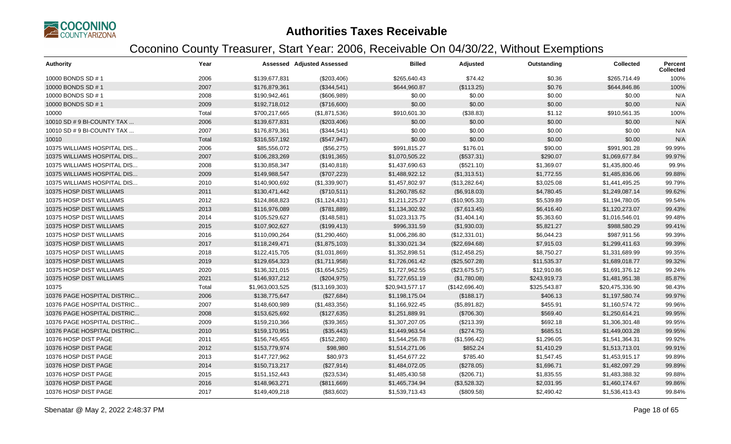

| <b>Authority</b>            | Year  |                 | <b>Assessed Adjusted Assessed</b> | <b>Billed</b>   | Adjusted       | Outstanding  | <b>Collected</b> | <b>Percent</b><br><b>Collected</b> |
|-----------------------------|-------|-----------------|-----------------------------------|-----------------|----------------|--------------|------------------|------------------------------------|
| 10000 BONDS SD # 1          | 2006  | \$139,677,831   | (\$203,406)                       | \$265,640.43    | \$74.42        | \$0.36       | \$265,714.49     | 100%                               |
| 10000 BONDS SD # 1          | 2007  | \$176,879,361   | (\$344,541)                       | \$644,960.87    | (\$113.25)     | \$0.76       | \$644,846.86     | 100%                               |
| 10000 BONDS SD # 1          | 2008  | \$190,942,461   | (\$606,989)                       | \$0.00          | \$0.00         | \$0.00       | \$0.00           | N/A                                |
| 10000 BONDS SD # 1          | 2009  | \$192,718,012   | (\$716,600)                       | \$0.00          | \$0.00         | \$0.00       | \$0.00           | N/A                                |
| 10000                       | Total | \$700,217,665   | (\$1,871,536)                     | \$910,601.30    | (\$38.83)      | \$1.12       | \$910,561.35     | 100%                               |
| 10010 SD # 9 BI-COUNTY TAX  | 2006  | \$139,677,831   | (\$203,406)                       | \$0.00          | \$0.00         | \$0.00       | \$0.00           | N/A                                |
| 10010 SD # 9 BI-COUNTY TAX  | 2007  | \$176,879,361   | (\$344,541)                       | \$0.00          | \$0.00         | \$0.00       | \$0.00           | N/A                                |
| 10010                       | Total | \$316,557,192   | (\$547,947)                       | \$0.00          | \$0.00         | \$0.00       | \$0.00           | N/A                                |
| 10375 WILLIAMS HOSPITAL DIS | 2006  | \$85,556,072    | (\$56,275)                        | \$991,815.27    | \$176.01       | \$90.00      | \$991,901.28     | 99.99%                             |
| 10375 WILLIAMS HOSPITAL DIS | 2007  | \$106,283,269   | (\$191,365)                       | \$1,070,505.22  | (\$537.31)     | \$290.07     | \$1,069,677.84   | 99.97%                             |
| 10375 WILLIAMS HOSPITAL DIS | 2008  | \$130,858,347   | (\$140, 818)                      | \$1,437,690.63  | (\$521.10)     | \$1,369.07   | \$1,435,800.46   | 99.9%                              |
| 10375 WILLIAMS HOSPITAL DIS | 2009  | \$149,988,547   | (\$707,223)                       | \$1,488,922.12  | (\$1,313.51)   | \$1,772.55   | \$1,485,836.06   | 99.88%                             |
| 10375 WILLIAMS HOSPITAL DIS | 2010  | \$140,900,692   | (\$1,339,907)                     | \$1,457,802.97  | (\$13,282.64)  | \$3,025.08   | \$1,441,495.25   | 99.79%                             |
| 10375 HOSP DIST WILLIAMS    | 2011  | \$130,471,442   | (\$710,511)                       | \$1,260,785.62  | (\$6,918.03)   | \$4,780.45   | \$1,249,087.14   | 99.62%                             |
| 10375 HOSP DIST WILLIAMS    | 2012  | \$124,868,823   | (\$1,124,431)                     | \$1,211,225.27  | (\$10,905.33)  | \$5,539.89   | \$1,194,780.05   | 99.54%                             |
| 10375 HOSP DIST WILLIAMS    | 2013  | \$116,976,089   | (\$781,889)                       | \$1,134,302.92  | (\$7,613.45)   | \$6,416.40   | \$1,120,273.07   | 99.43%                             |
| 10375 HOSP DIST WILLIAMS    | 2014  | \$105,529,627   | (\$148,581)                       | \$1,023,313.75  | (\$1,404.14)   | \$5,363.60   | \$1,016,546.01   | 99.48%                             |
| 10375 HOSP DIST WILLIAMS    | 2015  | \$107,902,627   | (\$199,413)                       | \$996,331.59    | (\$1,930.03)   | \$5,821.27   | \$988,580.29     | 99.41%                             |
| 10375 HOSP DIST WILLIAMS    | 2016  | \$110,090,264   | (\$1,290,460)                     | \$1,006,286.80  | (\$12,331.01)  | \$6,044.23   | \$987,911.56     | 99.39%                             |
| 10375 HOSP DIST WILLIAMS    | 2017  | \$118,249,471   | (\$1,875,103)                     | \$1,330,021.34  | (\$22,694.68)  | \$7,915.03   | \$1,299,411.63   | 99.39%                             |
| 10375 HOSP DIST WILLIAMS    | 2018  | \$122,415,705   | (\$1,031,869)                     | \$1,352,898.51  | (\$12,458.25)  | \$8,750.27   | \$1,331,689.99   | 99.35%                             |
| 10375 HOSP DIST WILLIAMS    | 2019  | \$129,654,323   | (\$1,711,958)                     | \$1,726,061.42  | (\$25,507.28)  | \$11,535.37  | \$1,689,018.77   | 99.32%                             |
| 10375 HOSP DIST WILLIAMS    | 2020  | \$136,321,015   | (\$1,654,525)                     | \$1,727,962.55  | (\$23,675.57)  | \$12,910.86  | \$1,691,376.12   | 99.24%                             |
| 10375 HOSP DIST WILLIAMS    | 2021  | \$146,937,212   | (\$204,975)                       | \$1,727,651.19  | (\$1,780.08)   | \$243,919.73 | \$1,481,951.38   | 85.87%                             |
| 10375                       | Total | \$1,963,003,525 | (\$13,169,303)                    | \$20,943,577.17 | (\$142,696.40) | \$325,543.87 | \$20,475,336.90  | 98.43%                             |
| 10376 PAGE HOSPITAL DISTRIC | 2006  | \$138,775,647   | (\$27,684)                        | \$1,198,175.04  | (\$188.17)     | \$406.13     | \$1,197,580.74   | 99.97%                             |
| 10376 PAGE HOSPITAL DISTRIC | 2007  | \$148,600,989   | (\$1,483,356)                     | \$1,166,922.45  | (\$5,891.82)   | \$455.91     | \$1,160,574.72   | 99.96%                             |
| 10376 PAGE HOSPITAL DISTRIC | 2008  | \$153,625,692   | (\$127,635)                       | \$1,251,889.91  | (\$706.30)     | \$569.40     | \$1,250,614.21   | 99.95%                             |
| 10376 PAGE HOSPITAL DISTRIC | 2009  | \$159,210,366   | (\$39,365)                        | \$1,307,207.05  | $(\$213.39)$   | \$692.18     | \$1,306,301.48   | 99.95%                             |
| 10376 PAGE HOSPITAL DISTRIC | 2010  | \$159,170,951   | (\$35,443)                        | \$1,449,963.54  | (\$274.75)     | \$685.51     | \$1,449,003.28   | 99.95%                             |
| 10376 HOSP DIST PAGE        | 2011  | \$156,745,455   | (\$152,280)                       | \$1,544,256.78  | (\$1,596.42)   | \$1,296.05   | \$1,541,364.31   | 99.92%                             |
| 10376 HOSP DIST PAGE        | 2012  | \$153,779,974   | \$98,980                          | \$1,514,271.06  | \$852.24       | \$1,410.29   | \$1,513,713.01   | 99.91%                             |
| 10376 HOSP DIST PAGE        | 2013  | \$147,727,962   | \$80,973                          | \$1,454,677.22  | \$785.40       | \$1,547.45   | \$1,453,915.17   | 99.89%                             |
| 10376 HOSP DIST PAGE        | 2014  | \$150,713,217   | (\$27,914)                        | \$1,484,072.05  | (\$278.05)     | \$1,696.71   | \$1,482,097.29   | 99.89%                             |
| 10376 HOSP DIST PAGE        | 2015  | \$151,152,443   | (\$23,534)                        | \$1,485,430.58  | (\$206.71)     | \$1,835.55   | \$1,483,388.32   | 99.88%                             |
| 10376 HOSP DIST PAGE        | 2016  | \$148,963,271   | (\$811,669)                       | \$1,465,734.94  | (\$3,528.32)   | \$2,031.95   | \$1,460,174.67   | 99.86%                             |
| 10376 HOSP DIST PAGE        | 2017  | \$149,409,218   | (\$83,602)                        | \$1,539,713.43  | (\$809.58)     | \$2,490.42   | \$1,536,413.43   | 99.84%                             |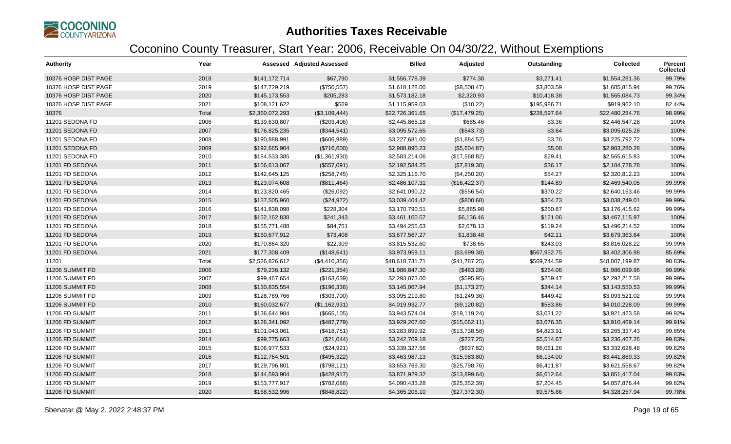

| <b>Authority</b>     | Year  |                 | <b>Assessed Adjusted Assessed</b> | <b>Billed</b>   | Adjusted       | Outstanding  | <b>Collected</b> | <b>Percent</b><br><b>Collected</b> |
|----------------------|-------|-----------------|-----------------------------------|-----------------|----------------|--------------|------------------|------------------------------------|
| 10376 HOSP DIST PAGE | 2018  | \$141,172,714   | \$67,790                          | \$1,556,778.39  | \$774.38       | \$3,271.41   | \$1,554,281.36   | 99.79%                             |
| 10376 HOSP DIST PAGE | 2019  | \$147,729,219   | (\$750,557)                       | \$1,618,128.00  | (\$8,508.47)   | \$3,803.59   | \$1,605,815.94   | 99.76%                             |
| 10376 HOSP DIST PAGE | 2020  | \$145,173,553   | \$205,283                         | \$1,573,182.18  | \$2,320.93     | \$10,418.38  | \$1,565,084.73   | 99.34%                             |
| 10376 HOSP DIST PAGE | 2021  | \$108,121,622   | \$569                             | \$1,115,959.03  | (\$10.22)      | \$195,986.71 | \$919,962.10     | 82.44%                             |
| 10376                | Total | \$2,360,072,293 | (\$3,109,444)                     | \$22,726,361.65 | (\$17,479.25)  | \$228,597.64 | \$22,480,284.76  | 98.99%                             |
| 11201 SEDONA FD      | 2006  | \$139,630,807   | (\$203,406)                       | \$2,445,865.18  | \$685.46       | \$3.36       | \$2,446,547.28   | 100%                               |
| 11201 SEDONA FD      | 2007  | \$176,825,235   | (\$344,541)                       | \$3,095,572.65  | (\$543.73)     | \$3.64       | \$3,095,025.28   | 100%                               |
| 11201 SEDONA FD      | 2008  | \$190,888,991   | (\$606,989)                       | \$3,227,681.00  | (\$1,884.52)   | \$3.76       | \$3,225,792.72   | 100%                               |
| 11201 SEDONA FD      | 2009  | \$192,665,904   | (\$716,600)                       | \$2,988,890.23  | (\$5,604.87)   | \$5.08       | \$2,983,280.28   | 100%                               |
| 11201 SEDONA FD      | 2010  | \$184,533,385   | (\$1,361,930)                     | \$2,583,214.06  | (\$17,568.82)  | \$29.41      | \$2,565,615.83   | 100%                               |
| 11201 FD SEDONA      | 2011  | \$156,613,067   | (\$557,091)                       | \$2,192,584.25  | (\$7,819.30)   | \$36.17      | \$2,184,728.78   | 100%                               |
| 11201 FD SEDONA      | 2012  | \$142,645,125   | (\$258,745)                       | \$2,325,116.70  | (\$4,250.20)   | \$54.27      | \$2,320,812.23   | 100%                               |
| 11201 FD SEDONA      | 2013  | \$123,074,608   | (\$811,464)                       | \$2,486,107.31  | (\$16,422.37)  | \$144.89     | \$2,469,540.05   | 99.99%                             |
| 11201 FD SEDONA      | 2014  | \$123,820,465   | (\$26,092)                        | \$2,641,090.22  | (\$556.54)     | \$370.22     | \$2,640,163.46   | 99.99%                             |
| 11201 FD SEDONA      | 2015  | \$137,505,960   | (\$24,972)                        | \$3,039,404.42  | (\$800.68)     | \$354.73     | \$3,038,249.01   | 99.99%                             |
| 11201 FD SEDONA      | 2016  | \$141,838,098   | \$228,304                         | \$3,170,790.51  | \$5,885.98     | \$260.87     | \$3,176,415.62   | 99.99%                             |
| 11201 FD SEDONA      | 2017  | \$152,162,838   | \$241,343                         | \$3,461,100.57  | \$6,136.46     | \$121.06     | \$3,467,115.97   | 100%                               |
| 11201 FD SEDONA      | 2018  | \$155,771,488   | \$84,751                          | \$3,494,255.63  | \$2,078.13     | \$119.24     | \$3,496,214.52   | 100%                               |
| 11201 FD SEDONA      | 2019  | \$160,677,912   | \$73,408                          | \$3,677,567.27  | \$1,838.48     | \$42.11      | \$3,679,363.64   | 100%                               |
| 11201 FD SEDONA      | 2020  | \$170,864,320   | \$22,309                          | \$3,815,532.60  | \$738.65       | \$243.03     | \$3,816,028.22   | 99.99%                             |
| 11201 FD SEDONA      | 2021  | \$177,308,409   | (\$148,641)                       | \$3,973,959.11  | (\$3,699.38)   | \$567,952.75 | \$3,402,306.98   | 85.69%                             |
| 11201                | Total | \$2,526,826,612 | (\$4,410,356)                     | \$48,618,731.71 | (\$41,787.25)  | \$569,744.59 | \$48,007,199.87  | 98.83%                             |
| 11206 SUMMIT FD      | 2006  | \$79,236,132    | (\$221,354)                       | \$1,986,847.30  | (\$483.28)     | \$264.06     | \$1,986,099.96   | 99.99%                             |
| 11206 SUMMIT FD      | 2007  | \$99,467,654    | (\$163, 639)                      | \$2,293,073.00  | (\$595.95)     | \$259.47     | \$2,292,217.58   | 99.99%                             |
| 11206 SUMMIT FD      | 2008  | \$130,835,554   | (\$196,336)                       | \$3,145,067.94  | (\$1,173.27)   | \$344.14     | \$3,143,550.53   | 99.99%                             |
| 11206 SUMMIT FD      | 2009  | \$128,769,766   | (\$303,700)                       | \$3,095,219.80  | (\$1,249.36)   | \$449.42     | \$3,093,521.02   | 99.99%                             |
| 11206 SUMMIT FD      | 2010  | \$160,032,677   | (\$1,162,931)                     | \$4,019,932.77  | (\$9,120.82)   | \$583.86     | \$4,010,228.09   | 99.99%                             |
| 11206 FD SUMMIT      | 2011  | \$136,644,984   | (\$665, 105)                      | \$3,943,574.04  | (\$19, 119.24) | \$3,031.22   | \$3,921,423.58   | 99.92%                             |
| 11206 FD SUMMIT      | 2012  | \$126,341,092   | (\$487,779)                       | \$3,929,207.60  | (\$15,062.11)  | \$3,676.35   | \$3,910,469.14   | 99.91%                             |
| 11206 FD SUMMIT      | 2013  | \$101,043,061   | (\$418,751)                       | \$3,283,899.92  | (\$13,738.58)  | \$4,823.91   | \$3,265,337.43   | 99.85%                             |
| 11206 FD SUMMIT      | 2014  | \$99,775,663    | (\$21,044)                        | \$3,242,709.18  | (\$727.25)     | \$5,514.67   | \$3,236,467.26   | 99.83%                             |
| 11206 FD SUMMIT      | 2015  | \$106,977,533   | (\$24,921)                        | \$3,339,327.56  | (\$637.82)     | \$6,061.26   | \$3,332,628.48   | 99.82%                             |
| 11206 FD SUMMIT      | 2016  | \$112,764,501   | (\$495,322)                       | \$3,463,987.13  | (\$15,983.80)  | \$6,134.00   | \$3,441,869.33   | 99.82%                             |
| 11206 FD SUMMIT      | 2017  | \$129,796,801   | (\$798, 121)                      | \$3,653,769.30  | (\$25,798.76)  | \$6,411.87   | \$3,621,558.67   | 99.82%                             |
| 11206 FD SUMMIT      | 2018  | \$144,593,904   | (\$428,917)                       | \$3,871,929.32  | (\$13,899.64)  | \$6,612.64   | \$3,851,417.04   | 99.83%                             |
| 11206 FD SUMMIT      | 2019  | \$153,777,917   | (\$782,086)                       | \$4,090,433.28  | (\$25,352.39)  | \$7,204.45   | \$4,057,876.44   | 99.82%                             |
| 11206 FD SUMMIT      | 2020  | \$168,532,996   | (\$848,822)                       | \$4,365,206.10  | (\$27,372.30)  | \$9,575.86   | \$4,328,257.94   | 99.78%                             |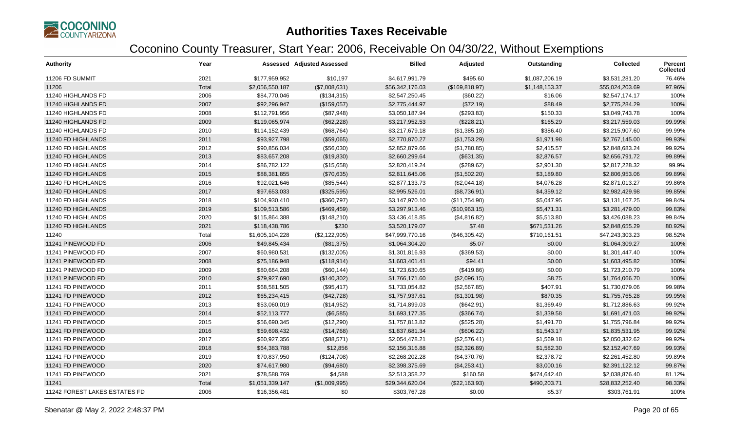

| <b>Authority</b>              | Year  |                 | <b>Assessed Adjusted Assessed</b> | <b>Billed</b>   | Adjusted        | Outstanding    | <b>Collected</b> | <b>Percent</b><br><b>Collected</b> |
|-------------------------------|-------|-----------------|-----------------------------------|-----------------|-----------------|----------------|------------------|------------------------------------|
| 11206 FD SUMMIT               | 2021  | \$177,959,952   | \$10,197                          | \$4,617,991.79  | \$495.60        | \$1,087,206.19 | \$3,531,281.20   | 76.46%                             |
| 11206                         | Total | \$2,056,550,187 | (\$7,008,631)                     | \$56,342,176.03 | (\$169, 818.97) | \$1,148,153.37 | \$55,024,203.69  | 97.96%                             |
| 11240 HIGHLANDS FD            | 2006  | \$84,770,046    | (\$134,315)                       | \$2,547,250.45  | (\$60.22)       | \$16.06        | \$2,547,174.17   | 100%                               |
| 11240 HIGHLANDS FD            | 2007  | \$92,296,947    | (\$159,057)                       | \$2,775,444.97  | (\$72.19)       | \$88.49        | \$2,775,284.29   | 100%                               |
| 11240 HIGHLANDS FD            | 2008  | \$112,791,956   | (\$87,948)                        | \$3,050,187.94  | (\$293.83)      | \$150.33       | \$3,049,743.78   | 100%                               |
| 11240 HIGHLANDS FD            | 2009  | \$119,065,974   | (\$62,228)                        | \$3,217,952.53  | (\$228.21)      | \$165.29       | \$3,217,559.03   | 99.99%                             |
| 11240 HIGHLANDS FD            | 2010  | \$114,152,439   | (\$68,764)                        | \$3,217,679.18  | (\$1,385.18)    | \$386.40       | \$3,215,907.60   | 99.99%                             |
| 11240 FD HIGHLANDS            | 2011  | \$93,927,798    | (\$59,065)                        | \$2,770,870.27  | (\$1,753.29)    | \$1,971.98     | \$2,767,145.00   | 99.93%                             |
| 11240 FD HIGHLANDS            | 2012  | \$90,856,034    | (\$56,030)                        | \$2,852,879.66  | (\$1,780.85)    | \$2,415.57     | \$2,848,683.24   | 99.92%                             |
| 11240 FD HIGHLANDS            | 2013  | \$83,657,208    | (\$19,830)                        | \$2,660,299.64  | (\$631.35)      | \$2,876.57     | \$2,656,791.72   | 99.89%                             |
| 11240 FD HIGHLANDS            | 2014  | \$86,782,122    | (\$15,658)                        | \$2,820,419.24  | (\$289.62)      | \$2,901.30     | \$2,817,228.32   | 99.9%                              |
| 11240 FD HIGHLANDS            | 2015  | \$88,381,855    | (\$70,635)                        | \$2,811,645.06  | (\$1,502.20)    | \$3,189.80     | \$2,806,953.06   | 99.89%                             |
| 11240 FD HIGHLANDS            | 2016  | \$92,021,646    | (\$85,544)                        | \$2,877,133.73  | (\$2,044.18)    | \$4,076.28     | \$2,871,013.27   | 99.86%                             |
| 11240 FD HIGHLANDS            | 2017  | \$97,653,033    | (\$325,595)                       | \$2,995,526.01  | (\$8,736.91)    | \$4,359.12     | \$2,982,429.98   | 99.85%                             |
| 11240 FD HIGHLANDS            | 2018  | \$104,930,410   | (\$360,797)                       | \$3,147,970.10  | (\$11,754.90)   | \$5,047.95     | \$3,131,167.25   | 99.84%                             |
| 11240 FD HIGHLANDS            | 2019  | \$109,513,586   | (\$469,459)                       | \$3,297,913.46  | (\$10,963.15)   | \$5,471.31     | \$3,281,479.00   | 99.83%                             |
| 11240 FD HIGHLANDS            | 2020  | \$115,864,388   | (\$148,210)                       | \$3,436,418.85  | (\$4,816.82)    | \$5,513.80     | \$3,426,088.23   | 99.84%                             |
| 11240 FD HIGHLANDS            | 2021  | \$118,438,786   | \$230                             | \$3,520,179.07  | \$7.48          | \$671,531.26   | \$2,848,655.29   | 80.92%                             |
| 11240                         | Total | \$1,605,104,228 | (\$2,122,905)                     | \$47,999,770.16 | (\$46,305.42)   | \$710,161.51   | \$47,243,303.23  | 98.52%                             |
| 11241 PINEWOOD FD             | 2006  | \$49,845,434    | (\$81,375)                        | \$1,064,304.20  | \$5.07          | \$0.00         | \$1,064,309.27   | 100%                               |
| 11241 PINEWOOD FD             | 2007  | \$60,980,531    | (\$132,005)                       | \$1,301,816.93  | (\$369.53)      | \$0.00         | \$1,301,447.40   | 100%                               |
| 11241 PINEWOOD FD             | 2008  | \$75,186,948    | (\$118,914)                       | \$1,603,401.41  | \$94.41         | \$0.00         | \$1,603,495.82   | 100%                               |
| 11241 PINEWOOD FD             | 2009  | \$80,664,208    | (\$60, 144)                       | \$1,723,630.65  | (\$419.86)      | \$0.00         | \$1,723,210.79   | 100%                               |
| 11241 PINEWOOD FD             | 2010  | \$79,927,690    | (\$140,302)                       | \$1,766,171.60  | (\$2,096.15)    | \$8.75         | \$1,764,066.70   | 100%                               |
| 11241 FD PINEWOOD             | 2011  | \$68,581,505    | (\$95,417)                        | \$1,733,054.82  | (\$2,567.85)    | \$407.91       | \$1,730,079.06   | 99.98%                             |
| 11241 FD PINEWOOD             | 2012  | \$65,234,415    | (\$42,728)                        | \$1,757,937.61  | (\$1,301.98)    | \$870.35       | \$1,755,765.28   | 99.95%                             |
| 11241 FD PINEWOOD             | 2013  | \$53,060,019    | (\$14,952)                        | \$1,714,899.03  | (\$642.91)      | \$1,369.49     | \$1,712,886.63   | 99.92%                             |
| 11241 FD PINEWOOD             | 2014  | \$52,113,777    | (\$6,585)                         | \$1,693,177.35  | (\$366.74)      | \$1,339.58     | \$1,691,471.03   | 99.92%                             |
| 11241 FD PINEWOOD             | 2015  | \$56,690,345    | (\$12,290)                        | \$1,757,813.82  | (\$525.28)      | \$1,491.70     | \$1,755,796.84   | 99.92%                             |
| 11241 FD PINEWOOD             | 2016  | \$59,698,432    | (\$14,768)                        | \$1,837,681.34  | (\$606.22)      | \$1,543.17     | \$1,835,531.95   | 99.92%                             |
| 11241 FD PINEWOOD             | 2017  | \$60,927,356    | (\$88,571)                        | \$2,054,478.21  | (\$2,576.41)    | \$1,569.18     | \$2,050,332.62   | 99.92%                             |
| 11241 FD PINEWOOD             | 2018  | \$64,383,788    | \$12,856                          | \$2,156,316.88  | (\$2,326.89)    | \$1,582.30     | \$2,152,407.69   | 99.93%                             |
| 11241 FD PINEWOOD             | 2019  | \$70,837,950    | (\$124,708)                       | \$2,268,202.28  | (\$4,370.76)    | \$2,378.72     | \$2,261,452.80   | 99.89%                             |
| 11241 FD PINEWOOD             | 2020  | \$74,617,980    | (\$94,680)                        | \$2,398,375.69  | (\$4,253.41)    | \$3,000.16     | \$2,391,122.12   | 99.87%                             |
| 11241 FD PINEWOOD             | 2021  | \$78,588,769    | \$4,588                           | \$2,513,358.22  | \$160.58        | \$474,642.40   | \$2,038,876.40   | 81.12%                             |
| 11241                         | Total | \$1,051,339,147 | (\$1,009,995)                     | \$29,344,620.04 | (\$22,163.93)   | \$490,203.71   | \$28,832,252.40  | 98.33%                             |
| 11242 FOREST LAKES ESTATES FD | 2006  | \$16,356,481    | \$0                               | \$303,767.28    | \$0.00          | \$5.37         | \$303,761.91     | 100%                               |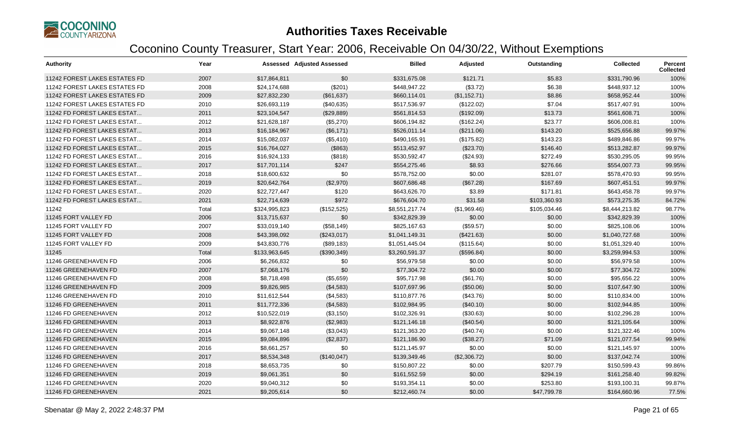

| <b>Authority</b>                     | Year  |               | <b>Assessed Adjusted Assessed</b> | <b>Billed</b>  | Adjusted     | Outstanding  | <b>Collected</b> | Percent<br><b>Collected</b> |
|--------------------------------------|-------|---------------|-----------------------------------|----------------|--------------|--------------|------------------|-----------------------------|
| 11242 FOREST LAKES ESTATES FD        | 2007  | \$17,864,811  | \$0                               | \$331,675.08   | \$121.71     | \$5.83       | \$331,790.96     | 100%                        |
| 11242 FOREST LAKES ESTATES FD        | 2008  | \$24,174,688  | (\$201)                           | \$448,947.22   | (\$3.72)     | \$6.38       | \$448,937.12     | 100%                        |
| 11242 FOREST LAKES ESTATES FD        | 2009  | \$27,832,230  | (\$61,637)                        | \$660,114.01   | (\$1,152.71) | \$8.86       | \$658,952.44     | 100%                        |
| <b>11242 FOREST LAKES ESTATES FD</b> | 2010  | \$26,693,119  | (\$40,635)                        | \$517,536.97   | (\$122.02)   | \$7.04       | \$517,407.91     | 100%                        |
| 11242 FD FOREST LAKES ESTAT          | 2011  | \$23,104,547  | (\$29,889)                        | \$561,814.53   | (\$192.09)   | \$13.73      | \$561,608.71     | 100%                        |
| 11242 FD FOREST LAKES ESTAT          | 2012  | \$21,628,187  | (\$5,270)                         | \$606,194.82   | (\$162.24)   | \$23.77      | \$606,008.81     | 100%                        |
| 11242 FD FOREST LAKES ESTAT          | 2013  | \$16,184,967  | (\$6,171)                         | \$526,011.14   | (\$211.06)   | \$143.20     | \$525,656.88     | 99.97%                      |
| 11242 FD FOREST LAKES ESTAT          | 2014  | \$15,082,037  | (\$5,410)                         | \$490,165.91   | (\$175.82)   | \$143.23     | \$489,846.86     | 99.97%                      |
| 11242 FD FOREST LAKES ESTAT          | 2015  | \$16,764,027  | (\$863)                           | \$513,452.97   | (\$23.70)    | \$146.40     | \$513,282.87     | 99.97%                      |
| 11242 FD FOREST LAKES ESTAT          | 2016  | \$16,924,133  | (\$818)                           | \$530,592.47   | (\$24.93)    | \$272.49     | \$530,295.05     | 99.95%                      |
| 11242 FD FOREST LAKES ESTAT          | 2017  | \$17,701,114  | \$247                             | \$554,275.46   | \$8.93       | \$276.66     | \$554,007.73     | 99.95%                      |
| 11242 FD FOREST LAKES ESTAT          | 2018  | \$18,600,632  | \$0                               | \$578,752.00   | \$0.00       | \$281.07     | \$578,470.93     | 99.95%                      |
| 11242 FD FOREST LAKES ESTAT          | 2019  | \$20,642,764  | (\$2,970)                         | \$607,686.48   | (\$67.28)    | \$167.69     | \$607,451.51     | 99.97%                      |
| 11242 FD FOREST LAKES ESTAT          | 2020  | \$22,727,447  | \$120                             | \$643,626.70   | \$3.89       | \$171.81     | \$643,458.78     | 99.97%                      |
| 11242 FD FOREST LAKES ESTAT          | 2021  | \$22,714,639  | \$972                             | \$676,604.70   | \$31.58      | \$103,360.93 | \$573,275.35     | 84.72%                      |
| 11242                                | Total | \$324,995,823 | (\$152,525)                       | \$8,551,217.74 | (\$1,969.46) | \$105,034.46 | \$8,444,213.82   | 98.77%                      |
| 11245 FORT VALLEY FD                 | 2006  | \$13,715,637  | \$0                               | \$342,829.39   | \$0.00       | \$0.00       | \$342,829.39     | 100%                        |
| 11245 FORT VALLEY FD                 | 2007  | \$33,019,140  | (\$58,149)                        | \$825,167.63   | (\$59.57)    | \$0.00       | \$825,108.06     | 100%                        |
| 11245 FORT VALLEY FD                 | 2008  | \$43,398,092  | (\$243,017)                       | \$1,041,149.31 | (\$421.63)   | \$0.00       | \$1,040,727.68   | 100%                        |
| 11245 FORT VALLEY FD                 | 2009  | \$43,830,776  | (\$89,183)                        | \$1,051,445.04 | (\$115.64)   | \$0.00       | \$1,051,329.40   | 100%                        |
| 11245                                | Total | \$133,963,645 | (\$390,349)                       | \$3,260,591.37 | (\$596.84)   | \$0.00       | \$3,259,994.53   | 100%                        |
| 11246 GREENEHAVEN FD                 | 2006  | \$6,266,832   | \$0                               | \$56,979.58    | \$0.00       | \$0.00       | \$56,979.58      | 100%                        |
| 11246 GREENEHAVEN FD                 | 2007  | \$7,068,176   | \$0                               | \$77,304.72    | \$0.00       | \$0.00       | \$77,304.72      | 100%                        |
| 11246 GREENEHAVEN FD                 | 2008  | \$8,718,498   | (\$5,659)                         | \$95,717.98    | (\$61.76)    | \$0.00       | \$95,656.22      | 100%                        |
| 11246 GREENEHAVEN FD                 | 2009  | \$9,826,985   | (\$4,583)                         | \$107,697.96   | (\$50.06)    | \$0.00       | \$107,647.90     | 100%                        |
| 11246 GREENEHAVEN FD                 | 2010  | \$11,612,544  | (\$4,583)                         | \$110,877.76   | (\$43.76)    | \$0.00       | \$110,834.00     | 100%                        |
| 11246 FD GREENEHAVEN                 | 2011  | \$11,772,336  | (\$4,583)                         | \$102,984.95   | (\$40.10)    | \$0.00       | \$102,944.85     | 100%                        |
| 11246 FD GREENEHAVEN                 | 2012  | \$10,522,019  | (\$3,150)                         | \$102,326.91   | (\$30.63)    | \$0.00       | \$102,296.28     | 100%                        |
| 11246 FD GREENEHAVEN                 | 2013  | \$8,922,876   | (\$2,983)                         | \$121,146.18   | (\$40.54)    | \$0.00       | \$121,105.64     | 100%                        |
| 11246 FD GREENEHAVEN                 | 2014  | \$9,067,148   | (\$3,043)                         | \$121,363.20   | (\$40.74)    | \$0.00       | \$121,322.46     | 100%                        |
| 11246 FD GREENEHAVEN                 | 2015  | \$9,084,896   | (\$2,837)                         | \$121,186.90   | (\$38.27)    | \$71.09      | \$121,077.54     | 99.94%                      |
| 11246 FD GREENEHAVEN                 | 2016  | \$8,661,257   | \$0                               | \$121,145.97   | \$0.00       | \$0.00       | \$121,145.97     | 100%                        |
| 11246 FD GREENEHAVEN                 | 2017  | \$8,534,348   | (\$140,047)                       | \$139,349.46   | (\$2,306.72) | \$0.00       | \$137,042.74     | 100%                        |
| 11246 FD GREENEHAVEN                 | 2018  | \$8,653,735   | \$0                               | \$150,807.22   | \$0.00       | \$207.79     | \$150,599.43     | 99.86%                      |
| 11246 FD GREENEHAVEN                 | 2019  | \$9,061,351   | \$0                               | \$161,552.59   | \$0.00       | \$294.19     | \$161,258.40     | 99.82%                      |
| 11246 FD GREENEHAVEN                 | 2020  | \$9,040,312   | \$0                               | \$193,354.11   | \$0.00       | \$253.80     | \$193,100.31     | 99.87%                      |
| 11246 FD GREENEHAVEN                 | 2021  | \$9,205,614   | \$0                               | \$212,460.74   | \$0.00       | \$47,799.78  | \$164,660.96     | 77.5%                       |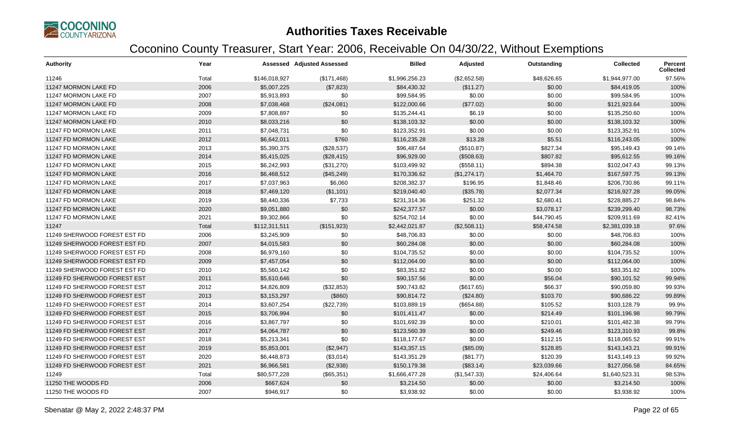

| <b>Authority</b>             | Year  |               | <b>Assessed Adjusted Assessed</b> | <b>Billed</b>  | Adjusted     | Outstanding | <b>Collected</b> | Percent<br><b>Collected</b> |
|------------------------------|-------|---------------|-----------------------------------|----------------|--------------|-------------|------------------|-----------------------------|
| 11246                        | Total | \$146,018,927 | (\$171,468)                       | \$1,996,256.23 | (\$2,652.58) | \$48,626.65 | \$1,944,977.00   | 97.56%                      |
| 11247 MORMON LAKE FD         | 2006  | \$5,007,225   | (\$7,823)                         | \$84,430.32    | (\$11.27)    | \$0.00      | \$84,419.05      | 100%                        |
| 11247 MORMON LAKE FD         | 2007  | \$5,913,893   | \$0                               | \$99,584.95    | \$0.00       | \$0.00      | \$99,584.95      | 100%                        |
| 11247 MORMON LAKE FD         | 2008  | \$7,038,468   | (\$24,081)                        | \$122,000.66   | (\$77.02)    | \$0.00      | \$121,923.64     | 100%                        |
| 11247 MORMON LAKE FD         | 2009  | \$7,808,897   | \$0                               | \$135,244.41   | \$6.19       | \$0.00      | \$135,250.60     | 100%                        |
| 11247 MORMON LAKE FD         | 2010  | \$8,033,216   | \$0                               | \$138,103.32   | \$0.00       | \$0.00      | \$138,103.32     | 100%                        |
| 11247 FD MORMON LAKE         | 2011  | \$7,048,731   | \$0                               | \$123,352.91   | \$0.00       | \$0.00      | \$123,352.91     | 100%                        |
| 11247 FD MORMON LAKE         | 2012  | \$6,642,011   | \$760                             | \$116,235.28   | \$13.28      | \$5.51      | \$116,243.05     | 100%                        |
| 11247 FD MORMON LAKE         | 2013  | \$5,390,375   | (\$28,537)                        | \$96,487.64    | (\$510.87)   | \$827.34    | \$95,149.43      | 99.14%                      |
| 11247 FD MORMON LAKE         | 2014  | \$5,415,025   | (\$28,415)                        | \$96,929.00    | (\$508.63)   | \$807.82    | \$95,612.55      | 99.16%                      |
| 11247 FD MORMON LAKE         | 2015  | \$6,242,993   | (\$31,270)                        | \$103,499.92   | (\$558.11)   | \$894.38    | \$102,047.43     | 99.13%                      |
| 11247 FD MORMON LAKE         | 2016  | \$6,468,512   | (\$45,249)                        | \$170,336.62   | (\$1,274.17) | \$1,464.70  | \$167,597.75     | 99.13%                      |
| 11247 FD MORMON LAKE         | 2017  | \$7,037,963   | \$6,060                           | \$208,382.37   | \$196.95     | \$1,848.46  | \$206,730.86     | 99.11%                      |
| 11247 FD MORMON LAKE         | 2018  | \$7,469,120   | (\$1,101)                         | \$219,040.40   | (\$35.78)    | \$2,077.34  | \$216,927.28     | 99.05%                      |
| 11247 FD MORMON LAKE         | 2019  | \$8,440,336   | \$7,733                           | \$231,314.36   | \$251.32     | \$2,680.41  | \$228,885.27     | 98.84%                      |
| 11247 FD MORMON LAKE         | 2020  | \$9,051,880   | \$0                               | \$242,377.57   | \$0.00       | \$3,078.17  | \$239,299.40     | 98.73%                      |
| 11247 FD MORMON LAKE         | 2021  | \$9,302,866   | \$0                               | \$254,702.14   | \$0.00       | \$44,790.45 | \$209,911.69     | 82.41%                      |
| 11247                        | Total | \$112,311,511 | (\$151,923)                       | \$2,442,021.87 | (\$2,508.11) | \$58,474.58 | \$2,381,039.18   | 97.6%                       |
| 11249 SHERWOOD FOREST EST FD | 2006  | \$3,245,909   | \$0                               | \$48,706.83    | \$0.00       | \$0.00      | \$48,706.83      | 100%                        |
| 11249 SHERWOOD FOREST EST FD | 2007  | \$4,015,583   | \$0                               | \$60,284.08    | \$0.00       | \$0.00      | \$60,284.08      | 100%                        |
| 11249 SHERWOOD FOREST EST FD | 2008  | \$6,979,160   | \$0                               | \$104,735.52   | \$0.00       | \$0.00      | \$104,735.52     | 100%                        |
| 11249 SHERWOOD FOREST EST FD | 2009  | \$7,457,054   | \$0                               | \$112,064.00   | \$0.00       | \$0.00      | \$112,064.00     | 100%                        |
| 11249 SHERWOOD FOREST EST FD | 2010  | \$5,560,142   | \$0                               | \$83,351.82    | \$0.00       | \$0.00      | \$83,351.82      | 100%                        |
| 11249 FD SHERWOOD FOREST EST | 2011  | \$5,610,646   | \$0                               | \$90,157.56    | \$0.00       | \$56.04     | \$90,101.52      | 99.94%                      |
| 11249 FD SHERWOOD FOREST EST | 2012  | \$4,826,809   | (\$32,853)                        | \$90,743.82    | (\$617.65)   | \$66.37     | \$90,059.80      | 99.93%                      |
| 11249 FD SHERWOOD FOREST EST | 2013  | \$3,153,297   | (\$860)                           | \$90,814.72    | (\$24.80)    | \$103.70    | \$90,686.22      | 99.89%                      |
| 11249 FD SHERWOOD FOREST EST | 2014  | \$3,607,254   | (\$22,739)                        | \$103,889.19   | (\$654.88)   | \$105.52    | \$103,128.79     | 99.9%                       |
| 11249 FD SHERWOOD FOREST EST | 2015  | \$3,706,994   | \$0                               | \$101,411.47   | \$0.00       | \$214.49    | \$101,196.98     | 99.79%                      |
| 11249 FD SHERWOOD FOREST EST | 2016  | \$3,867,797   | \$0                               | \$101,692.39   | \$0.00       | \$210.01    | \$101,482.38     | 99.79%                      |
| 11249 FD SHERWOOD FOREST EST | 2017  | \$4,064,787   | \$0                               | \$123,560.39   | \$0.00       | \$249.46    | \$123,310.93     | 99.8%                       |
| 11249 FD SHERWOOD FOREST EST | 2018  | \$5,213,341   | \$0                               | \$118,177.67   | \$0.00       | \$112.15    | \$118,065.52     | 99.91%                      |
| 11249 FD SHERWOOD FOREST EST | 2019  | \$5,853,001   | (\$2,947)                         | \$143,357.15   | (\$85.09)    | \$128.85    | \$143,143.21     | 99.91%                      |
| 11249 FD SHERWOOD FOREST EST | 2020  | \$6,448,873   | (\$3,014)                         | \$143,351.29   | (\$81.77)    | \$120.39    | \$143,149.13     | 99.92%                      |
| 11249 FD SHERWOOD FOREST EST | 2021  | \$6,966,581   | (\$2,938)                         | \$150,179.38   | (\$83.14)    | \$23,039.66 | \$127,056.58     | 84.65%                      |
| 11249                        | Total | \$80,577,228  | (\$65,351)                        | \$1,666,477.28 | (\$1,547.33) | \$24,406.64 | \$1,640,523.31   | 98.53%                      |
| 11250 THE WOODS FD           | 2006  | \$667,624     | \$0                               | \$3,214.50     | \$0.00       | \$0.00      | \$3,214.50       | 100%                        |
| 11250 THE WOODS FD           | 2007  | \$946,917     | \$0                               | \$3,938.92     | \$0.00       | \$0.00      | \$3,938.92       | 100%                        |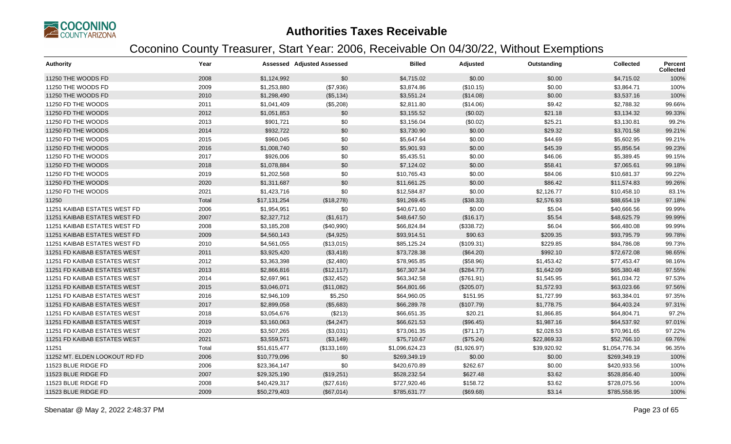

| <b>Authority</b>              | Year  |              | Assessed Adjusted Assessed | <b>Billed</b>  | Adjusted     | Outstanding | <b>Collected</b> | <b>Percent</b><br><b>Collected</b> |
|-------------------------------|-------|--------------|----------------------------|----------------|--------------|-------------|------------------|------------------------------------|
| 11250 THE WOODS FD            | 2008  | \$1,124,992  | \$0                        | \$4,715.02     | \$0.00       | \$0.00      | \$4,715.02       | 100%                               |
| 11250 THE WOODS FD            | 2009  | \$1,253,880  | (\$7,936)                  | \$3,874.86     | (\$10.15)    | \$0.00      | \$3,864.71       | 100%                               |
| 11250 THE WOODS FD            | 2010  | \$1,298,490  | (\$5,134)                  | \$3,551.24     | (\$14.08)    | \$0.00      | \$3,537.16       | 100%                               |
| 11250 FD THE WOODS            | 2011  | \$1,041,409  | (\$5,208)                  | \$2,811.80     | (\$14.06)    | \$9.42      | \$2,788.32       | 99.66%                             |
| 11250 FD THE WOODS            | 2012  | \$1,051,853  | \$0                        | \$3,155.52     | (\$0.02)     | \$21.18     | \$3,134.32       | 99.33%                             |
| 11250 FD THE WOODS            | 2013  | \$901,721    | \$0                        | \$3,156.04     | (\$0.02)     | \$25.21     | \$3,130.81       | 99.2%                              |
| 11250 FD THE WOODS            | 2014  | \$932,722    | \$0                        | \$3,730.90     | \$0.00       | \$29.32     | \$3,701.58       | 99.21%                             |
| 11250 FD THE WOODS            | 2015  | \$960,045    | \$0                        | \$5,647.64     | \$0.00       | \$44.69     | \$5,602.95       | 99.21%                             |
| 11250 FD THE WOODS            | 2016  | \$1,008,740  | \$0                        | \$5,901.93     | \$0.00       | \$45.39     | \$5,856.54       | 99.23%                             |
| 11250 FD THE WOODS            | 2017  | \$926,006    | \$0                        | \$5,435.51     | \$0.00       | \$46.06     | \$5,389.45       | 99.15%                             |
| 11250 FD THE WOODS            | 2018  | \$1,078,884  | \$0                        | \$7,124.02     | \$0.00       | \$58.41     | \$7,065.61       | 99.18%                             |
| 11250 FD THE WOODS            | 2019  | \$1,202,568  | \$0                        | \$10,765.43    | \$0.00       | \$84.06     | \$10,681.37      | 99.22%                             |
| 11250 FD THE WOODS            | 2020  | \$1,311,687  | \$0                        | \$11,661.25    | \$0.00       | \$86.42     | \$11,574.83      | 99.26%                             |
| 11250 FD THE WOODS            | 2021  | \$1,423,716  | \$0                        | \$12,584.87    | \$0.00       | \$2,126.77  | \$10,458.10      | 83.1%                              |
| 11250                         | Total | \$17,131,254 | (\$18,278)                 | \$91,269.45    | (\$38.33)    | \$2,576.93  | \$88,654.19      | 97.18%                             |
| 11251 KAIBAB ESTATES WEST FD  | 2006  | \$1,954,951  | \$0                        | \$40,671.60    | \$0.00       | \$5.04      | \$40,666.56      | 99.99%                             |
| 11251 KAIBAB ESTATES WEST FD  | 2007  | \$2,327,712  | (\$1,617)                  | \$48,647.50    | (\$16.17)    | \$5.54      | \$48,625.79      | 99.99%                             |
| 11251 KAIBAB ESTATES WEST FD  | 2008  | \$3,185,208  | (\$40,990)                 | \$66,824.84    | (\$338.72)   | \$6.04      | \$66,480.08      | 99.99%                             |
| 11251 KAIBAB ESTATES WEST FD  | 2009  | \$4,560,143  | (\$4,925)                  | \$93,914.51    | \$90.63      | \$209.35    | \$93,795.79      | 99.78%                             |
| 11251 KAIBAB ESTATES WEST FD  | 2010  | \$4,561,055  | (\$13,015)                 | \$85,125.24    | (\$109.31)   | \$229.85    | \$84,786.08      | 99.73%                             |
| 11251 FD KAIBAB ESTATES WEST  | 2011  | \$3,925,420  | (\$3,418)                  | \$73,728.38    | (\$64.20)    | \$992.10    | \$72,672.08      | 98.65%                             |
| 11251 FD KAIBAB ESTATES WEST  | 2012  | \$3,363,398  | (\$2,480)                  | \$78,965.85    | (\$58.96)    | \$1,453.42  | \$77,453.47      | 98.16%                             |
| 11251 FD KAIBAB ESTATES WEST  | 2013  | \$2,866,816  | (\$12,117)                 | \$67,307.34    | (\$284.77)   | \$1,642.09  | \$65,380.48      | 97.55%                             |
| 11251 FD KAIBAB ESTATES WEST  | 2014  | \$2,697,961  | (\$32,452)                 | \$63,342.58    | (\$761.91)   | \$1,545.95  | \$61,034.72      | 97.53%                             |
| 11251 FD KAIBAB ESTATES WEST  | 2015  | \$3,046,071  | (\$11,082)                 | \$64,801.66    | (\$205.07)   | \$1,572.93  | \$63,023.66      | 97.56%                             |
| 11251 FD KAIBAB ESTATES WEST  | 2016  | \$2,946,109  | \$5,250                    | \$64,960.05    | \$151.95     | \$1,727.99  | \$63,384.01      | 97.35%                             |
| 11251 FD KAIBAB ESTATES WEST  | 2017  | \$2,899,058  | (\$5,683)                  | \$66,289.78    | (\$107.79)   | \$1,778.75  | \$64,403.24      | 97.31%                             |
| 11251 FD KAIBAB ESTATES WEST  | 2018  | \$3,054,676  | (\$213)                    | \$66,651.35    | \$20.21      | \$1,866.85  | \$64,804.71      | 97.2%                              |
| 11251 FD KAIBAB ESTATES WEST  | 2019  | \$3,160,063  | (\$4,247)                  | \$66,621.53    | (\$96.45)    | \$1,987.16  | \$64,537.92      | 97.01%                             |
| 11251 FD KAIBAB ESTATES WEST  | 2020  | \$3,507,265  | (\$3,031)                  | \$73,061.35    | (\$71.17)    | \$2,028.53  | \$70,961.65      | 97.22%                             |
| 11251 FD KAIBAB ESTATES WEST  | 2021  | \$3,559,571  | (\$3,149)                  | \$75,710.67    | (\$75.24)    | \$22,869.33 | \$52,766.10      | 69.76%                             |
| 11251                         | Total | \$51,615,477 | (\$133,169)                | \$1,096,624.23 | (\$1,926.97) | \$39,920.92 | \$1,054,776.34   | 96.35%                             |
| 11252 MT, ELDEN LOOKOUT RD FD | 2006  | \$10,779,096 | \$0                        | \$269,349.19   | \$0.00       | \$0.00      | \$269,349.19     | 100%                               |
| 11523 BLUE RIDGE FD           | 2006  | \$23,364,147 | \$0                        | \$420,670.89   | \$262.67     | \$0.00      | \$420,933.56     | 100%                               |
| 11523 BLUE RIDGE FD           | 2007  | \$29,325,190 | (\$19,251)                 | \$528,232.54   | \$627.48     | \$3.62      | \$528,856.40     | 100%                               |
| 11523 BLUE RIDGE FD           | 2008  | \$40,429,317 | (\$27,616)                 | \$727,920.46   | \$158.72     | \$3.62      | \$728,075.56     | 100%                               |
| 11523 BLUE RIDGE FD           | 2009  | \$50,279,403 | (\$67,014)                 | \$785,631.77   | (\$69.68)    | \$3.14      | \$785,558.95     | 100%                               |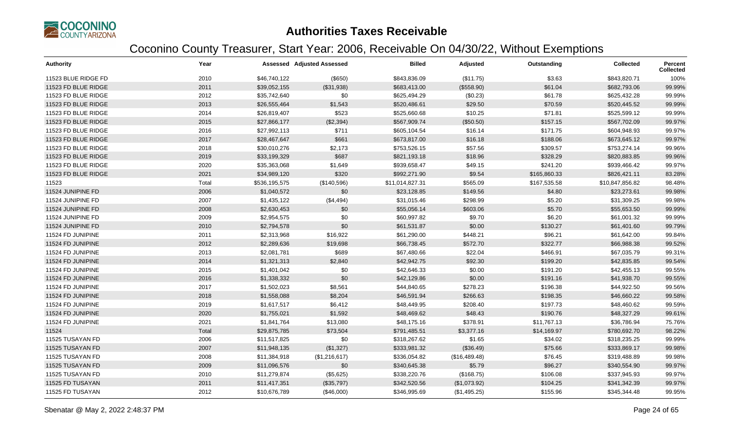

| <b>Authority</b>    | Year  |               | <b>Assessed Adjusted Assessed</b> | <b>Billed</b>   | Adjusted      | Outstanding  | <b>Collected</b> | Percent<br><b>Collected</b> |
|---------------------|-------|---------------|-----------------------------------|-----------------|---------------|--------------|------------------|-----------------------------|
| 11523 BLUE RIDGE FD | 2010  | \$46,740,122  | $($ \$650)                        | \$843,836.09    | (\$11.75)     | \$3.63       | \$843,820.71     | 100%                        |
| 11523 FD BLUE RIDGE | 2011  | \$39,052,155  | (\$31,938)                        | \$683,413.00    | (\$558.90)    | \$61.04      | \$682,793.06     | 99.99%                      |
| 11523 FD BLUE RIDGE | 2012  | \$35,742,640  | \$0                               | \$625,494.29    | (\$0.23)      | \$61.78      | \$625,432.28     | 99.99%                      |
| 11523 FD BLUE RIDGE | 2013  | \$26,555,464  | \$1,543                           | \$520,486.61    | \$29.50       | \$70.59      | \$520,445.52     | 99.99%                      |
| 11523 FD BLUE RIDGE | 2014  | \$26,819,407  | \$523                             | \$525,660.68    | \$10.25       | \$71.81      | \$525,599.12     | 99.99%                      |
| 11523 FD BLUE RIDGE | 2015  | \$27,866,177  | (\$2,394)                         | \$567,909.74    | (\$50.50)     | \$157.15     | \$567,702.09     | 99.97%                      |
| 11523 FD BLUE RIDGE | 2016  | \$27,992,113  | \$711                             | \$605,104.54    | \$16.14       | \$171.75     | \$604,948.93     | 99.97%                      |
| 11523 FD BLUE RIDGE | 2017  | \$28,467,647  | \$661                             | \$673,817.00    | \$16.18       | \$188.06     | \$673,645.12     | 99.97%                      |
| 11523 FD BLUE RIDGE | 2018  | \$30,010,276  | \$2,173                           | \$753,526.15    | \$57.56       | \$309.57     | \$753,274.14     | 99.96%                      |
| 11523 FD BLUE RIDGE | 2019  | \$33,199,329  | \$687                             | \$821,193.18    | \$18.96       | \$328.29     | \$820,883.85     | 99.96%                      |
| 11523 FD BLUE RIDGE | 2020  | \$35,363,068  | \$1,649                           | \$939,658.47    | \$49.15       | \$241.20     | \$939,466.42     | 99.97%                      |
| 11523 FD BLUE RIDGE | 2021  | \$34,989,120  | \$320                             | \$992,271.90    | \$9.54        | \$165,860.33 | \$826,421.11     | 83.28%                      |
| 11523               | Total | \$536,195,575 | (\$140,596)                       | \$11,014,827.31 | \$565.09      | \$167,535.58 | \$10,847,856.82  | 98.48%                      |
| 11524 JUNIPINE FD   | 2006  | \$1,040,572   | \$0                               | \$23,128.85     | \$149.56      | \$4.80       | \$23,273.61      | 99.98%                      |
| 11524 JUNIPINE FD   | 2007  | \$1,435,122   | (\$4,494)                         | \$31,015.46     | \$298.99      | \$5.20       | \$31,309.25      | 99.98%                      |
| 11524 JUNIPINE FD   | 2008  | \$2,630,453   | \$0                               | \$55,056.14     | \$603.06      | \$5.70       | \$55,653.50      | 99.99%                      |
| 11524 JUNIPINE FD   | 2009  | \$2,954,575   | \$0                               | \$60,997.82     | \$9.70        | \$6.20       | \$61,001.32      | 99.99%                      |
| 11524 JUNIPINE FD   | 2010  | \$2,794,578   | \$0                               | \$61,531.87     | \$0.00        | \$130.27     | \$61,401.60      | 99.79%                      |
| 11524 FD JUNIPINE   | 2011  | \$2,313,968   | \$16,922                          | \$61,290.00     | \$448.21      | \$96.21      | \$61,642.00      | 99.84%                      |
| 11524 FD JUNIPINE   | 2012  | \$2,289,636   | \$19,698                          | \$66,738.45     | \$572.70      | \$322.77     | \$66,988.38      | 99.52%                      |
| 11524 FD JUNIPINE   | 2013  | \$2,081,781   | \$689                             | \$67,480.66     | \$22.04       | \$466.91     | \$67,035.79      | 99.31%                      |
| 11524 FD JUNIPINE   | 2014  | \$1,321,313   | \$2,840                           | \$42,942.75     | \$92.30       | \$199.20     | \$42,835.85      | 99.54%                      |
| 11524 FD JUNIPINE   | 2015  | \$1,401,042   | \$0                               | \$42,646.33     | \$0.00        | \$191.20     | \$42,455.13      | 99.55%                      |
| 11524 FD JUNIPINE   | 2016  | \$1,338,332   | \$0                               | \$42,129.86     | \$0.00        | \$191.16     | \$41,938.70      | 99.55%                      |
| 11524 FD JUNIPINE   | 2017  | \$1,502,023   | \$8,561                           | \$44,840.65     | \$278.23      | \$196.38     | \$44,922.50      | 99.56%                      |
| 11524 FD JUNIPINE   | 2018  | \$1,558,088   | \$8,204                           | \$46,591.94     | \$266.63      | \$198.35     | \$46,660.22      | 99.58%                      |
| 11524 FD JUNIPINE   | 2019  | \$1,617,517   | \$6,412                           | \$48,449.95     | \$208.40      | \$197.73     | \$48,460.62      | 99.59%                      |
| 11524 FD JUNIPINE   | 2020  | \$1,755,021   | \$1,592                           | \$48,469.62     | \$48.43       | \$190.76     | \$48,327.29      | 99.61%                      |
| 11524 FD JUNIPINE   | 2021  | \$1,841,764   | \$13,080                          | \$48,175.16     | \$378.91      | \$11,767.13  | \$36,786.94      | 75.76%                      |
| 11524               | Total | \$29,875,785  | \$73,504                          | \$791,485.51    | \$3,377.16    | \$14,169.97  | \$780,692.70     | 98.22%                      |
| 11525 TUSAYAN FD    | 2006  | \$11,517,825  | \$0                               | \$318,267.62    | \$1.65        | \$34.02      | \$318,235.25     | 99.99%                      |
| 11525 TUSAYAN FD    | 2007  | \$11,948,135  | (\$1,327)                         | \$333,981.32    | (\$36.49)     | \$75.66      | \$333,869.17     | 99.98%                      |
| 11525 TUSAYAN FD    | 2008  | \$11,384,918  | (\$1,216,617)                     | \$336,054.82    | (\$16,489.48) | \$76.45      | \$319,488.89     | 99.98%                      |
| 11525 TUSAYAN FD    | 2009  | \$11,096,576  | \$0                               | \$340,645.38    | \$5.79        | \$96.27      | \$340,554.90     | 99.97%                      |
| 11525 TUSAYAN FD    | 2010  | \$11,279,874  | (\$5,625)                         | \$338,220.76    | (\$168.75)    | \$106.08     | \$337,945.93     | 99.97%                      |
| 11525 FD TUSAYAN    | 2011  | \$11,417,351  | (\$35,797)                        | \$342,520.56    | (\$1,073.92)  | \$104.25     | \$341,342.39     | 99.97%                      |
| 11525 FD TUSAYAN    | 2012  | \$10,676,789  | (\$46,000)                        | \$346,995.69    | (\$1,495.25)  | \$155.96     | \$345,344.48     | 99.95%                      |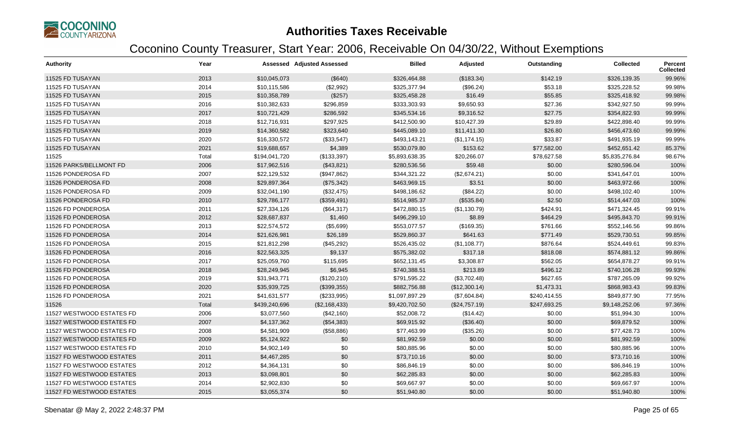

| <b>Authority</b>          | Year  |               | <b>Assessed Adjusted Assessed</b> | <b>Billed</b>  | Adjusted      | Outstanding  | <b>Collected</b> | <b>Percent</b><br><b>Collected</b> |
|---------------------------|-------|---------------|-----------------------------------|----------------|---------------|--------------|------------------|------------------------------------|
| 11525 FD TUSAYAN          | 2013  | \$10,045,073  | (\$640)                           | \$326,464.88   | (\$183.34)    | \$142.19     | \$326,139.35     | 99.96%                             |
| 11525 FD TUSAYAN          | 2014  | \$10,115,586  | (\$2,992)                         | \$325,377.94   | (\$96.24)     | \$53.18      | \$325,228.52     | 99.98%                             |
| 11525 FD TUSAYAN          | 2015  | \$10,358,789  | (\$257)                           | \$325,458.28   | \$16.49       | \$55.85      | \$325,418.92     | 99.98%                             |
| 11525 FD TUSAYAN          | 2016  | \$10,382,633  | \$296,859                         | \$333,303.93   | \$9,650.93    | \$27.36      | \$342,927.50     | 99.99%                             |
| 11525 FD TUSAYAN          | 2017  | \$10,721,429  | \$286,592                         | \$345,534.16   | \$9,316.52    | \$27.75      | \$354,822.93     | 99.99%                             |
| 11525 FD TUSAYAN          | 2018  | \$12,716,931  | \$297,925                         | \$412,500.90   | \$10,427.39   | \$29.89      | \$422,898.40     | 99.99%                             |
| 11525 FD TUSAYAN          | 2019  | \$14,360,582  | \$323,640                         | \$445,089.10   | \$11,411.30   | \$26.80      | \$456,473.60     | 99.99%                             |
| 11525 FD TUSAYAN          | 2020  | \$16,330,572  | (\$33,547)                        | \$493,143.21   | (\$1,174.15)  | \$33.87      | \$491,935.19     | 99.99%                             |
| 11525 FD TUSAYAN          | 2021  | \$19,688,657  | \$4,389                           | \$530,079.80   | \$153.62      | \$77,582.00  | \$452,651.42     | 85.37%                             |
| 11525                     | Total | \$194,041,720 | (\$133,397)                       | \$5,893,638.35 | \$20,266.07   | \$78,627.58  | \$5,835,276.84   | 98.67%                             |
| 11526 PARKS/BELLMONT FD   | 2006  | \$17,962,516  | (\$43,821)                        | \$280,536.56   | \$59.48       | \$0.00       | \$280,596.04     | 100%                               |
| 11526 PONDEROSA FD        | 2007  | \$22,129,532  | (\$947,862)                       | \$344,321.22   | (\$2,674.21)  | \$0.00       | \$341,647.01     | 100%                               |
| 11526 PONDEROSA FD        | 2008  | \$29,897,364  | (\$75,342)                        | \$463,969.15   | \$3.51        | \$0.00       | \$463,972.66     | 100%                               |
| 11526 PONDEROSA FD        | 2009  | \$32,041,190  | (\$32,475)                        | \$498,186.62   | (\$84.22)     | \$0.00       | \$498,102.40     | 100%                               |
| 11526 PONDEROSA FD        | 2010  | \$29,786,177  | (\$359,491)                       | \$514,985.37   | (\$535.84)    | \$2.50       | \$514,447.03     | 100%                               |
| 11526 FD PONDEROSA        | 2011  | \$27,334,126  | (\$64,317)                        | \$472,880.15   | (\$1,130.79)  | \$424.91     | \$471,324.45     | 99.91%                             |
| 11526 FD PONDEROSA        | 2012  | \$28,687,837  | \$1,460                           | \$496,299.10   | \$8.89        | \$464.29     | \$495,843.70     | 99.91%                             |
| 11526 FD PONDEROSA        | 2013  | \$22,574,572  | (\$5,699)                         | \$553,077.57   | (\$169.35)    | \$761.66     | \$552,146.56     | 99.86%                             |
| 11526 FD PONDEROSA        | 2014  | \$21,626,981  | \$26,189                          | \$529,860.37   | \$641.63      | \$771.49     | \$529,730.51     | 99.85%                             |
| 11526 FD PONDEROSA        | 2015  | \$21,812,298  | (\$45,292)                        | \$526,435.02   | (\$1,108.77)  | \$876.64     | \$524,449.61     | 99.83%                             |
| 11526 FD PONDEROSA        | 2016  | \$22,563,325  | \$9,137                           | \$575,382.02   | \$317.18      | \$818.08     | \$574,881.12     | 99.86%                             |
| 11526 FD PONDEROSA        | 2017  | \$25,059,760  | \$115,695                         | \$652,131.45   | \$3,308.87    | \$562.05     | \$654,878.27     | 99.91%                             |
| 11526 FD PONDEROSA        | 2018  | \$28,249,945  | \$6,945                           | \$740,388.51   | \$213.89      | \$496.12     | \$740,106.28     | 99.93%                             |
| 11526 FD PONDEROSA        | 2019  | \$31,943,771  | (\$120,210)                       | \$791,595.22   | (\$3,702.48)  | \$627.65     | \$787,265.09     | 99.92%                             |
| 11526 FD PONDEROSA        | 2020  | \$35,939,725  | (\$399,355)                       | \$882,756.88   | (\$12,300.14) | \$1,473.31   | \$868,983.43     | 99.83%                             |
| 11526 FD PONDEROSA        | 2021  | \$41,631,577  | (\$233,995)                       | \$1,097,897.29 | (\$7,604.84)  | \$240,414.55 | \$849,877.90     | 77.95%                             |
| 11526                     | Total | \$439,240,696 | (\$2,168,433)                     | \$9,420,702.50 | (\$24,757.19) | \$247,693.25 | \$9,148,252.06   | 97.36%                             |
| 11527 WESTWOOD ESTATES FD | 2006  | \$3,077,560   | (\$42,160)                        | \$52,008.72    | (\$14.42)     | \$0.00       | \$51,994.30      | 100%                               |
| 11527 WESTWOOD ESTATES FD | 2007  | \$4,137,362   | (\$54,383)                        | \$69,915.92    | (\$36.40)     | \$0.00       | \$69,879.52      | 100%                               |
| 11527 WESTWOOD ESTATES FD | 2008  | \$4,581,909   | (\$58,886)                        | \$77,463.99    | (\$35.26)     | \$0.00       | \$77,428.73      | 100%                               |
| 11527 WESTWOOD ESTATES FD | 2009  | \$5,124,922   | \$0                               | \$81,992.59    | \$0.00        | \$0.00       | \$81,992.59      | 100%                               |
| 11527 WESTWOOD ESTATES FD | 2010  | \$4,902,149   | \$0                               | \$80,885.96    | \$0.00        | \$0.00       | \$80,885.96      | 100%                               |
| 11527 FD WESTWOOD ESTATES | 2011  | \$4,467,285   | \$0                               | \$73,710.16    | \$0.00        | \$0.00       | \$73,710.16      | 100%                               |
| 11527 FD WESTWOOD ESTATES | 2012  | \$4,364,131   | \$0                               | \$86,846.19    | \$0.00        | \$0.00       | \$86,846.19      | 100%                               |
| 11527 FD WESTWOOD ESTATES | 2013  | \$3,098,801   | \$0                               | \$62,285.83    | \$0.00        | \$0.00       | \$62,285.83      | 100%                               |
| 11527 FD WESTWOOD ESTATES | 2014  | \$2,902,830   | \$0                               | \$69,667.97    | \$0.00        | \$0.00       | \$69,667.97      | 100%                               |
| 11527 FD WESTWOOD ESTATES | 2015  | \$3,055,374   | \$0                               | \$51,940.80    | \$0.00        | \$0.00       | \$51,940.80      | 100%                               |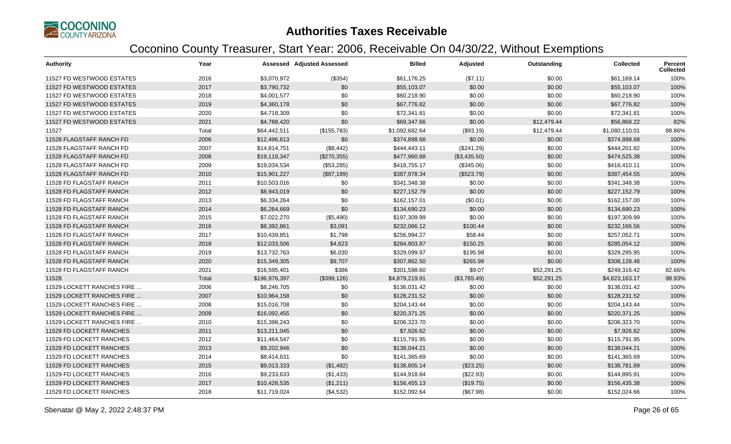

| <b>Authority</b>           | Year  |               | Assessed Adjusted Assessed | <b>Billed</b>  | Adjusted     | Outstanding | <b>Collected</b> | Percent<br><b>Collected</b> |
|----------------------------|-------|---------------|----------------------------|----------------|--------------|-------------|------------------|-----------------------------|
| 11527 FD WESTWOOD ESTATES  | 2016  | \$3,070,972   | (\$354)                    | \$61,176.25    | (\$7.11)     | \$0.00      | \$61,169.14      | 100%                        |
| 11527 FD WESTWOOD ESTATES  | 2017  | \$3,790,732   | \$0                        | \$55,103.07    | \$0.00       | \$0.00      | \$55,103.07      | 100%                        |
| 11527 FD WESTWOOD ESTATES  | 2018  | \$4,001,577   | \$0                        | \$60,218.90    | \$0.00       | \$0.00      | \$60,218.90      | 100%                        |
| 11527 FD WESTWOOD ESTATES  | 2019  | \$4,360,178   | \$0                        | \$67,776.82    | \$0.00       | \$0.00      | \$67,776.82      | 100%                        |
| 11527 FD WESTWOOD ESTATES  | 2020  | \$4,718,309   | \$0                        | \$72,341.81    | \$0.00       | \$0.00      | \$72,341.81      | 100%                        |
| 11527 FD WESTWOOD ESTATES  | 2021  | \$4,788,420   | \$0                        | \$69,347.66    | \$0.00       | \$12,479.44 | \$56,868.22      | 82%                         |
| 11527                      | Total | \$64,442,511  | (\$155,783)                | \$1,092,682.64 | (\$93.19)    | \$12,479.44 | \$1,080,110.01   | 98.86%                      |
| 11528 FLAGSTAFF RANCH FD   | 2006  | \$12,496,613  | \$0                        | \$374,898.68   | \$0.00       | \$0.00      | \$374,898.68     | 100%                        |
| 11528 FLAGSTAFF RANCH FD   | 2007  | \$14,814,751  | (\$8,442)                  | \$444,443.11   | (\$241.29)   | \$0.00      | \$444,201.82     | 100%                        |
| 11528 FLAGSTAFF RANCH FD   | 2008  | \$19,118,347  | (\$270,355)                | \$477,960.88   | (\$3,435.50) | \$0.00      | \$474,525.38     | 100%                        |
| 11528 FLAGSTAFF RANCH FD   | 2009  | \$19,034,534  | (\$53,285)                 | \$418,755.17   | (\$345.06)   | \$0.00      | \$418,410.11     | 100%                        |
| 11528 FLAGSTAFF RANCH FD   | 2010  | \$15,901,227  | (\$87,189)                 | \$387,978.34   | (\$523.79)   | \$0.00      | \$387,454.55     | 100%                        |
| 11528 FD FLAGSTAFF RANCH   | 2011  | \$10,503,016  | \$0                        | \$341,348.38   | \$0.00       | \$0.00      | \$341,348.38     | 100%                        |
| 11528 FD FLAGSTAFF RANCH   | 2012  | \$8,943,019   | \$0                        | \$227,152.79   | \$0.00       | \$0.00      | \$227,152.79     | 100%                        |
| 11528 FD FLAGSTAFF RANCH   | 2013  | \$6,334,264   | \$0                        | \$162,157.01   | (\$0.01)     | \$0.00      | \$162,157.00     | 100%                        |
| 11528 FD FLAGSTAFF RANCH   | 2014  | \$6,264,669   | \$0                        | \$134,690.23   | \$0.00       | \$0.00      | \$134,690.23     | 100%                        |
| 11528 FD FLAGSTAFF RANCH   | 2015  | \$7,022,270   | (\$5,490)                  | \$197,309.99   | \$0.00       | \$0.00      | \$197,309.99     | 100%                        |
| 11528 FD FLAGSTAFF RANCH   | 2016  | \$8,392,861   | \$3,091                    | \$232,066.12   | \$100.44     | \$0.00      | \$232,166.56     | 100%                        |
| 11528 FD FLAGSTAFF RANCH   | 2017  | \$10,439,851  | \$1,798                    | \$256,994.27   | \$58.44      | \$0.00      | \$257,052.71     | 100%                        |
| 11528 FD FLAGSTAFF RANCH   | 2018  | \$12,033,506  | \$4,623                    | \$284,903.87   | \$150.25     | \$0.00      | \$285,054.12     | 100%                        |
| 11528 FD FLAGSTAFF RANCH   | 2019  | \$13,732,763  | \$6,030                    | \$329,099.97   | \$195.98     | \$0.00      | \$329,295.95     | 100%                        |
| 11528 FD FLAGSTAFF RANCH   | 2020  | \$15,349,305  | \$9,707                    | \$307,862.50   | \$265.98     | \$0.00      | \$308,128.48     | 100%                        |
| 11528 FD FLAGSTAFF RANCH   | 2021  | \$16,595,401  | \$386                      | \$301,598.60   | \$9.07       | \$52,291.25 | \$249,316.42     | 82.66%                      |
| 11528                      | Total | \$196,976,397 | (\$399, 126)               | \$4,879,219.91 | (\$3,765.49) | \$52,291.25 | \$4,823,163.17   | 98.93%                      |
| 11529 LOCKETT RANCHES FIRE | 2006  | \$8,246,705   | \$0                        | \$136,031.42   | \$0.00       | \$0.00      | \$136,031.42     | 100%                        |
| 11529 LOCKETT RANCHES FIRE | 2007  | \$10,964,158  | \$0                        | \$128,231.52   | \$0.00       | \$0.00      | \$128,231.52     | 100%                        |
| 11529 LOCKETT RANCHES FIRE | 2008  | \$15,016,708  | \$0                        | \$204,143.44   | \$0.00       | \$0.00      | \$204,143.44     | 100%                        |
| 11529 LOCKETT RANCHES FIRE | 2009  | \$16,092,455  | \$0                        | \$220,371.25   | \$0.00       | \$0.00      | \$220,371,25     | 100%                        |
| 11529 LOCKETT RANCHES FIRE | 2010  | \$15,398,243  | \$0                        | \$206,323.70   | \$0.00       | \$0.00      | \$206,323.70     | 100%                        |
| 11529 FD LOCKETT RANCHES   | 2011  | \$13,211,045  | \$0                        | \$7,926.62     | \$0.00       | \$0.00      | \$7,926.62       | 100%                        |
| 11529 FD LOCKETT RANCHES   | 2012  | \$11,464,547  | \$0                        | \$115,791.95   | \$0.00       | \$0.00      | \$115,791.95     | 100%                        |
| 11529 FD LOCKETT RANCHES   | 2013  | \$9,202,946   | \$0                        | \$138,044.21   | \$0.00       | \$0.00      | \$138,044.21     | 100%                        |
| 11529 FD LOCKETT RANCHES   | 2014  | \$8,414,631   | \$0                        | \$141,365.69   | \$0.00       | \$0.00      | \$141,365.69     | 100%                        |
| 11529 FD LOCKETT RANCHES   | 2015  | \$9,013,333   | (\$1,482)                  | \$138,805.14   | (\$23.25)    | \$0.00      | \$138,781.89     | 100%                        |
| 11529 FD LOCKETT RANCHES   | 2016  | \$9,233,633   | (\$1,433)                  | \$144,918.84   | (\$22.93)    | \$0.00      | \$144,895.91     | 100%                        |
| 11529 FD LOCKETT RANCHES   | 2017  | \$10,428,535  | (\$1,211)                  | \$156,455.13   | (\$19.75)    | \$0.00      | \$156,435.38     | 100%                        |
| 11529 FD LOCKETT RANCHES   | 2018  | \$11,719,024  | (\$4,532)                  | \$152,092.64   | (\$67.98)    | \$0.00      | \$152,024.66     | 100%                        |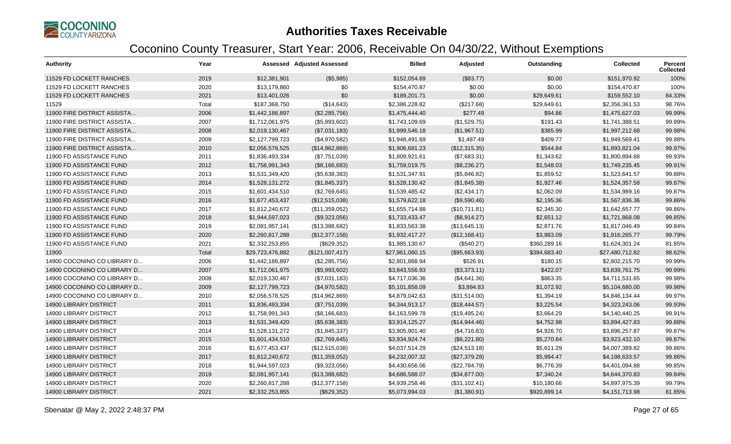

| <b>Authority</b>              | Year  |                  | <b>Assessed Adjusted Assessed</b> | <b>Billed</b>   | Adjusted      | Outstanding  | <b>Collected</b> | Percent<br><b>Collected</b> |
|-------------------------------|-------|------------------|-----------------------------------|-----------------|---------------|--------------|------------------|-----------------------------|
| 11529 FD LOCKETT RANCHES      | 2019  | \$12,381,901     | (\$5,985)                         | \$152,054.69    | (\$83.77)     | \$0.00       | \$151,970.92     | 100%                        |
| 11529 FD LOCKETT RANCHES      | 2020  | \$13,179,860     | \$0                               | \$154,470.87    | \$0.00        | \$0.00       | \$154,470.87     | 100%                        |
| 11529 FD LOCKETT RANCHES      | 2021  | \$13,401,026     | \$0                               | \$189,201.71    | \$0.00        | \$29,649.61  | \$159,552.10     | 84.33%                      |
| 11529                         | Total | \$187,368,750    | (\$14,643)                        | \$2,386,228.82  | (\$217.68)    | \$29,649.61  | \$2,356,361.53   | 98.76%                      |
| 11900 FIRE DISTRICT ASSISTA   | 2006  | \$1,442,186,897  | (\$2,285,756)                     | \$1,475,444.40  | \$277.49      | \$94.86      | \$1,475,627.03   | 99.99%                      |
| 11900 FIRE DISTRICT ASSISTA   | 2007  | \$1,712,061,975  | (\$5,993,602)                     | \$1,743,109.69  | (\$1,529.75)  | \$191.43     | \$1,741,388.51   | 99.99%                      |
| 11900 FIRE DISTRICT ASSISTA   | 2008  | \$2,019,130,467  | (\$7,031,183)                     | \$1,999,546.18  | (\$1,967.51)  | \$365.99     | \$1,997,212.68   | 99.98%                      |
| 11900 FIRE DISTRICT ASSISTA   | 2009  | \$2,127,799,723  | (\$4,970,582)                     | \$1,948,491.69  | \$1,487.49    | \$409.77     | \$1,949,569.41   | 99.98%                      |
| 11900 FIRE DISTRICT ASSISTA   | 2010  | \$2,056,578,525  | (\$14,962,869)                    | \$1,906,681.23  | (\$12,315.35) | \$544.84     | \$1,893,821.04   | 99.97%                      |
| 11900 FD ASSISTANCE FUND      | 2011  | \$1,836,493,334  | (\$7,751,039)                     | \$1,809,921.61  | (\$7,683.31)  | \$1,343.62   | \$1,800,894.68   | 99.93%                      |
| 11900 FD ASSISTANCE FUND      | 2012  | \$1,758,991,343  | (\$8,166,683)                     | \$1,759,019.75  | (\$8,236.27)  | \$1,548.03   | \$1,749,235.45   | 99.91%                      |
| 11900 FD ASSISTANCE FUND      | 2013  | \$1,531,349,420  | (\$5,638,383)                     | \$1,531,347.91  | (\$5,846.82)  | \$1,859.52   | \$1,523,641.57   | 99.88%                      |
| 11900 FD ASSISTANCE FUND      | 2014  | \$1,528,131,272  | (\$1,845,337)                     | \$1,528,130.42  | (\$1,845.38)  | \$1,927.46   | \$1,524,357.58   | 99.87%                      |
| 11900 FD ASSISTANCE FUND      | 2015  | \$1,601,434,510  | (\$2,769,645)                     | \$1,539,485.42  | (\$2,434.17)  | \$2,062.09   | \$1,534,989.16   | 99.87%                      |
| 11900 FD ASSISTANCE FUND      | 2016  | \$1,677,453,437  | (\$12,515,038)                    | \$1,579,622.18  | (\$9,590.46)  | \$2,195.36   | \$1,567,836.36   | 99.86%                      |
| 11900 FD ASSISTANCE FUND      | 2017  | \$1,812,240,672  | (\$11,359,052)                    | \$1,655,714.88  | (\$10,711.81) | \$2,345.30   | \$1,642,657.77   | 99.86%                      |
| 11900 FD ASSISTANCE FUND      | 2018  | \$1,944,597,023  | (\$9,323,056)                     | \$1,733,433.47  | (\$8,914.27)  | \$2,651.12   | \$1,721,868.08   | 99.85%                      |
| 11900 FD ASSISTANCE FUND      | 2019  | \$2,081,957,141  | (\$13,388,682)                    | \$1,833,563.38  | (\$13,645.13) | \$2,871.76   | \$1,817,046.49   | 99.84%                      |
| 11900 FD ASSISTANCE FUND      | 2020  | \$2,260,817,288  | (\$12,377,158)                    | \$1,932,417.27  | (\$12,168.41) | \$3,983.09   | \$1,916,265.77   | 99.79%                      |
| 11900 FD ASSISTANCE FUND      | 2021  | \$2,332,253,855  | (\$629,352)                       | \$1,985,130.67  | (\$540.27)    | \$360,289.16 | \$1,624,301.24   | 81.85%                      |
| 11900                         | Total | \$29,723,476,882 | (\$121,007,417)                   | \$27,961,060.15 | (\$95,663.93) | \$384,683.40 | \$27,480,712.82  | 98.62%                      |
| 14900 COCONINO CO LIBRARY D   | 2006  | \$1,442,186,897  | (\$2,285,756)                     | \$2,801,868.94  | \$526.91      | \$180.15     | \$2,802,215.70   | 99.99%                      |
| 14900 COCONINO CO LIBRARY D   | 2007  | \$1,712,061,975  | (\$5,993,602)                     | \$3,843,556.93  | (\$3,373.11)  | \$422.07     | \$3,839,761.75   | 99.99%                      |
| 14900 COCONINO CO LIBRARY D   | 2008  | \$2,019,130,467  | (\$7,031,183)                     | \$4,717,036.36  | (\$4,641.36)  | \$863.35     | \$4,711,531.65   | 99.98%                      |
| 14900 COCONINO CO LIBRARY D   | 2009  | \$2,127,799,723  | (\$4,970,582)                     | \$5,101,858.09  | \$3,894.83    | \$1,072.92   | \$5,104,680.00   | 99.98%                      |
| 14900 COCONINO CO LIBRARY D   | 2010  | \$2,056,578,525  | (\$14,962,869)                    | \$4,879,042.63  | (\$31,514.00) | \$1,394.19   | \$4,846,134.44   | 99.97%                      |
| <b>14900 LIBRARY DISTRICT</b> | 2011  | \$1,836,493,334  | (\$7,751,039)                     | \$4,344,913.17  | (\$18,444.57) | \$3,225.54   | \$4,323,243.06   | 99.93%                      |
| <b>14900 LIBRARY DISTRICT</b> | 2012  | \$1,758,991,343  | (\$8,166,683)                     | \$4,163,599.78  | (\$19,495.24) | \$3,664.29   | \$4,140,440.25   | 99.91%                      |
| <b>14900 LIBRARY DISTRICT</b> | 2013  | \$1,531,349,420  | (\$5,638,383)                     | \$3,914,125.27  | (\$14,944.46) | \$4,752.98   | \$3,894,427.83   | 99.88%                      |
| 14900 LIBRARY DISTRICT        | 2014  | \$1,528,131,272  | (\$1,845,337)                     | \$3,905,901.40  | (\$4,716.83)  | \$4,926.70   | \$3,896,257.87   | 99.87%                      |
| <b>14900 LIBRARY DISTRICT</b> | 2015  | \$1,601,434,510  | (\$2,769,645)                     | \$3,934,924.74  | (\$6,221.80)  | \$5,270.84   | \$3,923,432.10   | 99.87%                      |
| <b>14900 LIBRARY DISTRICT</b> | 2016  | \$1,677,453,437  | (\$12,515,038)                    | \$4,037,514.29  | (\$24,513.18) | \$5,611.29   | \$4,007,389.82   | 99.86%                      |
| <b>14900 LIBRARY DISTRICT</b> | 2017  | \$1,812,240,672  | (\$11,359,052)                    | \$4,232,007.32  | (\$27,379.28) | \$5,994.47   | \$4,198,633.57   | 99.86%                      |
| 14900 LIBRARY DISTRICT        | 2018  | \$1,944,597,023  | (\$9,323,056)                     | \$4,430,656.06  | (\$22,784.79) | \$6,776.39   | \$4,401,094.88   | 99.85%                      |
| <b>14900 LIBRARY DISTRICT</b> | 2019  | \$2,081,957,141  | (\$13,388,682)                    | \$4,686,588.07  | (\$34,877.00) | \$7,340.24   | \$4,644,370.83   | 99.84%                      |
| <b>14900 LIBRARY DISTRICT</b> | 2020  | \$2,260,817,288  | (\$12,377,158)                    | \$4,939,258.46  | (\$31,102.41) | \$10,180.66  | \$4,897,975.39   | 99.79%                      |
| <b>14900 LIBRARY DISTRICT</b> | 2021  | \$2,332,253,855  | (\$629,352)                       | \$5,073,994.03  | (\$1,380.91)  | \$920,899.14 | \$4,151,713.98   | 81.85%                      |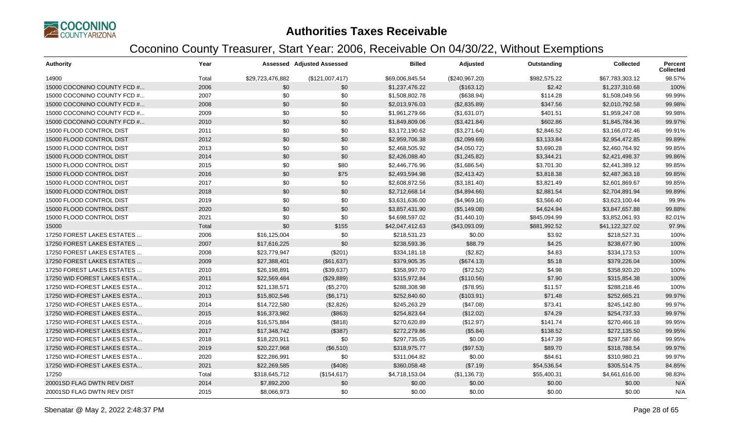

| <b>Authority</b>            | Year  |                  | Assessed Adjusted Assessed | <b>Billed</b>   | Adjusted       | Outstanding  | <b>Collected</b> | <b>Percent</b><br><b>Collected</b> |
|-----------------------------|-------|------------------|----------------------------|-----------------|----------------|--------------|------------------|------------------------------------|
| 14900                       | Total | \$29,723,476,882 | (\$121,007,417)            | \$69,006,845.54 | (\$240,967.20) | \$982,575.22 | \$67,783,303.12  | 98.57%                             |
| 15000 COCONINO COUNTY FCD # | 2006  | \$0              | \$0                        | \$1,237,476.22  | (\$163.12)     | \$2.42       | \$1,237,310.68   | 100%                               |
| 15000 COCONINO COUNTY FCD # | 2007  | \$0              | \$0                        | \$1,508,802.78  | (\$638.94)     | \$114.28     | \$1,508,049.56   | 99.99%                             |
| 15000 COCONINO COUNTY FCD # | 2008  | \$0              | \$0                        | \$2,013,976.03  | (\$2,835.89)   | \$347.56     | \$2,010,792.58   | 99.98%                             |
| 15000 COCONINO COUNTY FCD # | 2009  | \$0              | \$0                        | \$1,961,279.66  | (\$1,631.07)   | \$401.51     | \$1,959,247.08   | 99.98%                             |
| 15000 COCONINO COUNTY FCD # | 2010  | \$0              | \$0                        | \$1,849,809.06  | (\$3,421.84)   | \$602.86     | \$1,845,784.36   | 99.97%                             |
| 15000 FLOOD CONTROL DIST    | 2011  | \$0              | \$0                        | \$3,172,190.62  | (\$3,271.64)   | \$2,846.52   | \$3,166,072.46   | 99.91%                             |
| 15000 FLOOD CONTROL DIST    | 2012  | \$0              | \$0                        | \$2,959,706.38  | (\$2,099.69)   | \$3,133.84   | \$2,954,472.85   | 99.89%                             |
| 15000 FLOOD CONTROL DIST    | 2013  | \$0              | \$0                        | \$2,468,505.92  | (\$4,050.72)   | \$3,690.28   | \$2,460,764.92   | 99.85%                             |
| 15000 FLOOD CONTROL DIST    | 2014  | \$0              | \$0                        | \$2,426,088.40  | (\$1,245.82)   | \$3,344.21   | \$2,421,498.37   | 99.86%                             |
| 15000 FLOOD CONTROL DIST    | 2015  | \$0              | \$80                       | \$2,446,776.96  | (\$1,686.54)   | \$3,701.30   | \$2,441,389.12   | 99.85%                             |
| 15000 FLOOD CONTROL DIST    | 2016  | \$0              | \$75                       | \$2,493,594.98  | (\$2,413.42)   | \$3,818.38   | \$2,487,363.18   | 99.85%                             |
| 15000 FLOOD CONTROL DIST    | 2017  | \$0              | \$0                        | \$2,608,872.56  | (\$3,181.40)   | \$3,821.49   | \$2,601,869.67   | 99.85%                             |
| 15000 FLOOD CONTROL DIST    | 2018  | \$0              | \$0                        | \$2,712,668.14  | (\$4,894.66)   | \$2,881.54   | \$2,704,891.94   | 99.89%                             |
| 15000 FLOOD CONTROL DIST    | 2019  | \$0              | \$0                        | \$3,631,636.00  | (\$4,969.16)   | \$3,566.40   | \$3,623,100.44   | 99.9%                              |
| 15000 FLOOD CONTROL DIST    | 2020  | \$0              | \$0                        | \$3,857,431.90  | (\$5,149.08)   | \$4,624.94   | \$3,847,657.88   | 99.88%                             |
| 15000 FLOOD CONTROL DIST    | 2021  | \$0              | \$0                        | \$4,698,597.02  | (\$1,440.10)   | \$845,094.99 | \$3,852,061.93   | 82.01%                             |
| 15000                       | Total | \$0              | \$155                      | \$42,047,412.63 | (\$43,093.09)  | \$881,992.52 | \$41,122,327.02  | 97.9%                              |
| 17250 FOREST LAKES ESTATES  | 2006  | \$16,125,004     | \$0                        | \$218,531.23    | \$0.00         | \$3.92       | \$218,527.31     | 100%                               |
| 17250 FOREST LAKES ESTATES  | 2007  | \$17,616,225     | \$0                        | \$238,593.36    | \$88.79        | \$4.25       | \$238,677.90     | 100%                               |
| 17250 FOREST LAKES ESTATES  | 2008  | \$23,779,947     | (\$201)                    | \$334,181.18    | (\$2.82)       | \$4.83       | \$334,173.53     | 100%                               |
| 17250 FOREST LAKES ESTATES  | 2009  | \$27,388,401     | (\$61,637)                 | \$379,905.35    | (\$674.13)     | \$5.18       | \$379,226.04     | 100%                               |
| 17250 FOREST LAKES ESTATES  | 2010  | \$26,198,891     | (\$39,637)                 | \$358,997.70    | (\$72.52)      | \$4.98       | \$358,920.20     | 100%                               |
| 17250 WID FOREST LAKES ESTA | 2011  | \$22,569,484     | (\$29,889)                 | \$315,972.84    | (\$110.56)     | \$7.90       | \$315,854.38     | 100%                               |
| 17250 WID-FOREST LAKES ESTA | 2012  | \$21,138,571     | (\$5,270)                  | \$288,308.98    | (\$78.95)      | \$11.57      | \$288,218.46     | 100%                               |
| 17250 WID-FOREST LAKES ESTA | 2013  | \$15,802,546     | (\$6,171)                  | \$252,840.60    | (\$103.91)     | \$71.48      | \$252,665.21     | 99.97%                             |
| 17250 WID-FOREST LAKES ESTA | 2014  | \$14,722,580     | (\$2,826)                  | \$245,263.29    | (\$47.08)      | \$73.41      | \$245,142.80     | 99.97%                             |
| 17250 WID-FOREST LAKES ESTA | 2015  | \$16,373,982     | (\$863)                    | \$254,823.64    | (\$12.02)      | \$74.29      | \$254,737.33     | 99.97%                             |
| 17250 WID-FOREST LAKES ESTA | 2016  | \$16,575,884     | (\$818)                    | \$270,620.89    | (\$12.97)      | \$141.74     | \$270,466.18     | 99.95%                             |
| 17250 WID-FOREST LAKES ESTA | 2017  | \$17,348,742     | (\$387)                    | \$272,279.86    | (\$5.84)       | \$138.52     | \$272,135.50     | 99.95%                             |
| 17250 WID-FOREST LAKES ESTA | 2018  | \$18,220,911     | \$0                        | \$297,735.05    | \$0.00         | \$147.39     | \$297,587.66     | 99.95%                             |
| 17250 WID-FOREST LAKES ESTA | 2019  | \$20,227,968     | (\$6,510)                  | \$318,975.77    | (\$97.53)      | \$89.70      | \$318,788.54     | 99.97%                             |
| 17250 WID-FOREST LAKES ESTA | 2020  | \$22,286,991     | \$0                        | \$311,064.82    | \$0.00         | \$84.61      | \$310,980.21     | 99.97%                             |
| 17250 WID-FOREST LAKES ESTA | 2021  | \$22,269,585     | (\$408)                    | \$360,058.48    | (\$7.19)       | \$54,536.54  | \$305,514.75     | 84.85%                             |
| 17250                       | Total | \$318,645,712    | (\$154, 617)               | \$4,718,153.04  | (\$1,136.73)   | \$55,400.31  | \$4,661,616.00   | 98.83%                             |
| 20001SD FLAG DWTN REV DIST  | 2014  | \$7,892,200      | \$0                        | \$0.00          | \$0.00         | \$0.00       | \$0.00           | N/A                                |
| 20001SD FLAG DWTN REV DIST  | 2015  | \$8,066,973      | \$0                        | \$0.00          | \$0.00         | \$0.00       | \$0.00           | N/A                                |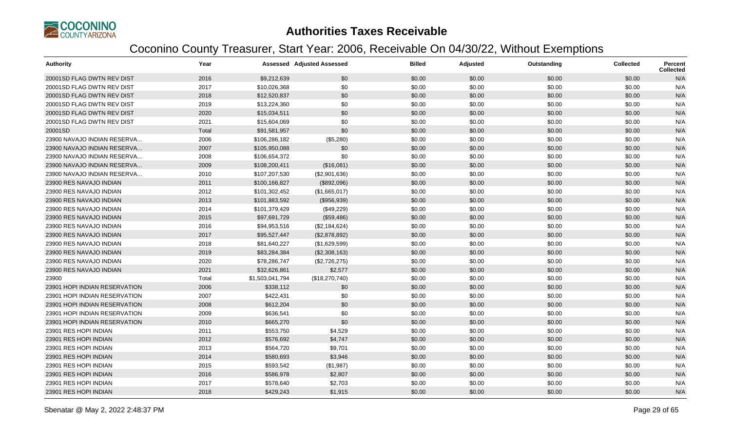

| <b>Authority</b>              | Year  |                 | <b>Assessed Adjusted Assessed</b> | <b>Billed</b> | Adjusted | Outstanding | <b>Collected</b> | Percent<br><b>Collected</b> |
|-------------------------------|-------|-----------------|-----------------------------------|---------------|----------|-------------|------------------|-----------------------------|
| 20001SD FLAG DWTN REV DIST    | 2016  | \$9,212,639     | \$0                               | \$0.00        | \$0.00   | \$0.00      | \$0.00           | N/A                         |
| 20001SD FLAG DWTN REV DIST    | 2017  | \$10,026,368    | \$0                               | \$0.00        | \$0.00   | \$0.00      | \$0.00           | N/A                         |
| 20001SD FLAG DWTN REV DIST    | 2018  | \$12,520,837    | \$0                               | \$0.00        | \$0.00   | \$0.00      | \$0.00           | N/A                         |
| 20001SD FLAG DWTN REV DIST    | 2019  | \$13,224,360    | \$0                               | \$0.00        | \$0.00   | \$0.00      | \$0.00           | N/A                         |
| 20001SD FLAG DWTN REV DIST    | 2020  | \$15,034,511    | \$0                               | \$0.00        | \$0.00   | \$0.00      | \$0.00           | N/A                         |
| 20001SD FLAG DWTN REV DIST    | 2021  | \$15,604,069    | \$0                               | \$0.00        | \$0.00   | \$0.00      | \$0.00           | N/A                         |
| 20001SD                       | Total | \$91,581,957    | \$0                               | \$0.00        | \$0.00   | \$0.00      | \$0.00           | N/A                         |
| 23900 NAVAJO INDIAN RESERVA   | 2006  | \$106,286,182   | (\$5,280)                         | \$0.00        | \$0.00   | \$0.00      | \$0.00           | N/A                         |
| 23900 NAVAJO INDIAN RESERVA   | 2007  | \$105,950,088   | \$0                               | \$0.00        | \$0.00   | \$0.00      | \$0.00           | N/A                         |
| 23900 NAVAJO INDIAN RESERVA   | 2008  | \$106,654,372   | \$0                               | \$0.00        | \$0.00   | \$0.00      | \$0.00           | N/A                         |
| 23900 NAVAJO INDIAN RESERVA   | 2009  | \$108,200,411   | (\$16,081)                        | \$0.00        | \$0.00   | \$0.00      | \$0.00           | N/A                         |
| 23900 NAVAJO INDIAN RESERVA   | 2010  | \$107,207,530   | (\$2,901,636)                     | \$0.00        | \$0.00   | \$0.00      | \$0.00           | N/A                         |
| 23900 RES NAVAJO INDIAN       | 2011  | \$100,166,827   | (\$892,096)                       | \$0.00        | \$0.00   | \$0.00      | \$0.00           | N/A                         |
| 23900 RES NAVAJO INDIAN       | 2012  | \$101,302,452   | (\$1,665,017)                     | \$0.00        | \$0.00   | \$0.00      | \$0.00           | N/A                         |
| 23900 RES NAVAJO INDIAN       | 2013  | \$101,883,592   | (\$956,939)                       | \$0.00        | \$0.00   | \$0.00      | \$0.00           | N/A                         |
| 23900 RES NAVAJO INDIAN       | 2014  | \$101,379,429   | (\$49,229)                        | \$0.00        | \$0.00   | \$0.00      | \$0.00           | N/A                         |
| 23900 RES NAVAJO INDIAN       | 2015  | \$97,691,729    | (\$59,486)                        | \$0.00        | \$0.00   | \$0.00      | \$0.00           | N/A                         |
| 23900 RES NAVAJO INDIAN       | 2016  | \$94,953,516    | (\$2,184,624)                     | \$0.00        | \$0.00   | \$0.00      | \$0.00           | N/A                         |
| 23900 RES NAVAJO INDIAN       | 2017  | \$95,527,447    | (\$2,878,892)                     | \$0.00        | \$0.00   | \$0.00      | \$0.00           | N/A                         |
| 23900 RES NAVAJO INDIAN       | 2018  | \$81,640,227    | (\$1,629,599)                     | \$0.00        | \$0.00   | \$0.00      | \$0.00           | N/A                         |
| 23900 RES NAVAJO INDIAN       | 2019  | \$83,284,384    | (\$2,308,163)                     | \$0.00        | \$0.00   | \$0.00      | \$0.00           | N/A                         |
| 23900 RES NAVAJO INDIAN       | 2020  | \$78,286,747    | (\$2,726,275)                     | \$0.00        | \$0.00   | \$0.00      | \$0.00           | N/A                         |
| 23900 RES NAVAJO INDIAN       | 2021  | \$32,626,861    | \$2,577                           | \$0.00        | \$0.00   | \$0.00      | \$0.00           | N/A                         |
| 23900                         | Total | \$1,503,041,794 | (\$18,270,740)                    | \$0.00        | \$0.00   | \$0.00      | \$0.00           | N/A                         |
| 23901 HOPI INDIAN RESERVATION | 2006  | \$338,112       | \$0                               | \$0.00        | \$0.00   | \$0.00      | \$0.00           | N/A                         |
| 23901 HOPI INDIAN RESERVATION | 2007  | \$422,431       | \$0                               | \$0.00        | \$0.00   | \$0.00      | \$0.00           | N/A                         |
| 23901 HOPI INDIAN RESERVATION | 2008  | \$612,204       | \$0                               | \$0.00        | \$0.00   | \$0.00      | \$0.00           | N/A                         |
| 23901 HOPI INDIAN RESERVATION | 2009  | \$636,541       | \$0                               | \$0.00        | \$0.00   | \$0.00      | \$0.00           | N/A                         |
| 23901 HOPI INDIAN RESERVATION | 2010  | \$665,270       | \$0                               | \$0.00        | \$0.00   | \$0.00      | \$0.00           | N/A                         |
| 23901 RES HOPI INDIAN         | 2011  | \$553,750       | \$4,529                           | \$0.00        | \$0.00   | \$0.00      | \$0.00           | N/A                         |
| 23901 RES HOPI INDIAN         | 2012  | \$576,692       | \$4,747                           | \$0.00        | \$0.00   | \$0.00      | \$0.00           | N/A                         |
| 23901 RES HOPI INDIAN         | 2013  | \$564,720       | \$9,701                           | \$0.00        | \$0.00   | \$0.00      | \$0.00           | N/A                         |
| 23901 RES HOPI INDIAN         | 2014  | \$580,693       | \$3,946                           | \$0.00        | \$0.00   | \$0.00      | \$0.00           | N/A                         |
| 23901 RES HOPI INDIAN         | 2015  | \$593,542       | (\$1,987)                         | \$0.00        | \$0.00   | \$0.00      | \$0.00           | N/A                         |
| 23901 RES HOPI INDIAN         | 2016  | \$586,978       | \$2,807                           | \$0.00        | \$0.00   | \$0.00      | \$0.00           | N/A                         |
| 23901 RES HOPI INDIAN         | 2017  | \$578,640       | \$2,703                           | \$0.00        | \$0.00   | \$0.00      | \$0.00           | N/A                         |
| 23901 RES HOPI INDIAN         | 2018  | \$429,243       | \$1,915                           | \$0.00        | \$0.00   | \$0.00      | \$0.00           | N/A                         |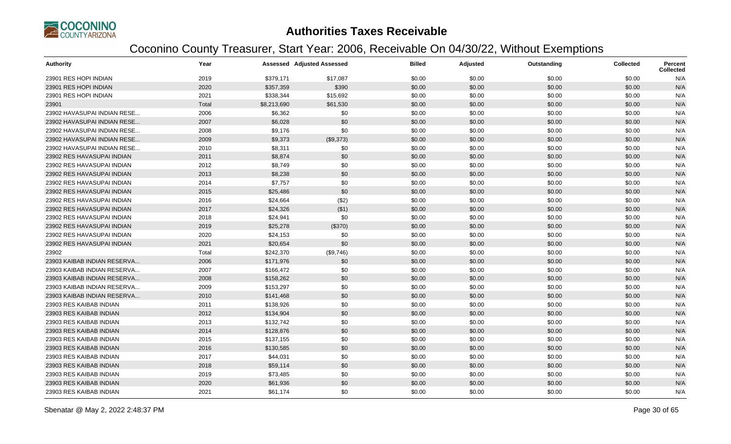

| <b>Authority</b>            | Year  |             | <b>Assessed Adjusted Assessed</b> | <b>Billed</b> | Adjusted | Outstanding | <b>Collected</b> | Percent<br><b>Collected</b> |
|-----------------------------|-------|-------------|-----------------------------------|---------------|----------|-------------|------------------|-----------------------------|
| 23901 RES HOPI INDIAN       | 2019  | \$379,171   | \$17,087                          | \$0.00        | \$0.00   | \$0.00      | \$0.00           | N/A                         |
| 23901 RES HOPI INDIAN       | 2020  | \$357,359   | \$390                             | \$0.00        | \$0.00   | \$0.00      | \$0.00           | N/A                         |
| 23901 RES HOPI INDIAN       | 2021  | \$338,344   | \$15,692                          | \$0.00        | \$0.00   | \$0.00      | \$0.00           | N/A                         |
| 23901                       | Total | \$8,213,690 | \$61,530                          | \$0.00        | \$0.00   | \$0.00      | \$0.00           | N/A                         |
| 23902 HAVASUPAI INDIAN RESE | 2006  | \$6,362     | \$0                               | \$0.00        | \$0.00   | \$0.00      | \$0.00           | N/A                         |
| 23902 HAVASUPAI INDIAN RESE | 2007  | \$6,028     | \$0                               | \$0.00        | \$0.00   | \$0.00      | \$0.00           | N/A                         |
| 23902 HAVASUPAI INDIAN RESE | 2008  | \$9,176     | \$0                               | \$0.00        | \$0.00   | \$0.00      | \$0.00           | N/A                         |
| 23902 HAVASUPAI INDIAN RESE | 2009  | \$9,373     | (\$9,373)                         | \$0.00        | \$0.00   | \$0.00      | \$0.00           | N/A                         |
| 23902 HAVASUPAI INDIAN RESE | 2010  | \$8,311     | \$0                               | \$0.00        | \$0.00   | \$0.00      | \$0.00           | N/A                         |
| 23902 RES HAVASUPAI INDIAN  | 2011  | \$8,874     | \$0                               | \$0.00        | \$0.00   | \$0.00      | \$0.00           | N/A                         |
| 23902 RES HAVASUPAI INDIAN  | 2012  | \$8,749     | \$0                               | \$0.00        | \$0.00   | \$0.00      | \$0.00           | N/A                         |
| 23902 RES HAVASUPAI INDIAN  | 2013  | \$8,238     | \$0                               | \$0.00        | \$0.00   | \$0.00      | \$0.00           | N/A                         |
| 23902 RES HAVASUPAI INDIAN  | 2014  | \$7,757     | \$0                               | \$0.00        | \$0.00   | \$0.00      | \$0.00           | N/A                         |
| 23902 RES HAVASUPAI INDIAN  | 2015  | \$25,486    | \$0                               | \$0.00        | \$0.00   | \$0.00      | \$0.00           | N/A                         |
| 23902 RES HAVASUPAI INDIAN  | 2016  | \$24,664    | (\$2)                             | \$0.00        | \$0.00   | \$0.00      | \$0.00           | N/A                         |
| 23902 RES HAVASUPAI INDIAN  | 2017  | \$24,326    | ( \$1)                            | \$0.00        | \$0.00   | \$0.00      | \$0.00           | N/A                         |
| 23902 RES HAVASUPAI INDIAN  | 2018  | \$24,941    | \$0                               | \$0.00        | \$0.00   | \$0.00      | \$0.00           | N/A                         |
| 23902 RES HAVASUPAI INDIAN  | 2019  | \$25,278    | (\$370)                           | \$0.00        | \$0.00   | \$0.00      | \$0.00           | N/A                         |
| 23902 RES HAVASUPAI INDIAN  | 2020  | \$24,153    | \$0                               | \$0.00        | \$0.00   | \$0.00      | \$0.00           | N/A                         |
| 23902 RES HAVASUPAI INDIAN  | 2021  | \$20,654    | \$0                               | \$0.00        | \$0.00   | \$0.00      | \$0.00           | N/A                         |
| 23902                       | Total | \$242,370   | (\$9,746)                         | \$0.00        | \$0.00   | \$0.00      | \$0.00           | N/A                         |
| 23903 KAIBAB INDIAN RESERVA | 2006  | \$171,976   | \$0                               | \$0.00        | \$0.00   | \$0.00      | \$0.00           | N/A                         |
| 23903 KAIBAB INDIAN RESERVA | 2007  | \$166,472   | \$0                               | \$0.00        | \$0.00   | \$0.00      | \$0.00           | N/A                         |
| 23903 KAIBAB INDIAN RESERVA | 2008  | \$158,262   | \$0                               | \$0.00        | \$0.00   | \$0.00      | \$0.00           | N/A                         |
| 23903 KAIBAB INDIAN RESERVA | 2009  | \$153,297   | \$0                               | \$0.00        | \$0.00   | \$0.00      | \$0.00           | N/A                         |
| 23903 KAIBAB INDIAN RESERVA | 2010  | \$141,468   | \$0                               | \$0.00        | \$0.00   | \$0.00      | \$0.00           | N/A                         |
| 23903 RES KAIBAB INDIAN     | 2011  | \$138,926   | \$0                               | \$0.00        | \$0.00   | \$0.00      | \$0.00           | N/A                         |
| 23903 RES KAIBAB INDIAN     | 2012  | \$134,904   | \$0                               | \$0.00        | \$0.00   | \$0.00      | \$0.00           | N/A                         |
| 23903 RES KAIBAB INDIAN     | 2013  | \$132,742   | \$0                               | \$0.00        | \$0.00   | \$0.00      | \$0.00           | N/A                         |
| 23903 RES KAIBAB INDIAN     | 2014  | \$128,876   | \$0                               | \$0.00        | \$0.00   | \$0.00      | \$0.00           | N/A                         |
| 23903 RES KAIBAB INDIAN     | 2015  | \$137,155   | \$0                               | \$0.00        | \$0.00   | \$0.00      | \$0.00           | N/A                         |
| 23903 RES KAIBAB INDIAN     | 2016  | \$130,585   | \$0                               | \$0.00        | \$0.00   | \$0.00      | \$0.00           | N/A                         |
| 23903 RES KAIBAB INDIAN     | 2017  | \$44,031    | \$0                               | \$0.00        | \$0.00   | \$0.00      | \$0.00           | N/A                         |
| 23903 RES KAIBAB INDIAN     | 2018  | \$59,114    | \$0                               | \$0.00        | \$0.00   | \$0.00      | \$0.00           | N/A                         |
| 23903 RES KAIBAB INDIAN     | 2019  | \$73,485    | \$0                               | \$0.00        | \$0.00   | \$0.00      | \$0.00           | N/A                         |
| 23903 RES KAIBAB INDIAN     | 2020  | \$61,936    | \$0                               | \$0.00        | \$0.00   | \$0.00      | \$0.00           | N/A                         |
| 23903 RES KAIBAB INDIAN     | 2021  | \$61,174    | \$0                               | \$0.00        | \$0.00   | \$0.00      | \$0.00           | N/A                         |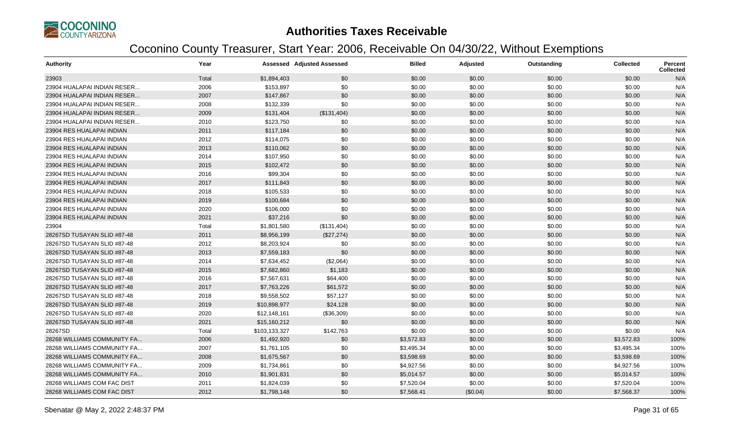

| <b>Authority</b>            | Year  |               | Assessed Adjusted Assessed | <b>Billed</b> | Adjusted | Outstanding | <b>Collected</b> | Percent<br>Collected |
|-----------------------------|-------|---------------|----------------------------|---------------|----------|-------------|------------------|----------------------|
| 23903                       | Total | \$1,894,403   | \$0                        | \$0.00        | \$0.00   | \$0.00      | \$0.00           | N/A                  |
| 23904 HUALAPAI INDIAN RESER | 2006  | \$153,897     | \$0                        | \$0.00        | \$0.00   | \$0.00      | \$0.00           | N/A                  |
| 23904 HUALAPAI INDIAN RESER | 2007  | \$147,867     | \$0                        | \$0.00        | \$0.00   | \$0.00      | \$0.00           | N/A                  |
| 23904 HUALAPAI INDIAN RESER | 2008  | \$132,339     | \$0                        | \$0.00        | \$0.00   | \$0.00      | \$0.00           | N/A                  |
| 23904 HUALAPAI INDIAN RESER | 2009  | \$131,404     | (\$131,404)                | \$0.00        | \$0.00   | \$0.00      | \$0.00           | N/A                  |
| 23904 HUALAPAI INDIAN RESER | 2010  | \$123,750     | \$0                        | \$0.00        | \$0.00   | \$0.00      | \$0.00           | N/A                  |
| 23904 RES HUALAPAI INDIAN   | 2011  | \$117,184     | \$0                        | \$0.00        | \$0.00   | \$0.00      | \$0.00           | N/A                  |
| 23904 RES HUALAPAI INDIAN   | 2012  | \$114,075     | \$0                        | \$0.00        | \$0.00   | \$0.00      | \$0.00           | N/A                  |
| 23904 RES HUALAPAI INDIAN   | 2013  | \$110,062     | \$0                        | \$0.00        | \$0.00   | \$0.00      | \$0.00           | N/A                  |
| 23904 RES HUALAPAI INDIAN   | 2014  | \$107,950     | \$0                        | \$0.00        | \$0.00   | \$0.00      | \$0.00           | N/A                  |
| 23904 RES HUALAPAI INDIAN   | 2015  | \$102,472     | \$0                        | \$0.00        | \$0.00   | \$0.00      | \$0.00           | N/A                  |
| 23904 RES HUALAPAI INDIAN   | 2016  | \$99,304      | \$0                        | \$0.00        | \$0.00   | \$0.00      | \$0.00           | N/A                  |
| 23904 RES HUALAPAI INDIAN   | 2017  | \$111,843     | \$0                        | \$0.00        | \$0.00   | \$0.00      | \$0.00           | N/A                  |
| 23904 RES HUALAPAI INDIAN   | 2018  | \$105,533     | \$0                        | \$0.00        | \$0.00   | \$0.00      | \$0.00           | N/A                  |
| 23904 RES HUALAPAI INDIAN   | 2019  | \$100,684     | \$0                        | \$0.00        | \$0.00   | \$0.00      | \$0.00           | N/A                  |
| 23904 RES HUALAPAI INDIAN   | 2020  | \$106,000     | \$0                        | \$0.00        | \$0.00   | \$0.00      | \$0.00           | N/A                  |
| 23904 RES HUALAPAI INDIAN   | 2021  | \$37,216      | \$0                        | \$0.00        | \$0.00   | \$0.00      | \$0.00           | N/A                  |
| 23904                       | Total | \$1,801,580   | (\$131,404)                | \$0.00        | \$0.00   | \$0.00      | \$0.00           | N/A                  |
| 28267SD TUSAYAN SLID #87-48 | 2011  | \$8,956,199   | (\$27,274)                 | \$0.00        | \$0.00   | \$0.00      | \$0.00           | N/A                  |
| 28267SD TUSAYAN SLID #87-48 | 2012  | \$8,203,924   | \$0                        | \$0.00        | \$0.00   | \$0.00      | \$0.00           | N/A                  |
| 28267SD TUSAYAN SLID #87-48 | 2013  | \$7,559,183   | \$0                        | \$0.00        | \$0.00   | \$0.00      | \$0.00           | N/A                  |
| 28267SD TUSAYAN SLID #87-48 | 2014  | \$7,634,452   | (\$2,064)                  | \$0.00        | \$0.00   | \$0.00      | \$0.00           | N/A                  |
| 28267SD TUSAYAN SLID #87-48 | 2015  | \$7,682,860   | \$1,183                    | \$0.00        | \$0.00   | \$0.00      | \$0.00           | N/A                  |
| 28267SD TUSAYAN SLID #87-48 | 2016  | \$7,567,631   | \$64,400                   | \$0.00        | \$0.00   | \$0.00      | \$0.00           | N/A                  |
| 28267SD TUSAYAN SLID #87-48 | 2017  | \$7,763,226   | \$61,572                   | \$0.00        | \$0.00   | \$0.00      | \$0.00           | N/A                  |
| 28267SD TUSAYAN SLID #87-48 | 2018  | \$9,558,502   | \$57,127                   | \$0.00        | \$0.00   | \$0.00      | \$0.00           | N/A                  |
| 28267SD TUSAYAN SLID #87-48 | 2019  | \$10,898,977  | \$24,128                   | \$0.00        | \$0.00   | \$0.00      | \$0.00           | N/A                  |
| 28267SD TUSAYAN SLID #87-48 | 2020  | \$12,148,161  | (\$36,309)                 | \$0.00        | \$0.00   | \$0.00      | \$0.00           | N/A                  |
| 28267SD TUSAYAN SLID #87-48 | 2021  | \$15,160,212  | \$0                        | \$0.00        | \$0.00   | \$0.00      | \$0.00           | N/A                  |
| 28267SD                     | Total | \$103,133,327 | \$142,763                  | \$0.00        | \$0.00   | \$0.00      | \$0.00           | N/A                  |
| 28268 WILLIAMS COMMUNITY FA | 2006  | \$1,492,920   | \$0                        | \$3,572.83    | \$0.00   | \$0.00      | \$3,572.83       | 100%                 |
| 28268 WILLIAMS COMMUNITY FA | 2007  | \$1,761,105   | \$0                        | \$3,495.34    | \$0.00   | \$0.00      | \$3,495.34       | 100%                 |
| 28268 WILLIAMS COMMUNITY FA | 2008  | \$1,675,567   | \$0                        | \$3,598.69    | \$0.00   | \$0.00      | \$3,598.69       | 100%                 |
| 28268 WILLIAMS COMMUNITY FA | 2009  | \$1,734,861   | \$0                        | \$4,927.56    | \$0.00   | \$0.00      | \$4,927.56       | 100%                 |
| 28268 WILLIAMS COMMUNITY FA | 2010  | \$1,901,831   | \$0                        | \$5,014.57    | \$0.00   | \$0.00      | \$5,014.57       | 100%                 |
| 28268 WILLIAMS COM FAC DIST | 2011  | \$1,824,039   | \$0                        | \$7,520.04    | \$0.00   | \$0.00      | \$7,520.04       | 100%                 |
| 28268 WILLIAMS COM FAC DIST | 2012  | \$1,798,148   | \$0                        | \$7,568.41    | (\$0.04) | \$0.00      | \$7,568.37       | 100%                 |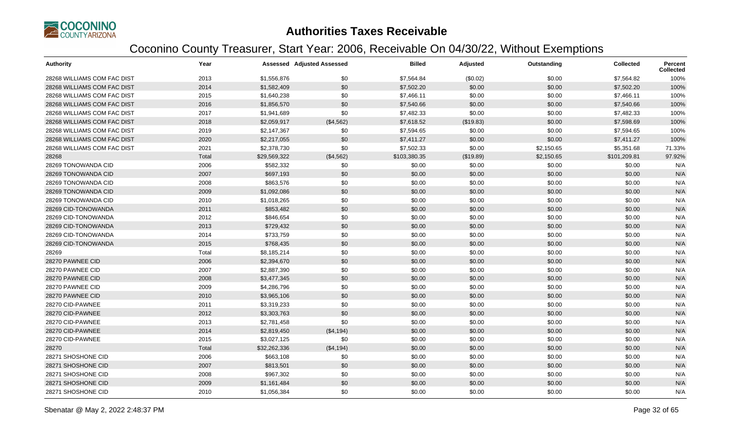

| <b>Authority</b>            | Year  |              | <b>Assessed Adjusted Assessed</b> | <b>Billed</b> | Adjusted  | Outstanding | <b>Collected</b> | <b>Percent</b><br><b>Collected</b> |
|-----------------------------|-------|--------------|-----------------------------------|---------------|-----------|-------------|------------------|------------------------------------|
| 28268 WILLIAMS COM FAC DIST | 2013  | \$1,556,876  | \$0                               | \$7,564.84    | (\$0.02)  | \$0.00      | \$7,564.82       | 100%                               |
| 28268 WILLIAMS COM FAC DIST | 2014  | \$1,582,409  | \$0                               | \$7,502.20    | \$0.00    | \$0.00      | \$7,502.20       | 100%                               |
| 28268 WILLIAMS COM FAC DIST | 2015  | \$1,640,238  | \$0                               | \$7,466.11    | \$0.00    | \$0.00      | \$7,466.11       | 100%                               |
| 28268 WILLIAMS COM FAC DIST | 2016  | \$1,856,570  | \$0                               | \$7,540.66    | \$0.00    | \$0.00      | \$7,540.66       | 100%                               |
| 28268 WILLIAMS COM FAC DIST | 2017  | \$1,941,689  | \$0                               | \$7,482.33    | \$0.00    | \$0.00      | \$7,482.33       | 100%                               |
| 28268 WILLIAMS COM FAC DIST | 2018  | \$2,059,917  | (\$4,562)                         | \$7,618.52    | (\$19.83) | \$0.00      | \$7,598.69       | 100%                               |
| 28268 WILLIAMS COM FAC DIST | 2019  | \$2,147,367  | \$0                               | \$7,594.65    | \$0.00    | \$0.00      | \$7,594.65       | 100%                               |
| 28268 WILLIAMS COM FAC DIST | 2020  | \$2,217,055  | \$0                               | \$7,411.27    | \$0.00    | \$0.00      | \$7,411.27       | 100%                               |
| 28268 WILLIAMS COM FAC DIST | 2021  | \$2,378,730  | \$0                               | \$7,502.33    | \$0.00    | \$2,150.65  | \$5,351.68       | 71.33%                             |
| 28268                       | Total | \$29,569,322 | (\$4,562)                         | \$103,380.35  | (\$19.89) | \$2,150.65  | \$101,209.81     | 97.92%                             |
| 28269 TONOWANDA CID         | 2006  | \$582,332    | \$0                               | \$0.00        | \$0.00    | \$0.00      | \$0.00           | N/A                                |
| 28269 TONOWANDA CID         | 2007  | \$697,193    | \$0                               | \$0.00        | \$0.00    | \$0.00      | \$0.00           | N/A                                |
| 28269 TONOWANDA CID         | 2008  | \$863,576    | \$0                               | \$0.00        | \$0.00    | \$0.00      | \$0.00           | N/A                                |
| 28269 TONOWANDA CID         | 2009  | \$1,092,086  | \$0                               | \$0.00        | \$0.00    | \$0.00      | \$0.00           | N/A                                |
| 28269 TONOWANDA CID         | 2010  | \$1,018,265  | \$0                               | \$0.00        | \$0.00    | \$0.00      | \$0.00           | N/A                                |
| 28269 CID-TONOWANDA         | 2011  | \$853,482    | \$0                               | \$0.00        | \$0.00    | \$0.00      | \$0.00           | N/A                                |
| 28269 CID-TONOWANDA         | 2012  | \$846,654    | \$0                               | \$0.00        | \$0.00    | \$0.00      | \$0.00           | N/A                                |
| 28269 CID-TONOWANDA         | 2013  | \$729,432    | \$0                               | \$0.00        | \$0.00    | \$0.00      | \$0.00           | N/A                                |
| 28269 CID-TONOWANDA         | 2014  | \$733,759    | \$0                               | \$0.00        | \$0.00    | \$0.00      | \$0.00           | N/A                                |
| 28269 CID-TONOWANDA         | 2015  | \$768,435    | \$0                               | \$0.00        | \$0.00    | \$0.00      | \$0.00           | N/A                                |
| 28269                       | Total | \$8,185,214  | \$0                               | \$0.00        | \$0.00    | \$0.00      | \$0.00           | N/A                                |
| 28270 PAWNEE CID            | 2006  | \$2,394,670  | \$0                               | \$0.00        | \$0.00    | \$0.00      | \$0.00           | N/A                                |
| 28270 PAWNEE CID            | 2007  | \$2,887,390  | \$0                               | \$0.00        | \$0.00    | \$0.00      | \$0.00           | N/A                                |
| 28270 PAWNEE CID            | 2008  | \$3,477,345  | \$0                               | \$0.00        | \$0.00    | \$0.00      | \$0.00           | N/A                                |
| 28270 PAWNEE CID            | 2009  | \$4,286,796  | \$0                               | \$0.00        | \$0.00    | \$0.00      | \$0.00           | N/A                                |
| 28270 PAWNEE CID            | 2010  | \$3,965,106  | \$0                               | \$0.00        | \$0.00    | \$0.00      | \$0.00           | N/A                                |
| 28270 CID-PAWNEE            | 2011  | \$3,319,233  | \$0                               | \$0.00        | \$0.00    | \$0.00      | \$0.00           | N/A                                |
| 28270 CID-PAWNEE            | 2012  | \$3,303,763  | \$0                               | \$0.00        | \$0.00    | \$0.00      | \$0.00           | N/A                                |
| 28270 CID-PAWNEE            | 2013  | \$2,781,458  | \$0                               | \$0.00        | \$0.00    | \$0.00      | \$0.00           | N/A                                |
| 28270 CID-PAWNEE            | 2014  | \$2,819,450  | (\$4,194)                         | \$0.00        | \$0.00    | \$0.00      | \$0.00           | N/A                                |
| 28270 CID-PAWNEE            | 2015  | \$3,027,125  | \$0                               | \$0.00        | \$0.00    | \$0.00      | \$0.00           | N/A                                |
| 28270                       | Total | \$32,262,336 | (\$4,194)                         | \$0.00        | \$0.00    | \$0.00      | \$0.00           | N/A                                |
| 28271 SHOSHONE CID          | 2006  | \$663,108    | \$0                               | \$0.00        | \$0.00    | \$0.00      | \$0.00           | N/A                                |
| 28271 SHOSHONE CID          | 2007  | \$813,501    | \$0                               | \$0.00        | \$0.00    | \$0.00      | \$0.00           | N/A                                |
| 28271 SHOSHONE CID          | 2008  | \$967,302    | \$0                               | \$0.00        | \$0.00    | \$0.00      | \$0.00           | N/A                                |
| 28271 SHOSHONE CID          | 2009  | \$1,161,484  | \$0                               | \$0.00        | \$0.00    | \$0.00      | \$0.00           | N/A                                |
| 28271 SHOSHONE CID          | 2010  | \$1,056,384  | \$0                               | \$0.00        | \$0.00    | \$0.00      | \$0.00           | N/A                                |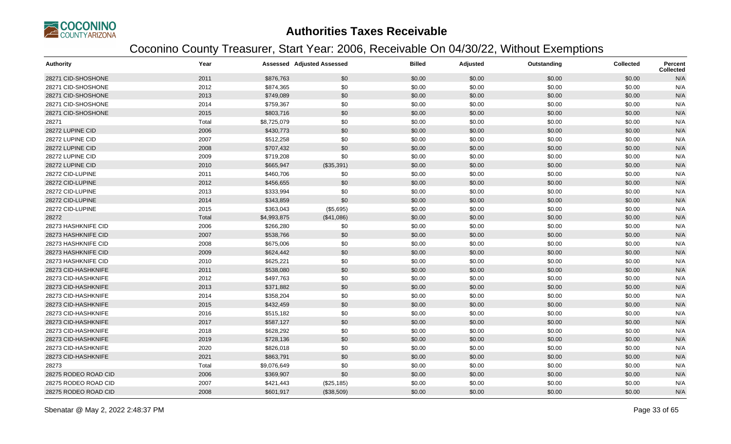

| <b>Authority</b>     | Year  |             | <b>Assessed Adjusted Assessed</b> | <b>Billed</b> | Adjusted | Outstanding | <b>Collected</b> | <b>Percent</b><br><b>Collected</b> |
|----------------------|-------|-------------|-----------------------------------|---------------|----------|-------------|------------------|------------------------------------|
| 28271 CID-SHOSHONE   | 2011  | \$876,763   | \$0                               | \$0.00        | \$0.00   | \$0.00      | \$0.00           | N/A                                |
| 28271 CID-SHOSHONE   | 2012  | \$874,365   | \$0                               | \$0.00        | \$0.00   | \$0.00      | \$0.00           | N/A                                |
| 28271 CID-SHOSHONE   | 2013  | \$749,089   | \$0                               | \$0.00        | \$0.00   | \$0.00      | \$0.00           | N/A                                |
| 28271 CID-SHOSHONE   | 2014  | \$759,367   | \$0                               | \$0.00        | \$0.00   | \$0.00      | \$0.00           | N/A                                |
| 28271 CID-SHOSHONE   | 2015  | \$803,716   | \$0                               | \$0.00        | \$0.00   | \$0.00      | \$0.00           | N/A                                |
| 28271                | Total | \$8,725,079 | \$0                               | \$0.00        | \$0.00   | \$0.00      | \$0.00           | N/A                                |
| 28272 LUPINE CID     | 2006  | \$430,773   | \$0                               | \$0.00        | \$0.00   | \$0.00      | \$0.00           | N/A                                |
| 28272 LUPINE CID     | 2007  | \$512,258   | \$0                               | \$0.00        | \$0.00   | \$0.00      | \$0.00           | N/A                                |
| 28272 LUPINE CID     | 2008  | \$707,432   | \$0                               | \$0.00        | \$0.00   | \$0.00      | \$0.00           | N/A                                |
| 28272 LUPINE CID     | 2009  | \$719,208   | \$0                               | \$0.00        | \$0.00   | \$0.00      | \$0.00           | N/A                                |
| 28272 LUPINE CID     | 2010  | \$665,947   | (\$35,391)                        | \$0.00        | \$0.00   | \$0.00      | \$0.00           | N/A                                |
| 28272 CID-LUPINE     | 2011  | \$460,706   | \$0                               | \$0.00        | \$0.00   | \$0.00      | \$0.00           | N/A                                |
| 28272 CID-LUPINE     | 2012  | \$456,655   | \$0                               | \$0.00        | \$0.00   | \$0.00      | \$0.00           | N/A                                |
| 28272 CID-LUPINE     | 2013  | \$333,994   | \$0                               | \$0.00        | \$0.00   | \$0.00      | \$0.00           | N/A                                |
| 28272 CID-LUPINE     | 2014  | \$343,859   | \$0                               | \$0.00        | \$0.00   | \$0.00      | \$0.00           | N/A                                |
| 28272 CID-LUPINE     | 2015  | \$363,043   | (\$5,695)                         | \$0.00        | \$0.00   | \$0.00      | \$0.00           | N/A                                |
| 28272                | Total | \$4,993,875 | (\$41,086)                        | \$0.00        | \$0.00   | \$0.00      | \$0.00           | N/A                                |
| 28273 HASHKNIFE CID  | 2006  | \$266,280   | \$0                               | \$0.00        | \$0.00   | \$0.00      | \$0.00           | N/A                                |
| 28273 HASHKNIFE CID  | 2007  | \$538,766   | \$0                               | \$0.00        | \$0.00   | \$0.00      | \$0.00           | N/A                                |
| 28273 HASHKNIFE CID  | 2008  | \$675,006   | \$0                               | \$0.00        | \$0.00   | \$0.00      | \$0.00           | N/A                                |
| 28273 HASHKNIFE CID  | 2009  | \$624,442   | \$0                               | \$0.00        | \$0.00   | \$0.00      | \$0.00           | N/A                                |
| 28273 HASHKNIFE CID  | 2010  | \$625,221   | \$0                               | \$0.00        | \$0.00   | \$0.00      | \$0.00           | N/A                                |
| 28273 CID-HASHKNIFE  | 2011  | \$538,080   | \$0                               | \$0.00        | \$0.00   | \$0.00      | \$0.00           | N/A                                |
| 28273 CID-HASHKNIFE  | 2012  | \$497,763   | \$0                               | \$0.00        | \$0.00   | \$0.00      | \$0.00           | N/A                                |
| 28273 CID-HASHKNIFE  | 2013  | \$371,882   | \$0                               | \$0.00        | \$0.00   | \$0.00      | \$0.00           | N/A                                |
| 28273 CID-HASHKNIFE  | 2014  | \$358,204   | \$0                               | \$0.00        | \$0.00   | \$0.00      | \$0.00           | N/A                                |
| 28273 CID-HASHKNIFE  | 2015  | \$432,459   | \$0                               | \$0.00        | \$0.00   | \$0.00      | \$0.00           | N/A                                |
| 28273 CID-HASHKNIFE  | 2016  | \$515,182   | \$0                               | \$0.00        | \$0.00   | \$0.00      | \$0.00           | N/A                                |
| 28273 CID-HASHKNIFE  | 2017  | \$587,127   | \$0                               | \$0.00        | \$0.00   | \$0.00      | \$0.00           | N/A                                |
| 28273 CID-HASHKNIFE  | 2018  | \$628,292   | \$0                               | \$0.00        | \$0.00   | \$0.00      | \$0.00           | N/A                                |
| 28273 CID-HASHKNIFE  | 2019  | \$728,136   | \$0                               | \$0.00        | \$0.00   | \$0.00      | \$0.00           | N/A                                |
| 28273 CID-HASHKNIFE  | 2020  | \$826,018   | \$0                               | \$0.00        | \$0.00   | \$0.00      | \$0.00           | N/A                                |
| 28273 CID-HASHKNIFE  | 2021  | \$863,791   | \$0                               | \$0.00        | \$0.00   | \$0.00      | \$0.00           | N/A                                |
| 28273                | Total | \$9,076,649 | \$0                               | \$0.00        | \$0.00   | \$0.00      | \$0.00           | N/A                                |
| 28275 RODEO ROAD CID | 2006  | \$369,907   | \$0                               | \$0.00        | \$0.00   | \$0.00      | \$0.00           | N/A                                |
| 28275 RODEO ROAD CID | 2007  | \$421,443   | (\$25,185)                        | \$0.00        | \$0.00   | \$0.00      | \$0.00           | N/A                                |
| 28275 RODEO ROAD CID | 2008  | \$601,917   | (\$38,509)                        | \$0.00        | \$0.00   | \$0.00      | \$0.00           | N/A                                |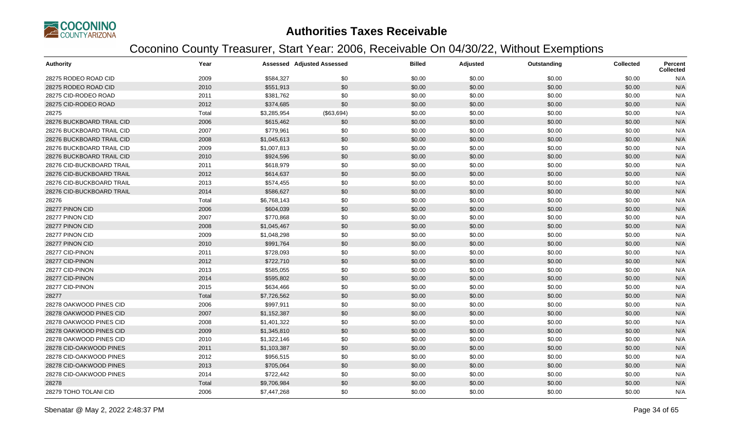

| <b>Authority</b>          | Year  |             | <b>Assessed Adjusted Assessed</b> | <b>Billed</b> | Adjusted | Outstanding | <b>Collected</b> | <b>Percent</b><br><b>Collected</b> |
|---------------------------|-------|-------------|-----------------------------------|---------------|----------|-------------|------------------|------------------------------------|
| 28275 RODEO ROAD CID      | 2009  | \$584,327   | \$0                               | \$0.00        | \$0.00   | \$0.00      | \$0.00           | N/A                                |
| 28275 RODEO ROAD CID      | 2010  | \$551,913   | \$0                               | \$0.00        | \$0.00   | \$0.00      | \$0.00           | N/A                                |
| 28275 CID-RODEO ROAD      | 2011  | \$381,762   | \$0                               | \$0.00        | \$0.00   | \$0.00      | \$0.00           | N/A                                |
| 28275 CID-RODEO ROAD      | 2012  | \$374,685   | \$0                               | \$0.00        | \$0.00   | \$0.00      | \$0.00           | N/A                                |
| 28275                     | Total | \$3,285,954 | (\$63,694)                        | \$0.00        | \$0.00   | \$0.00      | \$0.00           | N/A                                |
| 28276 BUCKBOARD TRAIL CID | 2006  | \$615,462   | \$0                               | \$0.00        | \$0.00   | \$0.00      | \$0.00           | N/A                                |
| 28276 BUCKBOARD TRAIL CID | 2007  | \$779,961   | \$0                               | \$0.00        | \$0.00   | \$0.00      | \$0.00           | N/A                                |
| 28276 BUCKBOARD TRAIL CID | 2008  | \$1,045,613 | \$0                               | \$0.00        | \$0.00   | \$0.00      | \$0.00           | N/A                                |
| 28276 BUCKBOARD TRAIL CID | 2009  | \$1,007,813 | \$0                               | \$0.00        | \$0.00   | \$0.00      | \$0.00           | N/A                                |
| 28276 BUCKBOARD TRAIL CID | 2010  | \$924,596   | \$0                               | \$0.00        | \$0.00   | \$0.00      | \$0.00           | N/A                                |
| 28276 CID-BUCKBOARD TRAIL | 2011  | \$618,979   | \$0                               | \$0.00        | \$0.00   | \$0.00      | \$0.00           | N/A                                |
| 28276 CID-BUCKBOARD TRAIL | 2012  | \$614,637   | \$0                               | \$0.00        | \$0.00   | \$0.00      | \$0.00           | N/A                                |
| 28276 CID-BUCKBOARD TRAIL | 2013  | \$574,455   | \$0                               | \$0.00        | \$0.00   | \$0.00      | \$0.00           | N/A                                |
| 28276 CID-BUCKBOARD TRAIL | 2014  | \$586,627   | \$0                               | \$0.00        | \$0.00   | \$0.00      | \$0.00           | N/A                                |
| 28276                     | Total | \$6,768,143 | \$0                               | \$0.00        | \$0.00   | \$0.00      | \$0.00           | N/A                                |
| 28277 PINON CID           | 2006  | \$604,039   | \$0                               | \$0.00        | \$0.00   | \$0.00      | \$0.00           | N/A                                |
| 28277 PINON CID           | 2007  | \$770,868   | \$0                               | \$0.00        | \$0.00   | \$0.00      | \$0.00           | N/A                                |
| 28277 PINON CID           | 2008  | \$1,045,467 | \$0                               | \$0.00        | \$0.00   | \$0.00      | \$0.00           | N/A                                |
| 28277 PINON CID           | 2009  | \$1,048,298 | \$0                               | \$0.00        | \$0.00   | \$0.00      | \$0.00           | N/A                                |
| 28277 PINON CID           | 2010  | \$991,764   | \$0                               | \$0.00        | \$0.00   | \$0.00      | \$0.00           | N/A                                |
| 28277 CID-PINON           | 2011  | \$728,093   | \$0                               | \$0.00        | \$0.00   | \$0.00      | \$0.00           | N/A                                |
| 28277 CID-PINON           | 2012  | \$722,710   | \$0                               | \$0.00        | \$0.00   | \$0.00      | \$0.00           | N/A                                |
| 28277 CID-PINON           | 2013  | \$585,055   | \$0                               | \$0.00        | \$0.00   | \$0.00      | \$0.00           | N/A                                |
| 28277 CID-PINON           | 2014  | \$595,802   | \$0                               | \$0.00        | \$0.00   | \$0.00      | \$0.00           | N/A                                |
| 28277 CID-PINON           | 2015  | \$634,466   | \$0                               | \$0.00        | \$0.00   | \$0.00      | \$0.00           | N/A                                |
| 28277                     | Total | \$7,726,562 | \$0                               | \$0.00        | \$0.00   | \$0.00      | \$0.00           | N/A                                |
| 28278 OAKWOOD PINES CID   | 2006  | \$997,911   | \$0                               | \$0.00        | \$0.00   | \$0.00      | \$0.00           | N/A                                |
| 28278 OAKWOOD PINES CID   | 2007  | \$1,152,387 | \$0                               | \$0.00        | \$0.00   | \$0.00      | \$0.00           | N/A                                |
| 28278 OAKWOOD PINES CID   | 2008  | \$1,401,322 | \$0                               | \$0.00        | \$0.00   | \$0.00      | \$0.00           | N/A                                |
| 28278 OAKWOOD PINES CID   | 2009  | \$1,345,810 | \$0                               | \$0.00        | \$0.00   | \$0.00      | \$0.00           | N/A                                |
| 28278 OAKWOOD PINES CID   | 2010  | \$1,322,146 | \$0                               | \$0.00        | \$0.00   | \$0.00      | \$0.00           | N/A                                |
| 28278 CID-OAKWOOD PINES   | 2011  | \$1,103,387 | \$0                               | \$0.00        | \$0.00   | \$0.00      | \$0.00           | N/A                                |
| 28278 CID-OAKWOOD PINES   | 2012  | \$956,515   | \$0                               | \$0.00        | \$0.00   | \$0.00      | \$0.00           | N/A                                |
| 28278 CID-OAKWOOD PINES   | 2013  | \$705,064   | \$0                               | \$0.00        | \$0.00   | \$0.00      | \$0.00           | N/A                                |
| 28278 CID-OAKWOOD PINES   | 2014  | \$722,442   | \$0                               | \$0.00        | \$0.00   | \$0.00      | \$0.00           | N/A                                |
| 28278                     | Total | \$9,706,984 | \$0                               | \$0.00        | \$0.00   | \$0.00      | \$0.00           | N/A                                |
| 28279 TOHO TOLANI CID     | 2006  | \$7,447,268 | \$0                               | \$0.00        | \$0.00   | \$0.00      | \$0.00           | N/A                                |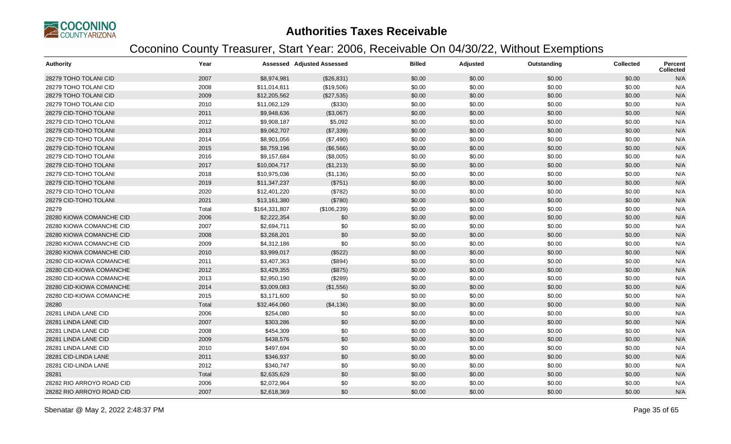

| <b>Authority</b>          | Year  |               | <b>Assessed Adjusted Assessed</b> | <b>Billed</b> | Adjusted | Outstanding | <b>Collected</b> | Percent<br>Collected |
|---------------------------|-------|---------------|-----------------------------------|---------------|----------|-------------|------------------|----------------------|
| 28279 TOHO TOLANI CID     | 2007  | \$8,974,981   | (\$26,831)                        | \$0.00        | \$0.00   | \$0.00      | \$0.00           | N/A                  |
| 28279 TOHO TOLANI CID     | 2008  | \$11,014,811  | (\$19,506)                        | \$0.00        | \$0.00   | \$0.00      | \$0.00           | N/A                  |
| 28279 TOHO TOLANI CID     | 2009  | \$12,205,562  | (\$27,535)                        | \$0.00        | \$0.00   | \$0.00      | \$0.00           | N/A                  |
| 28279 TOHO TOLANI CID     | 2010  | \$11,062,129  | (\$330)                           | \$0.00        | \$0.00   | \$0.00      | \$0.00           | N/A                  |
| 28279 CID-TOHO TOLANI     | 2011  | \$9,948,636   | (\$3,067)                         | \$0.00        | \$0.00   | \$0.00      | \$0.00           | N/A                  |
| 28279 CID-TOHO TOLANI     | 2012  | \$9,908,187   | \$5,092                           | \$0.00        | \$0.00   | \$0.00      | \$0.00           | N/A                  |
| 28279 CID-TOHO TOLANI     | 2013  | \$9,062,707   | (\$7,339)                         | \$0.00        | \$0.00   | \$0.00      | \$0.00           | N/A                  |
| 28279 CID-TOHO TOLANI     | 2014  | \$8,901,056   | (\$7,490)                         | \$0.00        | \$0.00   | \$0.00      | \$0.00           | N/A                  |
| 28279 CID-TOHO TOLANI     | 2015  | \$8,759,196   | (\$6,566)                         | \$0.00        | \$0.00   | \$0.00      | \$0.00           | N/A                  |
| 28279 CID-TOHO TOLANI     | 2016  | \$9,157,684   | (\$8,005)                         | \$0.00        | \$0.00   | \$0.00      | \$0.00           | N/A                  |
| 28279 CID-TOHO TOLANI     | 2017  | \$10,004,717  | (\$1,213)                         | \$0.00        | \$0.00   | \$0.00      | \$0.00           | N/A                  |
| 28279 CID-TOHO TOLANI     | 2018  | \$10,975,036  | (\$1,136)                         | \$0.00        | \$0.00   | \$0.00      | \$0.00           | N/A                  |
| 28279 CID-TOHO TOLANI     | 2019  | \$11,347,237  | (\$751)                           | \$0.00        | \$0.00   | \$0.00      | \$0.00           | N/A                  |
| 28279 CID-TOHO TOLANI     | 2020  | \$12,401,220  | (\$782)                           | \$0.00        | \$0.00   | \$0.00      | \$0.00           | N/A                  |
| 28279 CID-TOHO TOLANI     | 2021  | \$13,161,380  | (\$780)                           | \$0.00        | \$0.00   | \$0.00      | \$0.00           | N/A                  |
| 28279                     | Total | \$164,331,807 | (\$106,239)                       | \$0.00        | \$0.00   | \$0.00      | \$0.00           | N/A                  |
| 28280 KIOWA COMANCHE CID  | 2006  | \$2,222,354   | \$0                               | \$0.00        | \$0.00   | \$0.00      | \$0.00           | N/A                  |
| 28280 KIOWA COMANCHE CID  | 2007  | \$2,694,711   | \$0                               | \$0.00        | \$0.00   | \$0.00      | \$0.00           | N/A                  |
| 28280 KIOWA COMANCHE CID  | 2008  | \$3,268,201   | \$0                               | \$0.00        | \$0.00   | \$0.00      | \$0.00           | N/A                  |
| 28280 KIOWA COMANCHE CID  | 2009  | \$4,312,186   | \$0                               | \$0.00        | \$0.00   | \$0.00      | \$0.00           | N/A                  |
| 28280 KIOWA COMANCHE CID  | 2010  | \$3,999,017   | (\$522)                           | \$0.00        | \$0.00   | \$0.00      | \$0.00           | N/A                  |
| 28280 CID-KIOWA COMANCHE  | 2011  | \$3,407,363   | (\$894)                           | \$0.00        | \$0.00   | \$0.00      | \$0.00           | N/A                  |
| 28280 CID-KIOWA COMANCHE  | 2012  | \$3,429,355   | (\$875)                           | \$0.00        | \$0.00   | \$0.00      | \$0.00           | N/A                  |
| 28280 CID-KIOWA COMANCHE  | 2013  | \$2,950,190   | (\$289)                           | \$0.00        | \$0.00   | \$0.00      | \$0.00           | N/A                  |
| 28280 CID-KIOWA COMANCHE  | 2014  | \$3,009,083   | (\$1,556)                         | \$0.00        | \$0.00   | \$0.00      | \$0.00           | N/A                  |
| 28280 CID-KIOWA COMANCHE  | 2015  | \$3,171,600   | \$0                               | \$0.00        | \$0.00   | \$0.00      | \$0.00           | N/A                  |
| 28280                     | Total | \$32,464,060  | (\$4,136)                         | \$0.00        | \$0.00   | \$0.00      | \$0.00           | N/A                  |
| 28281 LINDA LANE CID      | 2006  | \$254,080     | \$0                               | \$0.00        | \$0.00   | \$0.00      | \$0.00           | N/A                  |
| 28281 LINDA LANE CID      | 2007  | \$303,286     | \$0                               | \$0.00        | \$0.00   | \$0.00      | \$0.00           | N/A                  |
| 28281 LINDA LANE CID      | 2008  | \$454,309     | \$0                               | \$0.00        | \$0.00   | \$0.00      | \$0.00           | N/A                  |
| 28281 LINDA LANE CID      | 2009  | \$438,576     | \$0                               | \$0.00        | \$0.00   | \$0.00      | \$0.00           | N/A                  |
| 28281 LINDA LANE CID      | 2010  | \$497,694     | \$0                               | \$0.00        | \$0.00   | \$0.00      | \$0.00           | N/A                  |
| 28281 CID-LINDA LANE      | 2011  | \$346,937     | \$0                               | \$0.00        | \$0.00   | \$0.00      | \$0.00           | N/A                  |
| 28281 CID-LINDA LANE      | 2012  | \$340,747     | \$0                               | \$0.00        | \$0.00   | \$0.00      | \$0.00           | N/A                  |
| 28281                     | Total | \$2,635,629   | \$0                               | \$0.00        | \$0.00   | \$0.00      | \$0.00           | N/A                  |
| 28282 RIO ARROYO ROAD CID | 2006  | \$2,072,964   | \$0                               | \$0.00        | \$0.00   | \$0.00      | \$0.00           | N/A                  |
| 28282 RIO ARROYO ROAD CID | 2007  | \$2,618,369   | \$0                               | \$0.00        | \$0.00   | \$0.00      | \$0.00           | N/A                  |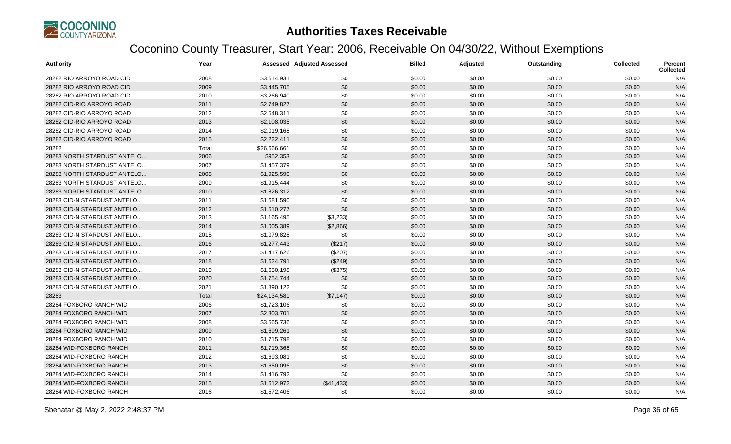

| Authority                   | Year  |              | <b>Assessed Adjusted Assessed</b> | <b>Billed</b> | Adjusted | Outstanding | <b>Collected</b> | <b>Percent</b><br><b>Collected</b> |
|-----------------------------|-------|--------------|-----------------------------------|---------------|----------|-------------|------------------|------------------------------------|
| 28282 RIO ARROYO ROAD CID   | 2008  | \$3,614,931  | \$0                               | \$0.00        | \$0.00   | \$0.00      | \$0.00           | N/A                                |
| 28282 RIO ARROYO ROAD CID   | 2009  | \$3,445,705  | \$0                               | \$0.00        | \$0.00   | \$0.00      | \$0.00           | N/A                                |
| 28282 RIO ARROYO ROAD CID   | 2010  | \$3,266,940  | \$0                               | \$0.00        | \$0.00   | \$0.00      | \$0.00           | N/A                                |
| 28282 CID-RIO ARROYO ROAD   | 2011  | \$2,749,827  | \$0                               | \$0.00        | \$0.00   | \$0.00      | \$0.00           | N/A                                |
| 28282 CID-RIO ARROYO ROAD   | 2012  | \$2,548,311  | \$0                               | \$0.00        | \$0.00   | \$0.00      | \$0.00           | N/A                                |
| 28282 CID-RIO ARROYO ROAD   | 2013  | \$2,108,035  | \$0                               | \$0.00        | \$0.00   | \$0.00      | \$0.00           | N/A                                |
| 28282 CID-RIO ARROYO ROAD   | 2014  | \$2,019,168  | \$0                               | \$0.00        | \$0.00   | \$0.00      | \$0.00           | N/A                                |
| 28282 CID-RIO ARROYO ROAD   | 2015  | \$2,222,411  | \$0                               | \$0.00        | \$0.00   | \$0.00      | \$0.00           | N/A                                |
| 28282                       | Total | \$26,666,661 | \$0                               | \$0.00        | \$0.00   | \$0.00      | \$0.00           | N/A                                |
| 28283 NORTH STARDUST ANTELO | 2006  | \$952,353    | \$0                               | \$0.00        | \$0.00   | \$0.00      | \$0.00           | N/A                                |
| 28283 NORTH STARDUST ANTELO | 2007  | \$1,457,379  | \$0                               | \$0.00        | \$0.00   | \$0.00      | \$0.00           | N/A                                |
| 28283 NORTH STARDUST ANTELO | 2008  | \$1,925,590  | \$0                               | \$0.00        | \$0.00   | \$0.00      | \$0.00           | N/A                                |
| 28283 NORTH STARDUST ANTELO | 2009  | \$1,915,444  | \$0                               | \$0.00        | \$0.00   | \$0.00      | \$0.00           | N/A                                |
| 28283 NORTH STARDUST ANTELO | 2010  | \$1,826,312  | \$0                               | \$0.00        | \$0.00   | \$0.00      | \$0.00           | N/A                                |
| 28283 CID-N STARDUST ANTELO | 2011  | \$1,681,590  | \$0                               | \$0.00        | \$0.00   | \$0.00      | \$0.00           | N/A                                |
| 28283 CID-N STARDUST ANTELO | 2012  | \$1,510,277  | \$0                               | \$0.00        | \$0.00   | \$0.00      | \$0.00           | N/A                                |
| 28283 CID-N STARDUST ANTELO | 2013  | \$1,165,495  | (\$3,233)                         | \$0.00        | \$0.00   | \$0.00      | \$0.00           | N/A                                |
| 28283 CID-N STARDUST ANTELO | 2014  | \$1,005,389  | (\$2,866)                         | \$0.00        | \$0.00   | \$0.00      | \$0.00           | N/A                                |
| 28283 CID-N STARDUST ANTELO | 2015  | \$1,079,828  | \$0                               | \$0.00        | \$0.00   | \$0.00      | \$0.00           | N/A                                |
| 28283 CID-N STARDUST ANTELO | 2016  | \$1,277,443  | (\$217)                           | \$0.00        | \$0.00   | \$0.00      | \$0.00           | N/A                                |
| 28283 CID-N STARDUST ANTELO | 2017  | \$1,417,626  | (\$207)                           | \$0.00        | \$0.00   | \$0.00      | \$0.00           | N/A                                |
| 28283 CID-N STARDUST ANTELO | 2018  | \$1,624,791  | (\$249)                           | \$0.00        | \$0.00   | \$0.00      | \$0.00           | N/A                                |
| 28283 CID-N STARDUST ANTELO | 2019  | \$1,650,198  | (\$375)                           | \$0.00        | \$0.00   | \$0.00      | \$0.00           | N/A                                |
| 28283 CID-N STARDUST ANTELO | 2020  | \$1,754,744  | \$0                               | \$0.00        | \$0.00   | \$0.00      | \$0.00           | N/A                                |
| 28283 CID-N STARDUST ANTELO | 2021  | \$1,890,122  | \$0                               | \$0.00        | \$0.00   | \$0.00      | \$0.00           | N/A                                |
| 28283                       | Total | \$24,134,581 | (\$7,147)                         | \$0.00        | \$0.00   | \$0.00      | \$0.00           | N/A                                |
| 28284 FOXBORO RANCH WID     | 2006  | \$1,723,106  | \$0                               | \$0.00        | \$0.00   | \$0.00      | \$0.00           | N/A                                |
| 28284 FOXBORO RANCH WID     | 2007  | \$2,303,701  | \$0                               | \$0.00        | \$0.00   | \$0.00      | \$0.00           | N/A                                |
| 28284 FOXBORO RANCH WID     | 2008  | \$3,565,736  | \$0                               | \$0.00        | \$0.00   | \$0.00      | \$0.00           | N/A                                |
| 28284 FOXBORO RANCH WID     | 2009  | \$1,699,261  | \$0                               | \$0.00        | \$0.00   | \$0.00      | \$0.00           | N/A                                |
| 28284 FOXBORO RANCH WID     | 2010  | \$1,715,798  | \$0                               | \$0.00        | \$0.00   | \$0.00      | \$0.00           | N/A                                |
| 28284 WID-FOXBORO RANCH     | 2011  | \$1,719,368  | \$0                               | \$0.00        | \$0.00   | \$0.00      | \$0.00           | N/A                                |
| 28284 WID-FOXBORO RANCH     | 2012  | \$1,693,081  | \$0                               | \$0.00        | \$0.00   | \$0.00      | \$0.00           | N/A                                |
| 28284 WID-FOXBORO RANCH     | 2013  | \$1,650,096  | \$0                               | \$0.00        | \$0.00   | \$0.00      | \$0.00           | N/A                                |
| 28284 WID-FOXBORO RANCH     | 2014  | \$1,416,792  | \$0                               | \$0.00        | \$0.00   | \$0.00      | \$0.00           | N/A                                |
| 28284 WID-FOXBORO RANCH     | 2015  | \$1,612,972  | (\$41,433)                        | \$0.00        | \$0.00   | \$0.00      | \$0.00           | N/A                                |
| 28284 WID-FOXBORO RANCH     | 2016  | \$1,572,406  | \$0                               | \$0.00        | \$0.00   | \$0.00      | \$0.00           | N/A                                |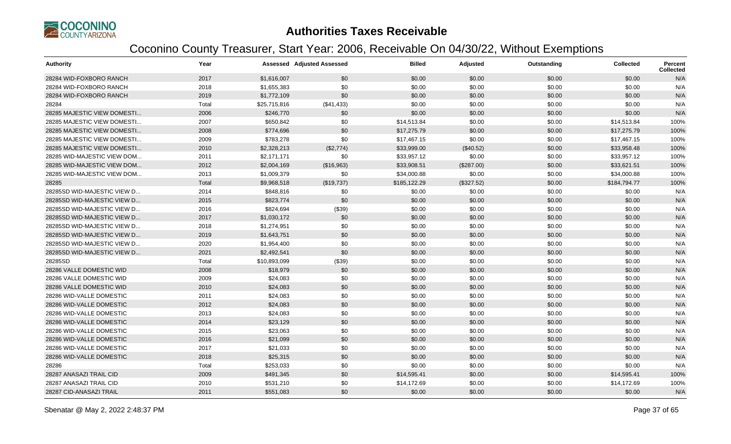

| <b>Authority</b>            | Year  |              | <b>Assessed Adjusted Assessed</b> | <b>Billed</b> | Adjusted   | Outstanding | <b>Collected</b> | <b>Percent</b><br><b>Collected</b> |
|-----------------------------|-------|--------------|-----------------------------------|---------------|------------|-------------|------------------|------------------------------------|
| 28284 WID-FOXBORO RANCH     | 2017  | \$1,616,007  | \$0                               | \$0.00        | \$0.00     | \$0.00      | \$0.00           | N/A                                |
| 28284 WID-FOXBORO RANCH     | 2018  | \$1,655,383  | \$0                               | \$0.00        | \$0.00     | \$0.00      | \$0.00           | N/A                                |
| 28284 WID-FOXBORO RANCH     | 2019  | \$1,772,109  | \$0                               | \$0.00        | \$0.00     | \$0.00      | \$0.00           | N/A                                |
| 28284                       | Total | \$25,715,816 | (\$41,433)                        | \$0.00        | \$0.00     | \$0.00      | \$0.00           | N/A                                |
| 28285 MAJESTIC VIEW DOMESTI | 2006  | \$246,770    | \$0                               | \$0.00        | \$0.00     | \$0.00      | \$0.00           | N/A                                |
| 28285 MAJESTIC VIEW DOMESTI | 2007  | \$650,842    | \$0                               | \$14,513.84   | \$0.00     | \$0.00      | \$14,513.84      | 100%                               |
| 28285 MAJESTIC VIEW DOMESTI | 2008  | \$774,696    | \$0                               | \$17,275.79   | \$0.00     | \$0.00      | \$17,275.79      | 100%                               |
| 28285 MAJESTIC VIEW DOMESTI | 2009  | \$783,278    | \$0                               | \$17,467.15   | \$0.00     | \$0.00      | \$17,467.15      | 100%                               |
| 28285 MAJESTIC VIEW DOMESTI | 2010  | \$2,328,213  | (\$2,774)                         | \$33,999.00   | (\$40.52)  | \$0.00      | \$33,958.48      | 100%                               |
| 28285 WID-MAJESTIC VIEW DOM | 2011  | \$2,171,171  | \$0                               | \$33,957.12   | \$0.00     | \$0.00      | \$33,957.12      | 100%                               |
| 28285 WID-MAJESTIC VIEW DOM | 2012  | \$2,004,169  | (\$16,963)                        | \$33,908.51   | (\$287.00) | \$0.00      | \$33,621.51      | 100%                               |
| 28285 WID-MAJESTIC VIEW DOM | 2013  | \$1,009,379  | \$0                               | \$34,000.88   | \$0.00     | \$0.00      | \$34,000.88      | 100%                               |
| 28285                       | Total | \$9,968,518  | (\$19,737)                        | \$185,122.29  | (\$327.52) | \$0.00      | \$184,794.77     | 100%                               |
| 28285SD WID-MAJESTIC VIEW D | 2014  | \$848,816    | \$0                               | \$0.00        | \$0.00     | \$0.00      | \$0.00           | N/A                                |
| 28285SD WID-MAJESTIC VIEW D | 2015  | \$823,774    | \$0                               | \$0.00        | \$0.00     | \$0.00      | \$0.00           | N/A                                |
| 28285SD WID-MAJESTIC VIEW D | 2016  | \$824,694    | (\$39)                            | \$0.00        | \$0.00     | \$0.00      | \$0.00           | N/A                                |
| 28285SD WID-MAJESTIC VIEW D | 2017  | \$1,030,172  | \$0                               | \$0.00        | \$0.00     | \$0.00      | \$0.00           | N/A                                |
| 28285SD WID-MAJESTIC VIEW D | 2018  | \$1,274,951  | \$0                               | \$0.00        | \$0.00     | \$0.00      | \$0.00           | N/A                                |
| 28285SD WID-MAJESTIC VIEW D | 2019  | \$1,643,751  | \$0                               | \$0.00        | \$0.00     | \$0.00      | \$0.00           | N/A                                |
| 28285SD WID-MAJESTIC VIEW D | 2020  | \$1,954,400  | \$0                               | \$0.00        | \$0.00     | \$0.00      | \$0.00           | N/A                                |
| 28285SD WID-MAJESTIC VIEW D | 2021  | \$2,492,541  | \$0                               | \$0.00        | \$0.00     | \$0.00      | \$0.00           | N/A                                |
| 28285SD                     | Total | \$10,893,099 | (\$39)                            | \$0.00        | \$0.00     | \$0.00      | \$0.00           | N/A                                |
| 28286 VALLE DOMESTIC WID    | 2008  | \$18,979     | \$0                               | \$0.00        | \$0.00     | \$0.00      | \$0.00           | N/A                                |
| 28286 VALLE DOMESTIC WID    | 2009  | \$24,083     | \$0                               | \$0.00        | \$0.00     | \$0.00      | \$0.00           | N/A                                |
| 28286 VALLE DOMESTIC WID    | 2010  | \$24,083     | \$0                               | \$0.00        | \$0.00     | \$0.00      | \$0.00           | N/A                                |
| 28286 WID-VALLE DOMESTIC    | 2011  | \$24,083     | \$0                               | \$0.00        | \$0.00     | \$0.00      | \$0.00           | N/A                                |
| 28286 WID-VALLE DOMESTIC    | 2012  | \$24,083     | \$0                               | \$0.00        | \$0.00     | \$0.00      | \$0.00           | N/A                                |
| 28286 WID-VALLE DOMESTIC    | 2013  | \$24,083     | \$0                               | \$0.00        | \$0.00     | \$0.00      | \$0.00           | N/A                                |
| 28286 WID-VALLE DOMESTIC    | 2014  | \$23,129     | \$0                               | \$0.00        | \$0.00     | \$0.00      | \$0.00           | N/A                                |
| 28286 WID-VALLE DOMESTIC    | 2015  | \$23,063     | \$0                               | \$0.00        | \$0.00     | \$0.00      | \$0.00           | N/A                                |
| 28286 WID-VALLE DOMESTIC    | 2016  | \$21,099     | \$0                               | \$0.00        | \$0.00     | \$0.00      | \$0.00           | N/A                                |
| 28286 WID-VALLE DOMESTIC    | 2017  | \$21,033     | \$0                               | \$0.00        | \$0.00     | \$0.00      | \$0.00           | N/A                                |
| 28286 WID-VALLE DOMESTIC    | 2018  | \$25,315     | \$0                               | \$0.00        | \$0.00     | \$0.00      | \$0.00           | N/A                                |
| 28286                       | Total | \$253,033    | \$0                               | \$0.00        | \$0.00     | \$0.00      | \$0.00           | N/A                                |
| 28287 ANASAZI TRAIL CID     | 2009  | \$491,345    | \$0                               | \$14,595.41   | \$0.00     | \$0.00      | \$14,595.41      | 100%                               |
| 28287 ANASAZI TRAIL CID     | 2010  | \$531,210    | \$0                               | \$14,172.69   | \$0.00     | \$0.00      | \$14,172.69      | 100%                               |
| 28287 CID-ANASAZI TRAIL     | 2011  | \$551,083    | \$0                               | \$0.00        | \$0.00     | \$0.00      | \$0.00           | N/A                                |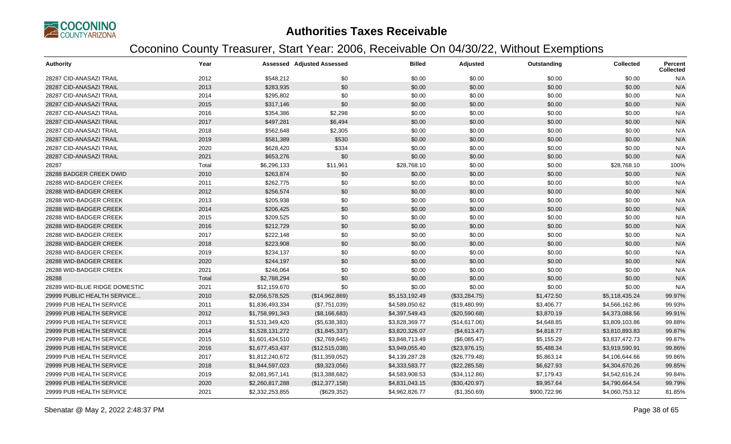

| <b>Authority</b>              | Year  |                 | <b>Assessed Adjusted Assessed</b> | <b>Billed</b>  | Adjusted       | Outstanding  | <b>Collected</b> | Percent<br><b>Collected</b> |
|-------------------------------|-------|-----------------|-----------------------------------|----------------|----------------|--------------|------------------|-----------------------------|
| 28287 CID-ANASAZI TRAIL       | 2012  | \$548,212       | \$0                               | \$0.00         | \$0.00         | \$0.00       | \$0.00           | N/A                         |
| 28287 CID-ANASAZI TRAIL       | 2013  | \$283,935       | \$0                               | \$0.00         | \$0.00         | \$0.00       | \$0.00           | N/A                         |
| 28287 CID-ANASAZI TRAIL       | 2014  | \$295,802       | \$0                               | \$0.00         | \$0.00         | \$0.00       | \$0.00           | N/A                         |
| 28287 CID-ANASAZI TRAIL       | 2015  | \$317,146       | \$0                               | \$0.00         | \$0.00         | \$0.00       | \$0.00           | N/A                         |
| 28287 CID-ANASAZI TRAIL       | 2016  | \$354,386       | \$2,298                           | \$0.00         | \$0.00         | \$0.00       | \$0.00           | N/A                         |
| 28287 CID-ANASAZI TRAIL       | 2017  | \$497,281       | \$6,494                           | \$0.00         | \$0.00         | \$0.00       | \$0.00           | N/A                         |
| 28287 CID-ANASAZI TRAIL       | 2018  | \$562,648       | \$2,305                           | \$0.00         | \$0.00         | \$0.00       | \$0.00           | N/A                         |
| 28287 CID-ANASAZI TRAIL       | 2019  | \$581,389       | \$530                             | \$0.00         | \$0.00         | \$0.00       | \$0.00           | N/A                         |
| 28287 CID-ANASAZI TRAIL       | 2020  | \$628,420       | \$334                             | \$0.00         | \$0.00         | \$0.00       | \$0.00           | N/A                         |
| 28287 CID-ANASAZI TRAIL       | 2021  | \$653,276       | \$0                               | \$0.00         | \$0.00         | \$0.00       | \$0.00           | N/A                         |
| 28287                         | Total | \$6,296,133     | \$11,961                          | \$28,768.10    | \$0.00         | \$0.00       | \$28,768.10      | 100%                        |
| 28288 BADGER CREEK DWID       | 2010  | \$263,874       | \$0                               | \$0.00         | \$0.00         | \$0.00       | \$0.00           | N/A                         |
| 28288 WID-BADGER CREEK        | 2011  | \$262,775       | \$0                               | \$0.00         | \$0.00         | \$0.00       | \$0.00           | N/A                         |
| 28288 WID-BADGER CREEK        | 2012  | \$256,574       | \$0                               | \$0.00         | \$0.00         | \$0.00       | \$0.00           | N/A                         |
| 28288 WID-BADGER CREEK        | 2013  | \$205,938       | \$0                               | \$0.00         | \$0.00         | \$0.00       | \$0.00           | N/A                         |
| 28288 WID-BADGER CREEK        | 2014  | \$206,425       | \$0                               | \$0.00         | \$0.00         | \$0.00       | \$0.00           | N/A                         |
| 28288 WID-BADGER CREEK        | 2015  | \$209,525       | \$0                               | \$0.00         | \$0.00         | \$0.00       | \$0.00           | N/A                         |
| 28288 WID-BADGER CREEK        | 2016  | \$212,729       | \$0                               | \$0.00         | \$0.00         | \$0.00       | \$0.00           | N/A                         |
| 28288 WID-BADGER CREEK        | 2017  | \$222,148       | \$0                               | \$0.00         | \$0.00         | \$0.00       | \$0.00           | N/A                         |
| 28288 WID-BADGER CREEK        | 2018  | \$223,908       | \$0                               | \$0.00         | \$0.00         | \$0.00       | \$0.00           | N/A                         |
| 28288 WID-BADGER CREEK        | 2019  | \$234,137       | \$0                               | \$0.00         | \$0.00         | \$0.00       | \$0.00           | N/A                         |
| 28288 WID-BADGER CREEK        | 2020  | \$244,197       | \$0                               | \$0.00         | \$0.00         | \$0.00       | \$0.00           | N/A                         |
| 28288 WID-BADGER CREEK        | 2021  | \$246,064       | \$0                               | \$0.00         | \$0.00         | \$0.00       | \$0.00           | N/A                         |
| 28288                         | Total | \$2,788,294     | \$0                               | \$0.00         | \$0.00         | \$0.00       | \$0.00           | N/A                         |
| 28289 WID-BLUE RIDGE DOMESTIC | 2021  | \$12,159,670    | \$0                               | \$0.00         | \$0.00         | \$0.00       | \$0.00           | N/A                         |
| 29999 PUBLIC HEALTH SERVICE   | 2010  | \$2,056,578,525 | (\$14,962,869)                    | \$5,153,192.49 | (\$33,284.75)  | \$1,472.50   | \$5,118,435.24   | 99.97%                      |
| 29999 PUB HEALTH SERVICE      | 2011  | \$1,836,493,334 | (\$7,751,039)                     | \$4,589,050.62 | (\$19,480.99)  | \$3,406.77   | \$4,566,162.86   | 99.93%                      |
| 29999 PUB HEALTH SERVICE      | 2012  | \$1,758,991,343 | (\$8,166,683)                     | \$4,397,549.43 | (\$20,590.68)  | \$3,870.19   | \$4,373,088.56   | 99.91%                      |
| 29999 PUB HEALTH SERVICE      | 2013  | \$1,531,349,420 | (\$5,638,383)                     | \$3,828,369.77 | (\$14,617.06)  | \$4,648.85   | \$3,809,103.86   | 99.88%                      |
| 29999 PUB HEALTH SERVICE      | 2014  | \$1,528,131,272 | (\$1,845,337)                     | \$3,820,326.07 | (\$4,613.47)   | \$4,818.77   | \$3,810,893.83   | 99.87%                      |
| 29999 PUB HEALTH SERVICE      | 2015  | \$1,601,434,510 | (\$2,769,645)                     | \$3,848,713.49 | (\$6,085.47)   | \$5,155.29   | \$3,837,472.73   | 99.87%                      |
| 29999 PUB HEALTH SERVICE      | 2016  | \$1,677,453,437 | (\$12,515,038)                    | \$3,949,055.40 | (\$23,976.15)  | \$5,488.34   | \$3,919,590.91   | 99.86%                      |
| 29999 PUB HEALTH SERVICE      | 2017  | \$1,812,240,672 | (\$11,359,052)                    | \$4,139,287.28 | (\$26,779.48)  | \$5,863.14   | \$4,106,644.66   | 99.86%                      |
| 29999 PUB HEALTH SERVICE      | 2018  | \$1,944,597,023 | (\$9,323,056)                     | \$4,333,583.77 | (\$22, 285.58) | \$6,627.93   | \$4,304,670.26   | 99.85%                      |
| 29999 PUB HEALTH SERVICE      | 2019  | \$2,081,957,141 | (\$13,388,682)                    | \$4,583,908.53 | (\$34,112.86)  | \$7,179.43   | \$4,542,616.24   | 99.84%                      |
| 29999 PUB HEALTH SERVICE      | 2020  | \$2,260,817,288 | (\$12,377,158)                    | \$4,831,043.15 | (\$30,420.97)  | \$9,957.64   | \$4,790,664.54   | 99.79%                      |
| 29999 PUB HEALTH SERVICE      | 2021  | \$2,332,253,855 | (\$629,352)                       | \$4,962,826.77 | (\$1,350.69)   | \$900,722.96 | \$4,060,753.12   | 81.85%                      |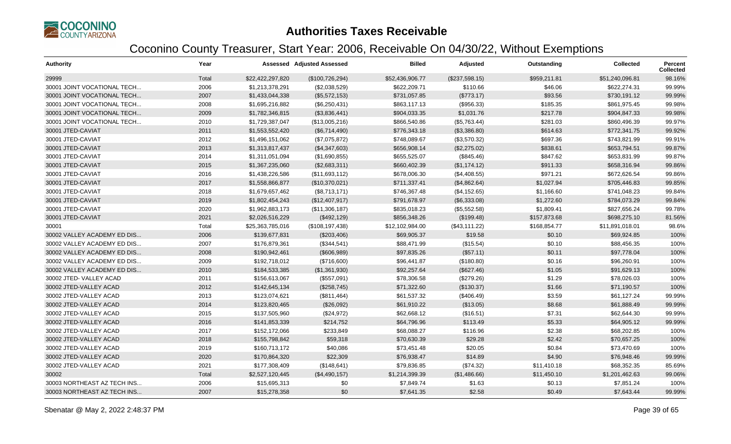

| <b>Authority</b>            | Year  |                  | Assessed Adjusted Assessed | <b>Billed</b>   | Adjusted       | Outstanding  | <b>Collected</b> | <b>Percent</b><br><b>Collected</b> |
|-----------------------------|-------|------------------|----------------------------|-----------------|----------------|--------------|------------------|------------------------------------|
| 29999                       | Total | \$22,422,297,820 | (\$100, 726, 294)          | \$52,436,906.77 | (\$237,598.15) | \$959,211.81 | \$51,240,096.81  | 98.16%                             |
| 30001 JOINT VOCATIONAL TECH | 2006  | \$1,213,378,291  | (\$2,038,529)              | \$622,209.71    | \$110.66       | \$46.06      | \$622,274.31     | 99.99%                             |
| 30001 JOINT VOCATIONAL TECH | 2007  | \$1,433,044,338  | (\$5,572,153)              | \$731,057.85    | (\$773.17)     | \$93.56      | \$730,191.12     | 99.99%                             |
| 30001 JOINT VOCATIONAL TECH | 2008  | \$1,695,216,882  | (\$6,250,431)              | \$863,117.13    | (\$956.33)     | \$185.35     | \$861,975.45     | 99.98%                             |
| 30001 JOINT VOCATIONAL TECH | 2009  | \$1,782,346,815  | (\$3,836,441)              | \$904,033.35    | \$1,031.76     | \$217.78     | \$904,847.33     | 99.98%                             |
| 30001 JOINT VOCATIONAL TECH | 2010  | \$1,729,387,047  | (\$13,005,216)             | \$866,540.86    | (\$5,763.44)   | \$281.03     | \$860,496.39     | 99.97%                             |
| 30001 JTED-CAVIAT           | 2011  | \$1,553,552,420  | (\$6,714,490)              | \$776,343.18    | (\$3,386.80)   | \$614.63     | \$772,341.75     | 99.92%                             |
| 30001 JTED-CAVIAT           | 2012  | \$1,496,151,062  | (\$7,075,872)              | \$748,089.67    | (\$3,570.32)   | \$697.36     | \$743,821.99     | 99.91%                             |
| 30001 JTED-CAVIAT           | 2013  | \$1,313,817,437  | (\$4,347,603)              | \$656,908.14    | (\$2,275.02)   | \$838.61     | \$653,794.51     | 99.87%                             |
| 30001 JTED-CAVIAT           | 2014  | \$1,311,051,094  | (\$1,690,855)              | \$655,525.07    | (\$845.46)     | \$847.62     | \$653,831.99     | 99.87%                             |
| 30001 JTED-CAVIAT           | 2015  | \$1,367,235,060  | (\$2,683,311)              | \$660,402.39    | (\$1,174.12)   | \$911.33     | \$658,316.94     | 99.86%                             |
| 30001 JTED-CAVIAT           | 2016  | \$1,438,226,586  | (\$11,693,112)             | \$678,006.30    | (\$4,408.55)   | \$971.21     | \$672,626.54     | 99.86%                             |
| 30001 JTED-CAVIAT           | 2017  | \$1,558,866,877  | (\$10,370,021)             | \$711,337.41    | (\$4,862.64)   | \$1,027.94   | \$705,446.83     | 99.85%                             |
| 30001 JTED-CAVIAT           | 2018  | \$1,679,657,462  | (\$8,713,171)              | \$746,367.48    | (\$4,152.65)   | \$1,166.60   | \$741.048.23     | 99.84%                             |
| 30001 JTED-CAVIAT           | 2019  | \$1,802,454,243  | (\$12,407,917)             | \$791,678.97    | (\$6,333.08)   | \$1,272.60   | \$784,073.29     | 99.84%                             |
| 30001 JTED-CAVIAT           | 2020  | \$1,962,883,173  | (\$11,306,187)             | \$835,018.23    | (\$5,552.58)   | \$1,809.41   | \$827,656.24     | 99.78%                             |
| 30001 JTED-CAVIAT           | 2021  | \$2,026,516,229  | (\$492, 129)               | \$856,348.26    | (\$199.48)     | \$157,873.68 | \$698.275.10     | 81.56%                             |
| 30001                       | Total | \$25,363,785,016 | (\$108, 197, 438)          | \$12,102,984.00 | (\$43,111.22)  | \$168,854.77 | \$11,891,018.01  | 98.6%                              |
| 30002 VALLEY ACADEMY ED DIS | 2006  | \$139,677,831    | (\$203,406)                | \$69,905.37     | \$19.58        | \$0.10       | \$69,924.85      | 100%                               |
| 30002 VALLEY ACADEMY ED DIS | 2007  | \$176,879,361    | (\$344,541)                | \$88,471.99     | (\$15.54)      | \$0.10       | \$88,456.35      | 100%                               |
| 30002 VALLEY ACADEMY ED DIS | 2008  | \$190,942,461    | (\$606,989)                | \$97,835.26     | (\$57.11)      | \$0.11       | \$97,778.04      | 100%                               |
| 30002 VALLEY ACADEMY ED DIS | 2009  | \$192,718,012    | (\$716,600)                | \$96,441.87     | (\$180.80)     | \$0.16       | \$96,260.91      | 100%                               |
| 30002 VALLEY ACADEMY ED DIS | 2010  | \$184,533,385    | (\$1,361,930)              | \$92,257.64     | (\$627.46)     | \$1.05       | \$91,629.13      | 100%                               |
| 30002 JTED-VALLEY ACAD      | 2011  | \$156,613,067    | (\$557,091)                | \$78,306.58     | (\$279.26)     | \$1.29       | \$78,026.03      | 100%                               |
| 30002 JTED-VALLEY ACAD      | 2012  | \$142,645,134    | (\$258,745)                | \$71,322.60     | (\$130.37)     | \$1.66       | \$71,190.57      | 100%                               |
| 30002 JTED-VALLEY ACAD      | 2013  | \$123,074,621    | (\$811,464)                | \$61,537.32     | (\$406.49)     | \$3.59       | \$61.127.24      | 99.99%                             |
| 30002 JTED-VALLEY ACAD      | 2014  | \$123,820,465    | (\$26,092)                 | \$61,910.22     | (\$13.05)      | \$8.68       | \$61,888.49      | 99.99%                             |
| 30002 JTED-VALLEY ACAD      | 2015  | \$137,505,960    | (\$24,972)                 | \$62,668.12     | (\$16.51)      | \$7.31       | \$62,644.30      | 99.99%                             |
| 30002 JTED-VALLEY ACAD      | 2016  | \$141,853,339    | \$214,752                  | \$64,796.96     | \$113.49       | \$5.33       | \$64,905.12      | 99.99%                             |
| 30002 JTED-VALLEY ACAD      | 2017  | \$152,172,066    | \$233,849                  | \$68,088.27     | \$116.96       | \$2.38       | \$68,202.85      | 100%                               |
| 30002 JTED-VALLEY ACAD      | 2018  | \$155,798,842    | \$59,318                   | \$70,630.39     | \$29.28        | \$2.42       | \$70,657.25      | 100%                               |
| 30002 JTED-VALLEY ACAD      | 2019  | \$160,713,172    | \$40,086                   | \$73,451.48     | \$20.05        | \$0.84       | \$73,470.69      | 100%                               |
| 30002 JTED-VALLEY ACAD      | 2020  | \$170,864,320    | \$22,309                   | \$76,938.47     | \$14.89        | \$4.90       | \$76,948.46      | 99.99%                             |
| 30002 JTED-VALLEY ACAD      | 2021  | \$177,308,409    | (\$148,641)                | \$79,836.85     | (\$74.32)      | \$11,410.18  | \$68,352.35      | 85.69%                             |
| 30002                       | Total | \$2,527,120,445  | (\$4,490,157)              | \$1,214,399.39  | (\$1,486.66)   | \$11,450.10  | \$1,201,462.63   | 99.06%                             |
| 30003 NORTHEAST AZ TECH INS | 2006  | \$15,695,313     | \$0                        | \$7,849.74      | \$1.63         | \$0.13       | \$7,851.24       | 100%                               |
| 30003 NORTHEAST AZ TECH INS | 2007  | \$15,278,358     | \$0                        | \$7,641.35      | \$2.58         | \$0.49       | \$7,643.44       | 99.99%                             |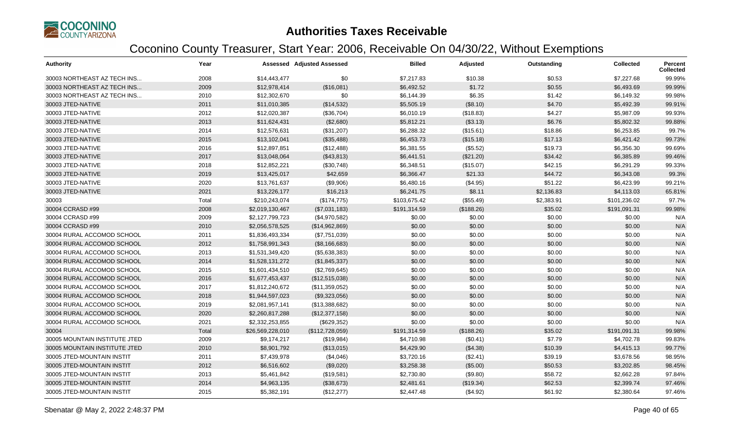

| <b>Authority</b>              | Year  |                  | <b>Assessed Adjusted Assessed</b> | <b>Billed</b> | Adjusted   | Outstanding | <b>Collected</b> | Percent<br><b>Collected</b> |
|-------------------------------|-------|------------------|-----------------------------------|---------------|------------|-------------|------------------|-----------------------------|
| 30003 NORTHEAST AZ TECH INS   | 2008  | \$14,443,477     | \$0                               | \$7,217.83    | \$10.38    | \$0.53      | \$7,227.68       | 99.99%                      |
| 30003 NORTHEAST AZ TECH INS   | 2009  | \$12,978,414     | (\$16,081)                        | \$6,492.52    | \$1.72     | \$0.55      | \$6,493.69       | 99.99%                      |
| 30003 NORTHEAST AZ TECH INS   | 2010  | \$12,302,670     | \$0                               | \$6,144.39    | \$6.35     | \$1.42      | \$6,149.32       | 99.98%                      |
| 30003 JTED-NATIVE             | 2011  | \$11,010,385     | (\$14,532)                        | \$5,505.19    | (\$8.10)   | \$4.70      | \$5,492.39       | 99.91%                      |
| 30003 JTED-NATIVE             | 2012  | \$12,020,387     | (\$36,704)                        | \$6,010.19    | (\$18.83)  | \$4.27      | \$5,987.09       | 99.93%                      |
| 30003 JTED-NATIVE             | 2013  | \$11,624,431     | (\$2,680)                         | \$5,812.21    | (\$3.13)   | \$6.76      | \$5,802.32       | 99.88%                      |
| 30003 JTED-NATIVE             | 2014  | \$12,576,631     | (\$31,207)                        | \$6,288.32    | (\$15.61)  | \$18.86     | \$6,253.85       | 99.7%                       |
| 30003 JTED-NATIVE             | 2015  | \$13,102,041     | (\$35,488)                        | \$6,453.73    | (\$15.18)  | \$17.13     | \$6,421.42       | 99.73%                      |
| 30003 JTED-NATIVE             | 2016  | \$12,897,851     | (\$12,488)                        | \$6,381.55    | (\$5.52)   | \$19.73     | \$6,356.30       | 99.69%                      |
| 30003 JTED-NATIVE             | 2017  | \$13,048,064     | (\$43,813)                        | \$6,441.51    | (\$21.20)  | \$34.42     | \$6,385.89       | 99.46%                      |
| 30003 JTED-NATIVE             | 2018  | \$12,852,221     | (\$30,748)                        | \$6,348.51    | (\$15.07)  | \$42.15     | \$6,291.29       | 99.33%                      |
| 30003 JTED-NATIVE             | 2019  | \$13,425,017     | \$42,659                          | \$6,366.47    | \$21.33    | \$44.72     | \$6,343.08       | 99.3%                       |
| 30003 JTED-NATIVE             | 2020  | \$13,761,637     | (\$9,906)                         | \$6,480.16    | (\$4.95)   | \$51.22     | \$6,423.99       | 99.21%                      |
| 30003 JTED-NATIVE             | 2021  | \$13,226,177     | \$16,213                          | \$6,241.75    | \$8.11     | \$2,136.83  | \$4,113.03       | 65.81%                      |
| 30003                         | Total | \$210,243,074    | (\$174,775)                       | \$103,675.42  | (\$55.49)  | \$2,383.91  | \$101,236.02     | 97.7%                       |
| 30004 CCRASD #99              | 2008  | \$2,019,130,467  | (\$7,031,183)                     | \$191,314.59  | (\$188.26) | \$35.02     | \$191,091.31     | 99.98%                      |
| 30004 CCRASD #99              | 2009  | \$2,127,799,723  | (\$4,970,582)                     | \$0.00        | \$0.00     | \$0.00      | \$0.00           | N/A                         |
| 30004 CCRASD #99              | 2010  | \$2,056,578,525  | (\$14,962,869)                    | \$0.00        | \$0.00     | \$0.00      | \$0.00           | N/A                         |
| 30004 RURAL ACCOMOD SCHOOL    | 2011  | \$1,836,493,334  | (\$7,751,039)                     | \$0.00        | \$0.00     | \$0.00      | \$0.00           | N/A                         |
| 30004 RURAL ACCOMOD SCHOOL    | 2012  | \$1,758,991,343  | (\$8,166,683)                     | \$0.00        | \$0.00     | \$0.00      | \$0.00           | N/A                         |
| 30004 RURAL ACCOMOD SCHOOL    | 2013  | \$1,531,349,420  | (\$5,638,383)                     | \$0.00        | \$0.00     | \$0.00      | \$0.00           | N/A                         |
| 30004 RURAL ACCOMOD SCHOOL    | 2014  | \$1,528,131,272  | (\$1,845,337)                     | \$0.00        | \$0.00     | \$0.00      | \$0.00           | N/A                         |
| 30004 RURAL ACCOMOD SCHOOL    | 2015  | \$1,601,434,510  | (\$2,769,645)                     | \$0.00        | \$0.00     | \$0.00      | \$0.00           | N/A                         |
| 30004 RURAL ACCOMOD SCHOOL    | 2016  | \$1,677,453,437  | (\$12,515,038)                    | \$0.00        | \$0.00     | \$0.00      | \$0.00           | N/A                         |
| 30004 RURAL ACCOMOD SCHOOL    | 2017  | \$1,812,240,672  | (\$11,359,052)                    | \$0.00        | \$0.00     | \$0.00      | \$0.00           | N/A                         |
| 30004 RURAL ACCOMOD SCHOOL    | 2018  | \$1,944,597,023  | (\$9,323,056)                     | \$0.00        | \$0.00     | \$0.00      | \$0.00           | N/A                         |
| 30004 RURAL ACCOMOD SCHOOL    | 2019  | \$2,081,957,141  | (\$13,388,682)                    | \$0.00        | \$0.00     | \$0.00      | \$0.00           | N/A                         |
| 30004 RURAL ACCOMOD SCHOOL    | 2020  | \$2,260,817,288  | (\$12,377,158)                    | \$0.00        | \$0.00     | \$0.00      | \$0.00           | N/A                         |
| 30004 RURAL ACCOMOD SCHOOL    | 2021  | \$2,332,253,855  | (\$629,352)                       | \$0.00        | \$0.00     | \$0.00      | \$0.00           | N/A                         |
| 30004                         | Total | \$26,569,228,010 | (\$112,728,059)                   | \$191,314.59  | (\$188.26) | \$35.02     | \$191,091.31     | 99.98%                      |
| 30005 MOUNTAIN INSTITUTE JTED | 2009  | \$9,174,217      | (\$19,984)                        | \$4,710.98    | (\$0.41)   | \$7.79      | \$4,702.78       | 99.83%                      |
| 30005 MOUNTAIN INSTITUTE JTED | 2010  | \$8,901,792      | (\$13,015)                        | \$4,429.90    | (\$4.38)   | \$10.39     | \$4,415.13       | 99.77%                      |
| 30005 JTED-MOUNTAIN INSTIT    | 2011  | \$7,439,978      | (\$4,046)                         | \$3,720.16    | (\$2.41)   | \$39.19     | \$3,678.56       | 98.95%                      |
| 30005 JTED-MOUNTAIN INSTIT    | 2012  | \$6,516,602      | (\$9,020)                         | \$3,258.38    | (\$5.00)   | \$50.53     | \$3,202.85       | 98.45%                      |
| 30005 JTED-MOUNTAIN INSTIT    | 2013  | \$5,461,842      | (\$19,581)                        | \$2,730.80    | (\$9.80)   | \$58.72     | \$2,662.28       | 97.84%                      |
| 30005 JTED-MOUNTAIN INSTIT    | 2014  | \$4,963,135      | (\$38,673)                        | \$2,481.61    | (\$19.34)  | \$62.53     | \$2,399.74       | 97.46%                      |
| 30005 JTED-MOUNTAIN INSTIT    | 2015  | \$5,382,191      | (\$12,277)                        | \$2,447.48    | (\$4.92)   | \$61.92     | \$2,380.64       | 97.46%                      |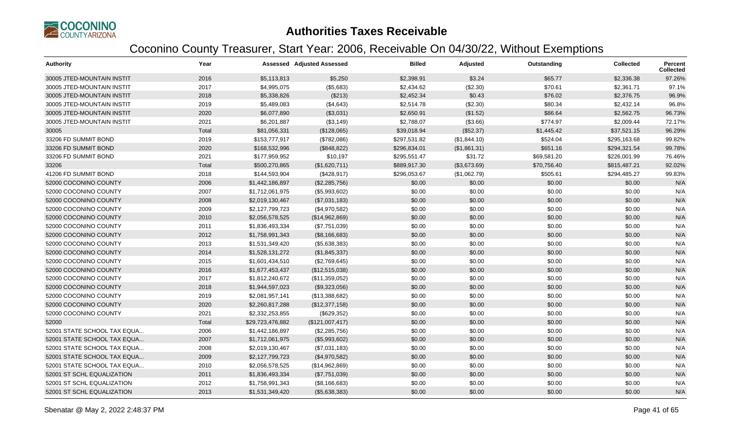

| <b>Authority</b>            | Year  |                  | <b>Assessed Adjusted Assessed</b> | <b>Billed</b> | Adjusted     | Outstanding | <b>Collected</b> | Percent<br><b>Collected</b> |
|-----------------------------|-------|------------------|-----------------------------------|---------------|--------------|-------------|------------------|-----------------------------|
| 30005 JTED-MOUNTAIN INSTIT  | 2016  | \$5,113,813      | \$5,250                           | \$2,398.91    | \$3.24       | \$65.77     | \$2,336.38       | 97.26%                      |
| 30005 JTED-MOUNTAIN INSTIT  | 2017  | \$4,995,075      | (\$5,683)                         | \$2,434.62    | (\$2.30)     | \$70.61     | \$2,361.71       | 97.1%                       |
| 30005 JTED-MOUNTAIN INSTIT  | 2018  | \$5,338,826      | (\$213)                           | \$2,452.34    | \$0.43       | \$76.02     | \$2,376.75       | 96.9%                       |
| 30005 JTED-MOUNTAIN INSTIT  | 2019  | \$5,489,083      | (\$4,643)                         | \$2,514.78    | (\$2.30)     | \$80.34     | \$2,432.14       | 96.8%                       |
| 30005 JTED-MOUNTAIN INSTIT  | 2020  | \$6,077,890      | (\$3,031)                         | \$2,650.91    | (\$1.52)     | \$86.64     | \$2,562.75       | 96.73%                      |
| 30005 JTED-MOUNTAIN INSTIT  | 2021  | \$6,201,887      | (\$3,149)                         | \$2,788.07    | (\$3.66)     | \$774.97    | \$2,009.44       | 72.17%                      |
| 30005                       | Total | \$81,056,331     | (\$128,065)                       | \$39,018.94   | (\$52.37)    | \$1,445.42  | \$37,521.15      | 96.29%                      |
| 33206 FD SUMMIT BOND        | 2019  | \$153,777,917    | (\$782,086)                       | \$297,531.82  | (\$1,844.10) | \$524.04    | \$295,163.68     | 99.82%                      |
| 33206 FD SUMMIT BOND        | 2020  | \$168,532,996    | (\$848,822)                       | \$296,834.01  | (\$1,861.31) | \$651.16    | \$294,321.54     | 99.78%                      |
| 33206 FD SUMMIT BOND        | 2021  | \$177,959,952    | \$10,197                          | \$295,551.47  | \$31.72      | \$69,581.20 | \$226,001.99     | 76.46%                      |
| 33206                       | Total | \$500,270,865    | (\$1,620,711)                     | \$889,917.30  | (\$3,673.69) | \$70,756.40 | \$815,487.21     | 92.02%                      |
| 41206 FD SUMMIT BOND        | 2018  | \$144,593,904    | (\$428,917)                       | \$296,053.67  | (\$1,062.79) | \$505.61    | \$294,485.27     | 99.83%                      |
| 52000 COCONINO COUNTY       | 2006  | \$1,442,186,897  | (\$2,285,756)                     | \$0.00        | \$0.00       | \$0.00      | \$0.00           | N/A                         |
| 52000 COCONINO COUNTY       | 2007  | \$1,712,061,975  | (\$5,993,602)                     | \$0.00        | \$0.00       | \$0.00      | \$0.00           | N/A                         |
| 52000 COCONINO COUNTY       | 2008  | \$2,019,130,467  | (\$7,031,183)                     | \$0.00        | \$0.00       | \$0.00      | \$0.00           | N/A                         |
| 52000 COCONINO COUNTY       | 2009  | \$2,127,799,723  | (\$4,970,582)                     | \$0.00        | \$0.00       | \$0.00      | \$0.00           | N/A                         |
| 52000 COCONINO COUNTY       | 2010  | \$2,056,578,525  | (\$14,962,869)                    | \$0.00        | \$0.00       | \$0.00      | \$0.00           | N/A                         |
| 52000 COCONINO COUNTY       | 2011  | \$1,836,493,334  | (\$7,751,039)                     | \$0.00        | \$0.00       | \$0.00      | \$0.00           | N/A                         |
| 52000 COCONINO COUNTY       | 2012  | \$1,758,991,343  | (\$8,166,683)                     | \$0.00        | \$0.00       | \$0.00      | \$0.00           | N/A                         |
| 52000 COCONINO COUNTY       | 2013  | \$1,531,349,420  | (\$5,638,383)                     | \$0.00        | \$0.00       | \$0.00      | \$0.00           | N/A                         |
| 52000 COCONINO COUNTY       | 2014  | \$1,528,131,272  | (\$1,845,337)                     | \$0.00        | \$0.00       | \$0.00      | \$0.00           | N/A                         |
| 52000 COCONINO COUNTY       | 2015  | \$1,601,434,510  | (\$2,769,645)                     | \$0.00        | \$0.00       | \$0.00      | \$0.00           | N/A                         |
| 52000 COCONINO COUNTY       | 2016  | \$1,677,453,437  | (\$12,515,038)                    | \$0.00        | \$0.00       | \$0.00      | \$0.00           | N/A                         |
| 52000 COCONINO COUNTY       | 2017  | \$1,812,240,672  | (\$11,359,052)                    | \$0.00        | \$0.00       | \$0.00      | \$0.00           | N/A                         |
| 52000 COCONINO COUNTY       | 2018  | \$1,944,597,023  | (\$9,323,056)                     | \$0.00        | \$0.00       | \$0.00      | \$0.00           | N/A                         |
| 52000 COCONINO COUNTY       | 2019  | \$2,081,957,141  | (\$13,388,682)                    | \$0.00        | \$0.00       | \$0.00      | \$0.00           | N/A                         |
| 52000 COCONINO COUNTY       | 2020  | \$2,260,817,288  | (\$12,377,158)                    | \$0.00        | \$0.00       | \$0.00      | \$0.00           | N/A                         |
| 52000 COCONINO COUNTY       | 2021  | \$2,332,253,855  | (\$629,352)                       | \$0.00        | \$0.00       | \$0.00      | \$0.00           | N/A                         |
| 52000                       | Total | \$29,723,476,882 | (\$121,007,417)                   | \$0.00        | \$0.00       | \$0.00      | \$0.00           | N/A                         |
| 52001 STATE SCHOOL TAX EQUA | 2006  | \$1,442,186,897  | (\$2,285,756)                     | \$0.00        | \$0.00       | \$0.00      | \$0.00           | N/A                         |
| 52001 STATE SCHOOL TAX EQUA | 2007  | \$1,712,061,975  | (\$5,993,602)                     | \$0.00        | \$0.00       | \$0.00      | \$0.00           | N/A                         |
| 52001 STATE SCHOOL TAX EQUA | 2008  | \$2,019,130,467  | (\$7,031,183)                     | \$0.00        | \$0.00       | \$0.00      | \$0.00           | N/A                         |
| 52001 STATE SCHOOL TAX EQUA | 2009  | \$2,127,799,723  | (\$4,970,582)                     | \$0.00        | \$0.00       | \$0.00      | \$0.00           | N/A                         |
| 52001 STATE SCHOOL TAX EQUA | 2010  | \$2,056,578,525  | (\$14,962,869)                    | \$0.00        | \$0.00       | \$0.00      | \$0.00           | N/A                         |
| 52001 ST SCHL EQUALIZATION  | 2011  | \$1,836,493,334  | (\$7,751,039)                     | \$0.00        | \$0.00       | \$0.00      | \$0.00           | N/A                         |
| 52001 ST SCHL EQUALIZATION  | 2012  | \$1,758,991,343  | (\$8,166,683)                     | \$0.00        | \$0.00       | \$0.00      | \$0.00           | N/A                         |
| 52001 ST SCHL EQUALIZATION  | 2013  | \$1,531,349,420  | (\$5,638,383)                     | \$0.00        | \$0.00       | \$0.00      | \$0.00           | N/A                         |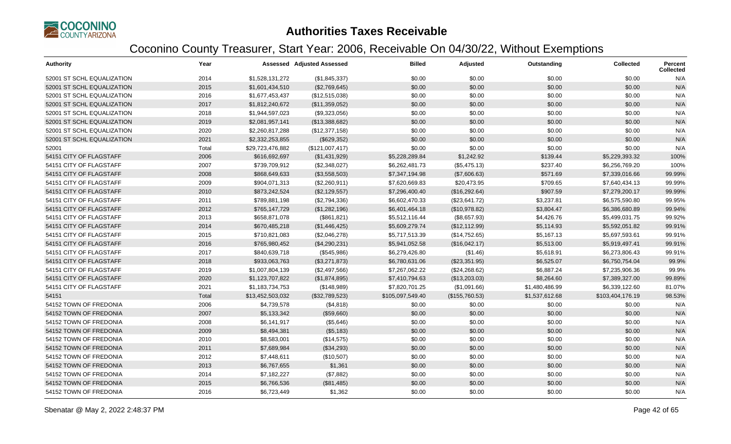

| <b>Authority</b>           | Year  |                  | <b>Assessed Adjusted Assessed</b> | <b>Billed</b>    | Adjusted       | Outstanding    | <b>Collected</b> | <b>Percent</b><br><b>Collected</b> |
|----------------------------|-------|------------------|-----------------------------------|------------------|----------------|----------------|------------------|------------------------------------|
| 52001 ST SCHL EQUALIZATION | 2014  | \$1,528,131,272  | (\$1,845,337)                     | \$0.00           | \$0.00         | \$0.00         | \$0.00           | N/A                                |
| 52001 ST SCHL EQUALIZATION | 2015  | \$1,601,434,510  | (\$2,769,645)                     | \$0.00           | \$0.00         | \$0.00         | \$0.00           | N/A                                |
| 52001 ST SCHL EQUALIZATION | 2016  | \$1,677,453,437  | (\$12,515,038)                    | \$0.00           | \$0.00         | \$0.00         | \$0.00           | N/A                                |
| 52001 ST SCHL EQUALIZATION | 2017  | \$1,812,240,672  | (\$11,359,052)                    | \$0.00           | \$0.00         | \$0.00         | \$0.00           | N/A                                |
| 52001 ST SCHL EQUALIZATION | 2018  | \$1,944,597,023  | (\$9,323,056)                     | \$0.00           | \$0.00         | \$0.00         | \$0.00           | N/A                                |
| 52001 ST SCHL EQUALIZATION | 2019  | \$2,081,957,141  | (\$13,388,682)                    | \$0.00           | \$0.00         | \$0.00         | \$0.00           | N/A                                |
| 52001 ST SCHL EQUALIZATION | 2020  | \$2,260,817,288  | (\$12,377,158)                    | \$0.00           | \$0.00         | \$0.00         | \$0.00           | N/A                                |
| 52001 ST SCHL EQUALIZATION | 2021  | \$2,332,253,855  | (\$629,352)                       | \$0.00           | \$0.00         | \$0.00         | \$0.00           | N/A                                |
| 52001                      | Total | \$29,723,476,882 | (\$121,007,417)                   | \$0.00           | \$0.00         | \$0.00         | \$0.00           | N/A                                |
| 54151 CITY OF FLAGSTAFF    | 2006  | \$616,692,697    | (\$1,431,929)                     | \$5,228,289.84   | \$1,242.92     | \$139.44       | \$5,229,393.32   | 100%                               |
| 54151 CITY OF FLAGSTAFF    | 2007  | \$739,709,912    | (\$2,348,027)                     | \$6,262,481.73   | (\$5,475.13)   | \$237.40       | \$6,256,769.20   | 100%                               |
| 54151 CITY OF FLAGSTAFF    | 2008  | \$868,649,633    | (\$3,558,503)                     | \$7,347,194.98   | (\$7,606.63)   | \$571.69       | \$7,339,016.66   | 99.99%                             |
| 54151 CITY OF FLAGSTAFF    | 2009  | \$904,071,313    | (\$2,260,911)                     | \$7,620,669.83   | \$20,473.95    | \$709.65       | \$7,640,434.13   | 99.99%                             |
| 54151 CITY OF FLAGSTAFF    | 2010  | \$873,242,524    | (\$2,129,557)                     | \$7,296,400.40   | (\$16,292.64)  | \$907.59       | \$7,279,200.17   | 99.99%                             |
| 54151 CITY OF FLAGSTAFF    | 2011  | \$789,881,198    | (\$2,794,336)                     | \$6,602,470.33   | (\$23,641.72)  | \$3,237.81     | \$6,575,590.80   | 99.95%                             |
| 54151 CITY OF FLAGSTAFF    | 2012  | \$765,147,729    | (\$1,282,196)                     | \$6,401,464.18   | (\$10,978.82)  | \$3,804.47     | \$6,386,680.89   | 99.94%                             |
| 54151 CITY OF FLAGSTAFF    | 2013  | \$658,871,078    | (\$861, 821)                      | \$5,512,116.44   | (\$8,657.93)   | \$4,426.76     | \$5,499,031.75   | 99.92%                             |
| 54151 CITY OF FLAGSTAFF    | 2014  | \$670,485,218    | (\$1,446,425)                     | \$5,609,279.74   | (\$12,112.99)  | \$5,114.93     | \$5,592,051.82   | 99.91%                             |
| 54151 CITY OF FLAGSTAFF    | 2015  | \$710,821,083    | (\$2,046,278)                     | \$5,717,513.39   | (\$14,752.65)  | \$5,167.13     | \$5,697,593.61   | 99.91%                             |
| 54151 CITY OF FLAGSTAFF    | 2016  | \$765,980,452    | (\$4,290,231)                     | \$5,941,052.58   | (\$16,042.17)  | \$5,513.00     | \$5,919,497.41   | 99.91%                             |
| 54151 CITY OF FLAGSTAFF    | 2017  | \$840,639,718    | (\$545,986)                       | \$6,279,426.80   | (\$1.46)       | \$5,618.91     | \$6,273,806.43   | 99.91%                             |
| 54151 CITY OF FLAGSTAFF    | 2018  | \$933,063,763    | (\$3,271,873)                     | \$6,780,631.06   | (\$23,351.95)  | \$6,525.07     | \$6,750,754.04   | 99.9%                              |
| 54151 CITY OF FLAGSTAFF    | 2019  | \$1,007,804,139  | (\$2,497,566)                     | \$7,267,062.22   | (\$24,268.62)  | \$6,887.24     | \$7,235,906.36   | 99.9%                              |
| 54151 CITY OF FLAGSTAFF    | 2020  | \$1,123,707,822  | (\$1,874,895)                     | \$7,410,794.63   | (\$13,203.03)  | \$8,264.60     | \$7,389,327.00   | 99.89%                             |
| 54151 CITY OF FLAGSTAFF    | 2021  | \$1,183,734,753  | (\$148,989)                       | \$7,820,701.25   | (\$1,091.66)   | \$1,480,486.99 | \$6,339,122.60   | 81.07%                             |
| 54151                      | Total | \$13,452,503,032 | (\$32,789,523)                    | \$105,097,549.40 | (\$155,760.53) | \$1,537,612.68 | \$103,404,176.19 | 98.53%                             |
| 54152 TOWN OF FREDONIA     | 2006  | \$4,739,578      | (\$4,818)                         | \$0.00           | \$0.00         | \$0.00         | \$0.00           | N/A                                |
| 54152 TOWN OF FREDONIA     | 2007  | \$5,133,342      | (\$59,660)                        | \$0.00           | \$0.00         | \$0.00         | \$0.00           | N/A                                |
| 54152 TOWN OF FREDONIA     | 2008  | \$6,141,917      | (\$5,646)                         | \$0.00           | \$0.00         | \$0.00         | \$0.00           | N/A                                |
| 54152 TOWN OF FREDONIA     | 2009  | \$8,494,381      | (\$5,183)                         | \$0.00           | \$0.00         | \$0.00         | \$0.00           | N/A                                |
| 54152 TOWN OF FREDONIA     | 2010  | \$8,583,001      | (\$14,575)                        | \$0.00           | \$0.00         | \$0.00         | \$0.00           | N/A                                |
| 54152 TOWN OF FREDONIA     | 2011  | \$7,689,984      | (\$34,293)                        | \$0.00           | \$0.00         | \$0.00         | \$0.00           | N/A                                |
| 54152 TOWN OF FREDONIA     | 2012  | \$7,448,611      | (\$10,507)                        | \$0.00           | \$0.00         | \$0.00         | \$0.00           | N/A                                |
| 54152 TOWN OF FREDONIA     | 2013  | \$6,767,655      | \$1,361                           | \$0.00           | \$0.00         | \$0.00         | \$0.00           | N/A                                |
| 54152 TOWN OF FREDONIA     | 2014  | \$7,182,227      | (\$7,882)                         | \$0.00           | \$0.00         | \$0.00         | \$0.00           | N/A                                |
| 54152 TOWN OF FREDONIA     | 2015  | \$6,766,536      | (\$81,485)                        | \$0.00           | \$0.00         | \$0.00         | \$0.00           | N/A                                |
| 54152 TOWN OF FREDONIA     | 2016  | \$6,723,449      | \$1,362                           | \$0.00           | \$0.00         | \$0.00         | \$0.00           | N/A                                |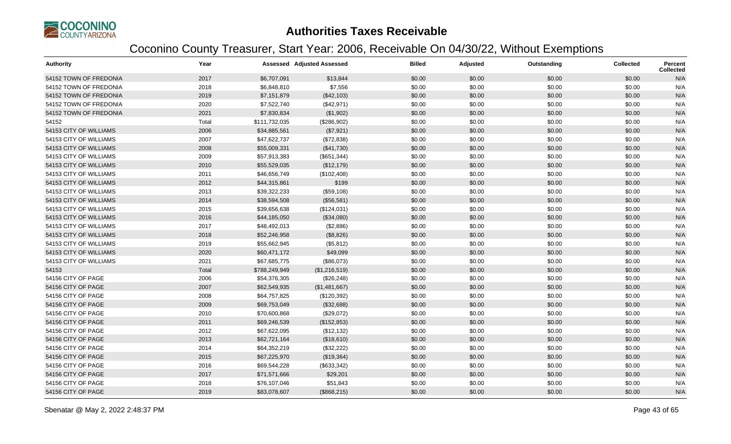

| <b>Authority</b>       | Year  |               | <b>Assessed Adjusted Assessed</b> | <b>Billed</b> | Adjusted | Outstanding | <b>Collected</b> | <b>Percent</b><br><b>Collected</b> |
|------------------------|-------|---------------|-----------------------------------|---------------|----------|-------------|------------------|------------------------------------|
| 54152 TOWN OF FREDONIA | 2017  | \$6,707,091   | \$13,844                          | \$0.00        | \$0.00   | \$0.00      | \$0.00           | N/A                                |
| 54152 TOWN OF FREDONIA | 2018  | \$6,848,810   | \$7,556                           | \$0.00        | \$0.00   | \$0.00      | \$0.00           | N/A                                |
| 54152 TOWN OF FREDONIA | 2019  | \$7,151,879   | (\$42,103)                        | \$0.00        | \$0.00   | \$0.00      | \$0.00           | N/A                                |
| 54152 TOWN OF FREDONIA | 2020  | \$7,522,740   | (\$42,971)                        | \$0.00        | \$0.00   | \$0.00      | \$0.00           | N/A                                |
| 54152 TOWN OF FREDONIA | 2021  | \$7,830,834   | (\$1,902)                         | \$0.00        | \$0.00   | \$0.00      | \$0.00           | N/A                                |
| 54152                  | Total | \$111,732,035 | (\$286,902)                       | \$0.00        | \$0.00   | \$0.00      | \$0.00           | N/A                                |
| 54153 CITY OF WILLIAMS | 2006  | \$34,885,561  | (\$7,921)                         | \$0.00        | \$0.00   | \$0.00      | \$0.00           | N/A                                |
| 54153 CITY OF WILLIAMS | 2007  | \$47,622,737  | (\$72,838)                        | \$0.00        | \$0.00   | \$0.00      | \$0.00           | N/A                                |
| 54153 CITY OF WILLIAMS | 2008  | \$55,009,331  | (\$41,730)                        | \$0.00        | \$0.00   | \$0.00      | \$0.00           | N/A                                |
| 54153 CITY OF WILLIAMS | 2009  | \$57,913,383  | (\$651,344)                       | \$0.00        | \$0.00   | \$0.00      | \$0.00           | N/A                                |
| 54153 CITY OF WILLIAMS | 2010  | \$55,529,035  | (\$12,179)                        | \$0.00        | \$0.00   | \$0.00      | \$0.00           | N/A                                |
| 54153 CITY OF WILLIAMS | 2011  | \$46,656,749  | (\$102,408)                       | \$0.00        | \$0.00   | \$0.00      | \$0.00           | N/A                                |
| 54153 CITY OF WILLIAMS | 2012  | \$44,315,861  | \$199                             | \$0.00        | \$0.00   | \$0.00      | \$0.00           | N/A                                |
| 54153 CITY OF WILLIAMS | 2013  | \$39,322,233  | (\$59,108)                        | \$0.00        | \$0.00   | \$0.00      | \$0.00           | N/A                                |
| 54153 CITY OF WILLIAMS | 2014  | \$38,594,508  | (\$56,581)                        | \$0.00        | \$0.00   | \$0.00      | \$0.00           | N/A                                |
| 54153 CITY OF WILLIAMS | 2015  | \$39,656,638  | (\$124,031)                       | \$0.00        | \$0.00   | \$0.00      | \$0.00           | N/A                                |
| 54153 CITY OF WILLIAMS | 2016  | \$44,185,050  | (\$34,080)                        | \$0.00        | \$0.00   | \$0.00      | \$0.00           | N/A                                |
| 54153 CITY OF WILLIAMS | 2017  | \$48,492,013  | (\$2,886)                         | \$0.00        | \$0.00   | \$0.00      | \$0.00           | N/A                                |
| 54153 CITY OF WILLIAMS | 2018  | \$52,246,958  | (\$8,826)                         | \$0.00        | \$0.00   | \$0.00      | \$0.00           | N/A                                |
| 54153 CITY OF WILLIAMS | 2019  | \$55,662,945  | (\$5,812)                         | \$0.00        | \$0.00   | \$0.00      | \$0.00           | N/A                                |
| 54153 CITY OF WILLIAMS | 2020  | \$60,471,172  | \$49,099                          | \$0.00        | \$0.00   | \$0.00      | \$0.00           | N/A                                |
| 54153 CITY OF WILLIAMS | 2021  | \$67,685,775  | (\$86,073)                        | \$0.00        | \$0.00   | \$0.00      | \$0.00           | N/A                                |
| 54153                  | Total | \$788,249,949 | (\$1,216,519)                     | \$0.00        | \$0.00   | \$0.00      | \$0.00           | N/A                                |
| 54156 CITY OF PAGE     | 2006  | \$54,376,305  | (\$26,248)                        | \$0.00        | \$0.00   | \$0.00      | \$0.00           | N/A                                |
| 54156 CITY OF PAGE     | 2007  | \$62,549,935  | (\$1,481,667)                     | \$0.00        | \$0.00   | \$0.00      | \$0.00           | N/A                                |
| 54156 CITY OF PAGE     | 2008  | \$64,757,825  | (\$120,392)                       | \$0.00        | \$0.00   | \$0.00      | \$0.00           | N/A                                |
| 54156 CITY OF PAGE     | 2009  | \$69,753,049  | (\$32,688)                        | \$0.00        | \$0.00   | \$0.00      | \$0.00           | N/A                                |
| 54156 CITY OF PAGE     | 2010  | \$70,600,868  | (\$29,072)                        | \$0.00        | \$0.00   | \$0.00      | \$0.00           | N/A                                |
| 54156 CITY OF PAGE     | 2011  | \$69,246,539  | (\$152,853)                       | \$0.00        | \$0.00   | \$0.00      | \$0.00           | N/A                                |
| 54156 CITY OF PAGE     | 2012  | \$67,622,095  | (\$12,132)                        | \$0.00        | \$0.00   | \$0.00      | \$0.00           | N/A                                |
| 54156 CITY OF PAGE     | 2013  | \$62,721,164  | (\$18,610)                        | \$0.00        | \$0.00   | \$0.00      | \$0.00           | N/A                                |
| 54156 CITY OF PAGE     | 2014  | \$64,352,219  | (\$32,222)                        | \$0.00        | \$0.00   | \$0.00      | \$0.00           | N/A                                |
| 54156 CITY OF PAGE     | 2015  | \$67,225,970  | (\$19,364)                        | \$0.00        | \$0.00   | \$0.00      | \$0.00           | N/A                                |
| 54156 CITY OF PAGE     | 2016  | \$69,544,228  | (\$633,342)                       | \$0.00        | \$0.00   | \$0.00      | \$0.00           | N/A                                |
| 54156 CITY OF PAGE     | 2017  | \$71,571,666  | \$29,201                          | \$0.00        | \$0.00   | \$0.00      | \$0.00           | N/A                                |
| 54156 CITY OF PAGE     | 2018  | \$76,107,046  | \$51,843                          | \$0.00        | \$0.00   | \$0.00      | \$0.00           | N/A                                |
| 54156 CITY OF PAGE     | 2019  | \$83,078,607  | (\$868,215)                       | \$0.00        | \$0.00   | \$0.00      | \$0.00           | N/A                                |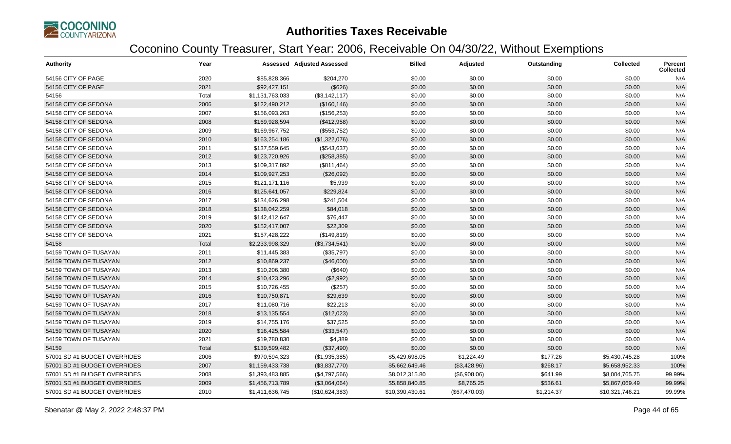

| <b>Authority</b>             | Year  |                 | <b>Assessed Adjusted Assessed</b> | <b>Billed</b>   | Adjusted      | Outstanding | <b>Collected</b> | Percent<br><b>Collected</b> |
|------------------------------|-------|-----------------|-----------------------------------|-----------------|---------------|-------------|------------------|-----------------------------|
| 54156 CITY OF PAGE           | 2020  | \$85,828,366    | \$204,270                         | \$0.00          | \$0.00        | \$0.00      | \$0.00           | N/A                         |
| 54156 CITY OF PAGE           | 2021  | \$92,427,151    | (\$626)                           | \$0.00          | \$0.00        | \$0.00      | \$0.00           | N/A                         |
| 54156                        | Total | \$1,131,763,033 | (\$3,142,117)                     | \$0.00          | \$0.00        | \$0.00      | \$0.00           | N/A                         |
| 54158 CITY OF SEDONA         | 2006  | \$122,490,212   | (\$160, 146)                      | \$0.00          | \$0.00        | \$0.00      | \$0.00           | N/A                         |
| 54158 CITY OF SEDONA         | 2007  | \$156,093,263   | (\$156,253)                       | \$0.00          | \$0.00        | \$0.00      | \$0.00           | N/A                         |
| 54158 CITY OF SEDONA         | 2008  | \$169,928,594   | (\$412,958)                       | \$0.00          | \$0.00        | \$0.00      | \$0.00           | N/A                         |
| 54158 CITY OF SEDONA         | 2009  | \$169,967,752   | (\$553,752)                       | \$0.00          | \$0.00        | \$0.00      | \$0.00           | N/A                         |
| 54158 CITY OF SEDONA         | 2010  | \$163,254,186   | (\$1,322,076)                     | \$0.00          | \$0.00        | \$0.00      | \$0.00           | N/A                         |
| 54158 CITY OF SEDONA         | 2011  | \$137,559,645   | (\$543,637)                       | \$0.00          | \$0.00        | \$0.00      | \$0.00           | N/A                         |
| 54158 CITY OF SEDONA         | 2012  | \$123,720,926   | (\$258,385)                       | \$0.00          | \$0.00        | \$0.00      | \$0.00           | N/A                         |
| 54158 CITY OF SEDONA         | 2013  | \$109,317,892   | (\$811,464)                       | \$0.00          | \$0.00        | \$0.00      | \$0.00           | N/A                         |
| 54158 CITY OF SEDONA         | 2014  | \$109,927,253   | (\$26,092)                        | \$0.00          | \$0.00        | \$0.00      | \$0.00           | N/A                         |
| 54158 CITY OF SEDONA         | 2015  | \$121,171,116   | \$5,939                           | \$0.00          | \$0.00        | \$0.00      | \$0.00           | N/A                         |
| 54158 CITY OF SEDONA         | 2016  | \$125,641,057   | \$229,824                         | \$0.00          | \$0.00        | \$0.00      | \$0.00           | N/A                         |
| 54158 CITY OF SEDONA         | 2017  | \$134,626,298   | \$241,504                         | \$0.00          | \$0.00        | \$0.00      | \$0.00           | N/A                         |
| 54158 CITY OF SEDONA         | 2018  | \$138,042,259   | \$84,018                          | \$0.00          | \$0.00        | \$0.00      | \$0.00           | N/A                         |
| 54158 CITY OF SEDONA         | 2019  | \$142,412,647   | \$76,447                          | \$0.00          | \$0.00        | \$0.00      | \$0.00           | N/A                         |
| 54158 CITY OF SEDONA         | 2020  | \$152,417,007   | \$22,309                          | \$0.00          | \$0.00        | \$0.00      | \$0.00           | N/A                         |
| 54158 CITY OF SEDONA         | 2021  | \$157,428,222   | (\$149, 819)                      | \$0.00          | \$0.00        | \$0.00      | \$0.00           | N/A                         |
| 54158                        | Total | \$2,233,998,329 | (\$3,734,541)                     | \$0.00          | \$0.00        | \$0.00      | \$0.00           | N/A                         |
| 54159 TOWN OF TUSAYAN        | 2011  | \$11,445,383    | (\$35,797)                        | \$0.00          | \$0.00        | \$0.00      | \$0.00           | N/A                         |
| 54159 TOWN OF TUSAYAN        | 2012  | \$10,869,237    | (\$46,000)                        | \$0.00          | \$0.00        | \$0.00      | \$0.00           | N/A                         |
| 54159 TOWN OF TUSAYAN        | 2013  | \$10,206,380    | (\$640)                           | \$0.00          | \$0.00        | \$0.00      | \$0.00           | N/A                         |
| 54159 TOWN OF TUSAYAN        | 2014  | \$10,423,296    | (\$2,992)                         | \$0.00          | \$0.00        | \$0.00      | \$0.00           | N/A                         |
| 54159 TOWN OF TUSAYAN        | 2015  | \$10,726,455    | (\$257)                           | \$0.00          | \$0.00        | \$0.00      | \$0.00           | N/A                         |
| 54159 TOWN OF TUSAYAN        | 2016  | \$10,750,871    | \$29,639                          | \$0.00          | \$0.00        | \$0.00      | \$0.00           | N/A                         |
| 54159 TOWN OF TUSAYAN        | 2017  | \$11,080,716    | \$22,213                          | \$0.00          | \$0.00        | \$0.00      | \$0.00           | N/A                         |
| 54159 TOWN OF TUSAYAN        | 2018  | \$13,135,554    | (\$12,023)                        | \$0.00          | \$0.00        | \$0.00      | \$0.00           | N/A                         |
| 54159 TOWN OF TUSAYAN        | 2019  | \$14,755,176    | \$37,525                          | \$0.00          | \$0.00        | \$0.00      | \$0.00           | N/A                         |
| 54159 TOWN OF TUSAYAN        | 2020  | \$16,425,584    | (\$33,547)                        | \$0.00          | \$0.00        | \$0.00      | \$0.00           | N/A                         |
| 54159 TOWN OF TUSAYAN        | 2021  | \$19,780,830    | \$4,389                           | \$0.00          | \$0.00        | \$0.00      | \$0.00           | N/A                         |
| 54159                        | Total | \$139,599,482   | (\$37,490)                        | \$0.00          | \$0.00        | \$0.00      | \$0.00           | N/A                         |
| 57001 SD #1 BUDGET OVERRIDES | 2006  | \$970,594,323   | (\$1,935,385)                     | \$5,429,698.05  | \$1,224.49    | \$177.26    | \$5,430,745.28   | 100%                        |
| 57001 SD #1 BUDGET OVERRIDES | 2007  | \$1,159,433,738 | (\$3,837,770)                     | \$5,662,649.46  | (\$3,428.96)  | \$268.17    | \$5,658,952.33   | 100%                        |
| 57001 SD #1 BUDGET OVERRIDES | 2008  | \$1,393,483,885 | (\$4,797,566)                     | \$8,012,315.80  | (\$6,908.06)  | \$641.99    | \$8,004,765.75   | 99.99%                      |
| 57001 SD #1 BUDGET OVERRIDES | 2009  | \$1,456,713,789 | (\$3,064,064)                     | \$5,858,840.85  | \$8,765.25    | \$536.61    | \$5,867,069.49   | 99.99%                      |
| 57001 SD #1 BUDGET OVERRIDES | 2010  | \$1,411,636,745 | (\$10,624,383)                    | \$10,390,430.61 | (\$67,470.03) | \$1,214.37  | \$10,321,746.21  | 99.99%                      |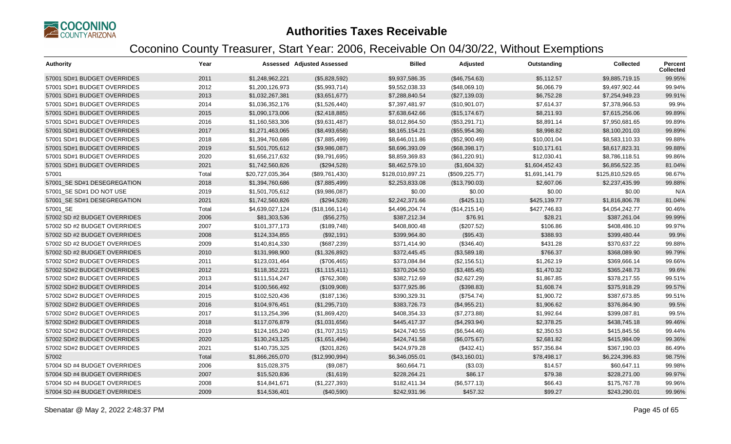

| <b>Authority</b>             | Year  |                  | Assessed Adjusted Assessed | <b>Billed</b>    | Adjusted        | Outstanding    | <b>Collected</b> | <b>Percent</b><br><b>Collected</b> |
|------------------------------|-------|------------------|----------------------------|------------------|-----------------|----------------|------------------|------------------------------------|
| 57001 SD#1 BUDGET OVERRIDES  | 2011  | \$1,248,962,221  | (\$5,828,592)              | \$9,937,586.35   | (\$46,754.63)   | \$5,112.57     | \$9,885,719.15   | 99.95%                             |
| 57001 SD#1 BUDGET OVERRIDES  | 2012  | \$1,200,126,973  | (\$5,993,714)              | \$9,552,038.33   | (\$48,069.10)   | \$6,066.79     | \$9,497,902.44   | 99.94%                             |
| 57001 SD#1 BUDGET OVERRIDES  | 2013  | \$1,032,267,381  | (\$3,651,677)              | \$7,288,840.54   | (\$27,139.03)   | \$6,752.28     | \$7,254,949.23   | 99.91%                             |
| 57001 SD#1 BUDGET OVERRIDES  | 2014  | \$1,036,352,176  | (\$1,526,440)              | \$7,397,481.97   | (\$10,901.07)   | \$7,614.37     | \$7,378,966.53   | 99.9%                              |
| 57001 SD#1 BUDGET OVERRIDES  | 2015  | \$1,090,173,006  | (\$2,418,885)              | \$7,638,642.66   | (\$15, 174.67)  | \$8,211.93     | \$7,615,256.06   | 99.89%                             |
| 57001 SD#1 BUDGET OVERRIDES  | 2016  | \$1,160,583,306  | (\$9,631,487)              | \$8,012,864.50   | (\$53,291.71)   | \$8,891.14     | \$7,950,681.65   | 99.89%                             |
| 57001 SD#1 BUDGET OVERRIDES  | 2017  | \$1,271,463,065  | (\$8,493,658)              | \$8,165,154.21   | (\$55,954.36)   | \$8,998.82     | \$8,100,201.03   | 99.89%                             |
| 57001 SD#1 BUDGET OVERRIDES  | 2018  | \$1,394,760,686  | (\$7,885,499)              | \$8,646,011.86   | (\$52,900.49)   | \$10,001.04    | \$8,583,110.33   | 99.88%                             |
| 57001 SD#1 BUDGET OVERRIDES  | 2019  | \$1,501,705,612  | (\$9,986,087)              | \$8,696,393.09   | (\$68,398.17)   | \$10,171.61    | \$8,617,823.31   | 99.88%                             |
| 57001 SD#1 BUDGET OVERRIDES  | 2020  | \$1,656,217,632  | (\$9,791,695)              | \$8,859,369.83   | (\$61,220.91)   | \$12,030.41    | \$8,786,118.51   | 99.86%                             |
| 57001 SD#1 BUDGET OVERRIDES  | 2021  | \$1,742,560,826  | (\$294,528)                | \$8,462,579.10   | (\$1,604.32)    | \$1,604,452.43 | \$6,856,522.35   | 81.04%                             |
| 57001                        | Total | \$20,727,035,364 | (\$89,761,430)             | \$128,010,897.21 | (\$509, 225.77) | \$1,691,141.79 | \$125,810,529.65 | 98.67%                             |
| 57001_SE SD#1 DESEGREGATION  | 2018  | \$1,394,760,686  | (\$7,885,499)              | \$2,253,833.08   | (\$13,790.03)   | \$2,607.06     | \$2,237,435.99   | 99.88%                             |
| 57001 SE SD#1 DO NOT USE     | 2019  | \$1,501,705,612  | (\$9,986,087)              | \$0.00           | \$0.00          | \$0.00         | \$0.00           | N/A                                |
| 57001_SE SD#1 DESEGREGATION  | 2021  | \$1,742,560,826  | (\$294,528)                | \$2,242,371.66   | (\$425.11)      | \$425,139.77   | \$1,816,806.78   | 81.04%                             |
| 57001_SE                     | Total | \$4,639,027,124  | (\$18,166,114)             | \$4,496,204.74   | (\$14,215.14)   | \$427,746.83   | \$4,054,242.77   | 90.46%                             |
| 57002 SD #2 BUDGET OVERRIDES | 2006  | \$81,303,536     | (\$56,275)                 | \$387,212.34     | \$76.91         | \$28.21        | \$387,261.04     | 99.99%                             |
| 57002 SD #2 BUDGET OVERRIDES | 2007  | \$101,377,173    | (\$189,748)                | \$408,800.48     | (\$207.52)      | \$106.86       | \$408,486.10     | 99.97%                             |
| 57002 SD #2 BUDGET OVERRIDES | 2008  | \$124,334,855    | (\$92,191)                 | \$399,964.80     | (\$95.43)       | \$388.93       | \$399,480.44     | 99.9%                              |
| 57002 SD #2 BUDGET OVERRIDES | 2009  | \$140,814,330    | (\$687,239)                | \$371,414.90     | (\$346.40)      | \$431.28       | \$370,637.22     | 99.88%                             |
| 57002 SD #2 BUDGET OVERRIDES | 2010  | \$131,998,900    | (\$1,326,892)              | \$372,445.45     | (\$3,589.18)    | \$766.37       | \$368,089.90     | 99.79%                             |
| 57002 SD#2 BUDGET OVERRIDES  | 2011  | \$123,031,464    | (\$706,465)                | \$373,084.84     | (\$2,156.51)    | \$1,262.19     | \$369,666.14     | 99.66%                             |
| 57002 SD#2 BUDGET OVERRIDES  | 2012  | \$118,352,221    | (\$1,115,411)              | \$370,204.50     | (\$3,485.45)    | \$1,470.32     | \$365,248.73     | 99.6%                              |
| 57002 SD#2 BUDGET OVERRIDES  | 2013  | \$111,514,247    | (\$762,308)                | \$382,712.69     | (\$2,627.29)    | \$1,867.85     | \$378,217.55     | 99.51%                             |
| 57002 SD#2 BUDGET OVERRIDES  | 2014  | \$100,566,492    | (\$109,908)                | \$377,925.86     | (\$398.83)      | \$1,608.74     | \$375,918.29     | 99.57%                             |
| 57002 SD#2 BUDGET OVERRIDES  | 2015  | \$102,520,436    | (\$187, 136)               | \$390,329.31     | (\$754.74)      | \$1,900.72     | \$387,673.85     | 99.51%                             |
| 57002 SD#2 BUDGET OVERRIDES  | 2016  | \$104,976,451    | (\$1,295,710)              | \$383,726.73     | (\$4,955.21)    | \$1,906.62     | \$376,864.90     | 99.5%                              |
| 57002 SD#2 BUDGET OVERRIDES  | 2017  | \$113,254,396    | (\$1,869,420)              | \$408,354.33     | (\$7,273.88)    | \$1,992.64     | \$399,087.81     | 99.5%                              |
| 57002 SD#2 BUDGET OVERRIDES  | 2018  | \$117,076,879    | (\$1,031,656)              | \$445,417.37     | (\$4,293.94)    | \$2,378.25     | \$438,745.18     | 99.46%                             |
| 57002 SD#2 BUDGET OVERRIDES  | 2019  | \$124,165,240    | (\$1,707,315)              | \$424,740.55     | (\$6,544.46)    | \$2,350.53     | \$415,845.56     | 99.44%                             |
| 57002 SD#2 BUDGET OVERRIDES  | 2020  | \$130,243,125    | (\$1,651,494)              | \$424,741.58     | (\$6,075.67)    | \$2,681.82     | \$415,984.09     | 99.36%                             |
| 57002 SD#2 BUDGET OVERRIDES  | 2021  | \$140,735,325    | (\$201, 826)               | \$424,979.28     | (\$432.41)      | \$57,356.84    | \$367,190.03     | 86.49%                             |
| 57002                        | Total | \$1,866,265,070  | (\$12,990,994)             | \$6,346,055.01   | (\$43,160.01)   | \$78,498.17    | \$6,224,396.83   | 98.75%                             |
| 57004 SD #4 BUDGET OVERRIDES | 2006  | \$15,028,375     | (\$9,087)                  | \$60,664.71      | (\$3.03)        | \$14.57        | \$60,647.11      | 99.98%                             |
| 57004 SD #4 BUDGET OVERRIDES | 2007  | \$15,520,836     | (\$1,619)                  | \$228,264.21     | \$86.17         | \$79.38        | \$228,271.00     | 99.97%                             |
| 57004 SD #4 BUDGET OVERRIDES | 2008  | \$14,841,671     | (\$1,227,393)              | \$182,411.34     | (\$6,577.13)    | \$66.43        | \$175,767.78     | 99.96%                             |
| 57004 SD #4 BUDGET OVERRIDES | 2009  | \$14,536,401     | (\$40,590)                 | \$242,931.96     | \$457.32        | \$99.27        | \$243,290.01     | 99.96%                             |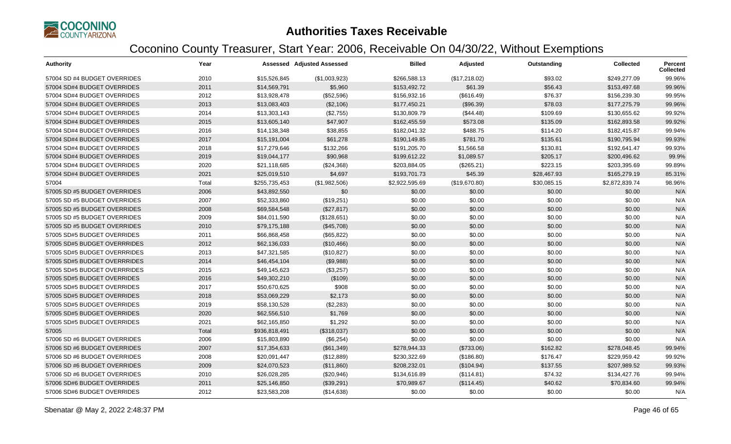

| <b>Authority</b>             | Year  |               | <b>Assessed Adjusted Assessed</b> | <b>Billed</b>  | Adjusted      | Outstanding | <b>Collected</b> | <b>Percent</b><br><b>Collected</b> |
|------------------------------|-------|---------------|-----------------------------------|----------------|---------------|-------------|------------------|------------------------------------|
| 57004 SD #4 BUDGET OVERRIDES | 2010  | \$15,526,845  | (\$1,003,923)                     | \$266,588.13   | (\$17,218.02) | \$93.02     | \$249.277.09     | 99.96%                             |
| 57004 SD#4 BUDGET OVERRIDES  | 2011  | \$14,569,791  | \$5,960                           | \$153,492.72   | \$61.39       | \$56.43     | \$153,497.68     | 99.96%                             |
| 57004 SD#4 BUDGET OVERRIDES  | 2012  | \$13,928,478  | (\$52,596)                        | \$156,932.16   | (\$616.49)    | \$76.37     | \$156,239.30     | 99.95%                             |
| 57004 SD#4 BUDGET OVERRIDES  | 2013  | \$13,083,403  | (\$2,106)                         | \$177,450.21   | (\$96.39)     | \$78.03     | \$177,275.79     | 99.96%                             |
| 57004 SD#4 BUDGET OVERRIDES  | 2014  | \$13,303,143  | (\$2,755)                         | \$130,809.79   | (\$44.48)     | \$109.69    | \$130,655.62     | 99.92%                             |
| 57004 SD#4 BUDGET OVERRIDES  | 2015  | \$13,605,140  | \$47,907                          | \$162,455.59   | \$573.08      | \$135.09    | \$162,893.58     | 99.92%                             |
| 57004 SD#4 BUDGET OVERRIDES  | 2016  | \$14,138,348  | \$38,855                          | \$182,041.32   | \$488.75      | \$114.20    | \$182,415.87     | 99.94%                             |
| 57004 SD#4 BUDGET OVERRIDES  | 2017  | \$15,191,004  | \$61,278                          | \$190,149.85   | \$781.70      | \$135.61    | \$190,795.94     | 99.93%                             |
| 57004 SD#4 BUDGET OVERRIDES  | 2018  | \$17,279,646  | \$132,266                         | \$191,205.70   | \$1,566.58    | \$130.81    | \$192,641.47     | 99.93%                             |
| 57004 SD#4 BUDGET OVERRIDES  | 2019  | \$19,044,177  | \$90,968                          | \$199,612.22   | \$1,089.57    | \$205.17    | \$200,496.62     | 99.9%                              |
| 57004 SD#4 BUDGET OVERRIDES  | 2020  | \$21,118,685  | (\$24,368)                        | \$203,884.05   | (\$265.21)    | \$223.15    | \$203,395.69     | 99.89%                             |
| 57004 SD#4 BUDGET OVERRIDES  | 2021  | \$25,019,510  | \$4,697                           | \$193,701.73   | \$45.39       | \$28,467.93 | \$165,279.19     | 85.31%                             |
| 57004                        | Total | \$255,735,453 | (\$1,982,506)                     | \$2,922,595.69 | (\$19,670.80) | \$30,085.15 | \$2,872,839.74   | 98.96%                             |
| 57005 SD #5 BUDGET OVERRIDES | 2006  | \$43,892,550  | \$0                               | \$0.00         | \$0.00        | \$0.00      | \$0.00           | N/A                                |
| 57005 SD #5 BUDGET OVERRIDES | 2007  | \$52,333,860  | (\$19,251)                        | \$0.00         | \$0.00        | \$0.00      | \$0.00           | N/A                                |
| 57005 SD #5 BUDGET OVERRIDES | 2008  | \$69,584,548  | (\$27,817)                        | \$0.00         | \$0.00        | \$0.00      | \$0.00           | N/A                                |
| 57005 SD #5 BUDGET OVERRIDES | 2009  | \$84,011,590  | (\$128,651)                       | \$0.00         | \$0.00        | \$0.00      | \$0.00           | N/A                                |
| 57005 SD #5 BUDGET OVERRIDES | 2010  | \$79,175,188  | (\$45,708)                        | \$0.00         | \$0.00        | \$0.00      | \$0.00           | N/A                                |
| 57005 SD#5 BUDGET OVERRIDES  | 2011  | \$66,868,458  | (\$65,822)                        | \$0.00         | \$0.00        | \$0.00      | \$0.00           | N/A                                |
| 57005 SD#5 BUDGET OVERRRIDES | 2012  | \$62,136,033  | (\$10,466)                        | \$0.00         | \$0.00        | \$0.00      | \$0.00           | N/A                                |
| 57005 SD#5 BUDGET OVERRRIDES | 2013  | \$47,321,585  | (\$10,827)                        | \$0.00         | \$0.00        | \$0.00      | \$0.00           | N/A                                |
| 57005 SD#5 BUDGET OVERRRIDES | 2014  | \$46,454,104  | (\$9,988)                         | \$0.00         | \$0.00        | \$0.00      | \$0.00           | N/A                                |
| 57005 SD#5 BUDGET OVERRRIDES | 2015  | \$49,145,623  | (\$3,257)                         | \$0.00         | \$0.00        | \$0.00      | \$0.00           | N/A                                |
| 57005 SD#5 BUDGET OVERRIDES  | 2016  | \$49,302,210  | (\$109)                           | \$0.00         | \$0.00        | \$0.00      | \$0.00           | N/A                                |
| 57005 SD#5 BUDGET OVERRIDES  | 2017  | \$50,670,625  | \$908                             | \$0.00         | \$0.00        | \$0.00      | \$0.00           | N/A                                |
| 57005 SD#5 BUDGET OVERRIDES  | 2018  | \$53,069,229  | \$2,173                           | \$0.00         | \$0.00        | \$0.00      | \$0.00           | N/A                                |
| 57005 SD#5 BUDGET OVERRIDES  | 2019  | \$58,130,528  | (\$2,283)                         | \$0.00         | \$0.00        | \$0.00      | \$0.00           | N/A                                |
| 57005 SD#5 BUDGET OVERRIDES  | 2020  | \$62,556,510  | \$1,769                           | \$0.00         | \$0.00        | \$0.00      | \$0.00           | N/A                                |
| 57005 SD#5 BUDGET OVERRIDES  | 2021  | \$62,165,850  | \$1,292                           | \$0.00         | \$0.00        | \$0.00      | \$0.00           | N/A                                |
| 57005                        | Total | \$936,818,491 | (\$318,037)                       | \$0.00         | \$0.00        | \$0.00      | \$0.00           | N/A                                |
| 57006 SD #6 BUDGET OVERRIDES | 2006  | \$15,803,890  | (\$6,254)                         | \$0.00         | \$0.00        | \$0.00      | \$0.00           | N/A                                |
| 57006 SD #6 BUDGET OVERRIDES | 2007  | \$17,354,633  | (\$61,349)                        | \$278,944.33   | (\$733.06)    | \$162.82    | \$278,048.45     | 99.94%                             |
| 57006 SD #6 BUDGET OVERRIDES | 2008  | \$20,091,447  | (\$12,889)                        | \$230,322.69   | (\$186.80)    | \$176.47    | \$229,959.42     | 99.92%                             |
| 57006 SD #6 BUDGET OVERRIDES | 2009  | \$24,070,523  | (\$11,860)                        | \$208,232.01   | (\$104.94)    | \$137.55    | \$207,989.52     | 99.93%                             |
| 57006 SD #6 BUDGET OVERRIDES | 2010  | \$26,028,285  | (\$20,946)                        | \$134,616.89   | (\$114.81)    | \$74.32     | \$134,427.76     | 99.94%                             |
| 57006 SD#6 BUDGET OVERRIDES  | 2011  | \$25,146,850  | (\$39,291)                        | \$70,989.67    | (\$114.45)    | \$40.62     | \$70,834.60      | 99.94%                             |
| 57006 SD#6 BUDGET OVERRIDES  | 2012  | \$23,583,208  | (\$14,638)                        | \$0.00         | \$0.00        | \$0.00      | \$0.00           | N/A                                |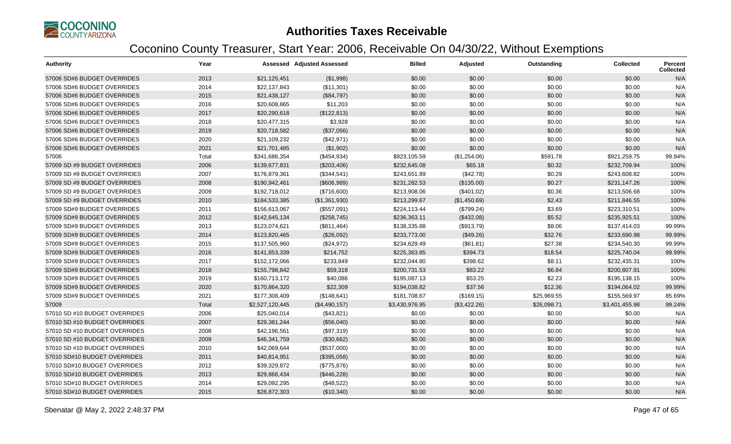

| <b>Authority</b>              | Year  |                 | Assessed Adjusted Assessed | <b>Billed</b>  | <b>Adjusted</b> | Outstanding | <b>Collected</b> | <b>Percent</b><br><b>Collected</b> |
|-------------------------------|-------|-----------------|----------------------------|----------------|-----------------|-------------|------------------|------------------------------------|
| 57006 SD#6 BUDGET OVERRIDES   | 2013  | \$21,125,451    | (\$1,998)                  | \$0.00         | \$0.00          | \$0.00      | \$0.00           | N/A                                |
| 57006 SD#6 BUDGET OVERRIDES   | 2014  | \$22,137,843    | (\$11,301)                 | \$0.00         | \$0.00          | \$0.00      | \$0.00           | N/A                                |
| 57006 SD#6 BUDGET OVERRIDES   | 2015  | \$21,438,127    | (\$84,797)                 | \$0.00         | \$0.00          | \$0.00      | \$0.00           | N/A                                |
| 57006 SD#6 BUDGET OVERRIDES   | 2016  | \$20,608,865    | \$11,203                   | \$0.00         | \$0.00          | \$0.00      | \$0.00           | N/A                                |
| 57006 SD#6 BUDGET OVERRIDES   | 2017  | \$20,290,618    | (\$122,813)                | \$0.00         | \$0.00          | \$0.00      | \$0.00           | N/A                                |
| 57006 SD#6 BUDGET OVERRIDES   | 2018  | \$20,477,315    | \$3,928                    | \$0.00         | \$0.00          | \$0.00      | \$0.00           | N/A                                |
| 57006 SD#6 BUDGET OVERRIDES   | 2019  | \$20,718,582    | (\$37,056)                 | \$0.00         | \$0.00          | \$0.00      | \$0.00           | N/A                                |
| 57006 SD#6 BUDGET OVERRIDES   | 2020  | \$21,109,232    | (\$42,971)                 | \$0.00         | \$0.00          | \$0.00      | \$0.00           | N/A                                |
| 57006 SD#6 BUDGET OVERRIDES   | 2021  | \$21,701,485    | (\$1,902)                  | \$0.00         | \$0.00          | \$0.00      | \$0.00           | N/A                                |
| 57006                         | Total | \$341,686,354   | (\$454,934)                | \$923,105.59   | (\$1,254.06)    | \$591.78    | \$921,259.75     | 99.94%                             |
| 57009 SD #9 BUDGET OVERRIDES  | 2006  | \$139,677,831   | (\$203,406)                | \$232,645.08   | \$65.18         | \$0.32      | \$232,709.94     | 100%                               |
| 57009 SD #9 BUDGET OVERRIDES  | 2007  | \$176,879,361   | (\$344,541)                | \$243,651.89   | (\$42.78)       | \$0.29      | \$243,608.82     | 100%                               |
| 57009 SD #9 BUDGET OVERRIDES  | 2008  | \$190,942,461   | (\$606,989)                | \$231,282.53   | (\$135.00)      | \$0.27      | \$231,147.26     | 100%                               |
| 57009 SD #9 BUDGET OVERRIDES  | 2009  | \$192,718,012   | (\$716,600)                | \$213,908.06   | (\$401.02)      | \$0.36      | \$213,506.68     | 100%                               |
| 57009 SD #9 BUDGET OVERRIDES  | 2010  | \$184,533,385   | (\$1,361,930)              | \$213,299.67   | (\$1,450.69)    | \$2.43      | \$211,846.55     | 100%                               |
| 57009 SD#9 BUDGET OVERRIDES   | 2011  | \$156,613,067   | (\$557,091)                | \$224,113.44   | (\$799.24)      | \$3.69      | \$223,310.51     | 100%                               |
| 57009 SD#9 BUDGET OVERRIDES   | 2012  | \$142,645,134   | (\$258,745)                | \$236,363.11   | (\$432.08)      | \$5.52      | \$235,925.51     | 100%                               |
| 57009 SD#9 BUDGET OVERRIDES   | 2013  | \$123,074,621   | (\$811,464)                | \$138,335.88   | (\$913.79)      | \$8.06      | \$137,414.03     | 99.99%                             |
| 57009 SD#9 BUDGET OVERRIDES   | 2014  | \$123,820,465   | (\$26,092)                 | \$233,773.00   | (\$49.26)       | \$32.76     | \$233,690.98     | 99.99%                             |
| 57009 SD#9 BUDGET OVERRIDES   | 2015  | \$137,505,960   | (\$24,972)                 | \$234,629.49   | (\$61.81)       | \$27.38     | \$234,540.30     | 99.99%                             |
| 57009 SD#9 BUDGET OVERRIDES   | 2016  | \$141,853,339   | \$214,752                  | \$225,363.85   | \$394.73        | \$18.54     | \$225,740.04     | 99.99%                             |
| 57009 SD#9 BUDGET OVERRIDES   | 2017  | \$152,172,066   | \$233,849                  | \$232,044.80   | \$398.62        | \$8.11      | \$232,435.31     | 100%                               |
| 57009 SD#9 BUDGET OVERRIDES   | 2018  | \$155,798,842   | \$59,318                   | \$200,731.53   | \$83.22         | \$6.84      | \$200,807.91     | 100%                               |
| 57009 SD#9 BUDGET OVERRIDES   | 2019  | \$160,713,172   | \$40,086                   | \$195,087.13   | \$53.25         | \$2.23      | \$195,138.15     | 100%                               |
| 57009 SD#9 BUDGET OVERRIDES   | 2020  | \$170,864,320   | \$22,309                   | \$194,038.82   | \$37.56         | \$12.36     | \$194,064.02     | 99.99%                             |
| 57009 SD#9 BUDGET OVERRIDES   | 2021  | \$177,308,409   | (\$148,641)                | \$181,708.67   | (\$169.15)      | \$25,969.55 | \$155,569.97     | 85.69%                             |
| 57009                         | Total | \$2,527,120,445 | (\$4,490,157)              | \$3,430,976.95 | (\$3,422.26)    | \$26,098.71 | \$3,401,455.98   | 99.24%                             |
| 57010 SD #10 BUDGET OVERRIDES | 2006  | \$25,040,014    | (\$43,821)                 | \$0.00         | \$0.00          | \$0.00      | \$0.00           | N/A                                |
| 57010 SD #10 BUDGET OVERRIDES | 2007  | \$29,381,244    | (\$56,040)                 | \$0.00         | \$0.00          | \$0.00      | \$0.00           | N/A                                |
| 57010 SD #10 BUDGET OVERRIDES | 2008  | \$42,196,561    | (\$97,319)                 | \$0.00         | \$0.00          | \$0.00      | \$0.00           | N/A                                |
| 57010 SD #10 BUDGET OVERRIDES | 2009  | \$46,341,759    | (\$30,662)                 | \$0.00         | \$0.00          | \$0.00      | \$0.00           | N/A                                |
| 57010 SD #10 BUDGET OVERRIDES | 2010  | \$42,069,644    | (\$537,000)                | \$0.00         | \$0.00          | \$0.00      | \$0.00           | N/A                                |
| 57010 SD#10 BUDGET OVERRIDES  | 2011  | \$40,814,951    | (\$395,058)                | \$0.00         | \$0.00          | \$0.00      | \$0.00           | N/A                                |
| 57010 SD#10 BUDGET OVERRIDES  | 2012  | \$39,329,872    | (\$775,876)                | \$0.00         | \$0.00          | \$0.00      | \$0.00           | N/A                                |
| 57010 SD#10 BUDGET OVERRIDES  | 2013  | \$29,866,434    | (\$446,228)                | \$0.00         | \$0.00          | \$0.00      | \$0.00           | N/A                                |
| 57010 SD#10 BUDGET OVERRIDES  | 2014  | \$29,092,295    | (\$48,522)                 | \$0.00         | \$0.00          | \$0.00      | \$0.00           | N/A                                |
| 57010 SD#10 BUDGET OVERRIDES  | 2015  | \$28,872,303    | (\$10,340)                 | \$0.00         | \$0.00          | \$0.00      | \$0.00           | N/A                                |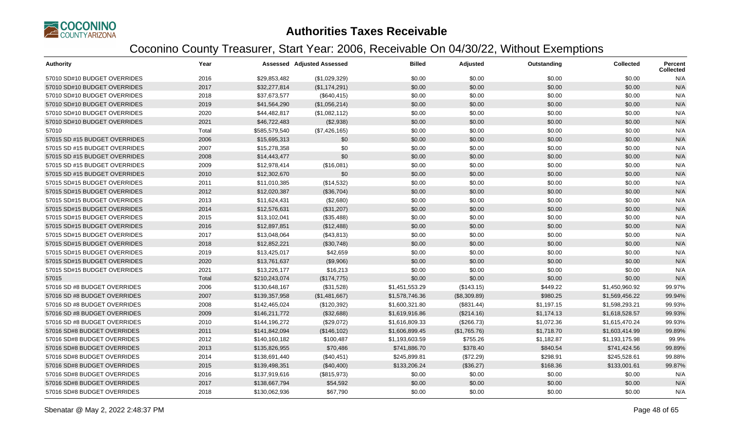

| <b>Authority</b>              | Year  |               | <b>Assessed Adjusted Assessed</b> | <b>Billed</b>  | Adjusted     | Outstanding | <b>Collected</b> | Percent<br><b>Collected</b> |
|-------------------------------|-------|---------------|-----------------------------------|----------------|--------------|-------------|------------------|-----------------------------|
| 57010 SD#10 BUDGET OVERRIDES  | 2016  | \$29,853,482  | (\$1,029,329)                     | \$0.00         | \$0.00       | \$0.00      | \$0.00           | N/A                         |
| 57010 SD#10 BUDGET OVERRIDES  | 2017  | \$32,277,814  | (\$1,174,291)                     | \$0.00         | \$0.00       | \$0.00      | \$0.00           | N/A                         |
| 57010 SD#10 BUDGET OVERRIDES  | 2018  | \$37,673,577  | (\$640, 415)                      | \$0.00         | \$0.00       | \$0.00      | \$0.00           | N/A                         |
| 57010 SD#10 BUDGET OVERRIDES  | 2019  | \$41,564,290  | (\$1,056,214)                     | \$0.00         | \$0.00       | \$0.00      | \$0.00           | N/A                         |
| 57010 SD#10 BUDGET OVERRIDES  | 2020  | \$44,482,817  | (\$1,082,112)                     | \$0.00         | \$0.00       | \$0.00      | \$0.00           | N/A                         |
| 57010 SD#10 BUDGET OVERRIDES  | 2021  | \$46,722,483  | (\$2,938)                         | \$0.00         | \$0.00       | \$0.00      | \$0.00           | N/A                         |
| 57010                         | Total | \$585,579,540 | (\$7,426,165)                     | \$0.00         | \$0.00       | \$0.00      | \$0.00           | N/A                         |
| 57015 SD #15 BUDGET OVERRIDES | 2006  | \$15,695,313  | \$0                               | \$0.00         | \$0.00       | \$0.00      | \$0.00           | N/A                         |
| 57015 SD #15 BUDGET OVERRIDES | 2007  | \$15,278,358  | \$0                               | \$0.00         | \$0.00       | \$0.00      | \$0.00           | N/A                         |
| 57015 SD #15 BUDGET OVERRIDES | 2008  | \$14,443,477  | \$0                               | \$0.00         | \$0.00       | \$0.00      | \$0.00           | N/A                         |
| 57015 SD #15 BUDGET OVERRIDES | 2009  | \$12,978,414  | (\$16,081)                        | \$0.00         | \$0.00       | \$0.00      | \$0.00           | N/A                         |
| 57015 SD #15 BUDGET OVERRIDES | 2010  | \$12,302,670  | \$0                               | \$0.00         | \$0.00       | \$0.00      | \$0.00           | N/A                         |
| 57015 SD#15 BUDGET OVERRIDES  | 2011  | \$11,010,385  | (\$14,532)                        | \$0.00         | \$0.00       | \$0.00      | \$0.00           | N/A                         |
| 57015 SD#15 BUDGET OVERRIDES  | 2012  | \$12,020,387  | (\$36,704)                        | \$0.00         | \$0.00       | \$0.00      | \$0.00           | N/A                         |
| 57015 SD#15 BUDGET OVERRIDES  | 2013  | \$11,624,431  | (\$2,680)                         | \$0.00         | \$0.00       | \$0.00      | \$0.00           | N/A                         |
| 57015 SD#15 BUDGET OVERRIDES  | 2014  | \$12,576,631  | (\$31,207)                        | \$0.00         | \$0.00       | \$0.00      | \$0.00           | N/A                         |
| 57015 SD#15 BUDGET OVERRIDES  | 2015  | \$13,102,041  | (\$35,488)                        | \$0.00         | \$0.00       | \$0.00      | \$0.00           | N/A                         |
| 57015 SD#15 BUDGET OVERRIDES  | 2016  | \$12,897,851  | (\$12,488)                        | \$0.00         | \$0.00       | \$0.00      | \$0.00           | N/A                         |
| 57015 SD#15 BUDGET OVERRIDES  | 2017  | \$13,048,064  | (\$43,813)                        | \$0.00         | \$0.00       | \$0.00      | \$0.00           | N/A                         |
| 57015 SD#15 BUDGET OVERRIDES  | 2018  | \$12,852,221  | (\$30,748)                        | \$0.00         | \$0.00       | \$0.00      | \$0.00           | N/A                         |
| 57015 SD#15 BUDGET OVERRIDES  | 2019  | \$13,425,017  | \$42,659                          | \$0.00         | \$0.00       | \$0.00      | \$0.00           | N/A                         |
| 57015 SD#15 BUDGET OVERRIDES  | 2020  | \$13,761,637  | (\$9,906)                         | \$0.00         | \$0.00       | \$0.00      | \$0.00           | N/A                         |
| 57015 SD#15 BUDGET OVERRIDES  | 2021  | \$13,226,177  | \$16,213                          | \$0.00         | \$0.00       | \$0.00      | \$0.00           | N/A                         |
| 57015                         | Total | \$210,243,074 | (\$174,775)                       | \$0.00         | \$0.00       | \$0.00      | \$0.00           | N/A                         |
| 57016 SD #8 BUDGET OVERRIDES  | 2006  | \$130,648,167 | (\$31,528)                        | \$1,451,553.29 | (\$143.15)   | \$449.22    | \$1,450,960.92   | 99.97%                      |
| 57016 SD #8 BUDGET OVERRIDES  | 2007  | \$139,357,958 | (\$1,481,667)                     | \$1,578,746.36 | (\$8,309.89) | \$980.25    | \$1,569,456.22   | 99.94%                      |
| 57016 SD #8 BUDGET OVERRIDES  | 2008  | \$142,465,024 | (\$120,392)                       | \$1,600,321.80 | (\$831.44)   | \$1,197.15  | \$1,598,293.21   | 99.93%                      |
| 57016 SD #8 BUDGET OVERRIDES  | 2009  | \$146,211,772 | (\$32,688)                        | \$1,619,916.86 | (\$214.16)   | \$1,174.13  | \$1,618,528.57   | 99.93%                      |
| 57016 SD #8 BUDGET OVERRIDES  | 2010  | \$144,196,272 | (\$29,072)                        | \$1,616,809.33 | (\$266.73)   | \$1,072.36  | \$1,615,470.24   | 99.93%                      |
| 57016 SD#8 BUDGET OVERRIDES   | 2011  | \$141,842,094 | (\$146, 102)                      | \$1,606,899.45 | (\$1,765.76) | \$1,718.70  | \$1,603,414.99   | 99.89%                      |
| 57016 SD#8 BUDGET OVERRIDES   | 2012  | \$140,160,182 | \$100,487                         | \$1,193,603.59 | \$755.26     | \$1,182.87  | \$1,193,175.98   | 99.9%                       |
| 57016 SD#8 BUDGET OVERRIDES   | 2013  | \$135,826,955 | \$70,486                          | \$741,886.70   | \$378.40     | \$840.54    | \$741,424.56     | 99.89%                      |
| 57016 SD#8 BUDGET OVERRIDES   | 2014  | \$138,691,440 | (\$40,451)                        | \$245,899.81   | (\$72.29)    | \$298.91    | \$245,528.61     | 99.88%                      |
| 57016 SD#8 BUDGET OVERRIDES   | 2015  | \$139,498,351 | (\$40,400)                        | \$133,206.24   | (\$36.27)    | \$168.36    | \$133,001.61     | 99.87%                      |
| 57016 SD#8 BUDGET OVERRIDES   | 2016  | \$137,919,616 | (\$815,973)                       | \$0.00         | \$0.00       | \$0.00      | \$0.00           | N/A                         |
| 57016 SD#8 BUDGET OVERRIDES   | 2017  | \$138,667,794 | \$54,592                          | \$0.00         | \$0.00       | \$0.00      | \$0.00           | N/A                         |
| 57016 SD#8 BUDGET OVERRIDES   | 2018  | \$130,062,936 | \$67,790                          | \$0.00         | \$0.00       | \$0.00      | \$0.00           | N/A                         |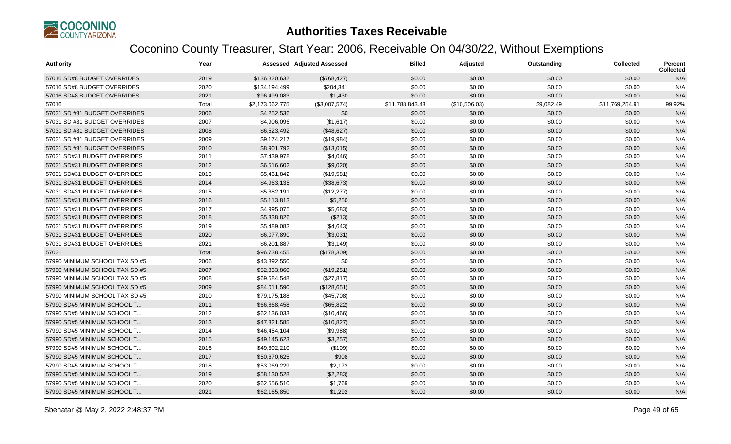

| <b>Authority</b>               | Year  |                 | <b>Assessed Adjusted Assessed</b> | <b>Billed</b>   | Adjusted      | Outstanding | <b>Collected</b> | Percent<br><b>Collected</b> |
|--------------------------------|-------|-----------------|-----------------------------------|-----------------|---------------|-------------|------------------|-----------------------------|
| 57016 SD#8 BUDGET OVERRIDES    | 2019  | \$136,820,632   | (\$768,427)                       | \$0.00          | \$0.00        | \$0.00      | \$0.00           | N/A                         |
| 57016 SD#8 BUDGET OVERRIDES    | 2020  | \$134,194,499   | \$204,341                         | \$0.00          | \$0.00        | \$0.00      | \$0.00           | N/A                         |
| 57016 SD#8 BUDGET OVERRIDES    | 2021  | \$96,499,083    | \$1,430                           | \$0.00          | \$0.00        | \$0.00      | \$0.00           | N/A                         |
| 57016                          | Total | \$2,173,062,775 | (\$3,007,574)                     | \$11,788,843.43 | (\$10,506.03) | \$9,082.49  | \$11,769,254.91  | 99.92%                      |
| 57031 SD #31 BUDGET OVERRIDES  | 2006  | \$4,252,536     | \$0                               | \$0.00          | \$0.00        | \$0.00      | \$0.00           | N/A                         |
| 57031 SD #31 BUDGET OVERRIDES  | 2007  | \$4,906,096     | (\$1,617)                         | \$0.00          | \$0.00        | \$0.00      | \$0.00           | N/A                         |
| 57031 SD #31 BUDGET OVERRIDES  | 2008  | \$6,523,492     | (\$48,627)                        | \$0.00          | \$0.00        | \$0.00      | \$0.00           | N/A                         |
| 57031 SD #31 BUDGET OVERRIDES  | 2009  | \$9,174,217     | (\$19,984)                        | \$0.00          | \$0.00        | \$0.00      | \$0.00           | N/A                         |
| 57031 SD #31 BUDGET OVERRIDES  | 2010  | \$8,901,792     | (\$13,015)                        | \$0.00          | \$0.00        | \$0.00      | \$0.00           | N/A                         |
| 57031 SD#31 BUDGET OVERRIDES   | 2011  | \$7,439,978     | (\$4,046)                         | \$0.00          | \$0.00        | \$0.00      | \$0.00           | N/A                         |
| 57031 SD#31 BUDGET OVERRIDES   | 2012  | \$6,516,602     | (\$9,020)                         | \$0.00          | \$0.00        | \$0.00      | \$0.00           | N/A                         |
| 57031 SD#31 BUDGET OVERRIDES   | 2013  | \$5,461,842     | (\$19,581)                        | \$0.00          | \$0.00        | \$0.00      | \$0.00           | N/A                         |
| 57031 SD#31 BUDGET OVERRIDES   | 2014  | \$4,963,135     | (\$38,673)                        | \$0.00          | \$0.00        | \$0.00      | \$0.00           | N/A                         |
| 57031 SD#31 BUDGET OVERRIDES   | 2015  | \$5,382,191     | (\$12,277)                        | \$0.00          | \$0.00        | \$0.00      | \$0.00           | N/A                         |
| 57031 SD#31 BUDGET OVERRIDES   | 2016  | \$5,113,813     | \$5,250                           | \$0.00          | \$0.00        | \$0.00      | \$0.00           | N/A                         |
| 57031 SD#31 BUDGET OVERRIDES   | 2017  | \$4,995,075     | (\$5,683)                         | \$0.00          | \$0.00        | \$0.00      | \$0.00           | N/A                         |
| 57031 SD#31 BUDGET OVERRIDES   | 2018  | \$5,338,826     | (\$213)                           | \$0.00          | \$0.00        | \$0.00      | \$0.00           | N/A                         |
| 57031 SD#31 BUDGET OVERRIDES   | 2019  | \$5,489,083     | (\$4,643)                         | \$0.00          | \$0.00        | \$0.00      | \$0.00           | N/A                         |
| 57031 SD#31 BUDGET OVERRIDES   | 2020  | \$6,077,890     | (\$3,031)                         | \$0.00          | \$0.00        | \$0.00      | \$0.00           | N/A                         |
| 57031 SD#31 BUDGET OVERRIDES   | 2021  | \$6,201,887     | ( \$3,149)                        | \$0.00          | \$0.00        | \$0.00      | \$0.00           | N/A                         |
| 57031                          | Total | \$96,738,455    | (\$178,309)                       | \$0.00          | \$0.00        | \$0.00      | \$0.00           | N/A                         |
| 57990 MINIMUM SCHOOL TAX SD #5 | 2006  | \$43,892,550    | \$0                               | \$0.00          | \$0.00        | \$0.00      | \$0.00           | N/A                         |
| 57990 MINIMUM SCHOOL TAX SD #5 | 2007  | \$52,333,860    | (\$19,251)                        | \$0.00          | \$0.00        | \$0.00      | \$0.00           | N/A                         |
| 57990 MINIMUM SCHOOL TAX SD #5 | 2008  | \$69,584,548    | (\$27,817)                        | \$0.00          | \$0.00        | \$0.00      | \$0.00           | N/A                         |
| 57990 MINIMUM SCHOOL TAX SD #5 | 2009  | \$84,011,590    | (\$128,651)                       | \$0.00          | \$0.00        | \$0.00      | \$0.00           | N/A                         |
| 57990 MINIMUM SCHOOL TAX SD #5 | 2010  | \$79,175,188    | (\$45,708)                        | \$0.00          | \$0.00        | \$0.00      | \$0.00           | N/A                         |
| 57990 SD#5 MINIMUM SCHOOL T    | 2011  | \$66,868,458    | (\$65, 822)                       | \$0.00          | \$0.00        | \$0.00      | \$0.00           | N/A                         |
| 57990 SD#5 MINIMUM SCHOOL T    | 2012  | \$62,136,033    | (\$10,466)                        | \$0.00          | \$0.00        | \$0.00      | \$0.00           | N/A                         |
| 57990 SD#5 MINIMUM SCHOOL T    | 2013  | \$47,321,585    | (\$10,827)                        | \$0.00          | \$0.00        | \$0.00      | \$0.00           | N/A                         |
| 57990 SD#5 MINIMUM SCHOOL T    | 2014  | \$46,454,104    | (\$9,988)                         | \$0.00          | \$0.00        | \$0.00      | \$0.00           | N/A                         |
| 57990 SD#5 MINIMUM SCHOOL T    | 2015  | \$49,145,623    | (\$3,257)                         | \$0.00          | \$0.00        | \$0.00      | \$0.00           | N/A                         |
| 57990 SD#5 MINIMUM SCHOOL T    | 2016  | \$49,302,210    | (\$109)                           | \$0.00          | \$0.00        | \$0.00      | \$0.00           | N/A                         |
| 57990 SD#5 MINIMUM SCHOOL T    | 2017  | \$50,670,625    | \$908                             | \$0.00          | \$0.00        | \$0.00      | \$0.00           | N/A                         |
| 57990 SD#5 MINIMUM SCHOOL T    | 2018  | \$53,069,229    | \$2,173                           | \$0.00          | \$0.00        | \$0.00      | \$0.00           | N/A                         |
| 57990 SD#5 MINIMUM SCHOOL T    | 2019  | \$58,130,528    | (\$2,283)                         | \$0.00          | \$0.00        | \$0.00      | \$0.00           | N/A                         |
| 57990 SD#5 MINIMUM SCHOOL T    | 2020  | \$62,556,510    | \$1,769                           | \$0.00          | \$0.00        | \$0.00      | \$0.00           | N/A                         |
| 57990 SD#5 MINIMUM SCHOOL T    | 2021  | \$62,165,850    | \$1,292                           | \$0.00          | \$0.00        | \$0.00      | \$0.00           | N/A                         |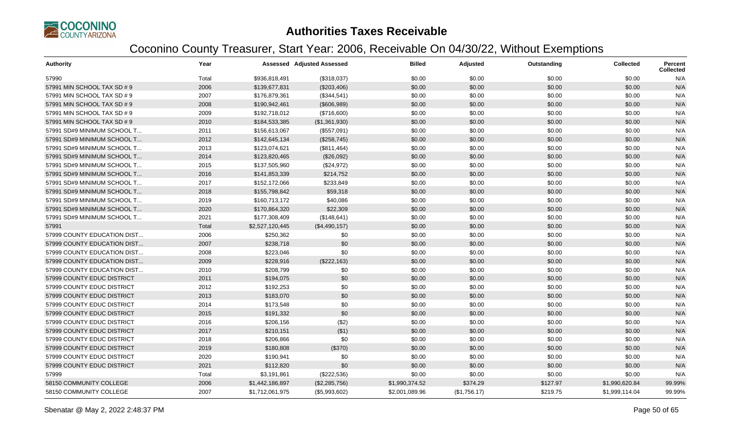

| <b>Authority</b>            | Year  |                 | <b>Assessed Adjusted Assessed</b> | <b>Billed</b>  | Adjusted     | Outstanding | <b>Collected</b> | <b>Percent</b><br><b>Collected</b> |
|-----------------------------|-------|-----------------|-----------------------------------|----------------|--------------|-------------|------------------|------------------------------------|
| 57990                       | Total | \$936,818,491   | (\$318,037)                       | \$0.00         | \$0.00       | \$0.00      | \$0.00           | N/A                                |
| 57991 MIN SCHOOL TAX SD # 9 | 2006  | \$139,677,831   | (\$203,406)                       | \$0.00         | \$0.00       | \$0.00      | \$0.00           | N/A                                |
| 57991 MIN SCHOOL TAX SD # 9 | 2007  | \$176,879,361   | (\$344,541)                       | \$0.00         | \$0.00       | \$0.00      | \$0.00           | N/A                                |
| 57991 MIN SCHOOL TAX SD # 9 | 2008  | \$190,942,461   | (\$606,989)                       | \$0.00         | \$0.00       | \$0.00      | \$0.00           | N/A                                |
| 57991 MIN SCHOOL TAX SD # 9 | 2009  | \$192,718,012   | (\$716,600)                       | \$0.00         | \$0.00       | \$0.00      | \$0.00           | N/A                                |
| 57991 MIN SCHOOL TAX SD # 9 | 2010  | \$184,533,385   | (\$1,361,930)                     | \$0.00         | \$0.00       | \$0.00      | \$0.00           | N/A                                |
| 57991 SD#9 MINIMUM SCHOOL T | 2011  | \$156,613,067   | (\$557,091)                       | \$0.00         | \$0.00       | \$0.00      | \$0.00           | N/A                                |
| 57991 SD#9 MINIMUM SCHOOL T | 2012  | \$142,645,134   | (\$258,745)                       | \$0.00         | \$0.00       | \$0.00      | \$0.00           | N/A                                |
| 57991 SD#9 MINIMUM SCHOOL T | 2013  | \$123,074,621   | (\$811,464)                       | \$0.00         | \$0.00       | \$0.00      | \$0.00           | N/A                                |
| 57991 SD#9 MINIMUM SCHOOL T | 2014  | \$123,820,465   | (\$26,092)                        | \$0.00         | \$0.00       | \$0.00      | \$0.00           | N/A                                |
| 57991 SD#9 MINIMUM SCHOOL T | 2015  | \$137,505,960   | (\$24,972)                        | \$0.00         | \$0.00       | \$0.00      | \$0.00           | N/A                                |
| 57991 SD#9 MINIMUM SCHOOL T | 2016  | \$141,853,339   | \$214,752                         | \$0.00         | \$0.00       | \$0.00      | \$0.00           | N/A                                |
| 57991 SD#9 MINIMUM SCHOOL T | 2017  | \$152,172,066   | \$233,849                         | \$0.00         | \$0.00       | \$0.00      | \$0.00           | N/A                                |
| 57991 SD#9 MINIMUM SCHOOL T | 2018  | \$155,798,842   | \$59,318                          | \$0.00         | \$0.00       | \$0.00      | \$0.00           | N/A                                |
| 57991 SD#9 MINIMUM SCHOOL T | 2019  | \$160,713,172   | \$40,086                          | \$0.00         | \$0.00       | \$0.00      | \$0.00           | N/A                                |
| 57991 SD#9 MINIMUM SCHOOL T | 2020  | \$170,864,320   | \$22,309                          | \$0.00         | \$0.00       | \$0.00      | \$0.00           | N/A                                |
| 57991 SD#9 MINIMUM SCHOOL T | 2021  | \$177,308,409   | (\$148,641)                       | \$0.00         | \$0.00       | \$0.00      | \$0.00           | N/A                                |
| 57991                       | Total | \$2,527,120,445 | (\$4,490,157)                     | \$0.00         | \$0.00       | \$0.00      | \$0.00           | N/A                                |
| 57999 COUNTY EDUCATION DIST | 2006  | \$250,362       | \$0                               | \$0.00         | \$0.00       | \$0.00      | \$0.00           | N/A                                |
| 57999 COUNTY EDUCATION DIST | 2007  | \$238,718       | \$0                               | \$0.00         | \$0.00       | \$0.00      | \$0.00           | N/A                                |
| 57999 COUNTY EDUCATION DIST | 2008  | \$223,046       | \$0                               | \$0.00         | \$0.00       | \$0.00      | \$0.00           | N/A                                |
| 57999 COUNTY EDUCATION DIST | 2009  | \$228,916       | (\$222,163)                       | \$0.00         | \$0.00       | \$0.00      | \$0.00           | N/A                                |
| 57999 COUNTY EDUCATION DIST | 2010  | \$208,799       | \$0                               | \$0.00         | \$0.00       | \$0.00      | \$0.00           | N/A                                |
| 57999 COUNTY EDUC DISTRICT  | 2011  | \$194,075       | \$0                               | \$0.00         | \$0.00       | \$0.00      | \$0.00           | N/A                                |
| 57999 COUNTY EDUC DISTRICT  | 2012  | \$192,253       | \$0                               | \$0.00         | \$0.00       | \$0.00      | \$0.00           | N/A                                |
| 57999 COUNTY EDUC DISTRICT  | 2013  | \$183,070       | \$0                               | \$0.00         | \$0.00       | \$0.00      | \$0.00           | N/A                                |
| 57999 COUNTY EDUC DISTRICT  | 2014  | \$173,548       | \$0                               | \$0.00         | \$0.00       | \$0.00      | \$0.00           | N/A                                |
| 57999 COUNTY EDUC DISTRICT  | 2015  | \$191,332       | \$0                               | \$0.00         | \$0.00       | \$0.00      | \$0.00           | N/A                                |
| 57999 COUNTY EDUC DISTRICT  | 2016  | \$206,156       | (\$2)                             | \$0.00         | \$0.00       | \$0.00      | \$0.00           | N/A                                |
| 57999 COUNTY EDUC DISTRICT  | 2017  | \$210,151       | (\$1)                             | \$0.00         | \$0.00       | \$0.00      | \$0.00           | N/A                                |
| 57999 COUNTY EDUC DISTRICT  | 2018  | \$206,866       | \$0                               | \$0.00         | \$0.00       | \$0.00      | \$0.00           | N/A                                |
| 57999 COUNTY EDUC DISTRICT  | 2019  | \$180,808       | (\$370)                           | \$0.00         | \$0.00       | \$0.00      | \$0.00           | N/A                                |
| 57999 COUNTY EDUC DISTRICT  | 2020  | \$190,941       | \$0                               | \$0.00         | \$0.00       | \$0.00      | \$0.00           | N/A                                |
| 57999 COUNTY EDUC DISTRICT  | 2021  | \$112,820       | \$0                               | \$0.00         | \$0.00       | \$0.00      | \$0.00           | N/A                                |
| 57999                       | Total | \$3,191,861     | (\$222,536)                       | \$0.00         | \$0.00       | \$0.00      | \$0.00           | N/A                                |
| 58150 COMMUNITY COLLEGE     | 2006  | \$1,442,186,897 | (\$2,285,756)                     | \$1,990,374.52 | \$374.29     | \$127.97    | \$1,990,620.84   | 99.99%                             |
| 58150 COMMUNITY COLLEGE     | 2007  | \$1,712,061,975 | (\$5,993,602)                     | \$2,001,089.96 | (\$1,756.17) | \$219.75    | \$1,999,114.04   | 99.99%                             |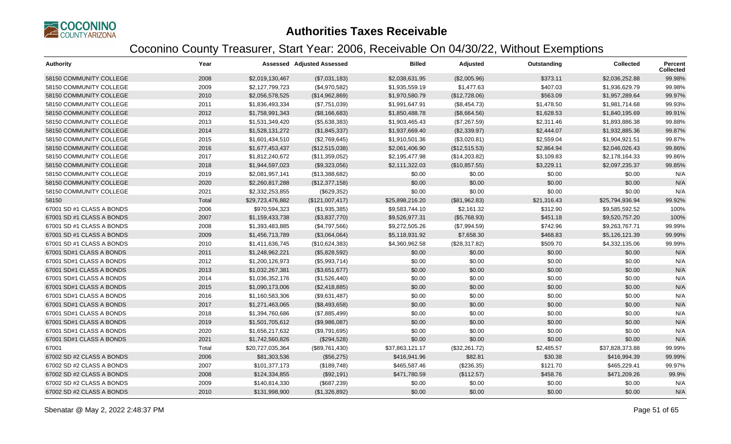

| <b>Authority</b>          | Year  |                  | Assessed Adjusted Assessed | <b>Billed</b>   | Adjusted      | Outstanding | <b>Collected</b> | <b>Percent</b><br><b>Collected</b> |
|---------------------------|-------|------------------|----------------------------|-----------------|---------------|-------------|------------------|------------------------------------|
| 58150 COMMUNITY COLLEGE   | 2008  | \$2,019,130,467  | (\$7,031,183)              | \$2,038,631.95  | (\$2,005.96)  | \$373.11    | \$2.036.252.88   | 99.98%                             |
| 58150 COMMUNITY COLLEGE   | 2009  | \$2,127,799,723  | (\$4,970,582)              | \$1,935,559.19  | \$1,477.63    | \$407.03    | \$1,936,629.79   | 99.98%                             |
| 58150 COMMUNITY COLLEGE   | 2010  | \$2,056,578,525  | (\$14,962,869)             | \$1,970,580.79  | (\$12,728.06) | \$563.09    | \$1,957,289.64   | 99.97%                             |
| 58150 COMMUNITY COLLEGE   | 2011  | \$1,836,493,334  | (\$7,751,039)              | \$1,991,647.91  | (\$8,454.73)  | \$1,478.50  | \$1,981,714.68   | 99.93%                             |
| 58150 COMMUNITY COLLEGE   | 2012  | \$1,758,991,343  | (\$8,166,683)              | \$1,850,488.78  | (\$8,664.56)  | \$1,628.53  | \$1,840,195.69   | 99.91%                             |
| 58150 COMMUNITY COLLEGE   | 2013  | \$1,531,349,420  | (\$5,638,383)              | \$1,903,465.43  | (\$7,267.59)  | \$2,311.46  | \$1,893,886.38   | 99.88%                             |
| 58150 COMMUNITY COLLEGE   | 2014  | \$1,528,131,272  | (\$1,845,337)              | \$1,937,669.40  | (\$2,339.97)  | \$2,444.07  | \$1,932,885.36   | 99.87%                             |
| 58150 COMMUNITY COLLEGE   | 2015  | \$1,601,434,510  | (\$2,769,645)              | \$1,910,501.36  | (\$3,020.81)  | \$2,559.04  | \$1,904,921.51   | 99.87%                             |
| 58150 COMMUNITY COLLEGE   | 2016  | \$1,677,453,437  | (\$12,515,038)             | \$2,061,406.90  | (\$12,515.53) | \$2,864.94  | \$2,046,026.43   | 99.86%                             |
| 58150 COMMUNITY COLLEGE   | 2017  | \$1,812,240,672  | (\$11,359,052)             | \$2,195,477.98  | (\$14,203.82) | \$3,109.83  | \$2,178,164.33   | 99.86%                             |
| 58150 COMMUNITY COLLEGE   | 2018  | \$1,944,597,023  | (\$9,323,056)              | \$2,111,322.03  | (\$10,857.55) | \$3,229.11  | \$2,097,235.37   | 99.85%                             |
| 58150 COMMUNITY COLLEGE   | 2019  | \$2,081,957,141  | (\$13,388,682)             | \$0.00          | \$0.00        | \$0.00      | \$0.00           | N/A                                |
| 58150 COMMUNITY COLLEGE   | 2020  | \$2,260,817,288  | (\$12,377,158)             | \$0.00          | \$0.00        | \$0.00      | \$0.00           | N/A                                |
| 58150 COMMUNITY COLLEGE   | 2021  | \$2,332,253,855  | (\$629,352)                | \$0.00          | \$0.00        | \$0.00      | \$0.00           | N/A                                |
| 58150                     | Total | \$29,723,476,882 | (\$121,007,417)            | \$25,898,216.20 | (\$81,962.83) | \$21,316.43 | \$25,794,936.94  | 99.92%                             |
| 67001 SD #1 CLASS A BONDS | 2006  | \$970,594,323    | (\$1,935,385)              | \$9,583,744.10  | \$2,161.32    | \$312.90    | \$9,585,592.52   | 100%                               |
| 67001 SD #1 CLASS A BONDS | 2007  | \$1,159,433,738  | (\$3,837,770)              | \$9,526,977.31  | (\$5,768.93)  | \$451.18    | \$9,520,757.20   | 100%                               |
| 67001 SD #1 CLASS A BONDS | 2008  | \$1,393,483,885  | (\$4,797,566)              | \$9,272,505.26  | (\$7,994.59)  | \$742.96    | \$9,263,767.71   | 99.99%                             |
| 67001 SD #1 CLASS A BONDS | 2009  | \$1,456,713,789  | (\$3,064,064)              | \$5,118,931.92  | \$7,658.30    | \$468.83    | \$5,126,121.39   | 99.99%                             |
| 67001 SD #1 CLASS A BONDS | 2010  | \$1,411,636,745  | (\$10,624,383)             | \$4,360,962.58  | (\$28,317.82) | \$509.70    | \$4,332,135.06   | 99.99%                             |
| 67001 SD#1 CLASS A BONDS  | 2011  | \$1,248,962,221  | (\$5,828,592)              | \$0.00          | \$0.00        | \$0.00      | \$0.00           | N/A                                |
| 67001 SD#1 CLASS A BONDS  | 2012  | \$1,200,126,973  | (\$5,993,714)              | \$0.00          | \$0.00        | \$0.00      | \$0.00           | N/A                                |
| 67001 SD#1 CLASS A BONDS  | 2013  | \$1,032,267,381  | (\$3,651,677)              | \$0.00          | \$0.00        | \$0.00      | \$0.00           | N/A                                |
| 67001 SD#1 CLASS A BONDS  | 2014  | \$1,036,352,176  | (\$1,526,440)              | \$0.00          | \$0.00        | \$0.00      | \$0.00           | N/A                                |
| 67001 SD#1 CLASS A BONDS  | 2015  | \$1,090,173,006  | (\$2,418,885)              | \$0.00          | \$0.00        | \$0.00      | \$0.00           | N/A                                |
| 67001 SD#1 CLASS A BONDS  | 2016  | \$1,160,583,306  | (\$9,631,487)              | \$0.00          | \$0.00        | \$0.00      | \$0.00           | N/A                                |
| 67001 SD#1 CLASS A BONDS  | 2017  | \$1,271,463,065  | (\$8,493,658)              | \$0.00          | \$0.00        | \$0.00      | \$0.00           | N/A                                |
| 67001 SD#1 CLASS A BONDS  | 2018  | \$1,394,760,686  | (\$7,885,499)              | \$0.00          | \$0.00        | \$0.00      | \$0.00           | N/A                                |
| 67001 SD#1 CLASS A BONDS  | 2019  | \$1,501,705,612  | (\$9,986,087)              | \$0.00          | \$0.00        | \$0.00      | \$0.00           | N/A                                |
| 67001 SD#1 CLASS A BONDS  | 2020  | \$1,656,217,632  | (\$9,791,695)              | \$0.00          | \$0.00        | \$0.00      | \$0.00           | N/A                                |
| 67001 SD#1 CLASS A BONDS  | 2021  | \$1,742,560,826  | (\$294,528)                | \$0.00          | \$0.00        | \$0.00      | \$0.00           | N/A                                |
| 67001                     | Total | \$20,727,035,364 | (\$89,761,430)             | \$37,863,121.17 | (\$32,261.72) | \$2,485.57  | \$37,828,373.88  | 99.99%                             |
| 67002 SD #2 CLASS A BONDS | 2006  | \$81,303,536     | (\$56,275)                 | \$416,941.96    | \$82.81       | \$30.38     | \$416,994.39     | 99.99%                             |
| 67002 SD #2 CLASS A BONDS | 2007  | \$101,377,173    | (\$189,748)                | \$465,587.46    | (\$236.35)    | \$121.70    | \$465,229.41     | 99.97%                             |
| 67002 SD #2 CLASS A BONDS | 2008  | \$124,334,855    | (\$92,191)                 | \$471,780.59    | (\$112.57)    | \$458.76    | \$471,209.26     | 99.9%                              |
| 67002 SD #2 CLASS A BONDS | 2009  | \$140,814,330    | (\$687,239)                | \$0.00          | \$0.00        | \$0.00      | \$0.00           | N/A                                |
| 67002 SD #2 CLASS A BONDS | 2010  | \$131,998,900    | (\$1,326,892)              | \$0.00          | \$0.00        | \$0.00      | \$0.00           | N/A                                |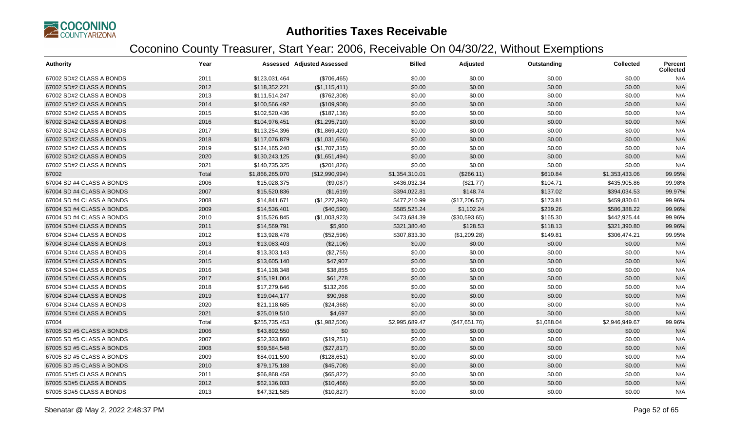

| <b>Authority</b>          | Year  |                 | <b>Assessed Adjusted Assessed</b> | <b>Billed</b>  | <b>Adjusted</b> | Outstanding | <b>Collected</b> | <b>Percent</b><br><b>Collected</b> |
|---------------------------|-------|-----------------|-----------------------------------|----------------|-----------------|-------------|------------------|------------------------------------|
| 67002 SD#2 CLASS A BONDS  | 2011  | \$123,031,464   | (\$706,465)                       | \$0.00         | \$0.00          | \$0.00      | \$0.00           | N/A                                |
| 67002 SD#2 CLASS A BONDS  | 2012  | \$118,352,221   | (\$1,115,411)                     | \$0.00         | \$0.00          | \$0.00      | \$0.00           | N/A                                |
| 67002 SD#2 CLASS A BONDS  | 2013  | \$111,514,247   | (\$762,308)                       | \$0.00         | \$0.00          | \$0.00      | \$0.00           | N/A                                |
| 67002 SD#2 CLASS A BONDS  | 2014  | \$100,566,492   | (\$109,908)                       | \$0.00         | \$0.00          | \$0.00      | \$0.00           | N/A                                |
| 67002 SD#2 CLASS A BONDS  | 2015  | \$102,520,436   | (\$187, 136)                      | \$0.00         | \$0.00          | \$0.00      | \$0.00           | N/A                                |
| 67002 SD#2 CLASS A BONDS  | 2016  | \$104,976,451   | (\$1,295,710)                     | \$0.00         | \$0.00          | \$0.00      | \$0.00           | N/A                                |
| 67002 SD#2 CLASS A BONDS  | 2017  | \$113,254,396   | (\$1,869,420)                     | \$0.00         | \$0.00          | \$0.00      | \$0.00           | N/A                                |
| 67002 SD#2 CLASS A BONDS  | 2018  | \$117,076,879   | (\$1,031,656)                     | \$0.00         | \$0.00          | \$0.00      | \$0.00           | N/A                                |
| 67002 SD#2 CLASS A BONDS  | 2019  | \$124,165,240   | (\$1,707,315)                     | \$0.00         | \$0.00          | \$0.00      | \$0.00           | N/A                                |
| 67002 SD#2 CLASS A BONDS  | 2020  | \$130,243,125   | (\$1,651,494)                     | \$0.00         | \$0.00          | \$0.00      | \$0.00           | N/A                                |
| 67002 SD#2 CLASS A BONDS  | 2021  | \$140,735,325   | (\$201, 826)                      | \$0.00         | \$0.00          | \$0.00      | \$0.00           | N/A                                |
| 67002                     | Total | \$1,866,265,070 | (\$12,990,994)                    | \$1,354,310.01 | (\$266.11)      | \$610.84    | \$1,353,433.06   | 99.95%                             |
| 67004 SD #4 CLASS A BONDS | 2006  | \$15,028,375    | (\$9,087)                         | \$436,032.34   | (\$21.77)       | \$104.71    | \$435,905.86     | 99.98%                             |
| 67004 SD #4 CLASS A BONDS | 2007  | \$15,520,836    | (\$1,619)                         | \$394,022.81   | \$148.74        | \$137.02    | \$394,034.53     | 99.97%                             |
| 67004 SD #4 CLASS A BONDS | 2008  | \$14,841,671    | (\$1,227,393)                     | \$477,210.99   | (\$17,206.57)   | \$173.81    | \$459,830.61     | 99.96%                             |
| 67004 SD #4 CLASS A BONDS | 2009  | \$14,536,401    | (\$40,590)                        | \$585,525.24   | \$1,102.24      | \$239.26    | \$586,388.22     | 99.96%                             |
| 67004 SD #4 CLASS A BONDS | 2010  | \$15,526,845    | (\$1,003,923)                     | \$473,684.39   | (\$30,593.65)   | \$165.30    | \$442,925.44     | 99.96%                             |
| 67004 SD#4 CLASS A BONDS  | 2011  | \$14,569,791    | \$5,960                           | \$321,380.40   | \$128.53        | \$118.13    | \$321,390.80     | 99.96%                             |
| 67004 SD#4 CLASS A BONDS  | 2012  | \$13,928,478    | (\$52,596)                        | \$307,833.30   | (\$1,209.28)    | \$149.81    | \$306,474.21     | 99.95%                             |
| 67004 SD#4 CLASS A BONDS  | 2013  | \$13,083,403    | (\$2,106)                         | \$0.00         | \$0.00          | \$0.00      | \$0.00           | N/A                                |
| 67004 SD#4 CLASS A BONDS  | 2014  | \$13,303,143    | (\$2,755)                         | \$0.00         | \$0.00          | \$0.00      | \$0.00           | N/A                                |
| 67004 SD#4 CLASS A BONDS  | 2015  | \$13,605,140    | \$47,907                          | \$0.00         | \$0.00          | \$0.00      | \$0.00           | N/A                                |
| 67004 SD#4 CLASS A BONDS  | 2016  | \$14,138,348    | \$38,855                          | \$0.00         | \$0.00          | \$0.00      | \$0.00           | N/A                                |
| 67004 SD#4 CLASS A BONDS  | 2017  | \$15,191,004    | \$61,278                          | \$0.00         | \$0.00          | \$0.00      | \$0.00           | N/A                                |
| 67004 SD#4 CLASS A BONDS  | 2018  | \$17,279,646    | \$132,266                         | \$0.00         | \$0.00          | \$0.00      | \$0.00           | N/A                                |
| 67004 SD#4 CLASS A BONDS  | 2019  | \$19,044,177    | \$90,968                          | \$0.00         | \$0.00          | \$0.00      | \$0.00           | N/A                                |
| 67004 SD#4 CLASS A BONDS  | 2020  | \$21,118,685    | (\$24,368)                        | \$0.00         | \$0.00          | \$0.00      | \$0.00           | N/A                                |
| 67004 SD#4 CLASS A BONDS  | 2021  | \$25,019,510    | \$4,697                           | \$0.00         | \$0.00          | \$0.00      | \$0.00           | N/A                                |
| 67004                     | Total | \$255,735,453   | (\$1,982,506)                     | \$2,995,689.47 | (\$47,651.76)   | \$1,088.04  | \$2,946,949.67   | 99.96%                             |
| 67005 SD #5 CLASS A BONDS | 2006  | \$43,892,550    | \$0                               | \$0.00         | \$0.00          | \$0.00      | \$0.00           | N/A                                |
| 67005 SD #5 CLASS A BONDS | 2007  | \$52,333,860    | (\$19,251)                        | \$0.00         | \$0.00          | \$0.00      | \$0.00           | N/A                                |
| 67005 SD #5 CLASS A BONDS | 2008  | \$69,584,548    | (\$27,817)                        | \$0.00         | \$0.00          | \$0.00      | \$0.00           | N/A                                |
| 67005 SD #5 CLASS A BONDS | 2009  | \$84,011,590    | (\$128,651)                       | \$0.00         | \$0.00          | \$0.00      | \$0.00           | N/A                                |
| 67005 SD #5 CLASS A BONDS | 2010  | \$79,175,188    | (\$45,708)                        | \$0.00         | \$0.00          | \$0.00      | \$0.00           | N/A                                |
| 67005 SD#5 CLASS A BONDS  | 2011  | \$66,868,458    | (\$65, 822)                       | \$0.00         | \$0.00          | \$0.00      | \$0.00           | N/A                                |
| 67005 SD#5 CLASS A BONDS  | 2012  | \$62,136,033    | (\$10,466)                        | \$0.00         | \$0.00          | \$0.00      | \$0.00           | N/A                                |
| 67005 SD#5 CLASS A BONDS  | 2013  | \$47,321,585    | (\$10,827)                        | \$0.00         | \$0.00          | \$0.00      | \$0.00           | N/A                                |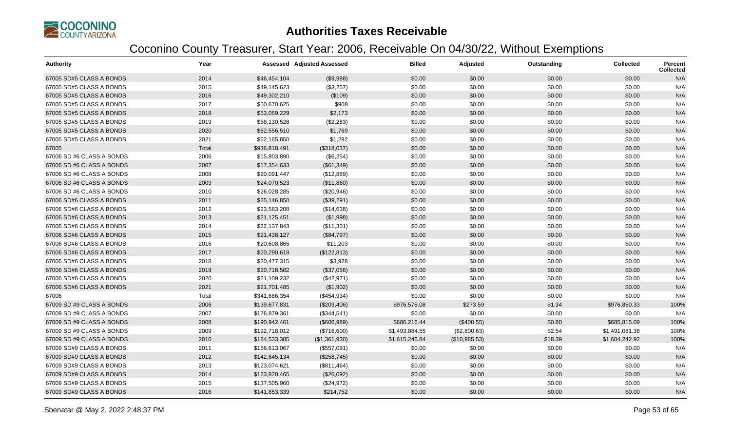

| <b>Authority</b>          | Year  |               | <b>Assessed Adjusted Assessed</b> | <b>Billed</b>  | Adjusted      | Outstanding | <b>Collected</b> | Percent<br><b>Collected</b> |
|---------------------------|-------|---------------|-----------------------------------|----------------|---------------|-------------|------------------|-----------------------------|
| 67005 SD#5 CLASS A BONDS  | 2014  | \$46,454,104  | (\$9,988)                         | \$0.00         | \$0.00        | \$0.00      | \$0.00           | N/A                         |
| 67005 SD#5 CLASS A BONDS  | 2015  | \$49,145,623  | (\$3,257)                         | \$0.00         | \$0.00        | \$0.00      | \$0.00           | N/A                         |
| 67005 SD#5 CLASS A BONDS  | 2016  | \$49,302,210  | (\$109)                           | \$0.00         | \$0.00        | \$0.00      | \$0.00           | N/A                         |
| 67005 SD#5 CLASS A BONDS  | 2017  | \$50,670,625  | \$908                             | \$0.00         | \$0.00        | \$0.00      | \$0.00           | N/A                         |
| 67005 SD#5 CLASS A BONDS  | 2018  | \$53,069,229  | \$2,173                           | \$0.00         | \$0.00        | \$0.00      | \$0.00           | N/A                         |
| 67005 SD#5 CLASS A BONDS  | 2019  | \$58,130,528  | (\$2,283)                         | \$0.00         | \$0.00        | \$0.00      | \$0.00           | N/A                         |
| 67005 SD#5 CLASS A BONDS  | 2020  | \$62,556,510  | \$1,769                           | \$0.00         | \$0.00        | \$0.00      | \$0.00           | N/A                         |
| 67005 SD#5 CLASS A BONDS  | 2021  | \$62,165,850  | \$1,292                           | \$0.00         | \$0.00        | \$0.00      | \$0.00           | N/A                         |
| 67005                     | Total | \$936,818,491 | (\$318,037)                       | \$0.00         | \$0.00        | \$0.00      | \$0.00           | N/A                         |
| 67006 SD #6 CLASS A BONDS | 2006  | \$15,803,890  | (\$6,254)                         | \$0.00         | \$0.00        | \$0.00      | \$0.00           | N/A                         |
| 67006 SD #6 CLASS A BONDS | 2007  | \$17,354,633  | (\$61,349)                        | \$0.00         | \$0.00        | \$0.00      | \$0.00           | N/A                         |
| 67006 SD #6 CLASS A BONDS | 2008  | \$20,091,447  | (\$12,889)                        | \$0.00         | \$0.00        | \$0.00      | \$0.00           | N/A                         |
| 67006 SD #6 CLASS A BONDS | 2009  | \$24,070,523  | (\$11,860)                        | \$0.00         | \$0.00        | \$0.00      | \$0.00           | N/A                         |
| 67006 SD #6 CLASS A BONDS | 2010  | \$26,028,285  | (\$20,946)                        | \$0.00         | \$0.00        | \$0.00      | \$0.00           | N/A                         |
| 67006 SD#6 CLASS A BONDS  | 2011  | \$25,146,850  | (\$39,291)                        | \$0.00         | \$0.00        | \$0.00      | \$0.00           | N/A                         |
| 67006 SD#6 CLASS A BONDS  | 2012  | \$23,583,208  | (\$14,638)                        | \$0.00         | \$0.00        | \$0.00      | \$0.00           | N/A                         |
| 67006 SD#6 CLASS A BONDS  | 2013  | \$21,125,451  | (\$1,998)                         | \$0.00         | \$0.00        | \$0.00      | \$0.00           | N/A                         |
| 67006 SD#6 CLASS A BONDS  | 2014  | \$22,137,843  | (\$11,301)                        | \$0.00         | \$0.00        | \$0.00      | \$0.00           | N/A                         |
| 67006 SD#6 CLASS A BONDS  | 2015  | \$21,438,127  | (\$84,797)                        | \$0.00         | \$0.00        | \$0.00      | \$0.00           | N/A                         |
| 67006 SD#6 CLASS A BONDS  | 2016  | \$20,608,865  | \$11,203                          | \$0.00         | \$0.00        | \$0.00      | \$0.00           | N/A                         |
| 67006 SD#6 CLASS A BONDS  | 2017  | \$20,290,618  | (\$122,813)                       | \$0.00         | \$0.00        | \$0.00      | \$0.00           | N/A                         |
| 67006 SD#6 CLASS A BONDS  | 2018  | \$20,477,315  | \$3,928                           | \$0.00         | \$0.00        | \$0.00      | \$0.00           | N/A                         |
| 67006 SD#6 CLASS A BONDS  | 2019  | \$20,718,582  | (\$37,056)                        | \$0.00         | \$0.00        | \$0.00      | \$0.00           | N/A                         |
| 67006 SD#6 CLASS A BONDS  | 2020  | \$21,109,232  | (\$42,971)                        | \$0.00         | \$0.00        | \$0.00      | \$0.00           | N/A                         |
| 67006 SD#6 CLASS A BONDS  | 2021  | \$21,701,485  | (\$1,902)                         | \$0.00         | \$0.00        | \$0.00      | \$0.00           | N/A                         |
| 67006                     | Total | \$341,686,354 | (\$454,934)                       | \$0.00         | \$0.00        | \$0.00      | \$0.00           | N/A                         |
| 67009 SD #9 CLASS A BONDS | 2006  | \$139,677,831 | (\$203,406)                       | \$976,578.08   | \$273.59      | \$1.34      | \$976,850.33     | 100%                        |
| 67009 SD #9 CLASS A BONDS | 2007  | \$176,879,361 | (\$344,541)                       | \$0.00         | \$0.00        | \$0.00      | \$0.00           | N/A                         |
| 67009 SD #9 CLASS A BONDS | 2008  | \$190,942,461 | (\$606,989)                       | \$686,216.44   | (\$400.55)    | \$0.80      | \$685,815.09     | 100%                        |
| 67009 SD #9 CLASS A BONDS | 2009  | \$192,718,012 | (\$716,600)                       | \$1,493,884.55 | (\$2,800.63)  | \$2.54      | \$1,491,081.38   | 100%                        |
| 67009 SD #9 CLASS A BONDS | 2010  | \$184,533,385 | (\$1,361,930)                     | \$1,615,246.84 | (\$10,985.53) | \$18.39     | \$1,604,242.92   | 100%                        |
| 67009 SD#9 CLASS A BONDS  | 2011  | \$156,613,067 | (\$557,091)                       | \$0.00         | \$0.00        | \$0.00      | \$0.00           | N/A                         |
| 67009 SD#9 CLASS A BONDS  | 2012  | \$142,645,134 | (\$258,745)                       | \$0.00         | \$0.00        | \$0.00      | \$0.00           | N/A                         |
| 67009 SD#9 CLASS A BONDS  | 2013  | \$123,074,621 | (\$811,464)                       | \$0.00         | \$0.00        | \$0.00      | \$0.00           | N/A                         |
| 67009 SD#9 CLASS A BONDS  | 2014  | \$123,820,465 | (\$26,092)                        | \$0.00         | \$0.00        | \$0.00      | \$0.00           | N/A                         |
| 67009 SD#9 CLASS A BONDS  | 2015  | \$137,505,960 | (\$24,972)                        | \$0.00         | \$0.00        | \$0.00      | \$0.00           | N/A                         |
| 67009 SD#9 CLASS A BONDS  | 2016  | \$141,853,339 | \$214,752                         | \$0.00         | \$0.00        | \$0.00      | \$0.00           | N/A                         |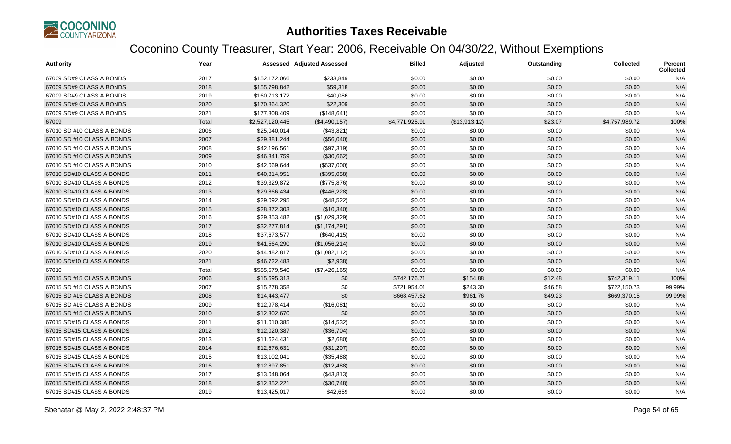

| <b>Authority</b>           | Year  |                 | <b>Assessed Adjusted Assessed</b> | <b>Billed</b>  | Adjusted      | Outstanding | <b>Collected</b> | Percent<br><b>Collected</b> |
|----------------------------|-------|-----------------|-----------------------------------|----------------|---------------|-------------|------------------|-----------------------------|
| 67009 SD#9 CLASS A BONDS   | 2017  | \$152,172,066   | \$233,849                         | \$0.00         | \$0.00        | \$0.00      | \$0.00           | N/A                         |
| 67009 SD#9 CLASS A BONDS   | 2018  | \$155,798,842   | \$59,318                          | \$0.00         | \$0.00        | \$0.00      | \$0.00           | N/A                         |
| 67009 SD#9 CLASS A BONDS   | 2019  | \$160,713,172   | \$40,086                          | \$0.00         | \$0.00        | \$0.00      | \$0.00           | N/A                         |
| 67009 SD#9 CLASS A BONDS   | 2020  | \$170,864,320   | \$22,309                          | \$0.00         | \$0.00        | \$0.00      | \$0.00           | N/A                         |
| 67009 SD#9 CLASS A BONDS   | 2021  | \$177,308,409   | (\$148,641)                       | \$0.00         | \$0.00        | \$0.00      | \$0.00           | N/A                         |
| 67009                      | Total | \$2,527,120,445 | (\$4,490,157)                     | \$4,771,925.91 | (\$13,913.12) | \$23.07     | \$4,757,989.72   | 100%                        |
| 67010 SD #10 CLASS A BONDS | 2006  | \$25,040,014    | (\$43,821)                        | \$0.00         | \$0.00        | \$0.00      | \$0.00           | N/A                         |
| 67010 SD #10 CLASS A BONDS | 2007  | \$29,381,244    | (\$56,040)                        | \$0.00         | \$0.00        | \$0.00      | \$0.00           | N/A                         |
| 67010 SD #10 CLASS A BONDS | 2008  | \$42,196,561    | (\$97,319)                        | \$0.00         | \$0.00        | \$0.00      | \$0.00           | N/A                         |
| 67010 SD #10 CLASS A BONDS | 2009  | \$46,341,759    | (\$30,662)                        | \$0.00         | \$0.00        | \$0.00      | \$0.00           | N/A                         |
| 67010 SD #10 CLASS A BONDS | 2010  | \$42,069,644    | (\$537,000)                       | \$0.00         | \$0.00        | \$0.00      | \$0.00           | N/A                         |
| 67010 SD#10 CLASS A BONDS  | 2011  | \$40,814,951    | (\$395,058)                       | \$0.00         | \$0.00        | \$0.00      | \$0.00           | N/A                         |
| 67010 SD#10 CLASS A BONDS  | 2012  | \$39,329,872    | (\$775,876)                       | \$0.00         | \$0.00        | \$0.00      | \$0.00           | N/A                         |
| 67010 SD#10 CLASS A BONDS  | 2013  | \$29,866,434    | (\$446,228)                       | \$0.00         | \$0.00        | \$0.00      | \$0.00           | N/A                         |
| 67010 SD#10 CLASS A BONDS  | 2014  | \$29,092,295    | (\$48,522)                        | \$0.00         | \$0.00        | \$0.00      | \$0.00           | N/A                         |
| 67010 SD#10 CLASS A BONDS  | 2015  | \$28,872,303    | (\$10,340)                        | \$0.00         | \$0.00        | \$0.00      | \$0.00           | N/A                         |
| 67010 SD#10 CLASS A BONDS  | 2016  | \$29,853,482    | (\$1,029,329)                     | \$0.00         | \$0.00        | \$0.00      | \$0.00           | N/A                         |
| 67010 SD#10 CLASS A BONDS  | 2017  | \$32,277,814    | (\$1,174,291)                     | \$0.00         | \$0.00        | \$0.00      | \$0.00           | N/A                         |
| 67010 SD#10 CLASS A BONDS  | 2018  | \$37,673,577    | (\$640, 415)                      | \$0.00         | \$0.00        | \$0.00      | \$0.00           | N/A                         |
| 67010 SD#10 CLASS A BONDS  | 2019  | \$41,564,290    | (\$1,056,214)                     | \$0.00         | \$0.00        | \$0.00      | \$0.00           | N/A                         |
| 67010 SD#10 CLASS A BONDS  | 2020  | \$44,482,817    | (\$1,082,112)                     | \$0.00         | \$0.00        | \$0.00      | \$0.00           | N/A                         |
| 67010 SD#10 CLASS A BONDS  | 2021  | \$46,722,483    | (\$2,938)                         | \$0.00         | \$0.00        | \$0.00      | \$0.00           | N/A                         |
| 67010                      | Total | \$585,579,540   | (\$7,426,165)                     | \$0.00         | \$0.00        | \$0.00      | \$0.00           | N/A                         |
| 67015 SD #15 CLASS A BONDS | 2006  | \$15,695,313    | \$0                               | \$742,176.71   | \$154.88      | \$12.48     | \$742,319.11     | 100%                        |
| 67015 SD #15 CLASS A BONDS | 2007  | \$15,278,358    | \$0                               | \$721,954.01   | \$243.30      | \$46.58     | \$722,150.73     | 99.99%                      |
| 67015 SD #15 CLASS A BONDS | 2008  | \$14,443,477    | \$0                               | \$668,457.62   | \$961.76      | \$49.23     | \$669,370.15     | 99.99%                      |
| 67015 SD #15 CLASS A BONDS | 2009  | \$12,978,414    | (\$16,081)                        | \$0.00         | \$0.00        | \$0.00      | \$0.00           | N/A                         |
| 67015 SD #15 CLASS A BONDS | 2010  | \$12,302,670    | \$0                               | \$0.00         | \$0.00        | \$0.00      | \$0.00           | N/A                         |
| 67015 SD#15 CLASS A BONDS  | 2011  | \$11,010,385    | (\$14,532)                        | \$0.00         | \$0.00        | \$0.00      | \$0.00           | N/A                         |
| 67015 SD#15 CLASS A BONDS  | 2012  | \$12,020,387    | (\$36,704)                        | \$0.00         | \$0.00        | \$0.00      | \$0.00           | N/A                         |
| 67015 SD#15 CLASS A BONDS  | 2013  | \$11,624,431    | (\$2,680)                         | \$0.00         | \$0.00        | \$0.00      | \$0.00           | N/A                         |
| 67015 SD#15 CLASS A BONDS  | 2014  | \$12,576,631    | (\$31,207)                        | \$0.00         | \$0.00        | \$0.00      | \$0.00           | N/A                         |
| 67015 SD#15 CLASS A BONDS  | 2015  | \$13,102,041    | (\$35,488)                        | \$0.00         | \$0.00        | \$0.00      | \$0.00           | N/A                         |
| 67015 SD#15 CLASS A BONDS  | 2016  | \$12,897,851    | (\$12,488)                        | \$0.00         | \$0.00        | \$0.00      | \$0.00           | N/A                         |
| 67015 SD#15 CLASS A BONDS  | 2017  | \$13,048,064    | (\$43,813)                        | \$0.00         | \$0.00        | \$0.00      | \$0.00           | N/A                         |
| 67015 SD#15 CLASS A BONDS  | 2018  | \$12,852,221    | (\$30,748)                        | \$0.00         | \$0.00        | \$0.00      | \$0.00           | N/A                         |
| 67015 SD#15 CLASS A BONDS  | 2019  | \$13,425,017    | \$42,659                          | \$0.00         | \$0.00        | \$0.00      | \$0.00           | N/A                         |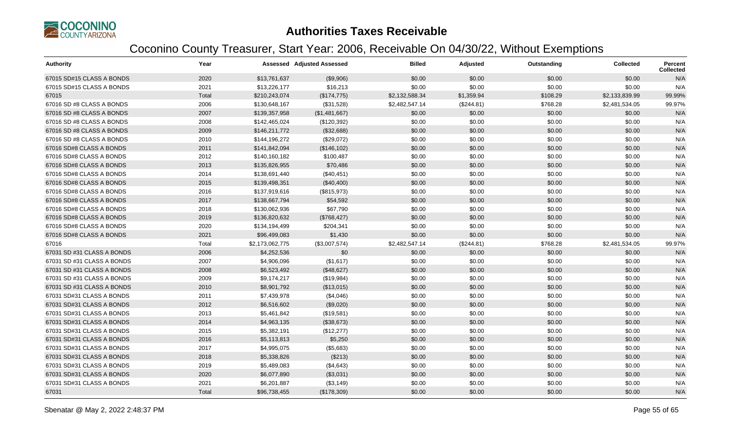

| <b>Authority</b>           | Year  |                 | <b>Assessed Adjusted Assessed</b> | <b>Billed</b>  | Adjusted   | Outstanding | <b>Collected</b> | Percent<br><b>Collected</b> |
|----------------------------|-------|-----------------|-----------------------------------|----------------|------------|-------------|------------------|-----------------------------|
| 67015 SD#15 CLASS A BONDS  | 2020  | \$13,761,637    | (\$9,906)                         | \$0.00         | \$0.00     | \$0.00      | \$0.00           | N/A                         |
| 67015 SD#15 CLASS A BONDS  | 2021  | \$13,226,177    | \$16,213                          | \$0.00         | \$0.00     | \$0.00      | \$0.00           | N/A                         |
| 67015                      | Total | \$210,243,074   | (\$174,775)                       | \$2,132,588.34 | \$1,359.94 | \$108.29    | \$2,133,839.99   | 99.99%                      |
| 67016 SD #8 CLASS A BONDS  | 2006  | \$130,648,167   | (\$31,528)                        | \$2,482,547.14 | (\$244.81) | \$768.28    | \$2,481,534.05   | 99.97%                      |
| 67016 SD #8 CLASS A BONDS  | 2007  | \$139,357,958   | (\$1,481,667)                     | \$0.00         | \$0.00     | \$0.00      | \$0.00           | N/A                         |
| 67016 SD #8 CLASS A BONDS  | 2008  | \$142,465,024   | (\$120,392)                       | \$0.00         | \$0.00     | \$0.00      | \$0.00           | N/A                         |
| 67016 SD #8 CLASS A BONDS  | 2009  | \$146,211,772   | (\$32,688)                        | \$0.00         | \$0.00     | \$0.00      | \$0.00           | N/A                         |
| 67016 SD #8 CLASS A BONDS  | 2010  | \$144,196,272   | (\$29,072)                        | \$0.00         | \$0.00     | \$0.00      | \$0.00           | N/A                         |
| 67016 SD#8 CLASS A BONDS   | 2011  | \$141,842,094   | (\$146, 102)                      | \$0.00         | \$0.00     | \$0.00      | \$0.00           | N/A                         |
| 67016 SD#8 CLASS A BONDS   | 2012  | \$140,160,182   | \$100,487                         | \$0.00         | \$0.00     | \$0.00      | \$0.00           | N/A                         |
| 67016 SD#8 CLASS A BONDS   | 2013  | \$135,826,955   | \$70,486                          | \$0.00         | \$0.00     | \$0.00      | \$0.00           | N/A                         |
| 67016 SD#8 CLASS A BONDS   | 2014  | \$138,691,440   | (\$40,451)                        | \$0.00         | \$0.00     | \$0.00      | \$0.00           | N/A                         |
| 67016 SD#8 CLASS A BONDS   | 2015  | \$139,498,351   | (\$40,400)                        | \$0.00         | \$0.00     | \$0.00      | \$0.00           | N/A                         |
| 67016 SD#8 CLASS A BONDS   | 2016  | \$137,919,616   | (\$815,973)                       | \$0.00         | \$0.00     | \$0.00      | \$0.00           | N/A                         |
| 67016 SD#8 CLASS A BONDS   | 2017  | \$138,667,794   | \$54,592                          | \$0.00         | \$0.00     | \$0.00      | \$0.00           | N/A                         |
| 67016 SD#8 CLASS A BONDS   | 2018  | \$130,062,936   | \$67,790                          | \$0.00         | \$0.00     | \$0.00      | \$0.00           | N/A                         |
| 67016 SD#8 CLASS A BONDS   | 2019  | \$136,820,632   | (\$768,427)                       | \$0.00         | \$0.00     | \$0.00      | \$0.00           | N/A                         |
| 67016 SD#8 CLASS A BONDS   | 2020  | \$134,194,499   | \$204,341                         | \$0.00         | \$0.00     | \$0.00      | \$0.00           | N/A                         |
| 67016 SD#8 CLASS A BONDS   | 2021  | \$96,499,083    | \$1,430                           | \$0.00         | \$0.00     | \$0.00      | \$0.00           | N/A                         |
| 67016                      | Total | \$2,173,062,775 | (\$3,007,574)                     | \$2,482,547.14 | (\$244.81) | \$768.28    | \$2,481,534.05   | 99.97%                      |
| 67031 SD #31 CLASS A BONDS | 2006  | \$4,252,536     | \$0                               | \$0.00         | \$0.00     | \$0.00      | \$0.00           | N/A                         |
| 67031 SD #31 CLASS A BONDS | 2007  | \$4,906,096     | (\$1,617)                         | \$0.00         | \$0.00     | \$0.00      | \$0.00           | N/A                         |
| 67031 SD #31 CLASS A BONDS | 2008  | \$6,523,492     | (\$48,627)                        | \$0.00         | \$0.00     | \$0.00      | \$0.00           | N/A                         |
| 67031 SD #31 CLASS A BONDS | 2009  | \$9,174,217     | (\$19,984)                        | \$0.00         | \$0.00     | \$0.00      | \$0.00           | N/A                         |
| 67031 SD #31 CLASS A BONDS | 2010  | \$8,901,792     | (\$13,015)                        | \$0.00         | \$0.00     | \$0.00      | \$0.00           | N/A                         |
| 67031 SD#31 CLASS A BONDS  | 2011  | \$7,439,978     | (\$4,046)                         | \$0.00         | \$0.00     | \$0.00      | \$0.00           | N/A                         |
| 67031 SD#31 CLASS A BONDS  | 2012  | \$6,516,602     | (\$9,020)                         | \$0.00         | \$0.00     | \$0.00      | \$0.00           | N/A                         |
| 67031 SD#31 CLASS A BONDS  | 2013  | \$5,461,842     | (\$19,581)                        | \$0.00         | \$0.00     | \$0.00      | \$0.00           | N/A                         |
| 67031 SD#31 CLASS A BONDS  | 2014  | \$4,963,135     | (\$38,673)                        | \$0.00         | \$0.00     | \$0.00      | \$0.00           | N/A                         |
| 67031 SD#31 CLASS A BONDS  | 2015  | \$5,382,191     | (\$12,277)                        | \$0.00         | \$0.00     | \$0.00      | \$0.00           | N/A                         |
| 67031 SD#31 CLASS A BONDS  | 2016  | \$5,113,813     | \$5,250                           | \$0.00         | \$0.00     | \$0.00      | \$0.00           | N/A                         |
| 67031 SD#31 CLASS A BONDS  | 2017  | \$4,995,075     | (\$5,683)                         | \$0.00         | \$0.00     | \$0.00      | \$0.00           | N/A                         |
| 67031 SD#31 CLASS A BONDS  | 2018  | \$5,338,826     | (\$213)                           | \$0.00         | \$0.00     | \$0.00      | \$0.00           | N/A                         |
| 67031 SD#31 CLASS A BONDS  | 2019  | \$5,489,083     | (\$4,643)                         | \$0.00         | \$0.00     | \$0.00      | \$0.00           | N/A                         |
| 67031 SD#31 CLASS A BONDS  | 2020  | \$6,077,890     | (\$3,031)                         | \$0.00         | \$0.00     | \$0.00      | \$0.00           | N/A                         |
| 67031 SD#31 CLASS A BONDS  | 2021  | \$6,201,887     | (\$3,149)                         | \$0.00         | \$0.00     | \$0.00      | \$0.00           | N/A                         |
| 67031                      | Total | \$96,738,455    | (\$178,309)                       | \$0.00         | \$0.00     | \$0.00      | \$0.00           | N/A                         |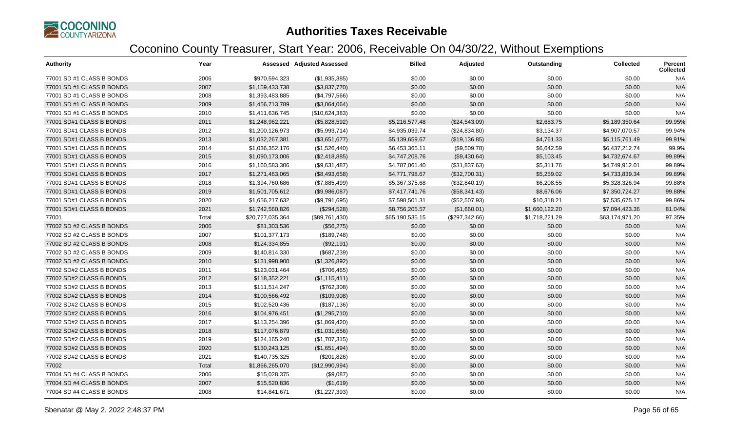

| <b>Authority</b>          | Year  |                  | <b>Assessed Adjusted Assessed</b> | <b>Billed</b>   | <b>Adjusted</b> | Outstanding    | <b>Collected</b> | <b>Percent</b><br><b>Collected</b> |
|---------------------------|-------|------------------|-----------------------------------|-----------------|-----------------|----------------|------------------|------------------------------------|
| 77001 SD #1 CLASS B BONDS | 2006  | \$970,594,323    | (\$1,935,385)                     | \$0.00          | \$0.00          | \$0.00         | \$0.00           | N/A                                |
| 77001 SD #1 CLASS B BONDS | 2007  | \$1,159,433,738  | (\$3,837,770)                     | \$0.00          | \$0.00          | \$0.00         | \$0.00           | N/A                                |
| 77001 SD #1 CLASS B BONDS | 2008  | \$1,393,483,885  | (\$4,797,566)                     | \$0.00          | \$0.00          | \$0.00         | \$0.00           | N/A                                |
| 77001 SD #1 CLASS B BONDS | 2009  | \$1,456,713,789  | (\$3,064,064)                     | \$0.00          | \$0.00          | \$0.00         | \$0.00           | N/A                                |
| 77001 SD #1 CLASS B BONDS | 2010  | \$1,411,636,745  | (\$10,624,383)                    | \$0.00          | \$0.00          | \$0.00         | \$0.00           | N/A                                |
| 77001 SD#1 CLASS B BONDS  | 2011  | \$1,248,962,221  | (\$5,828,592)                     | \$5,216,577.48  | (\$24,543.09)   | \$2,683.75     | \$5,189,350.64   | 99.95%                             |
| 77001 SD#1 CLASS B BONDS  | 2012  | \$1,200,126,973  | (\$5,993,714)                     | \$4,935,039.74  | (\$24,834.80)   | \$3,134.37     | \$4,907,070.57   | 99.94%                             |
| 77001 SD#1 CLASS B BONDS  | 2013  | \$1,032,267,381  | (\$3,651,677)                     | \$5,139,659.67  | (\$19,136.85)   | \$4,761.33     | \$5,115,761.49   | 99.91%                             |
| 77001 SD#1 CLASS B BONDS  | 2014  | \$1,036,352,176  | (\$1,526,440)                     | \$6,453,365.11  | (\$9,509.78)    | \$6,642.59     | \$6,437,212.74   | 99.9%                              |
| 77001 SD#1 CLASS B BONDS  | 2015  | \$1,090,173,006  | (\$2,418,885)                     | \$4,747,208.76  | (\$9,430.64)    | \$5,103.45     | \$4,732,674.67   | 99.89%                             |
| 77001 SD#1 CLASS B BONDS  | 2016  | \$1,160,583,306  | (\$9,631,487)                     | \$4,787,061.40  | (\$31,837.63)   | \$5,311.76     | \$4,749,912.01   | 99.89%                             |
| 77001 SD#1 CLASS B BONDS  | 2017  | \$1,271,463,065  | (\$8,493,658)                     | \$4,771,798.67  | (\$32,700.31)   | \$5,259.02     | \$4,733,839.34   | 99.89%                             |
| 77001 SD#1 CLASS B BONDS  | 2018  | \$1,394,760,686  | (\$7,885,499)                     | \$5,367,375.68  | (\$32,840.19)   | \$6,208.55     | \$5,328,326.94   | 99.88%                             |
| 77001 SD#1 CLASS B BONDS  | 2019  | \$1,501,705,612  | (\$9,986,087)                     | \$7,417,741.76  | (\$58,341.43)   | \$8,676.06     | \$7,350,724.27   | 99.88%                             |
| 77001 SD#1 CLASS B BONDS  | 2020  | \$1,656,217,632  | (\$9,791,695)                     | \$7,598,501.31  | (\$52,507.93)   | \$10,318.21    | \$7,535,675.17   | 99.86%                             |
| 77001 SD#1 CLASS B BONDS  | 2021  | \$1,742,560,826  | (\$294,528)                       | \$8,756,205.57  | (\$1,660.01)    | \$1,660,122.20 | \$7,094,423.36   | 81.04%                             |
| 77001                     | Total | \$20,727,035,364 | (\$89,761,430)                    | \$65,190,535.15 | (\$297,342.66)  | \$1,718,221.29 | \$63,174,971.20  | 97.35%                             |
| 77002 SD #2 CLASS B BONDS | 2006  | \$81,303,536     | (\$56,275)                        | \$0.00          | \$0.00          | \$0.00         | \$0.00           | N/A                                |
| 77002 SD #2 CLASS B BONDS | 2007  | \$101,377,173    | (\$189,748)                       | \$0.00          | \$0.00          | \$0.00         | \$0.00           | N/A                                |
| 77002 SD #2 CLASS B BONDS | 2008  | \$124,334,855    | (\$92,191)                        | \$0.00          | \$0.00          | \$0.00         | \$0.00           | N/A                                |
| 77002 SD #2 CLASS B BONDS | 2009  | \$140,814,330    | (\$687,239)                       | \$0.00          | \$0.00          | \$0.00         | \$0.00           | N/A                                |
| 77002 SD #2 CLASS B BONDS | 2010  | \$131,998,900    | (\$1,326,892)                     | \$0.00          | \$0.00          | \$0.00         | \$0.00           | N/A                                |
| 77002 SD#2 CLASS B BONDS  | 2011  | \$123,031,464    | (\$706,465)                       | \$0.00          | \$0.00          | \$0.00         | \$0.00           | N/A                                |
| 77002 SD#2 CLASS B BONDS  | 2012  | \$118,352,221    | (\$1,115,411)                     | \$0.00          | \$0.00          | \$0.00         | \$0.00           | N/A                                |
| 77002 SD#2 CLASS B BONDS  | 2013  | \$111,514,247    | (\$762,308)                       | \$0.00          | \$0.00          | \$0.00         | \$0.00           | N/A                                |
| 77002 SD#2 CLASS B BONDS  | 2014  | \$100,566,492    | (\$109,908)                       | \$0.00          | \$0.00          | \$0.00         | \$0.00           | N/A                                |
| 77002 SD#2 CLASS B BONDS  | 2015  | \$102,520,436    | (\$187, 136)                      | \$0.00          | \$0.00          | \$0.00         | \$0.00           | N/A                                |
| 77002 SD#2 CLASS B BONDS  | 2016  | \$104,976,451    | (\$1,295,710)                     | \$0.00          | \$0.00          | \$0.00         | \$0.00           | N/A                                |
| 77002 SD#2 CLASS B BONDS  | 2017  | \$113,254,396    | (\$1,869,420)                     | \$0.00          | \$0.00          | \$0.00         | \$0.00           | N/A                                |
| 77002 SD#2 CLASS B BONDS  | 2018  | \$117,076,879    | (\$1,031,656)                     | \$0.00          | \$0.00          | \$0.00         | \$0.00           | N/A                                |
| 77002 SD#2 CLASS B BONDS  | 2019  | \$124,165,240    | (\$1,707,315)                     | \$0.00          | \$0.00          | \$0.00         | \$0.00           | N/A                                |
| 77002 SD#2 CLASS B BONDS  | 2020  | \$130,243,125    | (\$1,651,494)                     | \$0.00          | \$0.00          | \$0.00         | \$0.00           | N/A                                |
| 77002 SD#2 CLASS B BONDS  | 2021  | \$140,735,325    | (\$201, 826)                      | \$0.00          | \$0.00          | \$0.00         | \$0.00           | N/A                                |
| 77002                     | Total | \$1,866,265,070  | (\$12,990,994)                    | \$0.00          | \$0.00          | \$0.00         | \$0.00           | N/A                                |
| 77004 SD #4 CLASS B BONDS | 2006  | \$15,028,375     | (\$9,087)                         | \$0.00          | \$0.00          | \$0.00         | \$0.00           | N/A                                |
| 77004 SD #4 CLASS B BONDS | 2007  | \$15,520,836     | (\$1,619)                         | \$0.00          | \$0.00          | \$0.00         | \$0.00           | N/A                                |
| 77004 SD #4 CLASS B BONDS | 2008  | \$14,841,671     | (\$1,227,393)                     | \$0.00          | \$0.00          | \$0.00         | \$0.00           | N/A                                |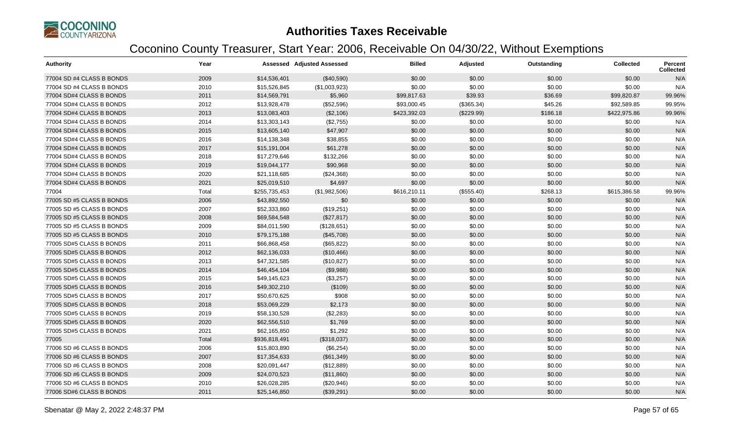

| <b>Authority</b>          | Year  |               | <b>Assessed Adjusted Assessed</b> | <b>Billed</b> | <b>Adjusted</b> | Outstanding | <b>Collected</b> | <b>Percent</b><br><b>Collected</b> |
|---------------------------|-------|---------------|-----------------------------------|---------------|-----------------|-------------|------------------|------------------------------------|
| 77004 SD #4 CLASS B BONDS | 2009  | \$14,536,401  | (\$40,590)                        | \$0.00        | \$0.00          | \$0.00      | \$0.00           | N/A                                |
| 77004 SD #4 CLASS B BONDS | 2010  | \$15,526,845  | (\$1,003,923)                     | \$0.00        | \$0.00          | \$0.00      | \$0.00           | N/A                                |
| 77004 SD#4 CLASS B BONDS  | 2011  | \$14,569,791  | \$5,960                           | \$99,817.63   | \$39.93         | \$36.69     | \$99,820.87      | 99.96%                             |
| 77004 SD#4 CLASS B BONDS  | 2012  | \$13,928,478  | (\$52,596)                        | \$93,000.45   | (\$365.34)      | \$45.26     | \$92,589.85      | 99.95%                             |
| 77004 SD#4 CLASS B BONDS  | 2013  | \$13,083,403  | (\$2,106)                         | \$423,392.03  | (\$229.99)      | \$186.18    | \$422,975.86     | 99.96%                             |
| 77004 SD#4 CLASS B BONDS  | 2014  | \$13,303,143  | (\$2,755)                         | \$0.00        | \$0.00          | \$0.00      | \$0.00           | N/A                                |
| 77004 SD#4 CLASS B BONDS  | 2015  | \$13,605,140  | \$47,907                          | \$0.00        | \$0.00          | \$0.00      | \$0.00           | N/A                                |
| 77004 SD#4 CLASS B BONDS  | 2016  | \$14,138,348  | \$38,855                          | \$0.00        | \$0.00          | \$0.00      | \$0.00           | N/A                                |
| 77004 SD#4 CLASS B BONDS  | 2017  | \$15,191,004  | \$61,278                          | \$0.00        | \$0.00          | \$0.00      | \$0.00           | N/A                                |
| 77004 SD#4 CLASS B BONDS  | 2018  | \$17,279,646  | \$132,266                         | \$0.00        | \$0.00          | \$0.00      | \$0.00           | N/A                                |
| 77004 SD#4 CLASS B BONDS  | 2019  | \$19,044,177  | \$90,968                          | \$0.00        | \$0.00          | \$0.00      | \$0.00           | N/A                                |
| 77004 SD#4 CLASS B BONDS  | 2020  | \$21,118,685  | (\$24,368)                        | \$0.00        | \$0.00          | \$0.00      | \$0.00           | N/A                                |
| 77004 SD#4 CLASS B BONDS  | 2021  | \$25,019,510  | \$4,697                           | \$0.00        | \$0.00          | \$0.00      | \$0.00           | N/A                                |
| 77004                     | Total | \$255,735,453 | (\$1,982,506)                     | \$616,210.11  | (\$555.40)      | \$268.13    | \$615,386.58     | 99.96%                             |
| 77005 SD #5 CLASS B BONDS | 2006  | \$43,892,550  | \$0                               | \$0.00        | \$0.00          | \$0.00      | \$0.00           | N/A                                |
| 77005 SD #5 CLASS B BONDS | 2007  | \$52,333,860  | (\$19,251)                        | \$0.00        | \$0.00          | \$0.00      | \$0.00           | N/A                                |
| 77005 SD #5 CLASS B BONDS | 2008  | \$69,584,548  | (\$27,817)                        | \$0.00        | \$0.00          | \$0.00      | \$0.00           | N/A                                |
| 77005 SD #5 CLASS B BONDS | 2009  | \$84,011,590  | (\$128,651)                       | \$0.00        | \$0.00          | \$0.00      | \$0.00           | N/A                                |
| 77005 SD #5 CLASS B BONDS | 2010  | \$79,175,188  | (\$45,708)                        | \$0.00        | \$0.00          | \$0.00      | \$0.00           | N/A                                |
| 77005 SD#5 CLASS B BONDS  | 2011  | \$66,868,458  | (\$65,822)                        | \$0.00        | \$0.00          | \$0.00      | \$0.00           | N/A                                |
| 77005 SD#5 CLASS B BONDS  | 2012  | \$62,136,033  | (\$10,466)                        | \$0.00        | \$0.00          | \$0.00      | \$0.00           | N/A                                |
| 77005 SD#5 CLASS B BONDS  | 2013  | \$47,321,585  | (\$10,827)                        | \$0.00        | \$0.00          | \$0.00      | \$0.00           | N/A                                |
| 77005 SD#5 CLASS B BONDS  | 2014  | \$46,454,104  | (\$9,988)                         | \$0.00        | \$0.00          | \$0.00      | \$0.00           | N/A                                |
| 77005 SD#5 CLASS B BONDS  | 2015  | \$49,145,623  | (\$3,257)                         | \$0.00        | \$0.00          | \$0.00      | \$0.00           | N/A                                |
| 77005 SD#5 CLASS B BONDS  | 2016  | \$49,302,210  | (\$109)                           | \$0.00        | \$0.00          | \$0.00      | \$0.00           | N/A                                |
| 77005 SD#5 CLASS B BONDS  | 2017  | \$50,670,625  | \$908                             | \$0.00        | \$0.00          | \$0.00      | \$0.00           | N/A                                |
| 77005 SD#5 CLASS B BONDS  | 2018  | \$53,069,229  | \$2,173                           | \$0.00        | \$0.00          | \$0.00      | \$0.00           | N/A                                |
| 77005 SD#5 CLASS B BONDS  | 2019  | \$58,130,528  | (\$2,283)                         | \$0.00        | \$0.00          | \$0.00      | \$0.00           | N/A                                |
| 77005 SD#5 CLASS B BONDS  | 2020  | \$62,556,510  | \$1,769                           | \$0.00        | \$0.00          | \$0.00      | \$0.00           | N/A                                |
| 77005 SD#5 CLASS B BONDS  | 2021  | \$62,165,850  | \$1,292                           | \$0.00        | \$0.00          | \$0.00      | \$0.00           | N/A                                |
| 77005                     | Total | \$936,818,491 | (\$318,037)                       | \$0.00        | \$0.00          | \$0.00      | \$0.00           | N/A                                |
| 77006 SD #6 CLASS B BONDS | 2006  | \$15,803,890  | (\$6,254)                         | \$0.00        | \$0.00          | \$0.00      | \$0.00           | N/A                                |
| 77006 SD #6 CLASS B BONDS | 2007  | \$17,354,633  | (\$61,349)                        | \$0.00        | \$0.00          | \$0.00      | \$0.00           | N/A                                |
| 77006 SD #6 CLASS B BONDS | 2008  | \$20,091,447  | (\$12,889)                        | \$0.00        | \$0.00          | \$0.00      | \$0.00           | N/A                                |
| 77006 SD #6 CLASS B BONDS | 2009  | \$24,070,523  | (\$11,860)                        | \$0.00        | \$0.00          | \$0.00      | \$0.00           | N/A                                |
| 77006 SD #6 CLASS B BONDS | 2010  | \$26,028,285  | (\$20,946)                        | \$0.00        | \$0.00          | \$0.00      | \$0.00           | N/A                                |
| 77006 SD#6 CLASS B BONDS  | 2011  | \$25,146,850  | (\$39,291)                        | \$0.00        | \$0.00          | \$0.00      | \$0.00           | N/A                                |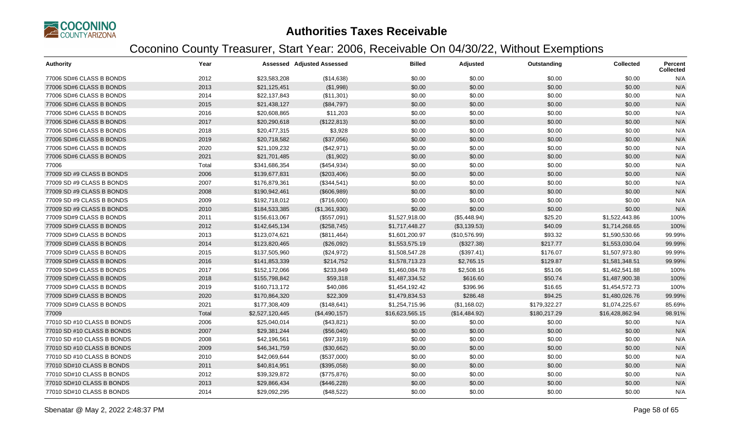

| <b>Authority</b>           | Year  |                 | <b>Assessed Adjusted Assessed</b> | <b>Billed</b>   | Adjusted      | Outstanding  | <b>Collected</b> | <b>Percent</b><br><b>Collected</b> |
|----------------------------|-------|-----------------|-----------------------------------|-----------------|---------------|--------------|------------------|------------------------------------|
| 77006 SD#6 CLASS B BONDS   | 2012  | \$23,583,208    | (\$14,638)                        | \$0.00          | \$0.00        | \$0.00       | \$0.00           | N/A                                |
| 77006 SD#6 CLASS B BONDS   | 2013  | \$21,125,451    | (\$1,998)                         | \$0.00          | \$0.00        | \$0.00       | \$0.00           | N/A                                |
| 77006 SD#6 CLASS B BONDS   | 2014  | \$22,137,843    | (\$11,301)                        | \$0.00          | \$0.00        | \$0.00       | \$0.00           | N/A                                |
| 77006 SD#6 CLASS B BONDS   | 2015  | \$21,438,127    | (\$84,797)                        | \$0.00          | \$0.00        | \$0.00       | \$0.00           | N/A                                |
| 77006 SD#6 CLASS B BONDS   | 2016  | \$20,608,865    | \$11,203                          | \$0.00          | \$0.00        | \$0.00       | \$0.00           | N/A                                |
| 77006 SD#6 CLASS B BONDS   | 2017  | \$20,290,618    | (\$122,813)                       | \$0.00          | \$0.00        | \$0.00       | \$0.00           | N/A                                |
| 77006 SD#6 CLASS B BONDS   | 2018  | \$20,477,315    | \$3,928                           | \$0.00          | \$0.00        | \$0.00       | \$0.00           | N/A                                |
| 77006 SD#6 CLASS B BONDS   | 2019  | \$20,718,582    | (\$37,056)                        | \$0.00          | \$0.00        | \$0.00       | \$0.00           | N/A                                |
| 77006 SD#6 CLASS B BONDS   | 2020  | \$21,109,232    | (\$42,971)                        | \$0.00          | \$0.00        | \$0.00       | \$0.00           | N/A                                |
| 77006 SD#6 CLASS B BONDS   | 2021  | \$21,701,485    | (\$1,902)                         | \$0.00          | \$0.00        | \$0.00       | \$0.00           | N/A                                |
| 77006                      | Total | \$341,686,354   | (\$454,934)                       | \$0.00          | \$0.00        | \$0.00       | \$0.00           | N/A                                |
| 77009 SD #9 CLASS B BONDS  | 2006  | \$139,677,831   | (\$203,406)                       | \$0.00          | \$0.00        | \$0.00       | \$0.00           | N/A                                |
| 77009 SD #9 CLASS B BONDS  | 2007  | \$176,879,361   | (\$344,541)                       | \$0.00          | \$0.00        | \$0.00       | \$0.00           | N/A                                |
| 77009 SD #9 CLASS B BONDS  | 2008  | \$190,942,461   | (\$606,989)                       | \$0.00          | \$0.00        | \$0.00       | \$0.00           | N/A                                |
| 77009 SD #9 CLASS B BONDS  | 2009  | \$192,718,012   | (\$716,600)                       | \$0.00          | \$0.00        | \$0.00       | \$0.00           | N/A                                |
| 77009 SD #9 CLASS B BONDS  | 2010  | \$184,533,385   | (\$1,361,930)                     | \$0.00          | \$0.00        | \$0.00       | \$0.00           | N/A                                |
| 77009 SD#9 CLASS B BONDS   | 2011  | \$156,613,067   | (\$557,091)                       | \$1,527,918.00  | (\$5,448.94)  | \$25.20      | \$1,522,443.86   | 100%                               |
| 77009 SD#9 CLASS B BONDS   | 2012  | \$142,645,134   | (\$258,745)                       | \$1,717,448.27  | (\$3,139.53)  | \$40.09      | \$1,714,268.65   | 100%                               |
| 77009 SD#9 CLASS B BONDS   | 2013  | \$123,074,621   | (\$811,464)                       | \$1,601,200.97  | (\$10,576.99) | \$93.32      | \$1,590,530.66   | 99.99%                             |
| 77009 SD#9 CLASS B BONDS   | 2014  | \$123,820,465   | (\$26,092)                        | \$1,553,575.19  | (\$327.38)    | \$217.77     | \$1,553,030.04   | 99.99%                             |
| 77009 SD#9 CLASS B BONDS   | 2015  | \$137,505,960   | (\$24,972)                        | \$1,508,547.28  | (\$397.41)    | \$176.07     | \$1,507,973.80   | 99.99%                             |
| 77009 SD#9 CLASS B BONDS   | 2016  | \$141,853,339   | \$214,752                         | \$1,578,713.23  | \$2,765.15    | \$129.87     | \$1,581,348.51   | 99.99%                             |
| 77009 SD#9 CLASS B BONDS   | 2017  | \$152,172,066   | \$233,849                         | \$1,460,084.78  | \$2,508.16    | \$51.06      | \$1,462,541.88   | 100%                               |
| 77009 SD#9 CLASS B BONDS   | 2018  | \$155,798,842   | \$59,318                          | \$1,487,334.52  | \$616.60      | \$50.74      | \$1,487,900.38   | 100%                               |
| 77009 SD#9 CLASS B BONDS   | 2019  | \$160,713,172   | \$40,086                          | \$1,454,192.42  | \$396.96      | \$16.65      | \$1,454,572.73   | 100%                               |
| 77009 SD#9 CLASS B BONDS   | 2020  | \$170,864,320   | \$22,309                          | \$1,479,834.53  | \$286.48      | \$94.25      | \$1,480,026.76   | 99.99%                             |
| 77009 SD#9 CLASS B BONDS   | 2021  | \$177,308,409   | (\$148,641)                       | \$1,254,715.96  | (\$1,168.02)  | \$179,322.27 | \$1,074,225.67   | 85.69%                             |
| 77009                      | Total | \$2,527,120,445 | (\$4,490,157)                     | \$16,623,565.15 | (\$14,484.92) | \$180,217.29 | \$16,428,862.94  | 98.91%                             |
| 77010 SD #10 CLASS B BONDS | 2006  | \$25,040,014    | (\$43,821)                        | \$0.00          | \$0.00        | \$0.00       | \$0.00           | N/A                                |
| 77010 SD #10 CLASS B BONDS | 2007  | \$29,381,244    | (\$56,040)                        | \$0.00          | \$0.00        | \$0.00       | \$0.00           | N/A                                |
| 77010 SD #10 CLASS B BONDS | 2008  | \$42,196,561    | (\$97,319)                        | \$0.00          | \$0.00        | \$0.00       | \$0.00           | N/A                                |
| 77010 SD #10 CLASS B BONDS | 2009  | \$46,341,759    | (\$30,662)                        | \$0.00          | \$0.00        | \$0.00       | \$0.00           | N/A                                |
| 77010 SD #10 CLASS B BONDS | 2010  | \$42,069,644    | (\$537,000)                       | \$0.00          | \$0.00        | \$0.00       | \$0.00           | N/A                                |
| 77010 SD#10 CLASS B BONDS  | 2011  | \$40,814,951    | (\$395,058)                       | \$0.00          | \$0.00        | \$0.00       | \$0.00           | N/A                                |
| 77010 SD#10 CLASS B BONDS  | 2012  | \$39,329,872    | (\$775,876)                       | \$0.00          | \$0.00        | \$0.00       | \$0.00           | N/A                                |
| 77010 SD#10 CLASS B BONDS  | 2013  | \$29,866,434    | (\$446,228)                       | \$0.00          | \$0.00        | \$0.00       | \$0.00           | N/A                                |
| 77010 SD#10 CLASS B BONDS  | 2014  | \$29,092,295    | (\$48,522)                        | \$0.00          | \$0.00        | \$0.00       | \$0.00           | N/A                                |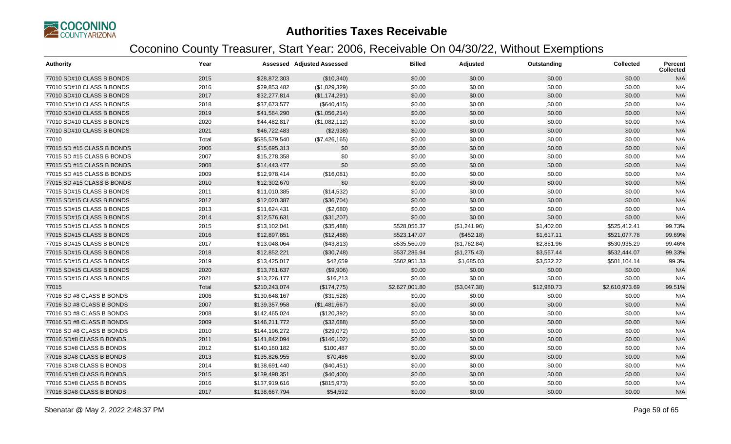

| <b>Authority</b>           | Year  |               | <b>Assessed Adjusted Assessed</b> | <b>Billed</b>  | Adjusted     | Outstanding | Collected      | Percent<br><b>Collected</b> |
|----------------------------|-------|---------------|-----------------------------------|----------------|--------------|-------------|----------------|-----------------------------|
| 77010 SD#10 CLASS B BONDS  | 2015  | \$28,872,303  | (\$10,340)                        | \$0.00         | \$0.00       | \$0.00      | \$0.00         | N/A                         |
| 77010 SD#10 CLASS B BONDS  | 2016  | \$29,853,482  | (\$1,029,329)                     | \$0.00         | \$0.00       | \$0.00      | \$0.00         | N/A                         |
| 77010 SD#10 CLASS B BONDS  | 2017  | \$32,277,814  | (\$1,174,291)                     | \$0.00         | \$0.00       | \$0.00      | \$0.00         | N/A                         |
| 77010 SD#10 CLASS B BONDS  | 2018  | \$37,673,577  | (\$640, 415)                      | \$0.00         | \$0.00       | \$0.00      | \$0.00         | N/A                         |
| 77010 SD#10 CLASS B BONDS  | 2019  | \$41,564,290  | (\$1,056,214)                     | \$0.00         | \$0.00       | \$0.00      | \$0.00         | N/A                         |
| 77010 SD#10 CLASS B BONDS  | 2020  | \$44,482,817  | (\$1,082,112)                     | \$0.00         | \$0.00       | \$0.00      | \$0.00         | N/A                         |
| 77010 SD#10 CLASS B BONDS  | 2021  | \$46,722,483  | (\$2,938)                         | \$0.00         | \$0.00       | \$0.00      | \$0.00         | N/A                         |
| 77010                      | Total | \$585,579,540 | (\$7,426,165)                     | \$0.00         | \$0.00       | \$0.00      | \$0.00         | N/A                         |
| 77015 SD #15 CLASS B BONDS | 2006  | \$15,695,313  | \$0                               | \$0.00         | \$0.00       | \$0.00      | \$0.00         | N/A                         |
| 77015 SD #15 CLASS B BONDS | 2007  | \$15,278,358  | \$0                               | \$0.00         | \$0.00       | \$0.00      | \$0.00         | N/A                         |
| 77015 SD #15 CLASS B BONDS | 2008  | \$14,443,477  | \$0                               | \$0.00         | \$0.00       | \$0.00      | \$0.00         | N/A                         |
| 77015 SD #15 CLASS B BONDS | 2009  | \$12,978,414  | (\$16,081)                        | \$0.00         | \$0.00       | \$0.00      | \$0.00         | N/A                         |
| 77015 SD #15 CLASS B BONDS | 2010  | \$12,302,670  | \$0                               | \$0.00         | \$0.00       | \$0.00      | \$0.00         | N/A                         |
| 77015 SD#15 CLASS B BONDS  | 2011  | \$11,010,385  | (\$14,532)                        | \$0.00         | \$0.00       | \$0.00      | \$0.00         | N/A                         |
| 77015 SD#15 CLASS B BONDS  | 2012  | \$12,020,387  | (\$36,704)                        | \$0.00         | \$0.00       | \$0.00      | \$0.00         | N/A                         |
| 77015 SD#15 CLASS B BONDS  | 2013  | \$11,624,431  | (\$2,680)                         | \$0.00         | \$0.00       | \$0.00      | \$0.00         | N/A                         |
| 77015 SD#15 CLASS B BONDS  | 2014  | \$12,576,631  | (\$31,207)                        | \$0.00         | \$0.00       | \$0.00      | \$0.00         | N/A                         |
| 77015 SD#15 CLASS B BONDS  | 2015  | \$13,102,041  | (\$35,488)                        | \$528,056.37   | (\$1,241.96) | \$1,402.00  | \$525,412.41   | 99.73%                      |
| 77015 SD#15 CLASS B BONDS  | 2016  | \$12,897,851  | (\$12,488)                        | \$523,147.07   | (\$452.18)   | \$1,617.11  | \$521,077.78   | 99.69%                      |
| 77015 SD#15 CLASS B BONDS  | 2017  | \$13,048,064  | (\$43,813)                        | \$535,560.09   | (\$1,762.84) | \$2,861.96  | \$530,935.29   | 99.46%                      |
| 77015 SD#15 CLASS B BONDS  | 2018  | \$12,852,221  | (\$30,748)                        | \$537,286.94   | (\$1,275.43) | \$3,567.44  | \$532,444.07   | 99.33%                      |
| 77015 SD#15 CLASS B BONDS  | 2019  | \$13,425,017  | \$42,659                          | \$502,951.33   | \$1,685.03   | \$3,532.22  | \$501,104.14   | 99.3%                       |
| 77015 SD#15 CLASS B BONDS  | 2020  | \$13,761,637  | (\$9,906)                         | \$0.00         | \$0.00       | \$0.00      | \$0.00         | N/A                         |
| 77015 SD#15 CLASS B BONDS  | 2021  | \$13,226,177  | \$16,213                          | \$0.00         | \$0.00       | \$0.00      | \$0.00         | N/A                         |
| 77015                      | Total | \$210,243,074 | (\$174,775)                       | \$2,627,001.80 | (\$3,047.38) | \$12,980.73 | \$2,610,973.69 | 99.51%                      |
| 77016 SD #8 CLASS B BONDS  | 2006  | \$130,648,167 | (\$31,528)                        | \$0.00         | \$0.00       | \$0.00      | \$0.00         | N/A                         |
| 77016 SD #8 CLASS B BONDS  | 2007  | \$139,357,958 | (\$1,481,667)                     | \$0.00         | \$0.00       | \$0.00      | \$0.00         | N/A                         |
| 77016 SD #8 CLASS B BONDS  | 2008  | \$142,465,024 | (\$120,392)                       | \$0.00         | \$0.00       | \$0.00      | \$0.00         | N/A                         |
| 77016 SD #8 CLASS B BONDS  | 2009  | \$146,211,772 | (\$32,688)                        | \$0.00         | \$0.00       | \$0.00      | \$0.00         | N/A                         |
| 77016 SD #8 CLASS B BONDS  | 2010  | \$144,196,272 | (\$29,072)                        | \$0.00         | \$0.00       | \$0.00      | \$0.00         | N/A                         |
| 77016 SD#8 CLASS B BONDS   | 2011  | \$141,842,094 | (\$146, 102)                      | \$0.00         | \$0.00       | \$0.00      | \$0.00         | N/A                         |
| 77016 SD#8 CLASS B BONDS   | 2012  | \$140,160,182 | \$100,487                         | \$0.00         | \$0.00       | \$0.00      | \$0.00         | N/A                         |
| 77016 SD#8 CLASS B BONDS   | 2013  | \$135,826,955 | \$70,486                          | \$0.00         | \$0.00       | \$0.00      | \$0.00         | N/A                         |
| 77016 SD#8 CLASS B BONDS   | 2014  | \$138,691,440 | (\$40,451)                        | \$0.00         | \$0.00       | \$0.00      | \$0.00         | N/A                         |
| 77016 SD#8 CLASS B BONDS   | 2015  | \$139,498,351 | (\$40,400)                        | \$0.00         | \$0.00       | \$0.00      | \$0.00         | N/A                         |
| 77016 SD#8 CLASS B BONDS   | 2016  | \$137,919,616 | (\$815,973)                       | \$0.00         | \$0.00       | \$0.00      | \$0.00         | N/A                         |
| 77016 SD#8 CLASS B BONDS   | 2017  | \$138,667,794 | \$54,592                          | \$0.00         | \$0.00       | \$0.00      | \$0.00         | N/A                         |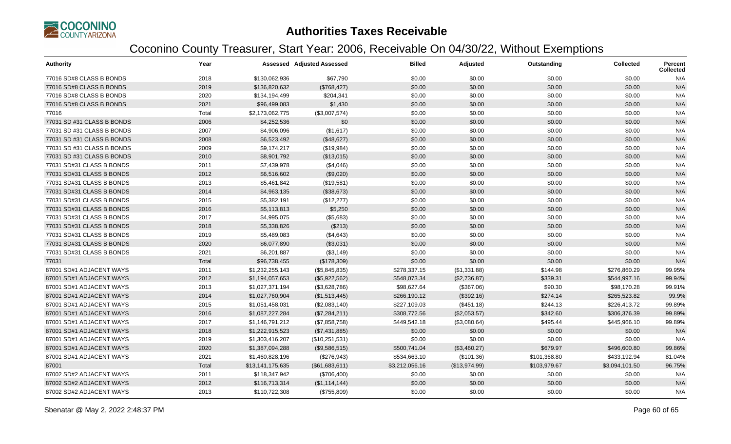

| <b>Authority</b>           | Year  |                  | <b>Assessed Adjusted Assessed</b> | <b>Billed</b>  | Adjusted      | Outstanding  | <b>Collected</b> | <b>Percent</b><br><b>Collected</b> |
|----------------------------|-------|------------------|-----------------------------------|----------------|---------------|--------------|------------------|------------------------------------|
| 77016 SD#8 CLASS B BONDS   | 2018  | \$130,062,936    | \$67,790                          | \$0.00         | \$0.00        | \$0.00       | \$0.00           | N/A                                |
| 77016 SD#8 CLASS B BONDS   | 2019  | \$136,820,632    | (\$768,427)                       | \$0.00         | \$0.00        | \$0.00       | \$0.00           | N/A                                |
| 77016 SD#8 CLASS B BONDS   | 2020  | \$134,194,499    | \$204,341                         | \$0.00         | \$0.00        | \$0.00       | \$0.00           | N/A                                |
| 77016 SD#8 CLASS B BONDS   | 2021  | \$96,499,083     | \$1,430                           | \$0.00         | \$0.00        | \$0.00       | \$0.00           | N/A                                |
| 77016                      | Total | \$2,173,062,775  | (\$3,007,574)                     | \$0.00         | \$0.00        | \$0.00       | \$0.00           | N/A                                |
| 77031 SD #31 CLASS B BONDS | 2006  | \$4,252,536      | \$0                               | \$0.00         | \$0.00        | \$0.00       | \$0.00           | N/A                                |
| 77031 SD #31 CLASS B BONDS | 2007  | \$4,906,096      | (\$1,617)                         | \$0.00         | \$0.00        | \$0.00       | \$0.00           | N/A                                |
| 77031 SD #31 CLASS B BONDS | 2008  | \$6,523,492      | (\$48,627)                        | \$0.00         | \$0.00        | \$0.00       | \$0.00           | N/A                                |
| 77031 SD #31 CLASS B BONDS | 2009  | \$9,174,217      | (\$19,984)                        | \$0.00         | \$0.00        | \$0.00       | \$0.00           | N/A                                |
| 77031 SD #31 CLASS B BONDS | 2010  | \$8,901,792      | (\$13,015)                        | \$0.00         | \$0.00        | \$0.00       | \$0.00           | N/A                                |
| 77031 SD#31 CLASS B BONDS  | 2011  | \$7,439,978      | (\$4,046)                         | \$0.00         | \$0.00        | \$0.00       | \$0.00           | N/A                                |
| 77031 SD#31 CLASS B BONDS  | 2012  | \$6,516,602      | (\$9,020)                         | \$0.00         | \$0.00        | \$0.00       | \$0.00           | N/A                                |
| 77031 SD#31 CLASS B BONDS  | 2013  | \$5,461,842      | (\$19,581)                        | \$0.00         | \$0.00        | \$0.00       | \$0.00           | N/A                                |
| 77031 SD#31 CLASS B BONDS  | 2014  | \$4,963,135      | (\$38,673)                        | \$0.00         | \$0.00        | \$0.00       | \$0.00           | N/A                                |
| 77031 SD#31 CLASS B BONDS  | 2015  | \$5,382,191      | (\$12,277)                        | \$0.00         | \$0.00        | \$0.00       | \$0.00           | N/A                                |
| 77031 SD#31 CLASS B BONDS  | 2016  | \$5,113,813      | \$5,250                           | \$0.00         | \$0.00        | \$0.00       | \$0.00           | N/A                                |
| 77031 SD#31 CLASS B BONDS  | 2017  | \$4,995,075      | (\$5,683)                         | \$0.00         | \$0.00        | \$0.00       | \$0.00           | N/A                                |
| 77031 SD#31 CLASS B BONDS  | 2018  | \$5,338,826      | (\$213)                           | \$0.00         | \$0.00        | \$0.00       | \$0.00           | N/A                                |
| 77031 SD#31 CLASS B BONDS  | 2019  | \$5,489,083      | (\$4,643)                         | \$0.00         | \$0.00        | \$0.00       | \$0.00           | N/A                                |
| 77031 SD#31 CLASS B BONDS  | 2020  | \$6,077,890      | (\$3,031)                         | \$0.00         | \$0.00        | \$0.00       | \$0.00           | N/A                                |
| 77031 SD#31 CLASS B BONDS  | 2021  | \$6,201,887      | (\$3,149)                         | \$0.00         | \$0.00        | \$0.00       | \$0.00           | N/A                                |
| 77031                      | Total | \$96,738,455     | (\$178,309)                       | \$0.00         | \$0.00        | \$0.00       | \$0.00           | N/A                                |
| 87001 SD#1 ADJACENT WAYS   | 2011  | \$1,232,255,143  | (\$5,845,835)                     | \$278,337.15   | (\$1,331.88)  | \$144.98     | \$276,860.29     | 99.95%                             |
| 87001 SD#1 ADJACENT WAYS   | 2012  | \$1,194,057,653  | (\$5,922,562)                     | \$548,073.34   | (\$2,736.87)  | \$339.31     | \$544,997.16     | 99.94%                             |
| 87001 SD#1 ADJACENT WAYS   | 2013  | \$1,027,371,194  | (\$3,628,786)                     | \$98,627.64    | (\$367.06)    | \$90.30      | \$98,170.28      | 99.91%                             |
| 87001 SD#1 ADJACENT WAYS   | 2014  | \$1,027,760,904  | (\$1,513,445)                     | \$266,190.12   | (\$392.16)    | \$274.14     | \$265,523.82     | 99.9%                              |
| 87001 SD#1 ADJACENT WAYS   | 2015  | \$1,051,458,031  | (\$2,083,140)                     | \$227,109.03   | (\$451.18)    | \$244.13     | \$226,413.72     | 99.89%                             |
| 87001 SD#1 ADJACENT WAYS   | 2016  | \$1,087,227,284  | (\$7,284,211)                     | \$308,772.56   | (\$2,053.57)  | \$342.60     | \$306,376.39     | 99.89%                             |
| 87001 SD#1 ADJACENT WAYS   | 2017  | \$1,146,791,212  | (\$7,858,758)                     | \$449,542.18   | (\$3,080.64)  | \$495.44     | \$445,966.10     | 99.89%                             |
| 87001 SD#1 ADJACENT WAYS   | 2018  | \$1,222,915,523  | (\$7,431,885)                     | \$0.00         | \$0.00        | \$0.00       | \$0.00           | N/A                                |
| 87001 SD#1 ADJACENT WAYS   | 2019  | \$1,303,416,207  | (\$10,251,531)                    | \$0.00         | \$0.00        | \$0.00       | \$0.00           | N/A                                |
| 87001 SD#1 ADJACENT WAYS   | 2020  | \$1,387,094,288  | (\$9,586,515)                     | \$500,741.04   | (\$3,460.27)  | \$679.97     | \$496,600.80     | 99.86%                             |
| 87001 SD#1 ADJACENT WAYS   | 2021  | \$1,460,828,196  | (\$276,943)                       | \$534,663.10   | (\$101.36)    | \$101,368.80 | \$433,192.94     | 81.04%                             |
| 87001                      | Total | \$13,141,175,635 | (\$61,683,611)                    | \$3,212,056.16 | (\$13,974.99) | \$103,979.67 | \$3,094,101.50   | 96.75%                             |
| 87002 SD#2 ADJACENT WAYS   | 2011  | \$118,347,942    | (\$706,400)                       | \$0.00         | \$0.00        | \$0.00       | \$0.00           | N/A                                |
| 87002 SD#2 ADJACENT WAYS   | 2012  | \$116,713,314    | (\$1,114,144)                     | \$0.00         | \$0.00        | \$0.00       | \$0.00           | N/A                                |
| 87002 SD#2 ADJACENT WAYS   | 2013  | \$110,722,308    | (\$755,809)                       | \$0.00         | \$0.00        | \$0.00       | \$0.00           | N/A                                |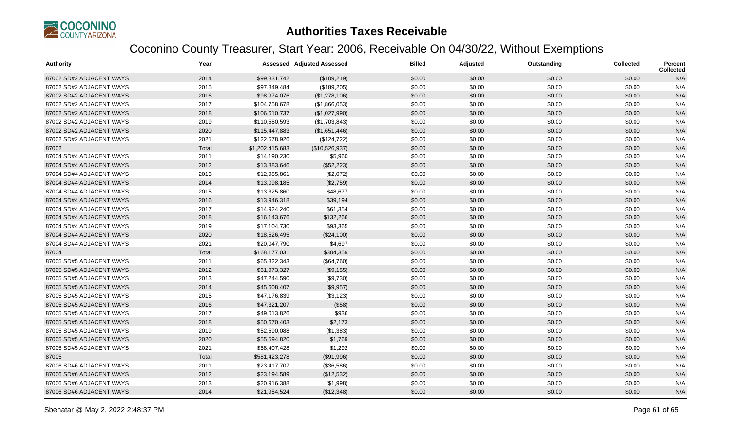

| <b>Authority</b>         | Year  |                 | <b>Assessed Adjusted Assessed</b> | <b>Billed</b> | Adjusted | Outstanding | <b>Collected</b> | Percent<br><b>Collected</b> |
|--------------------------|-------|-----------------|-----------------------------------|---------------|----------|-------------|------------------|-----------------------------|
| 87002 SD#2 ADJACENT WAYS | 2014  | \$99,831,742    | (\$109,219)                       | \$0.00        | \$0.00   | \$0.00      | \$0.00           | N/A                         |
| 87002 SD#2 ADJACENT WAYS | 2015  | \$97,849,484    | (\$189,205)                       | \$0.00        | \$0.00   | \$0.00      | \$0.00           | N/A                         |
| 87002 SD#2 ADJACENT WAYS | 2016  | \$98,974,076    | (\$1,278,106)                     | \$0.00        | \$0.00   | \$0.00      | \$0.00           | N/A                         |
| 87002 SD#2 ADJACENT WAYS | 2017  | \$104,758,678   | (\$1,866,053)                     | \$0.00        | \$0.00   | \$0.00      | \$0.00           | N/A                         |
| 87002 SD#2 ADJACENT WAYS | 2018  | \$106,610,737   | (\$1,027,990)                     | \$0.00        | \$0.00   | \$0.00      | \$0.00           | N/A                         |
| 87002 SD#2 ADJACENT WAYS | 2019  | \$110,580,593   | (\$1,703,843)                     | \$0.00        | \$0.00   | \$0.00      | \$0.00           | N/A                         |
| 87002 SD#2 ADJACENT WAYS | 2020  | \$115,447,883   | (\$1,651,446)                     | \$0.00        | \$0.00   | \$0.00      | \$0.00           | N/A                         |
| 87002 SD#2 ADJACENT WAYS | 2021  | \$122,578,926   | (\$124, 722)                      | \$0.00        | \$0.00   | \$0.00      | \$0.00           | N/A                         |
| 87002                    | Total | \$1,202,415,683 | (\$10,526,937)                    | \$0.00        | \$0.00   | \$0.00      | \$0.00           | N/A                         |
| 87004 SD#4 ADJACENT WAYS | 2011  | \$14,190,230    | \$5,960                           | \$0.00        | \$0.00   | \$0.00      | \$0.00           | N/A                         |
| 87004 SD#4 ADJACENT WAYS | 2012  | \$13,883,646    | (\$52,223)                        | \$0.00        | \$0.00   | \$0.00      | \$0.00           | N/A                         |
| 87004 SD#4 ADJACENT WAYS | 2013  | \$12,985,861    | (\$2,072)                         | \$0.00        | \$0.00   | \$0.00      | \$0.00           | N/A                         |
| 87004 SD#4 ADJACENT WAYS | 2014  | \$13,098,185    | (\$2,759)                         | \$0.00        | \$0.00   | \$0.00      | \$0.00           | N/A                         |
| 87004 SD#4 ADJACENT WAYS | 2015  | \$13,325,860    | \$48,677                          | \$0.00        | \$0.00   | \$0.00      | \$0.00           | N/A                         |
| 87004 SD#4 ADJACENT WAYS | 2016  | \$13,946,318    | \$39,194                          | \$0.00        | \$0.00   | \$0.00      | \$0.00           | N/A                         |
| 87004 SD#4 ADJACENT WAYS | 2017  | \$14,924,240    | \$61,354                          | \$0.00        | \$0.00   | \$0.00      | \$0.00           | N/A                         |
| 87004 SD#4 ADJACENT WAYS | 2018  | \$16,143,676    | \$132,266                         | \$0.00        | \$0.00   | \$0.00      | \$0.00           | N/A                         |
| 87004 SD#4 ADJACENT WAYS | 2019  | \$17,104,730    | \$93,365                          | \$0.00        | \$0.00   | \$0.00      | \$0.00           | N/A                         |
| 87004 SD#4 ADJACENT WAYS | 2020  | \$18,526,495    | (\$24,100)                        | \$0.00        | \$0.00   | \$0.00      | \$0.00           | N/A                         |
| 87004 SD#4 ADJACENT WAYS | 2021  | \$20,047,790    | \$4,697                           | \$0.00        | \$0.00   | \$0.00      | \$0.00           | N/A                         |
| 87004                    | Total | \$168,177,031   | \$304,359                         | \$0.00        | \$0.00   | \$0.00      | \$0.00           | N/A                         |
| 87005 SD#5 ADJACENT WAYS | 2011  | \$65,822,343    | (\$64,760)                        | \$0.00        | \$0.00   | \$0.00      | \$0.00           | N/A                         |
| 87005 SD#5 ADJACENT WAYS | 2012  | \$61,973,327    | (\$9,155)                         | \$0.00        | \$0.00   | \$0.00      | \$0.00           | N/A                         |
| 87005 SD#5 ADJACENT WAYS | 2013  | \$47,244,590    | (\$9,730)                         | \$0.00        | \$0.00   | \$0.00      | \$0.00           | N/A                         |
| 87005 SD#5 ADJACENT WAYS | 2014  | \$45,608,407    | (\$9,957)                         | \$0.00        | \$0.00   | \$0.00      | \$0.00           | N/A                         |
| 87005 SD#5 ADJACENT WAYS | 2015  | \$47,176,839    | (\$3,123)                         | \$0.00        | \$0.00   | \$0.00      | \$0.00           | N/A                         |
| 87005 SD#5 ADJACENT WAYS | 2016  | \$47,321,207    | (\$58)                            | \$0.00        | \$0.00   | \$0.00      | \$0.00           | N/A                         |
| 87005 SD#5 ADJACENT WAYS | 2017  | \$49,013,826    | \$936                             | \$0.00        | \$0.00   | \$0.00      | \$0.00           | N/A                         |
| 87005 SD#5 ADJACENT WAYS | 2018  | \$50,670,403    | \$2,173                           | \$0.00        | \$0.00   | \$0.00      | \$0.00           | N/A                         |
| 87005 SD#5 ADJACENT WAYS | 2019  | \$52,590,088    | (\$1,383)                         | \$0.00        | \$0.00   | \$0.00      | \$0.00           | N/A                         |
| 87005 SD#5 ADJACENT WAYS | 2020  | \$55,594,820    | \$1,769                           | \$0.00        | \$0.00   | \$0.00      | \$0.00           | N/A                         |
| 87005 SD#5 ADJACENT WAYS | 2021  | \$58,407,428    | \$1,292                           | \$0.00        | \$0.00   | \$0.00      | \$0.00           | N/A                         |
| 87005                    | Total | \$581,423,278   | (\$91,996)                        | \$0.00        | \$0.00   | \$0.00      | \$0.00           | N/A                         |
| 87006 SD#6 ADJACENT WAYS | 2011  | \$23,417,707    | (\$36,586)                        | \$0.00        | \$0.00   | \$0.00      | \$0.00           | N/A                         |
| 87006 SD#6 ADJACENT WAYS | 2012  | \$23,194,589    | (\$12,532)                        | \$0.00        | \$0.00   | \$0.00      | \$0.00           | N/A                         |
| 87006 SD#6 ADJACENT WAYS | 2013  | \$20,916,388    | (\$1,998)                         | \$0.00        | \$0.00   | \$0.00      | \$0.00           | N/A                         |
| 87006 SD#6 ADJACENT WAYS | 2014  | \$21,954,524    | (\$12,348)                        | \$0.00        | \$0.00   | \$0.00      | \$0.00           | N/A                         |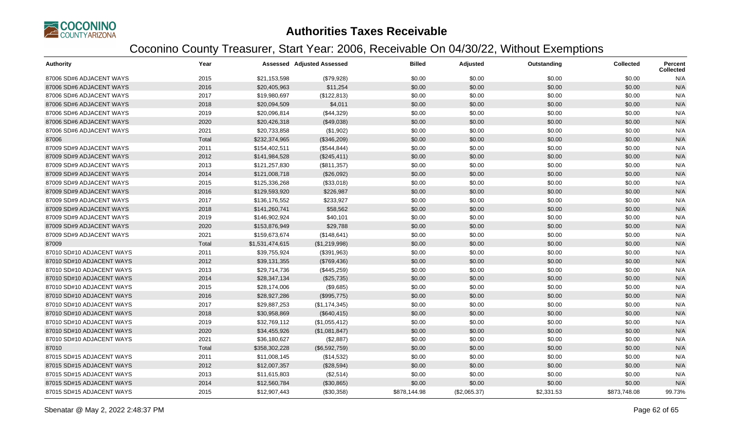

| <b>Authority</b>          | Year  |                 | <b>Assessed Adjusted Assessed</b> | <b>Billed</b> | Adjusted     | Outstanding | <b>Collected</b> | <b>Percent</b><br><b>Collected</b> |
|---------------------------|-------|-----------------|-----------------------------------|---------------|--------------|-------------|------------------|------------------------------------|
| 87006 SD#6 ADJACENT WAYS  | 2015  | \$21,153,598    | (\$79,928)                        | \$0.00        | \$0.00       | \$0.00      | \$0.00           | N/A                                |
| 87006 SD#6 ADJACENT WAYS  | 2016  | \$20,405,963    | \$11,254                          | \$0.00        | \$0.00       | \$0.00      | \$0.00           | N/A                                |
| 87006 SD#6 ADJACENT WAYS  | 2017  | \$19,980,697    | (\$122,813)                       | \$0.00        | \$0.00       | \$0.00      | \$0.00           | N/A                                |
| 87006 SD#6 ADJACENT WAYS  | 2018  | \$20,094,509    | \$4,011                           | \$0.00        | \$0.00       | \$0.00      | \$0.00           | N/A                                |
| 87006 SD#6 ADJACENT WAYS  | 2019  | \$20,096,814    | (\$44,329)                        | \$0.00        | \$0.00       | \$0.00      | \$0.00           | N/A                                |
| 87006 SD#6 ADJACENT WAYS  | 2020  | \$20,426,318    | (\$49,038)                        | \$0.00        | \$0.00       | \$0.00      | \$0.00           | N/A                                |
| 87006 SD#6 ADJACENT WAYS  | 2021  | \$20,733,858    | (\$1,902)                         | \$0.00        | \$0.00       | \$0.00      | \$0.00           | N/A                                |
| 87006                     | Total | \$232,374,965   | (\$346,209)                       | \$0.00        | \$0.00       | \$0.00      | \$0.00           | N/A                                |
| 87009 SD#9 ADJACENT WAYS  | 2011  | \$154,402,511   | (\$544, 844)                      | \$0.00        | \$0.00       | \$0.00      | \$0.00           | N/A                                |
| 87009 SD#9 ADJACENT WAYS  | 2012  | \$141,984,528   | (\$245,411)                       | \$0.00        | \$0.00       | \$0.00      | \$0.00           | N/A                                |
| 87009 SD#9 ADJACENT WAYS  | 2013  | \$121,257,830   | (\$811,357)                       | \$0.00        | \$0.00       | \$0.00      | \$0.00           | N/A                                |
| 87009 SD#9 ADJACENT WAYS  | 2014  | \$121,008,718   | (\$26,092)                        | \$0.00        | \$0.00       | \$0.00      | \$0.00           | N/A                                |
| 87009 SD#9 ADJACENT WAYS  | 2015  | \$125,336,268   | (\$33,018)                        | \$0.00        | \$0.00       | \$0.00      | \$0.00           | N/A                                |
| 87009 SD#9 ADJACENT WAYS  | 2016  | \$129,593,920   | \$226,987                         | \$0.00        | \$0.00       | \$0.00      | \$0.00           | N/A                                |
| 87009 SD#9 ADJACENT WAYS  | 2017  | \$136,176,552   | \$233,927                         | \$0.00        | \$0.00       | \$0.00      | \$0.00           | N/A                                |
| 87009 SD#9 ADJACENT WAYS  | 2018  | \$141,260,741   | \$58,562                          | \$0.00        | \$0.00       | \$0.00      | \$0.00           | N/A                                |
| 87009 SD#9 ADJACENT WAYS  | 2019  | \$146,902,924   | \$40,101                          | \$0.00        | \$0.00       | \$0.00      | \$0.00           | N/A                                |
| 87009 SD#9 ADJACENT WAYS  | 2020  | \$153,876,949   | \$29,788                          | \$0.00        | \$0.00       | \$0.00      | \$0.00           | N/A                                |
| 87009 SD#9 ADJACENT WAYS  | 2021  | \$159,673,674   | (\$148,641)                       | \$0.00        | \$0.00       | \$0.00      | \$0.00           | N/A                                |
| 87009                     | Total | \$1,531,474,615 | (\$1,219,998)                     | \$0.00        | \$0.00       | \$0.00      | \$0.00           | N/A                                |
| 87010 SD#10 ADJACENT WAYS | 2011  | \$39,755,924    | (\$391,963)                       | \$0.00        | \$0.00       | \$0.00      | \$0.00           | N/A                                |
| 87010 SD#10 ADJACENT WAYS | 2012  | \$39,131,355    | (\$769,436)                       | \$0.00        | \$0.00       | \$0.00      | \$0.00           | N/A                                |
| 87010 SD#10 ADJACENT WAYS | 2013  | \$29,714,736    | (\$445,259)                       | \$0.00        | \$0.00       | \$0.00      | \$0.00           | N/A                                |
| 87010 SD#10 ADJACENT WAYS | 2014  | \$28,347,134    | (\$25,735)                        | \$0.00        | \$0.00       | \$0.00      | \$0.00           | N/A                                |
| 87010 SD#10 ADJACENT WAYS | 2015  | \$28,174,006    | (\$9,685)                         | \$0.00        | \$0.00       | \$0.00      | \$0.00           | N/A                                |
| 87010 SD#10 ADJACENT WAYS | 2016  | \$28,927,286    | (\$995,775)                       | \$0.00        | \$0.00       | \$0.00      | \$0.00           | N/A                                |
| 87010 SD#10 ADJACENT WAYS | 2017  | \$29,887,253    | (\$1,174,345)                     | \$0.00        | \$0.00       | \$0.00      | \$0.00           | N/A                                |
| 87010 SD#10 ADJACENT WAYS | 2018  | \$30,958,869    | (\$640, 415)                      | \$0.00        | \$0.00       | \$0.00      | \$0.00           | N/A                                |
| 87010 SD#10 ADJACENT WAYS | 2019  | \$32,769,112    | (\$1,055,412)                     | \$0.00        | \$0.00       | \$0.00      | \$0.00           | N/A                                |
| 87010 SD#10 ADJACENT WAYS | 2020  | \$34,455,926    | (\$1,081,847)                     | \$0.00        | \$0.00       | \$0.00      | \$0.00           | N/A                                |
| 87010 SD#10 ADJACENT WAYS | 2021  | \$36,180,627    | (\$2,887)                         | \$0.00        | \$0.00       | \$0.00      | \$0.00           | N/A                                |
| 87010                     | Total | \$358,302,228   | (\$6,592,759)                     | \$0.00        | \$0.00       | \$0.00      | \$0.00           | N/A                                |
| 87015 SD#15 ADJACENT WAYS | 2011  | \$11,008,145    | (\$14,532)                        | \$0.00        | \$0.00       | \$0.00      | \$0.00           | N/A                                |
| 87015 SD#15 ADJACENT WAYS | 2012  | \$12,007,357    | (\$28,594)                        | \$0.00        | \$0.00       | \$0.00      | \$0.00           | N/A                                |
| 87015 SD#15 ADJACENT WAYS | 2013  | \$11,615,803    | (\$2,514)                         | \$0.00        | \$0.00       | \$0.00      | \$0.00           | N/A                                |
| 87015 SD#15 ADJACENT WAYS | 2014  | \$12,560,784    | (\$30,865)                        | \$0.00        | \$0.00       | \$0.00      | \$0.00           | N/A                                |
| 87015 SD#15 ADJACENT WAYS | 2015  | \$12,907,443    | (\$30,358)                        | \$878,144.98  | (\$2,065.37) | \$2,331.53  | \$873,748.08     | 99.73%                             |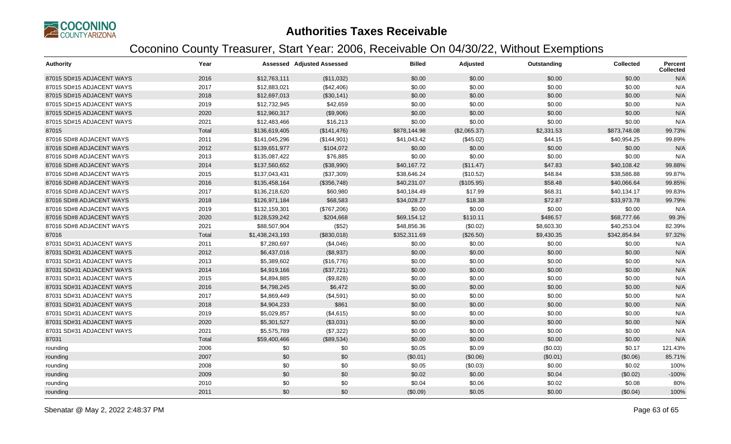

| Authority                 | Year  |                 | <b>Assessed Adjusted Assessed</b> | <b>Billed</b> | Adjusted     | Outstanding | Collected    | <b>Percent</b><br><b>Collected</b> |
|---------------------------|-------|-----------------|-----------------------------------|---------------|--------------|-------------|--------------|------------------------------------|
| 87015 SD#15 ADJACENT WAYS | 2016  | \$12,763,111    | (\$11,032)                        | \$0.00        | \$0.00       | \$0.00      | \$0.00       | N/A                                |
| 87015 SD#15 ADJACENT WAYS | 2017  | \$12,883,021    | (\$42,406)                        | \$0.00        | \$0.00       | \$0.00      | \$0.00       | N/A                                |
| 87015 SD#15 ADJACENT WAYS | 2018  | \$12,697,013    | (\$30,141)                        | \$0.00        | \$0.00       | \$0.00      | \$0.00       | N/A                                |
| 87015 SD#15 ADJACENT WAYS | 2019  | \$12,732,945    | \$42,659                          | \$0.00        | \$0.00       | \$0.00      | \$0.00       | N/A                                |
| 87015 SD#15 ADJACENT WAYS | 2020  | \$12,960,317    | (\$9,906)                         | \$0.00        | \$0.00       | \$0.00      | \$0.00       | N/A                                |
| 87015 SD#15 ADJACENT WAYS | 2021  | \$12,483,466    | \$16,213                          | \$0.00        | \$0.00       | \$0.00      | \$0.00       | N/A                                |
| 87015                     | Total | \$136,619,405   | (\$141,476)                       | \$878,144.98  | (\$2,065.37) | \$2,331.53  | \$873,748.08 | 99.73%                             |
| 87016 SD#8 ADJACENT WAYS  | 2011  | \$141,045,296   | (\$144,901)                       | \$41,043.42   | (\$45.02)    | \$44.15     | \$40,954.25  | 99.89%                             |
| 87016 SD#8 ADJACENT WAYS  | 2012  | \$139,651,977   | \$104,072                         | \$0.00        | \$0.00       | \$0.00      | \$0.00       | N/A                                |
| 87016 SD#8 ADJACENT WAYS  | 2013  | \$135,087,422   | \$76,885                          | \$0.00        | \$0.00       | \$0.00      | \$0.00       | N/A                                |
| 87016 SD#8 ADJACENT WAYS  | 2014  | \$137,560,652   | (\$38,990)                        | \$40,167.72   | (\$11.47)    | \$47.83     | \$40,108.42  | 99.88%                             |
| 87016 SD#8 ADJACENT WAYS  | 2015  | \$137,043,431   | (\$37,309)                        | \$38,646.24   | (\$10.52)    | \$48.84     | \$38,586.88  | 99.87%                             |
| 87016 SD#8 ADJACENT WAYS  | 2016  | \$135,458,164   | (\$356,748)                       | \$40,231.07   | (\$105.95)   | \$58.48     | \$40,066.64  | 99.85%                             |
| 87016 SD#8 ADJACENT WAYS  | 2017  | \$136,218,620   | \$60,980                          | \$40,184.49   | \$17.99      | \$68.31     | \$40,134.17  | 99.83%                             |
| 87016 SD#8 ADJACENT WAYS  | 2018  | \$126,971,184   | \$68,583                          | \$34,028.27   | \$18.38      | \$72.87     | \$33,973.78  | 99.79%                             |
| 87016 SD#8 ADJACENT WAYS  | 2019  | \$132,159,301   | (\$767,206)                       | \$0.00        | \$0.00       | \$0.00      | \$0.00       | N/A                                |
| 87016 SD#8 ADJACENT WAYS  | 2020  | \$128,539,242   | \$204,668                         | \$69,154.12   | \$110.11     | \$486.57    | \$68,777.66  | 99.3%                              |
| 87016 SD#8 ADJACENT WAYS  | 2021  | \$88,507,904    | (\$52)                            | \$48,856.36   | (\$0.02)     | \$8,603.30  | \$40,253.04  | 82.39%                             |
| 87016                     | Total | \$1,438,243,193 | (\$830,018)                       | \$352,311.69  | (\$26.50)    | \$9,430.35  | \$342,854.84 | 97.32%                             |
| 87031 SD#31 ADJACENT WAYS | 2011  | \$7,280,697     | (\$4,046)                         | \$0.00        | \$0.00       | \$0.00      | \$0.00       | N/A                                |
| 87031 SD#31 ADJACENT WAYS | 2012  | \$6,437,016     | (\$8,937)                         | \$0.00        | \$0.00       | \$0.00      | \$0.00       | N/A                                |
| 87031 SD#31 ADJACENT WAYS | 2013  | \$5,389,602     | (\$16,776)                        | \$0.00        | \$0.00       | \$0.00      | \$0.00       | N/A                                |
| 87031 SD#31 ADJACENT WAYS | 2014  | \$4,919,166     | (\$37,721)                        | \$0.00        | \$0.00       | \$0.00      | \$0.00       | N/A                                |
| 87031 SD#31 ADJACENT WAYS | 2015  | \$4,894,885     | (\$9,828)                         | \$0.00        | \$0.00       | \$0.00      | \$0.00       | N/A                                |
| 87031 SD#31 ADJACENT WAYS | 2016  | \$4,798,245     | \$6,472                           | \$0.00        | \$0.00       | \$0.00      | \$0.00       | N/A                                |
| 87031 SD#31 ADJACENT WAYS | 2017  | \$4,869,449     | (\$4,591)                         | \$0.00        | \$0.00       | \$0.00      | \$0.00       | N/A                                |
| 87031 SD#31 ADJACENT WAYS | 2018  | \$4,904,233     | \$861                             | \$0.00        | \$0.00       | \$0.00      | \$0.00       | N/A                                |
| 87031 SD#31 ADJACENT WAYS | 2019  | \$5,029,857     | (\$4,615)                         | \$0.00        | \$0.00       | \$0.00      | \$0.00       | N/A                                |
| 87031 SD#31 ADJACENT WAYS | 2020  | \$5,301,527     | (\$3,031)                         | \$0.00        | \$0.00       | \$0.00      | \$0.00       | N/A                                |
| 87031 SD#31 ADJACENT WAYS | 2021  | \$5,575,789     | (\$7,322)                         | \$0.00        | \$0.00       | \$0.00      | \$0.00       | N/A                                |
| 87031                     | Total | \$59,400,466    | (\$89,534)                        | \$0.00        | \$0.00       | \$0.00      | \$0.00       | N/A                                |
| rounding                  | 2006  | \$0             | \$0                               | \$0.05        | \$0.09       | (\$0.03)    | \$0.17       | 121.43%                            |
| rounding                  | 2007  | \$0             | \$0                               | (\$0.01)      | (\$0.06)     | (\$0.01)    | (\$0.06)     | 85.71%                             |
| rounding                  | 2008  | \$0             | \$0                               | \$0.05        | (\$0.03)     | \$0.00      | \$0.02       | 100%                               |
| rounding                  | 2009  | \$0             | \$0                               | \$0.02        | \$0.00       | \$0.04      | (\$0.02)     | $-100%$                            |
| rounding                  | 2010  | \$0             | \$0                               | \$0.04        | \$0.06       | \$0.02      | \$0.08       | 80%                                |
| rounding                  | 2011  | \$0             | \$0                               | (\$0.09)      | \$0.05       | \$0.00      | (\$0.04)     | 100%                               |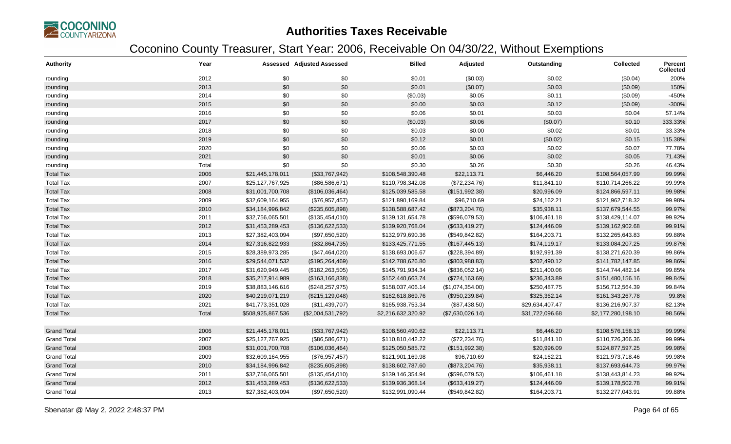

| <b>Authority</b>   | Year  |                   | Assessed Adjusted Assessed | <b>Billed</b>      | Adjusted         | Outstanding     | Collected          | Percent<br><b>Collected</b> |
|--------------------|-------|-------------------|----------------------------|--------------------|------------------|-----------------|--------------------|-----------------------------|
| rounding           | 2012  | \$0               | \$0                        | \$0.01             | (\$0.03)         | \$0.02          | (\$0.04)           | 200%                        |
| rounding           | 2013  | \$0               | \$0                        | \$0.01             | (\$0.07)         | \$0.03          | (\$0.09)           | 150%                        |
| rounding           | 2014  | \$0               | \$0                        | (\$0.03)           | \$0.05           | \$0.11          | (\$0.09)           | $-450%$                     |
| rounding           | 2015  | \$0               | \$0                        | \$0.00             | \$0.03           | \$0.12          | (\$0.09)           | $-300%$                     |
| rounding           | 2016  | \$0               | \$0                        | \$0.06             | \$0.01           | \$0.03          | \$0.04             | 57.14%                      |
| rounding           | 2017  | \$0               | \$0                        | (\$0.03)           | \$0.06           | (\$0.07)        | \$0.10             | 333.33%                     |
| rounding           | 2018  | \$0               | \$0                        | \$0.03             | \$0.00           | \$0.02          | \$0.01             | 33.33%                      |
| rounding           | 2019  | \$0               | \$0                        | \$0.12             | \$0.01           | (\$0.02)        | \$0.15             | 115.38%                     |
| rounding           | 2020  | \$0               | \$0                        | \$0.06             | \$0.03           | \$0.02          | \$0.07             | 77.78%                      |
| rounding           | 2021  | \$0               | \$0                        | \$0.01             | \$0.06           | \$0.02          | \$0.05             | 71.43%                      |
| rounding           | Total | \$0               | \$0                        | \$0.30             | \$0.26           | \$0.30          | \$0.26             | 46.43%                      |
| <b>Total Tax</b>   | 2006  | \$21,445,178,011  | (\$33,767,942)             | \$108,548,390.48   | \$22,113.71      | \$6,446.20      | \$108,564,057.99   | 99.99%                      |
| <b>Total Tax</b>   | 2007  | \$25,127,767,925  | (\$86,586,671)             | \$110,798,342.08   | (\$72,234.76)    | \$11,841.10     | \$110,714,266.22   | 99.99%                      |
| <b>Total Tax</b>   | 2008  | \$31,001,700,708  | (\$106,036,464)            | \$125,039,585.58   | (\$151,992.38)   | \$20,996.09     | \$124,866,597.11   | 99.98%                      |
| <b>Total Tax</b>   | 2009  | \$32,609,164,955  | (\$76,957,457)             | \$121,890,169.84   | \$96,710.69      | \$24,162.21     | \$121,962,718.32   | 99.98%                      |
| <b>Total Tax</b>   | 2010  | \$34,184,996,842  | (\$235,605,898)            | \$138,588,687.42   | (\$873,204.76)   | \$35,938.11     | \$137,679,544.55   | 99.97%                      |
| <b>Total Tax</b>   | 2011  | \$32,756,065,501  | (\$135,454,010)            | \$139,131,654.78   | (\$596,079.53)   | \$106,461.18    | \$138,429,114.07   | 99.92%                      |
| <b>Total Tax</b>   | 2012  | \$31,453,289,453  | (\$136,622,533)            | \$139,920,768.04   | (\$633,419.27)   | \$124,446.09    | \$139,162,902.68   | 99.91%                      |
| <b>Total Tax</b>   | 2013  | \$27,382,403,094  | (\$97,650,520)             | \$132,979,690.36   | (\$549, 842.82)  | \$164,203.71    | \$132,265,643.83   | 99.88%                      |
| <b>Total Tax</b>   | 2014  | \$27,316,822,933  | (\$32,864,735)             | \$133,425,771.55   | (\$167,445.13)   | \$174,119.17    | \$133,084,207.25   | 99.87%                      |
| <b>Total Tax</b>   | 2015  | \$28,389,973,285  | (\$47,464,020)             | \$138,693,006.67   | (\$228,394.89)   | \$192,991.39    | \$138,271,620.39   | 99.86%                      |
| <b>Total Tax</b>   | 2016  | \$29,544,071,532  | (\$195,264,469)            | \$142,788,626.80   | (\$803,988.83)   | \$202,490.12    | \$141,782,147.85   | 99.86%                      |
| <b>Total Tax</b>   | 2017  | \$31,620,949,445  | (\$182, 263, 505)          | \$145,791,934.34   | (\$836,052.14)   | \$211,400.06    | \$144,744,482.14   | 99.85%                      |
| <b>Total Tax</b>   | 2018  | \$35,217,914,989  | (\$163, 166, 838)          | \$152,440,663.74   | (\$724, 163.69)  | \$236,343.89    | \$151,480,156.16   | 99.84%                      |
| <b>Total Tax</b>   | 2019  | \$38,883,146,616  | (\$248, 257, 975)          | \$158,037,406.14   | (\$1,074,354.00) | \$250,487.75    | \$156,712,564.39   | 99.84%                      |
| <b>Total Tax</b>   | 2020  | \$40,219,071,219  | (\$215, 129, 048)          | \$162,618,869.76   | (\$950,239.84)   | \$325,362.14    | \$161,343,267.78   | 99.8%                       |
| <b>Total Tax</b>   | 2021  | \$41,773,351,028  | (\$11,439,707)             | \$165,938,753.34   | (\$87,438.50)    | \$29,634,407.47 | \$136,216,907.37   | 82.13%                      |
| <b>Total Tax</b>   | Total | \$508,925,867,536 | (\$2,004,531,792)          | \$2,216,632,320.92 | (\$7,630,026.14) | \$31,722,096.68 | \$2,177,280,198.10 | 98.56%                      |
| <b>Grand Total</b> | 2006  | \$21,445,178,011  | (\$33,767,942)             | \$108,560,490.62   | \$22,113.71      | \$6,446.20      | \$108,576,158.13   | 99.99%                      |
| <b>Grand Total</b> | 2007  | \$25,127,767,925  | (\$86,586,671)             | \$110,810,442.22   | (\$72,234.76)    | \$11,841.10     | \$110,726,366.36   | 99.99%                      |
| <b>Grand Total</b> | 2008  | \$31,001,700,708  | (\$106,036,464)            | \$125,050,585.72   | (\$151,992.38)   | \$20,996.09     | \$124,877,597.25   | 99.98%                      |
| <b>Grand Total</b> | 2009  | \$32,609,164,955  | (\$76,957,457)             | \$121,901,169.98   | \$96,710.69      | \$24,162.21     | \$121,973,718.46   | 99.98%                      |
| <b>Grand Total</b> | 2010  | \$34,184,996,842  | (\$235,605,898)            | \$138,602,787.60   | (\$873,204.76)   | \$35,938.11     | \$137,693,644.73   | 99.97%                      |
| <b>Grand Total</b> | 2011  | \$32,756,065,501  | (\$135,454,010)            | \$139,146,354.94   | (\$596,079.53)   | \$106,461.18    | \$138,443,814.23   | 99.92%                      |
| <b>Grand Total</b> | 2012  | \$31,453,289,453  | (\$136,622,533)            | \$139,936,368.14   | (\$633,419.27)   | \$124,446.09    | \$139,178,502.78   | 99.91%                      |
| <b>Grand Total</b> | 2013  | \$27,382,403,094  | (\$97,650,520)             | \$132,991,090.44   | (\$549,842.82)   | \$164,203.71    | \$132,277,043.91   | 99.88%                      |